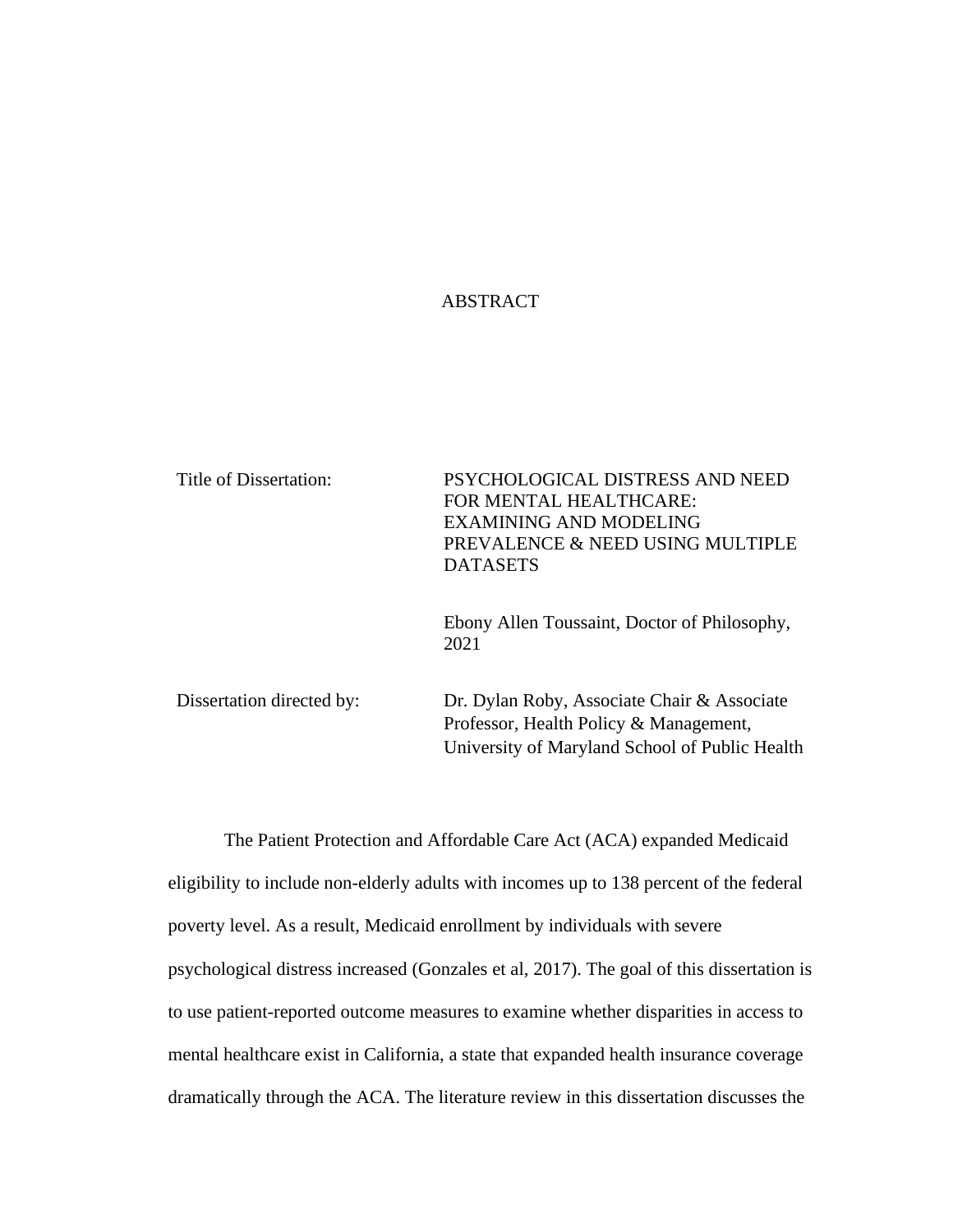# ABSTRACT

| Title of Dissertation:    | PSYCHOLOGICAL DISTRESS AND NEED<br>FOR MENTAL HEALTHCARE:<br><b>EXAMINING AND MODELING</b><br>PREVALENCE & NEED USING MULTIPLE<br><b>DATASETS</b> |
|---------------------------|---------------------------------------------------------------------------------------------------------------------------------------------------|
|                           | Ebony Allen Toussaint, Doctor of Philosophy,<br>2021                                                                                              |
| Dissertation directed by: | Dr. Dylan Roby, Associate Chair & Associate<br>Professor, Health Policy & Management,<br>University of Maryland School of Public Health           |

The Patient Protection and Affordable Care Act (ACA) expanded Medicaid eligibility to include non-elderly adults with incomes up to 138 percent of the federal poverty level. As a result, Medicaid enrollment by individuals with severe psychological distress increased (Gonzales et al, 2017). The goal of this dissertation is to use patient-reported outcome measures to examine whether disparities in access to mental healthcare exist in California, a state that expanded health insurance coverage dramatically through the ACA. The literature review in this dissertation discusses the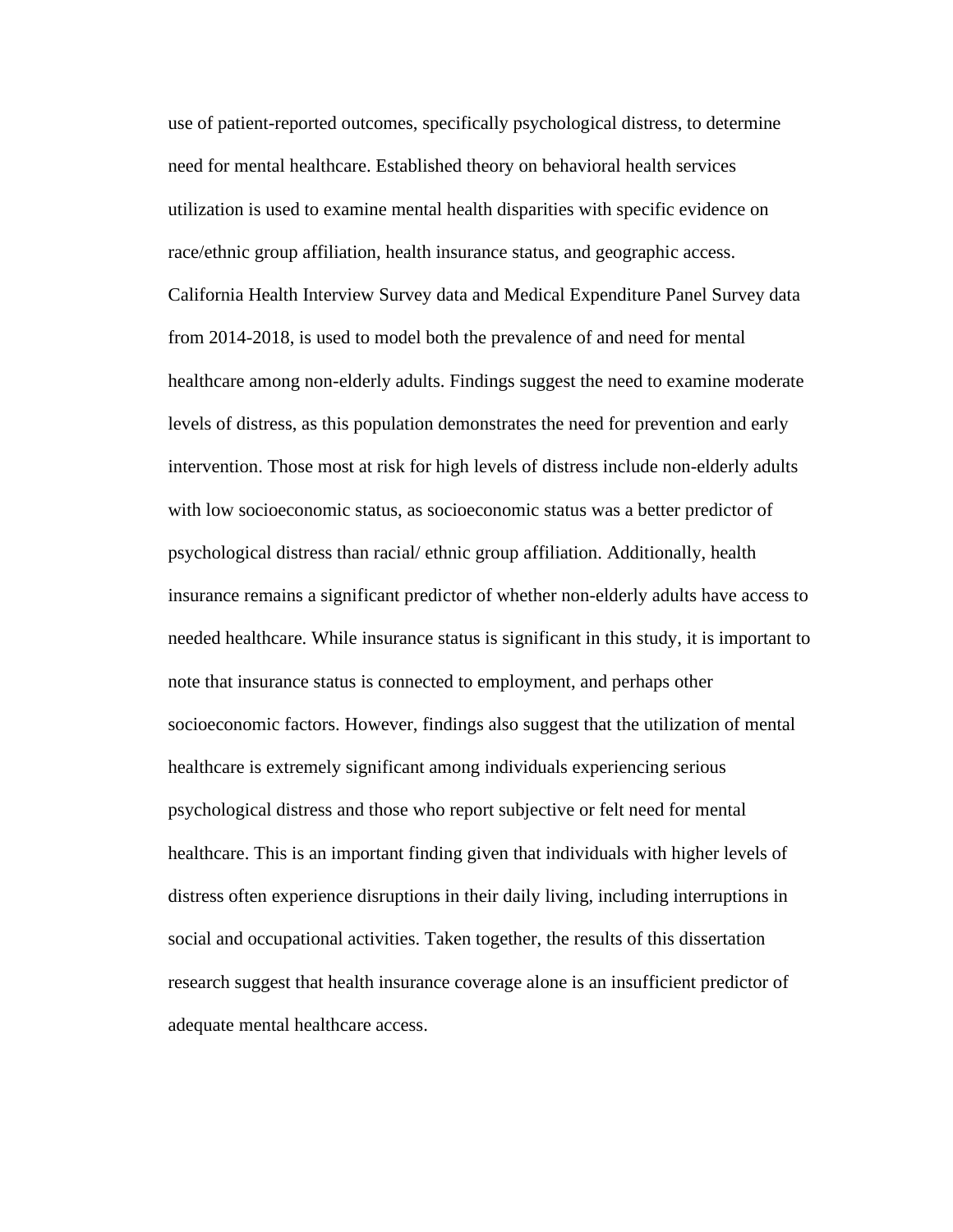use of patient-reported outcomes, specifically psychological distress, to determine need for mental healthcare. Established theory on behavioral health services utilization is used to examine mental health disparities with specific evidence on race/ethnic group affiliation, health insurance status, and geographic access. California Health Interview Survey data and Medical Expenditure Panel Survey data from 2014-2018, is used to model both the prevalence of and need for mental healthcare among non-elderly adults. Findings suggest the need to examine moderate levels of distress, as this population demonstrates the need for prevention and early intervention. Those most at risk for high levels of distress include non-elderly adults with low socioeconomic status, as socioeconomic status was a better predictor of psychological distress than racial/ ethnic group affiliation. Additionally, health insurance remains a significant predictor of whether non-elderly adults have access to needed healthcare. While insurance status is significant in this study, it is important to note that insurance status is connected to employment, and perhaps other socioeconomic factors. However, findings also suggest that the utilization of mental healthcare is extremely significant among individuals experiencing serious psychological distress and those who report subjective or felt need for mental healthcare. This is an important finding given that individuals with higher levels of distress often experience disruptions in their daily living, including interruptions in social and occupational activities. Taken together, the results of this dissertation research suggest that health insurance coverage alone is an insufficient predictor of adequate mental healthcare access.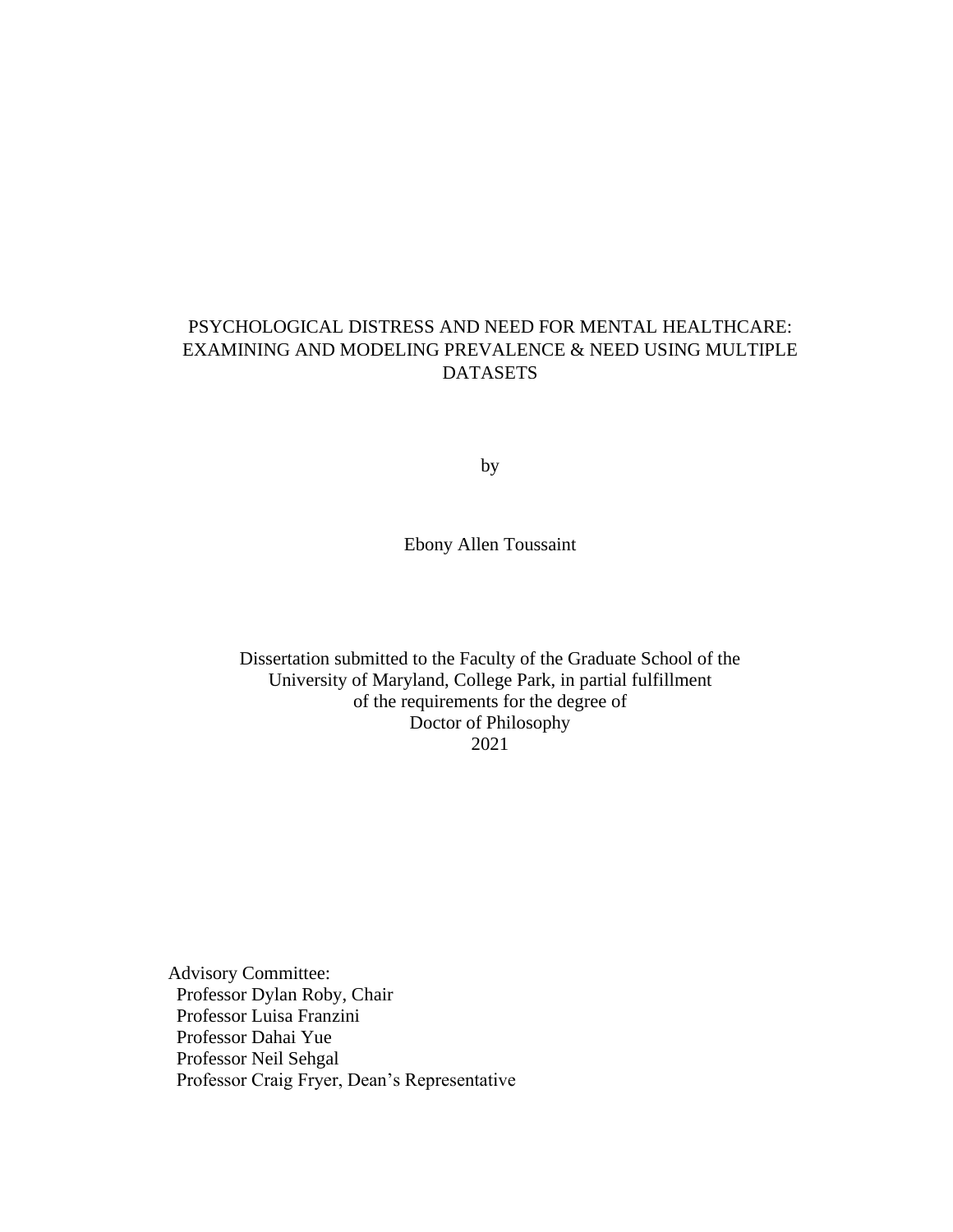# PSYCHOLOGICAL DISTRESS AND NEED FOR MENTAL HEALTHCARE: EXAMINING AND MODELING PREVALENCE & NEED USING MULTIPLE DATASETS

by

Ebony Allen Toussaint

Dissertation submitted to the Faculty of the Graduate School of the University of Maryland, College Park, in partial fulfillment of the requirements for the degree of Doctor of Philosophy 2021

Advisory Committee: Professor Dylan Roby, Chair Professor Luisa Franzini Professor Dahai Yue Professor Neil Sehgal Professor Craig Fryer, Dean's Representative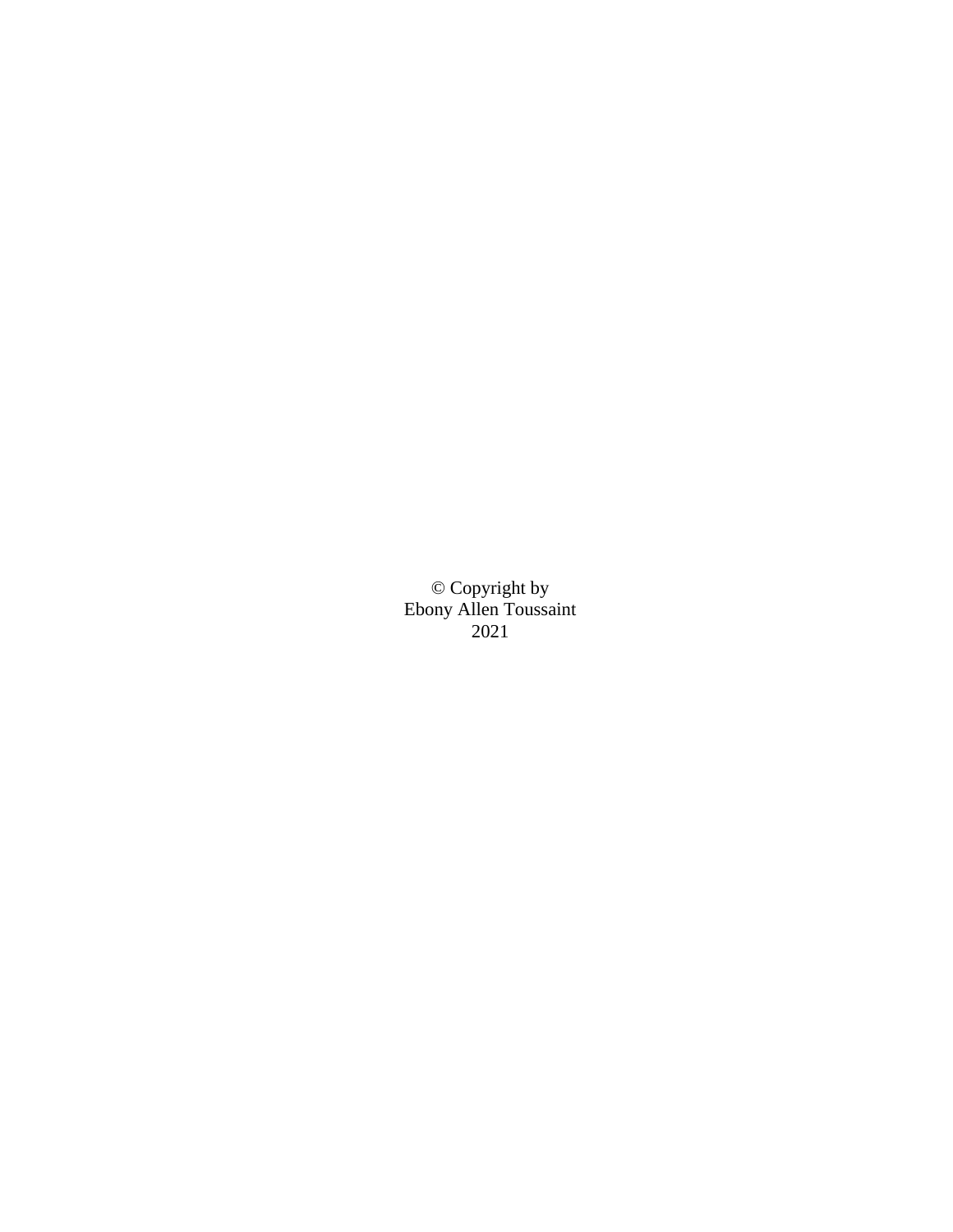© Copyright by Ebony Allen Toussaint 2021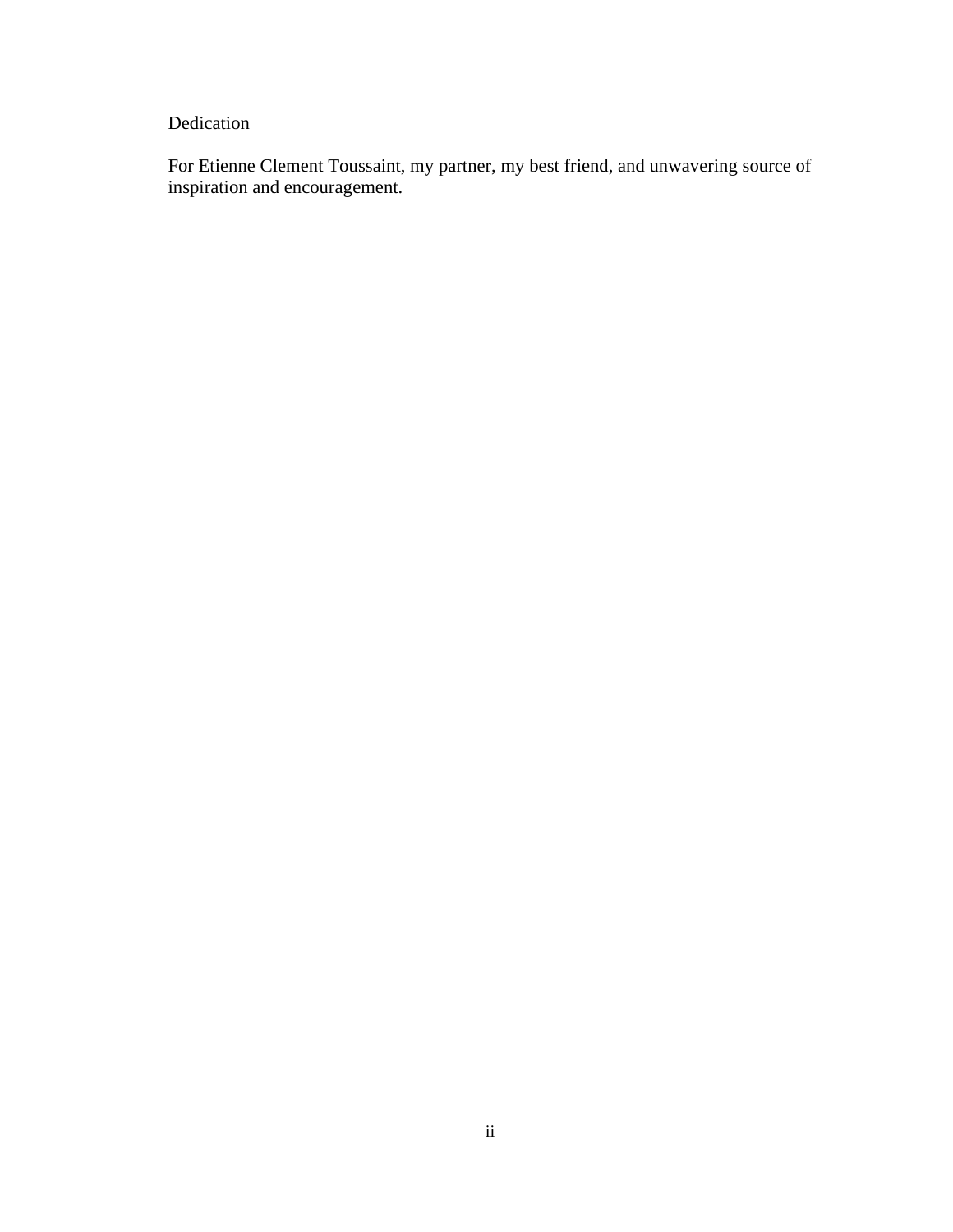# Dedication

For Etienne Clement Toussaint, my partner, my best friend, and unwavering source of inspiration and encouragement.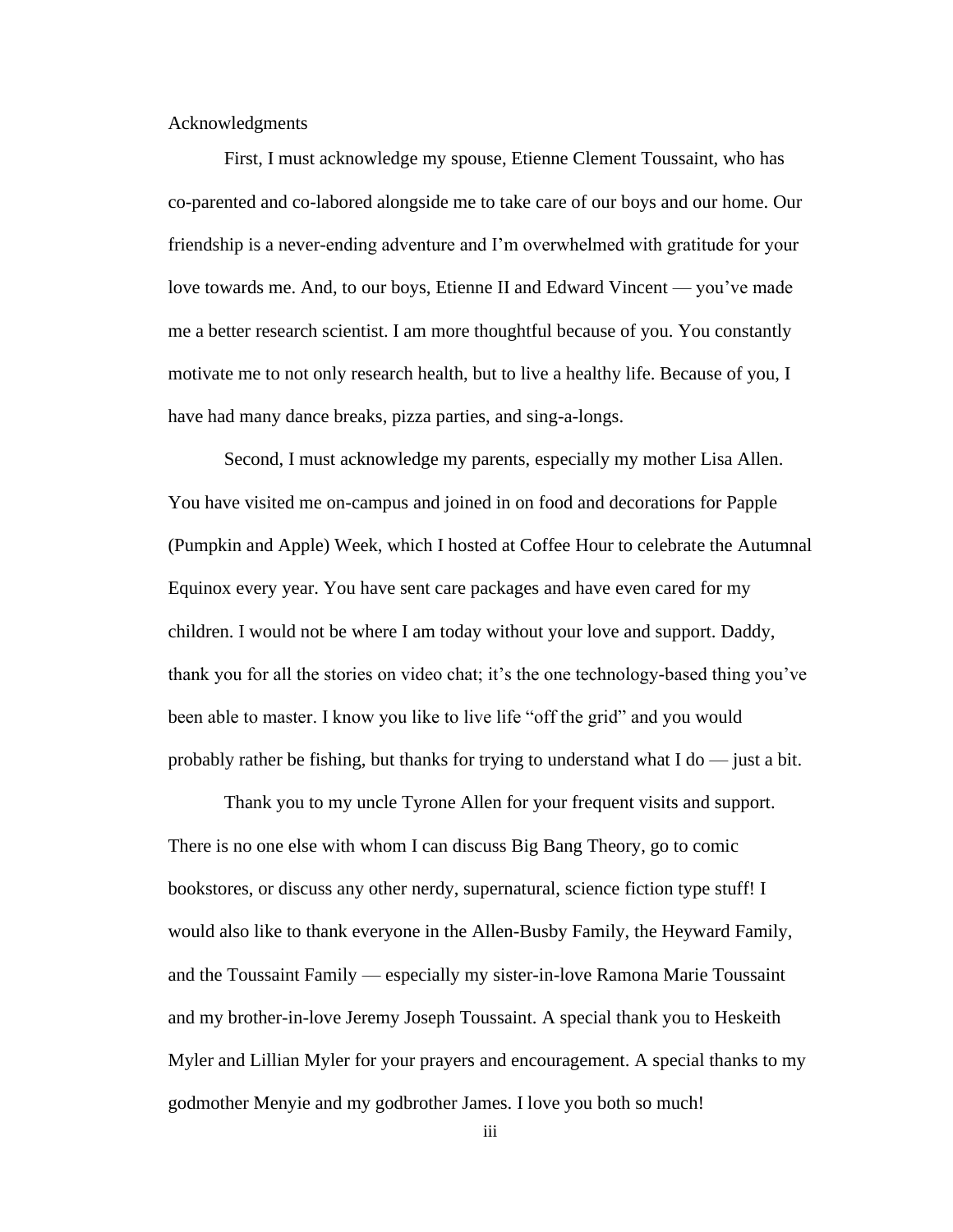Acknowledgments

First, I must acknowledge my spouse, Etienne Clement Toussaint, who has co-parented and co-labored alongside me to take care of our boys and our home. Our friendship is a never-ending adventure and I'm overwhelmed with gratitude for your love towards me. And, to our boys, Etienne II and Edward Vincent — you've made me a better research scientist. I am more thoughtful because of you. You constantly motivate me to not only research health, but to live a healthy life. Because of you, I have had many dance breaks, pizza parties, and sing-a-longs.

Second, I must acknowledge my parents, especially my mother Lisa Allen. You have visited me on-campus and joined in on food and decorations for Papple (Pumpkin and Apple) Week, which I hosted at Coffee Hour to celebrate the Autumnal Equinox every year. You have sent care packages and have even cared for my children. I would not be where I am today without your love and support. Daddy, thank you for all the stories on video chat; it's the one technology-based thing you've been able to master. I know you like to live life "off the grid" and you would probably rather be fishing, but thanks for trying to understand what  $I$  do  $-$  just a bit.

Thank you to my uncle Tyrone Allen for your frequent visits and support. There is no one else with whom I can discuss Big Bang Theory, go to comic bookstores, or discuss any other nerdy, supernatural, science fiction type stuff! I would also like to thank everyone in the Allen-Busby Family, the Heyward Family, and the Toussaint Family — especially my sister-in-love Ramona Marie Toussaint and my brother-in-love Jeremy Joseph Toussaint. A special thank you to Heskeith Myler and Lillian Myler for your prayers and encouragement. A special thanks to my godmother Menyie and my godbrother James. I love you both so much!

iii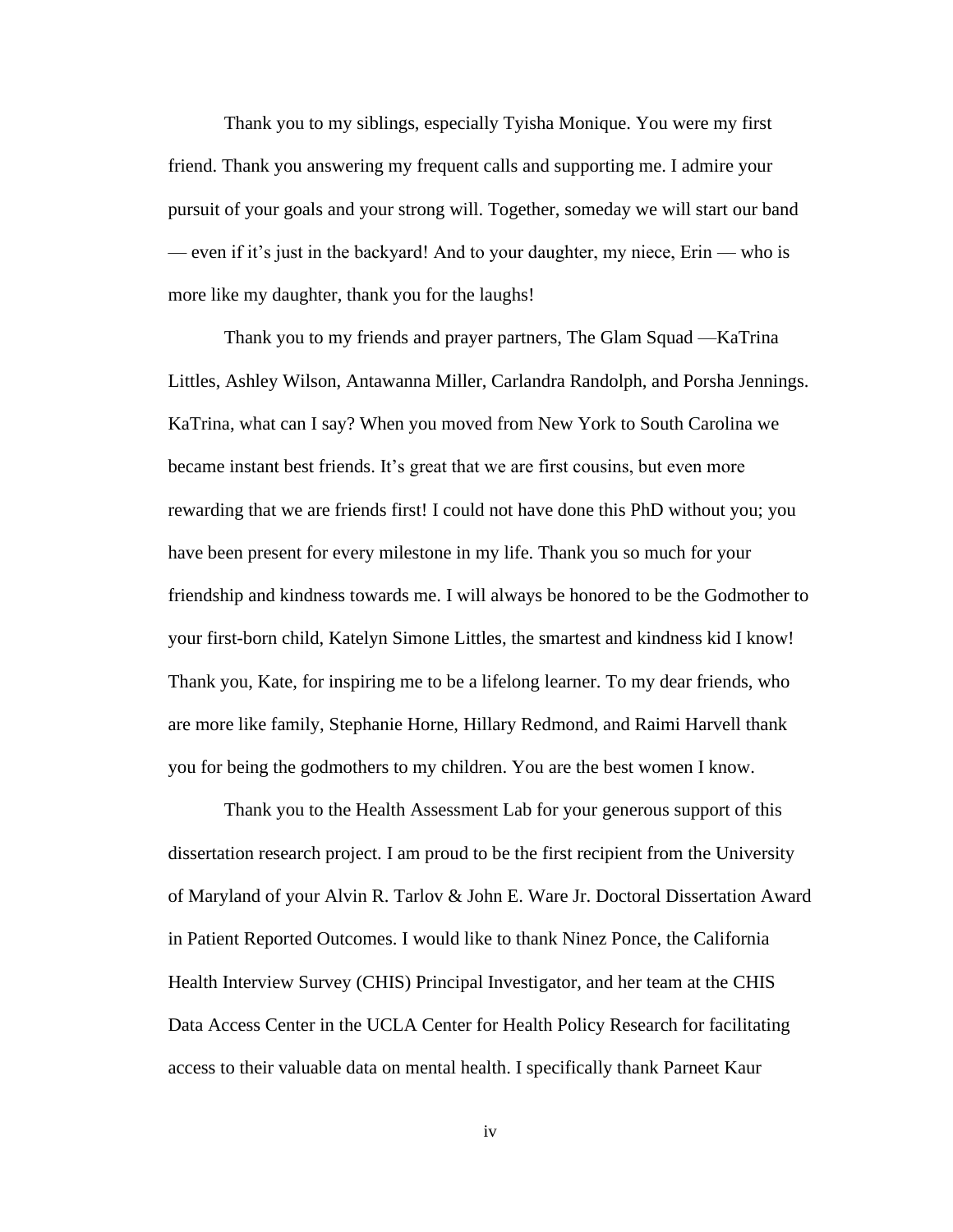Thank you to my siblings, especially Tyisha Monique. You were my first friend. Thank you answering my frequent calls and supporting me. I admire your pursuit of your goals and your strong will. Together, someday we will start our band — even if it's just in the backyard! And to your daughter, my niece, Erin — who is more like my daughter, thank you for the laughs!

Thank you to my friends and prayer partners, The Glam Squad —KaTrina Littles, Ashley Wilson, Antawanna Miller, Carlandra Randolph, and Porsha Jennings. KaTrina, what can I say? When you moved from New York to South Carolina we became instant best friends. It's great that we are first cousins, but even more rewarding that we are friends first! I could not have done this PhD without you; you have been present for every milestone in my life. Thank you so much for your friendship and kindness towards me. I will always be honored to be the Godmother to your first-born child, Katelyn Simone Littles, the smartest and kindness kid I know! Thank you, Kate, for inspiring me to be a lifelong learner. To my dear friends, who are more like family, Stephanie Horne, Hillary Redmond, and Raimi Harvell thank you for being the godmothers to my children. You are the best women I know.

Thank you to the Health Assessment Lab for your generous support of this dissertation research project. I am proud to be the first recipient from the University of Maryland of your Alvin R. Tarlov & John E. Ware Jr. Doctoral Dissertation Award in Patient Reported Outcomes. I would like to thank Ninez Ponce, the California Health Interview Survey (CHIS) Principal Investigator, and her team at the CHIS Data Access Center in the UCLA Center for Health Policy Research for facilitating access to their valuable data on mental health. I specifically thank Parneet Kaur

iv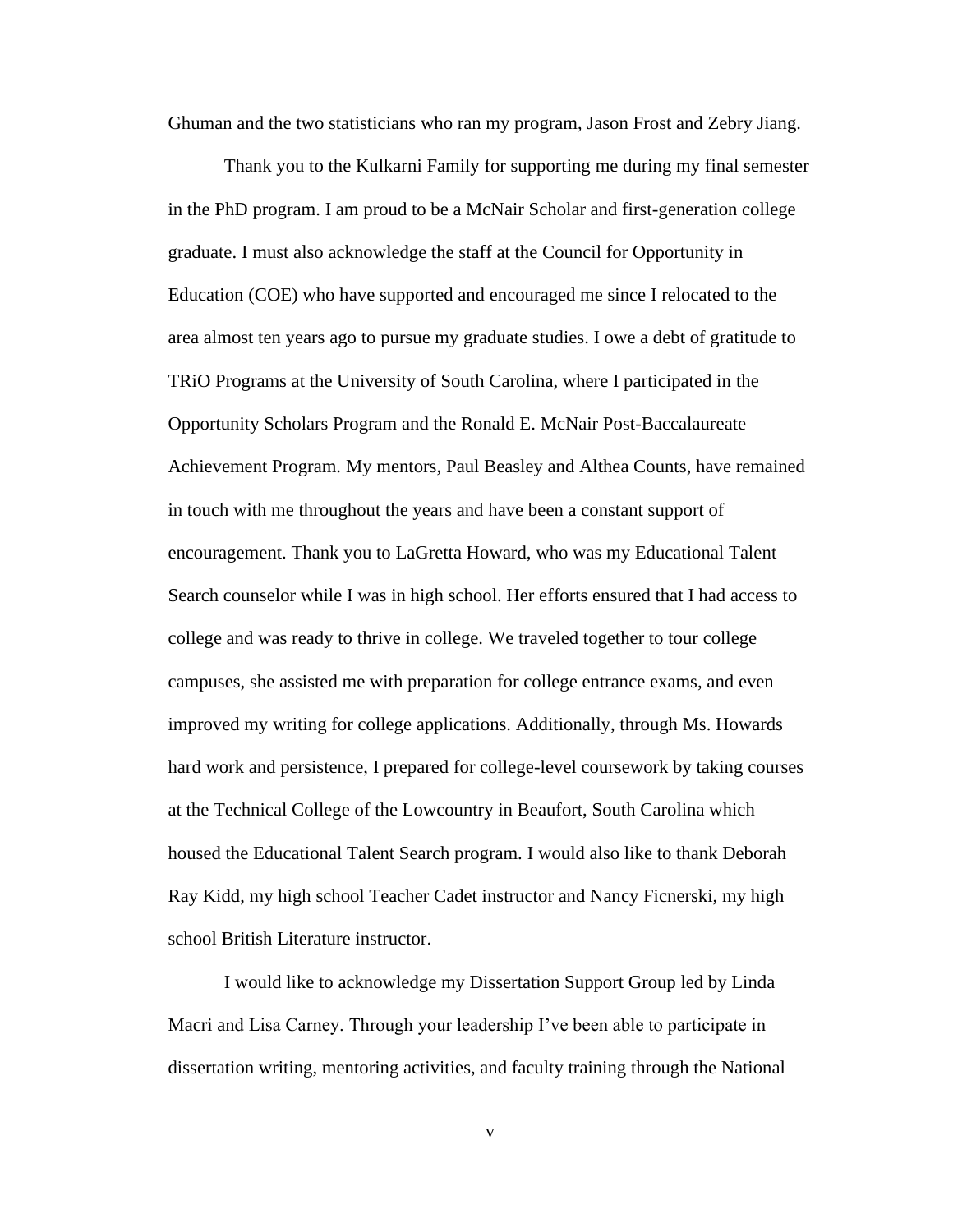Ghuman and the two statisticians who ran my program, Jason Frost and Zebry Jiang.

Thank you to the Kulkarni Family for supporting me during my final semester in the PhD program. I am proud to be a McNair Scholar and first-generation college graduate. I must also acknowledge the staff at the Council for Opportunity in Education (COE) who have supported and encouraged me since I relocated to the area almost ten years ago to pursue my graduate studies. I owe a debt of gratitude to TRiO Programs at the University of South Carolina, where I participated in the Opportunity Scholars Program and the Ronald E. McNair Post-Baccalaureate Achievement Program. My mentors, Paul Beasley and Althea Counts, have remained in touch with me throughout the years and have been a constant support of encouragement. Thank you to LaGretta Howard, who was my Educational Talent Search counselor while I was in high school. Her efforts ensured that I had access to college and was ready to thrive in college. We traveled together to tour college campuses, she assisted me with preparation for college entrance exams, and even improved my writing for college applications. Additionally, through Ms. Howards hard work and persistence, I prepared for college-level coursework by taking courses at the Technical College of the Lowcountry in Beaufort, South Carolina which housed the Educational Talent Search program. I would also like to thank Deborah Ray Kidd, my high school Teacher Cadet instructor and Nancy Ficnerski, my high school British Literature instructor.

I would like to acknowledge my Dissertation Support Group led by Linda Macri and Lisa Carney. Through your leadership I've been able to participate in dissertation writing, mentoring activities, and faculty training through the National

v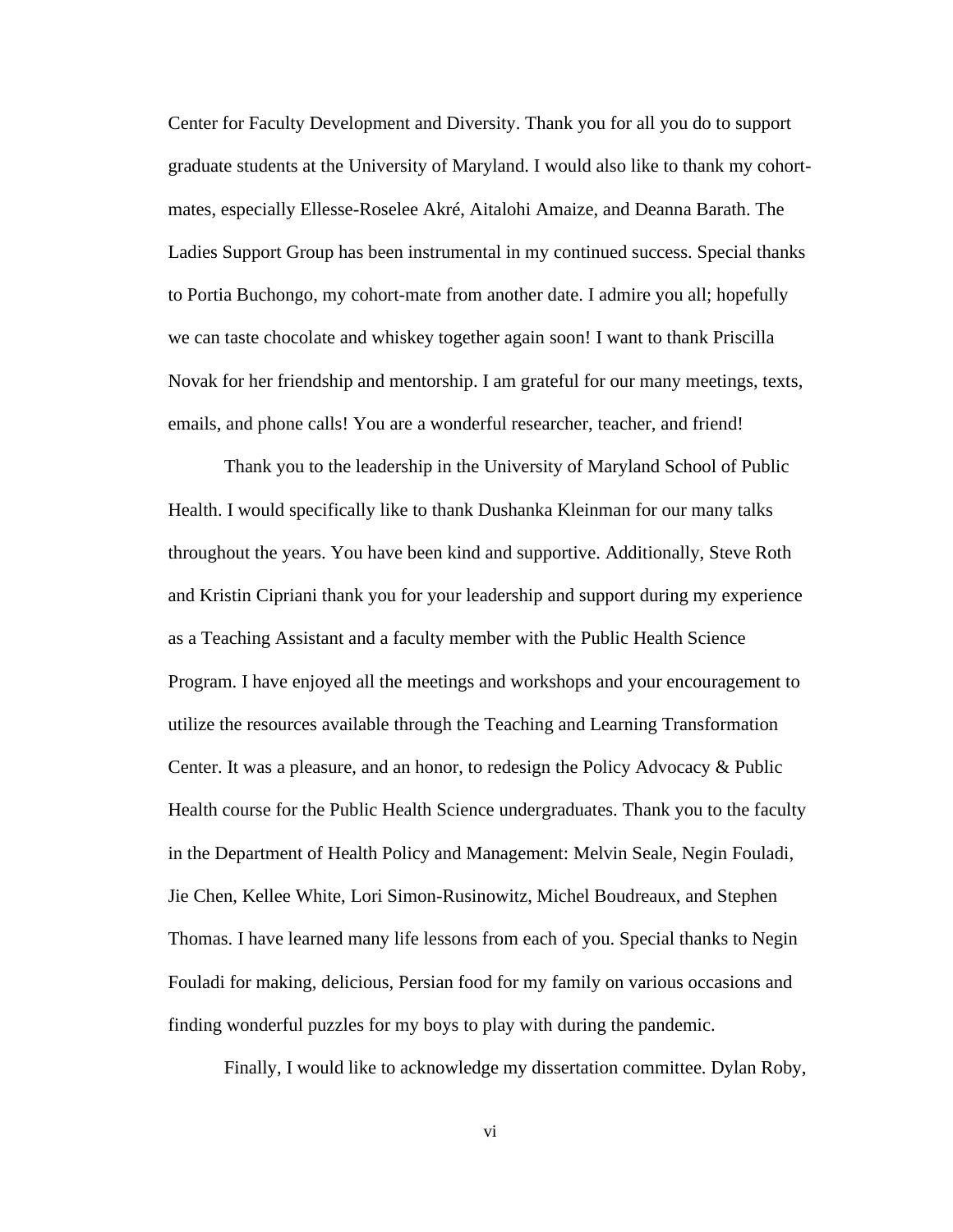Center for Faculty Development and Diversity. Thank you for all you do to support graduate students at the University of Maryland. I would also like to thank my cohortmates, especially Ellesse-Roselee Akré, Aitalohi Amaize, and Deanna Barath. The Ladies Support Group has been instrumental in my continued success. Special thanks to Portia Buchongo, my cohort-mate from another date. I admire you all; hopefully we can taste chocolate and whiskey together again soon! I want to thank Priscilla Novak for her friendship and mentorship. I am grateful for our many meetings, texts, emails, and phone calls! You are a wonderful researcher, teacher, and friend!

Thank you to the leadership in the University of Maryland School of Public Health. I would specifically like to thank Dushanka Kleinman for our many talks throughout the years. You have been kind and supportive. Additionally, Steve Roth and Kristin Cipriani thank you for your leadership and support during my experience as a Teaching Assistant and a faculty member with the Public Health Science Program. I have enjoyed all the meetings and workshops and your encouragement to utilize the resources available through the Teaching and Learning Transformation Center. It was a pleasure, and an honor, to redesign the Policy Advocacy & Public Health course for the Public Health Science undergraduates. Thank you to the faculty in the Department of Health Policy and Management: Melvin Seale, Negin Fouladi, Jie Chen, Kellee White, Lori Simon-Rusinowitz, Michel Boudreaux, and Stephen Thomas. I have learned many life lessons from each of you. Special thanks to Negin Fouladi for making, delicious, Persian food for my family on various occasions and finding wonderful puzzles for my boys to play with during the pandemic.

Finally, I would like to acknowledge my dissertation committee. Dylan Roby,

vi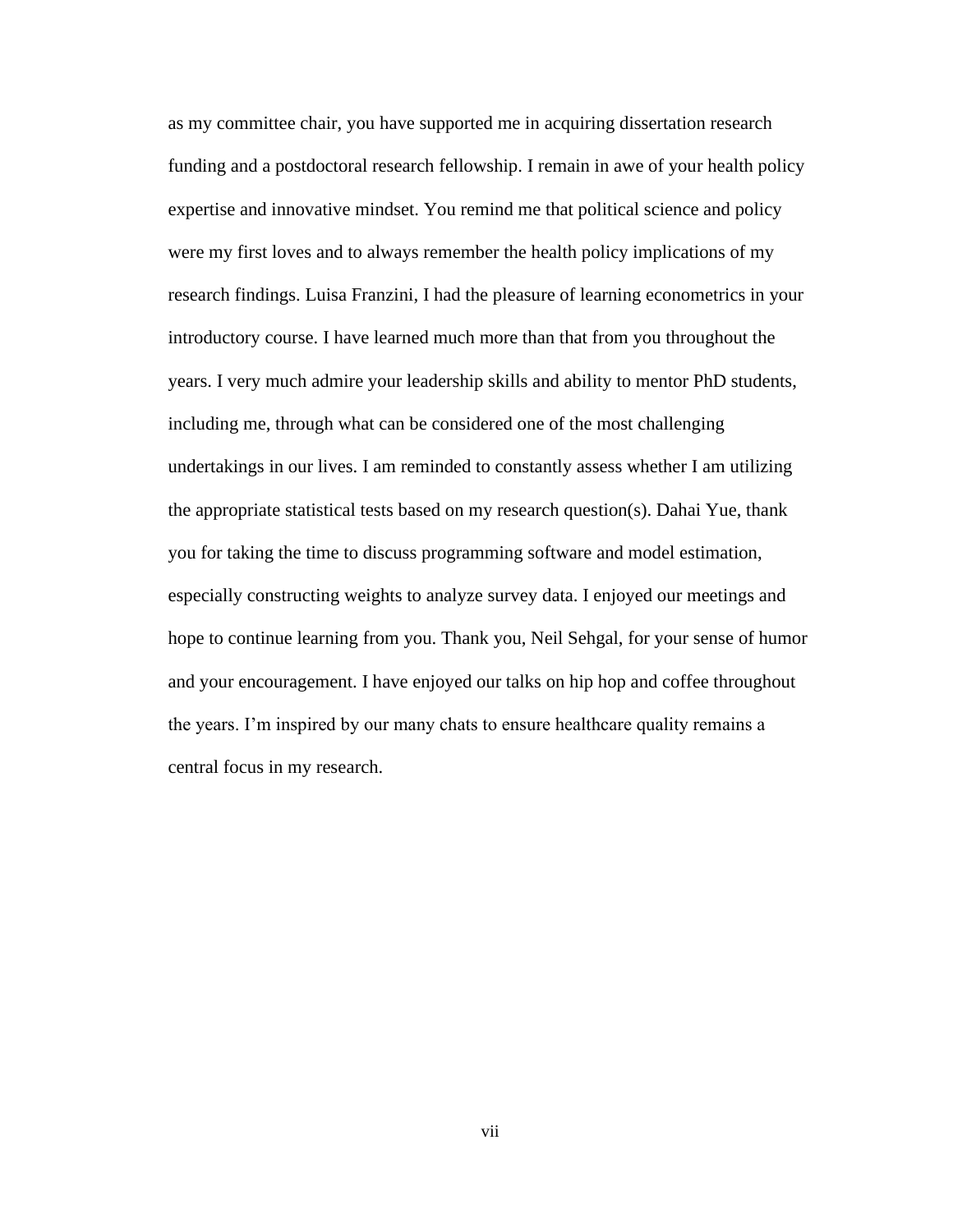as my committee chair, you have supported me in acquiring dissertation research funding and a postdoctoral research fellowship. I remain in awe of your health policy expertise and innovative mindset. You remind me that political science and policy were my first loves and to always remember the health policy implications of my research findings. Luisa Franzini, I had the pleasure of learning econometrics in your introductory course. I have learned much more than that from you throughout the years. I very much admire your leadership skills and ability to mentor PhD students, including me, through what can be considered one of the most challenging undertakings in our lives. I am reminded to constantly assess whether I am utilizing the appropriate statistical tests based on my research question(s). Dahai Yue, thank you for taking the time to discuss programming software and model estimation, especially constructing weights to analyze survey data. I enjoyed our meetings and hope to continue learning from you. Thank you, Neil Sehgal, for your sense of humor and your encouragement. I have enjoyed our talks on hip hop and coffee throughout the years. I'm inspired by our many chats to ensure healthcare quality remains a central focus in my research.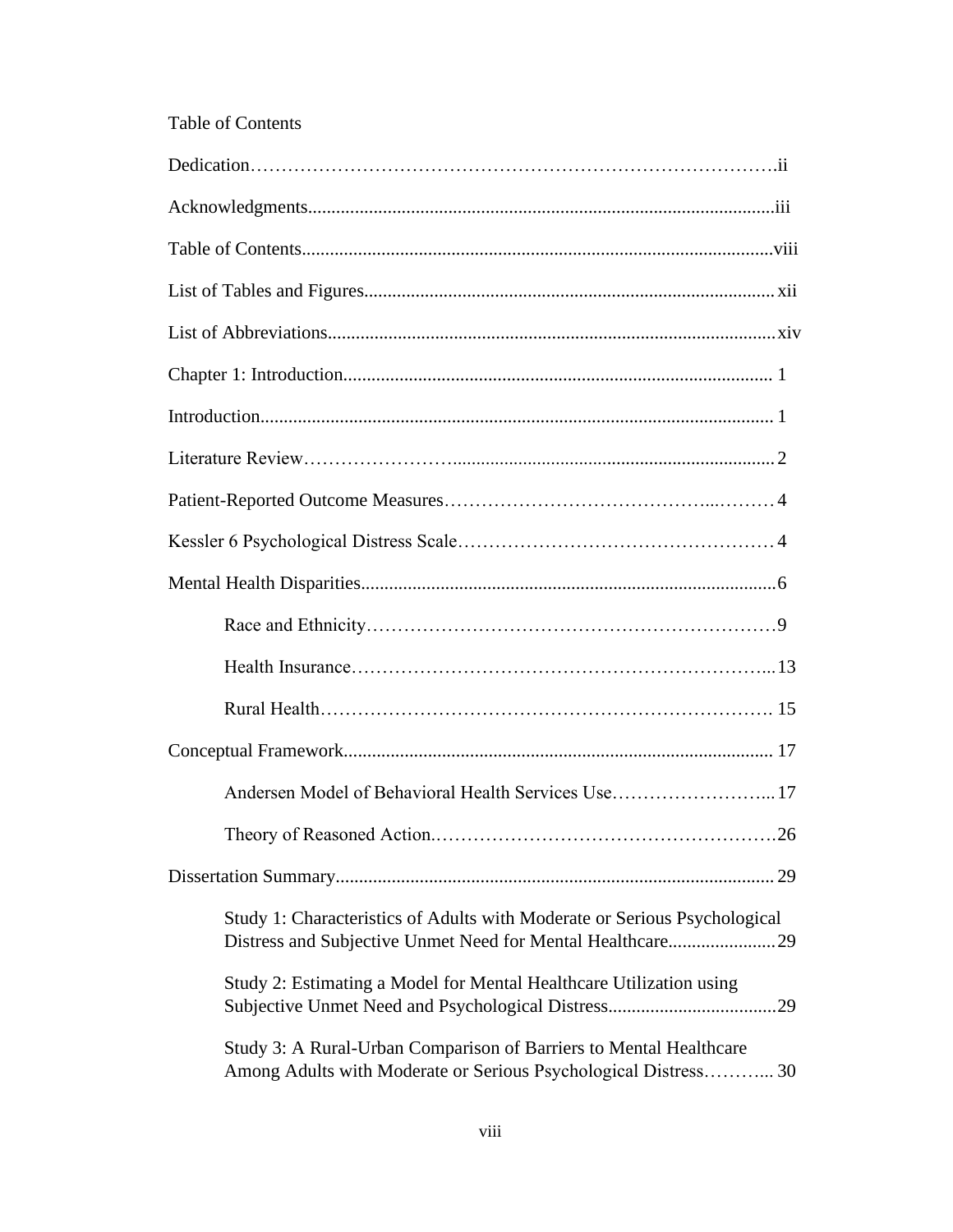# Table of Contents

| Andersen Model of Behavioral Health Services Use17                                                                                      |
|-----------------------------------------------------------------------------------------------------------------------------------------|
|                                                                                                                                         |
|                                                                                                                                         |
| Study 1: Characteristics of Adults with Moderate or Serious Psychological<br>Distress and Subjective Unmet Need for Mental Healthcare29 |
| Study 2: Estimating a Model for Mental Healthcare Utilization using                                                                     |
| Study 3: A Rural-Urban Comparison of Barriers to Mental Healthcare<br>Among Adults with Moderate or Serious Psychological Distress 30   |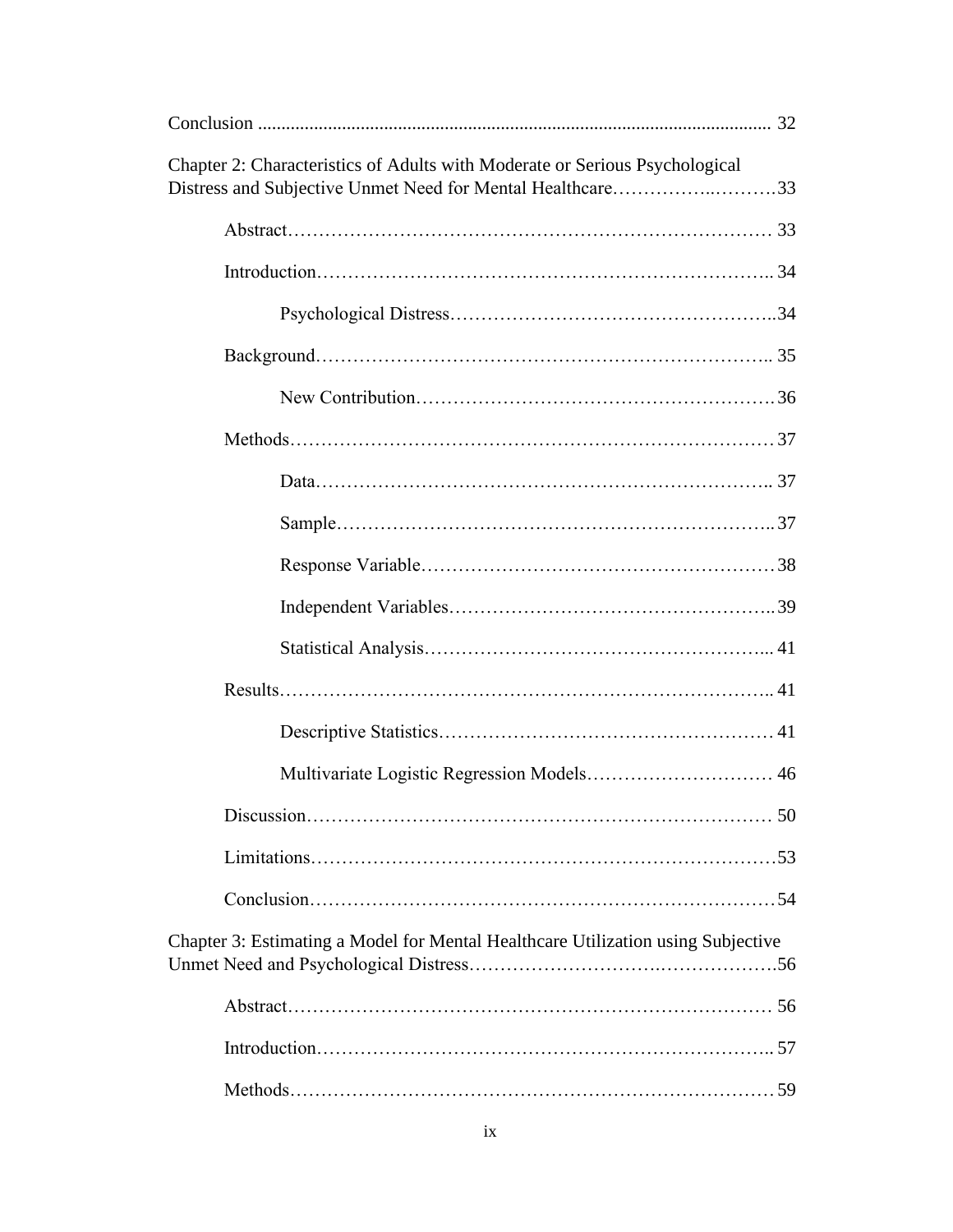| Chapter 2: Characteristics of Adults with Moderate or Serious Psychological<br>Distress and Subjective Unmet Need for Mental Healthcare33 |
|-------------------------------------------------------------------------------------------------------------------------------------------|
|                                                                                                                                           |
|                                                                                                                                           |
|                                                                                                                                           |
|                                                                                                                                           |
|                                                                                                                                           |
|                                                                                                                                           |
|                                                                                                                                           |
|                                                                                                                                           |
|                                                                                                                                           |
|                                                                                                                                           |
|                                                                                                                                           |
|                                                                                                                                           |
|                                                                                                                                           |
|                                                                                                                                           |
|                                                                                                                                           |
|                                                                                                                                           |
|                                                                                                                                           |
| Chapter 3: Estimating a Model for Mental Healthcare Utilization using Subjective                                                          |
|                                                                                                                                           |
|                                                                                                                                           |
|                                                                                                                                           |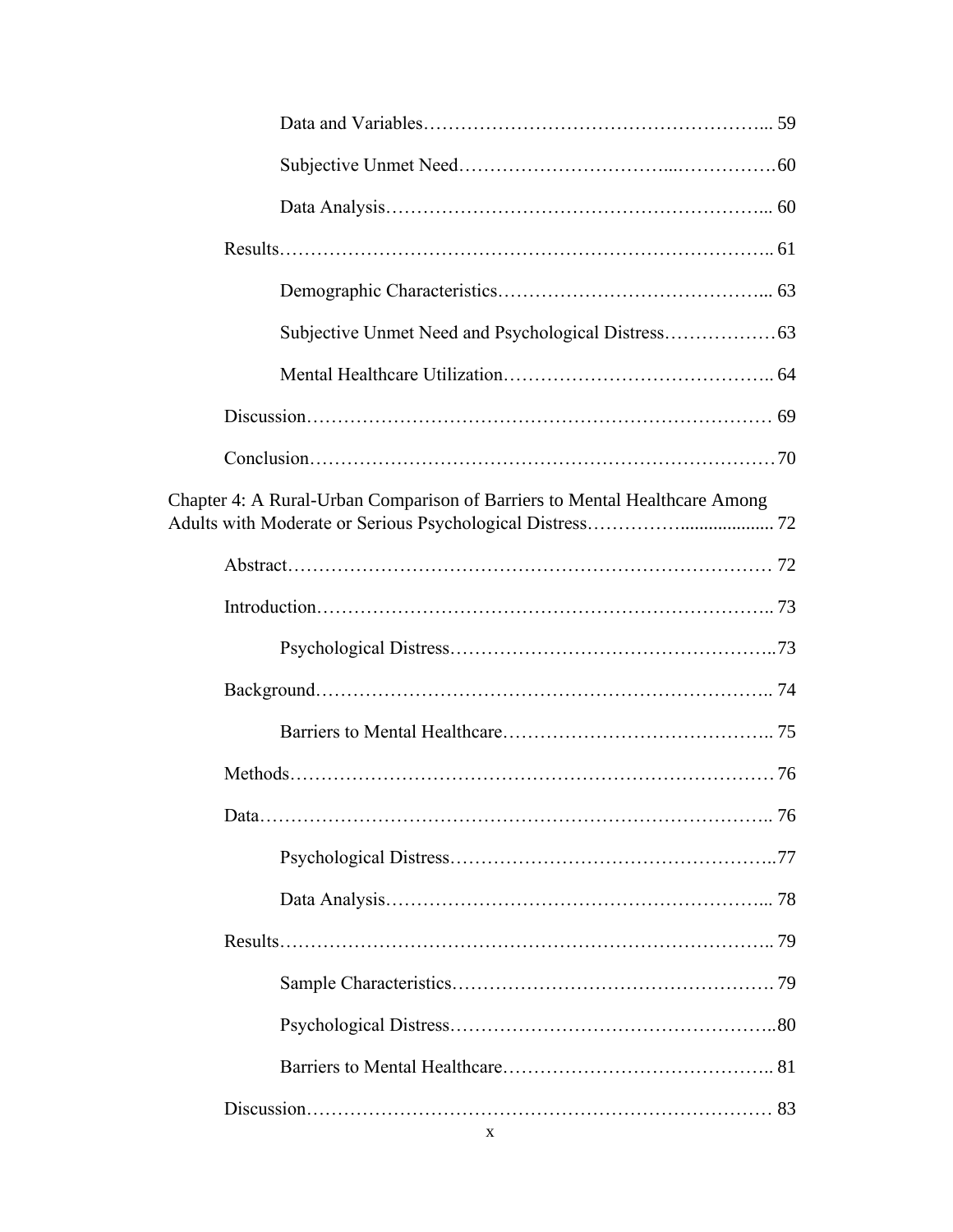| Chapter 4: A Rural-Urban Comparison of Barriers to Mental Healthcare Among |  |
|----------------------------------------------------------------------------|--|
|                                                                            |  |
|                                                                            |  |
|                                                                            |  |
|                                                                            |  |
|                                                                            |  |
|                                                                            |  |
|                                                                            |  |
|                                                                            |  |
|                                                                            |  |
|                                                                            |  |
|                                                                            |  |
|                                                                            |  |
|                                                                            |  |
|                                                                            |  |
|                                                                            |  |
| X                                                                          |  |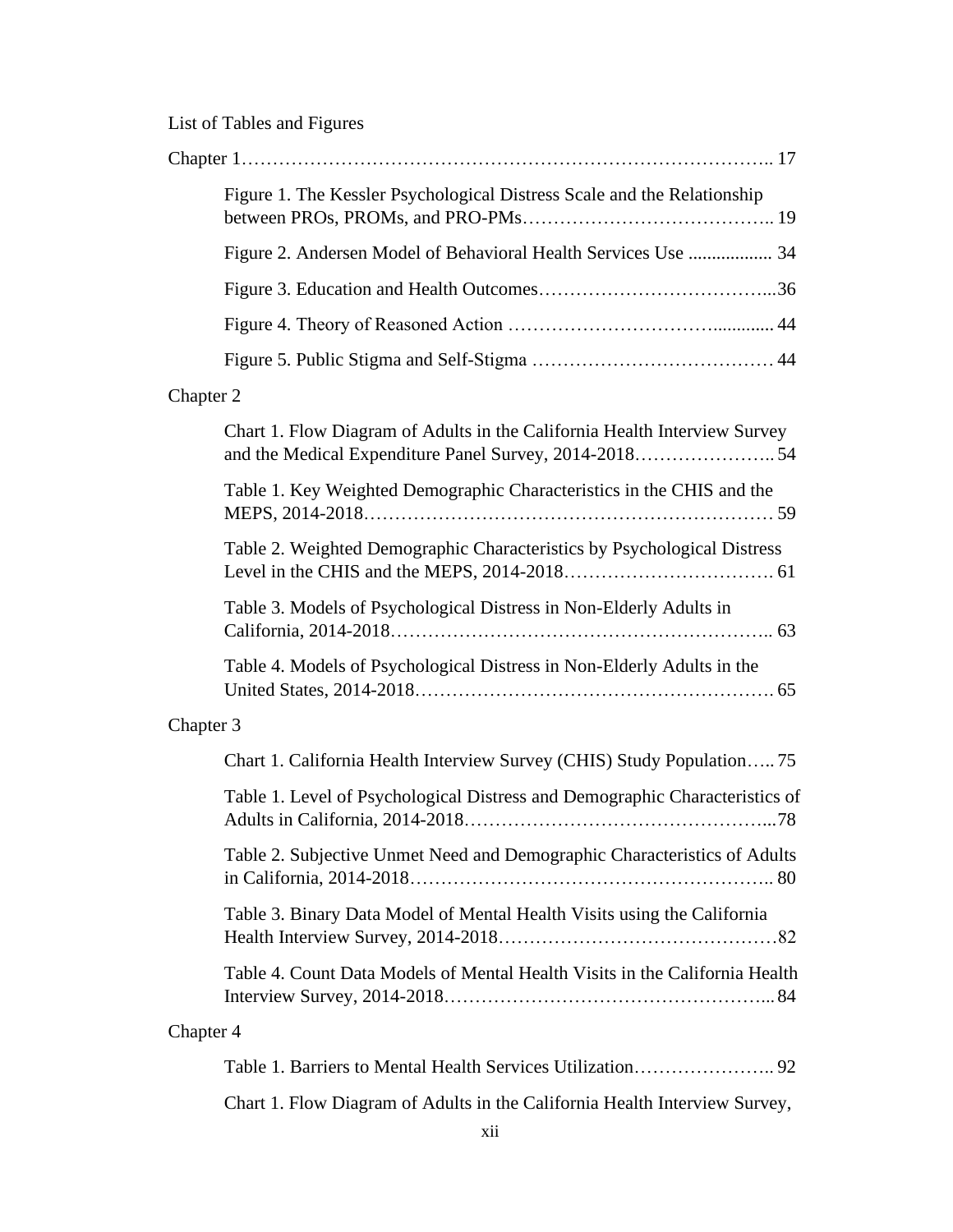# List of Tables and Figures

| Figure 1. The Kessler Psychological Distress Scale and the Relationship                                                            |
|------------------------------------------------------------------------------------------------------------------------------------|
| Figure 2. Andersen Model of Behavioral Health Services Use  34                                                                     |
|                                                                                                                                    |
|                                                                                                                                    |
|                                                                                                                                    |
| Chapter 2                                                                                                                          |
| Chart 1. Flow Diagram of Adults in the California Health Interview Survey<br>and the Medical Expenditure Panel Survey, 2014-201854 |
| Table 1. Key Weighted Demographic Characteristics in the CHIS and the                                                              |
| Table 2. Weighted Demographic Characteristics by Psychological Distress                                                            |
| Table 3. Models of Psychological Distress in Non-Elderly Adults in                                                                 |
| Table 4. Models of Psychological Distress in Non-Elderly Adults in the                                                             |
| Chapter 3                                                                                                                          |
| Chart 1. California Health Interview Survey (CHIS) Study Population 75                                                             |
| Table 1. Level of Psychological Distress and Demographic Characteristics of                                                        |
| Table 2. Subjective Unmet Need and Demographic Characteristics of Adults                                                           |
| Table 3. Binary Data Model of Mental Health Visits using the California                                                            |
| Table 4. Count Data Models of Mental Health Visits in the California Health                                                        |
| Chapter 4                                                                                                                          |
|                                                                                                                                    |

Chart 1. Flow Diagram of Adults in the California Health Interview Survey,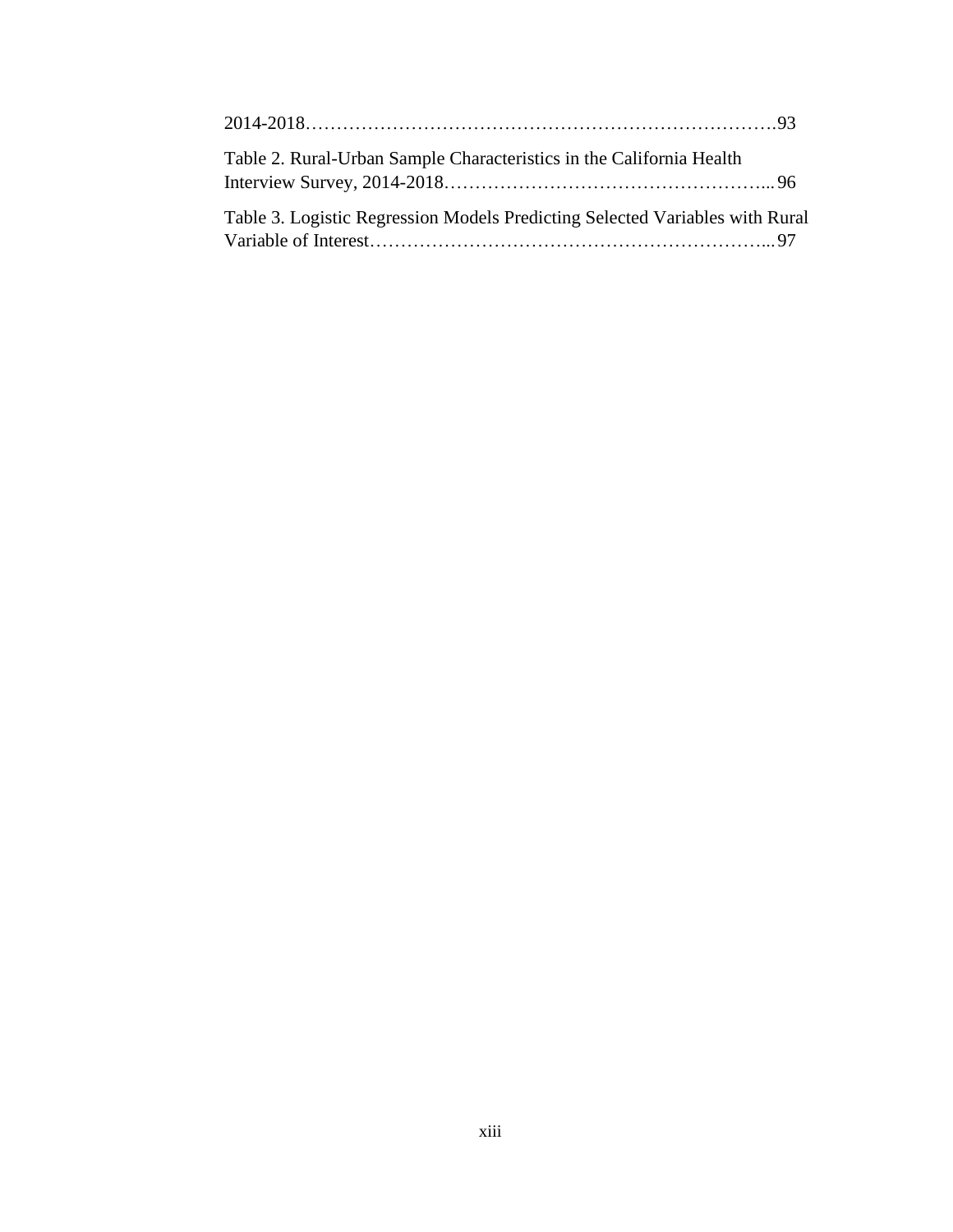| Table 2. Rural-Urban Sample Characteristics in the California Health         |  |
|------------------------------------------------------------------------------|--|
| Table 3. Logistic Regression Models Predicting Selected Variables with Rural |  |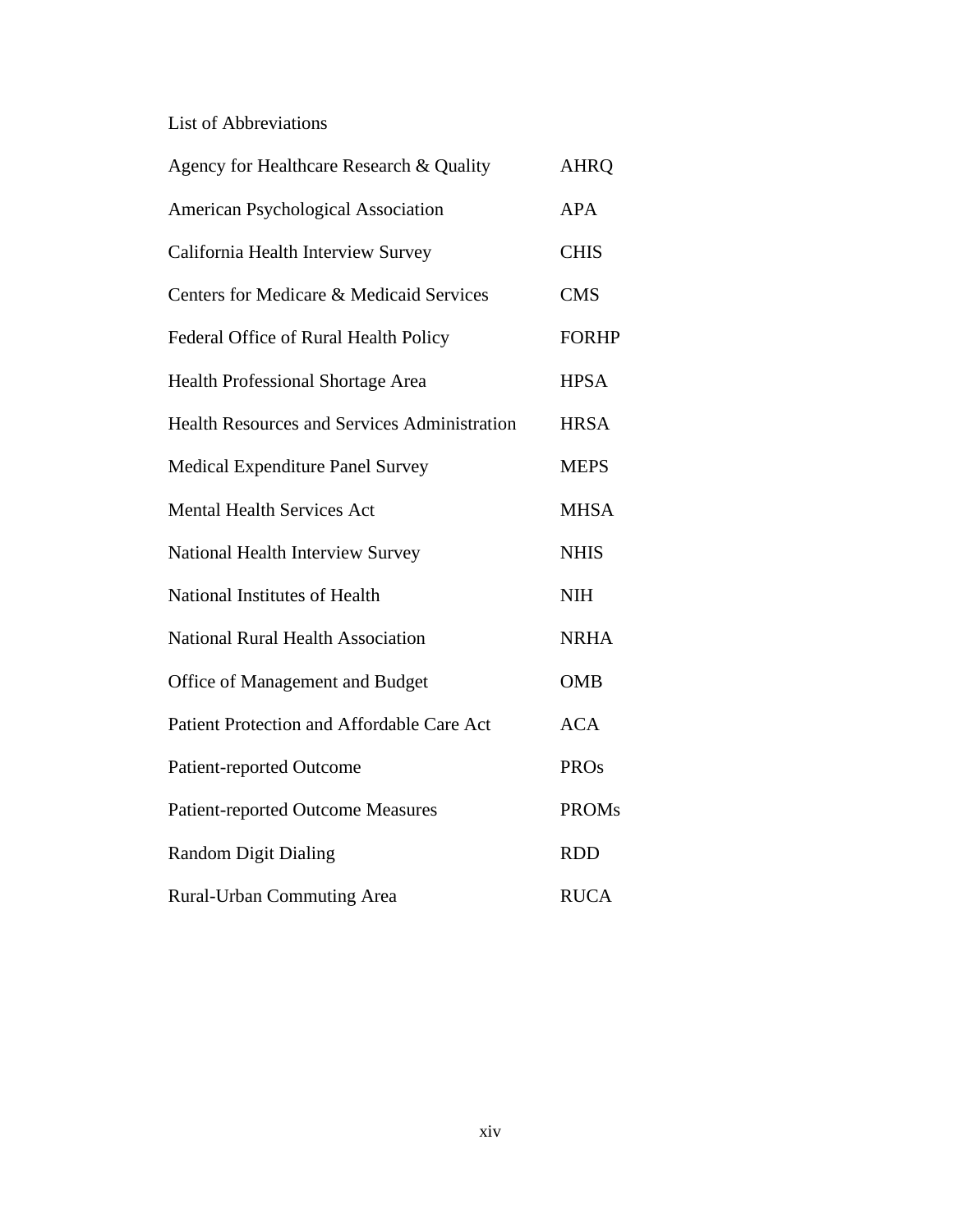# List of Abbreviations

| Agency for Healthcare Research & Quality            | <b>AHRQ</b>  |
|-----------------------------------------------------|--------------|
| American Psychological Association                  | <b>APA</b>   |
| California Health Interview Survey                  | <b>CHIS</b>  |
| Centers for Medicare & Medicaid Services            | <b>CMS</b>   |
| Federal Office of Rural Health Policy               | <b>FORHP</b> |
| Health Professional Shortage Area                   | <b>HPSA</b>  |
| <b>Health Resources and Services Administration</b> | <b>HRSA</b>  |
| <b>Medical Expenditure Panel Survey</b>             | <b>MEPS</b>  |
| <b>Mental Health Services Act</b>                   | <b>MHSA</b>  |
| National Health Interview Survey                    | <b>NHIS</b>  |
| National Institutes of Health                       | <b>NIH</b>   |
| <b>National Rural Health Association</b>            | <b>NRHA</b>  |
| Office of Management and Budget                     | <b>OMB</b>   |
| Patient Protection and Affordable Care Act          | <b>ACA</b>   |
| <b>Patient-reported Outcome</b>                     | <b>PROs</b>  |
| <b>Patient-reported Outcome Measures</b>            | <b>PROMs</b> |
| <b>Random Digit Dialing</b>                         | <b>RDD</b>   |
| <b>Rural-Urban Commuting Area</b>                   | <b>RUCA</b>  |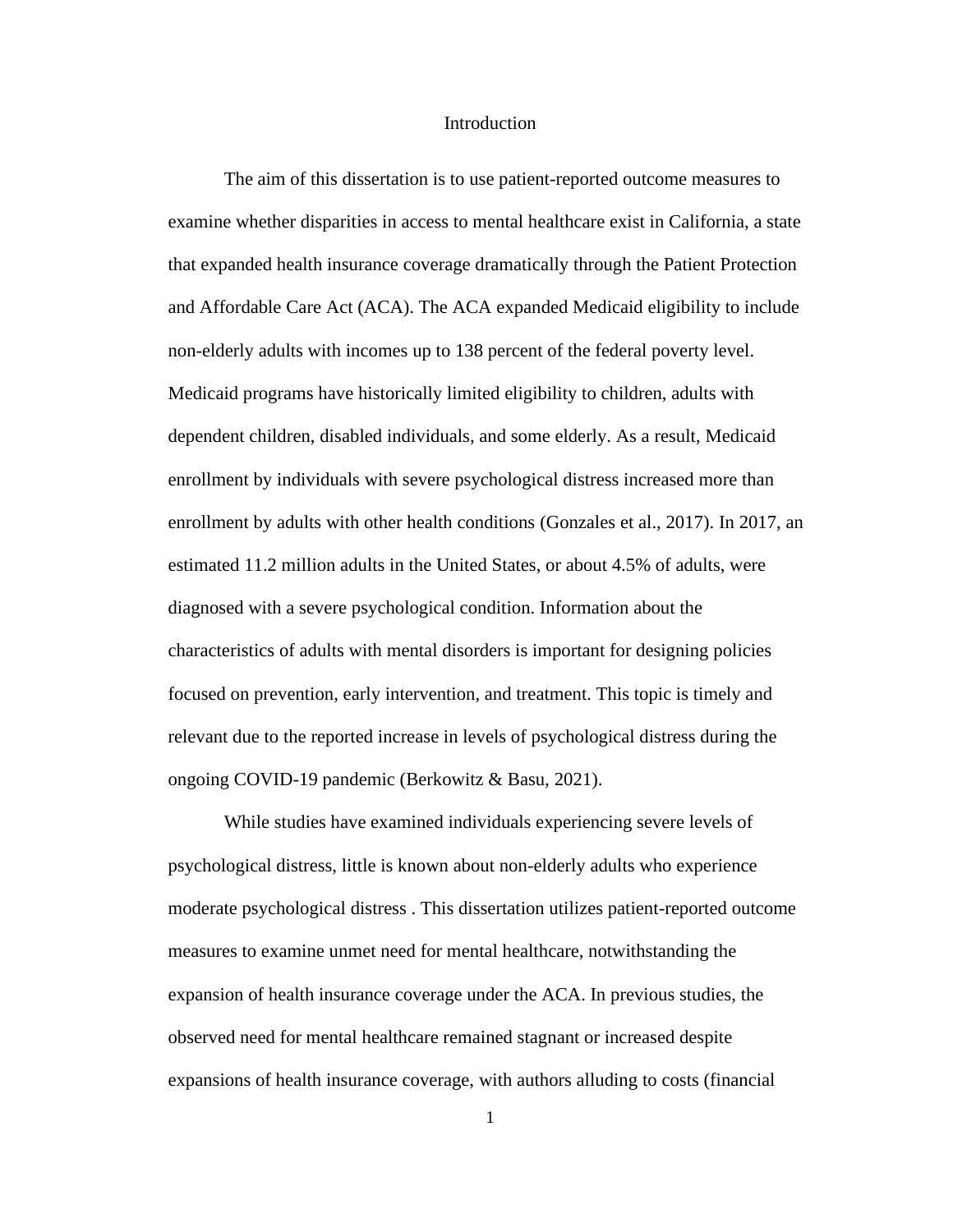#### **Introduction**

The aim of this dissertation is to use patient-reported outcome measures to examine whether disparities in access to mental healthcare exist in California, a state that expanded health insurance coverage dramatically through the Patient Protection and Affordable Care Act (ACA). The ACA expanded Medicaid eligibility to include non-elderly adults with incomes up to 138 percent of the federal poverty level. Medicaid programs have historically limited eligibility to children, adults with dependent children, disabled individuals, and some elderly. As a result, Medicaid enrollment by individuals with severe psychological distress increased more than enrollment by adults with other health conditions (Gonzales et al., 2017). In 2017, an estimated 11.2 million adults in the United States, or about 4.5% of adults, were diagnosed with a severe psychological condition. Information about the characteristics of adults with mental disorders is important for designing policies focused on prevention, early intervention, and treatment. This topic is timely and relevant due to the reported increase in levels of psychological distress during the ongoing COVID-19 pandemic (Berkowitz & Basu, 2021).

While studies have examined individuals experiencing severe levels of psychological distress, little is known about non-elderly adults who experience moderate psychological distress . This dissertation utilizes patient-reported outcome measures to examine unmet need for mental healthcare, notwithstanding the expansion of health insurance coverage under the ACA. In previous studies, the observed need for mental healthcare remained stagnant or increased despite expansions of health insurance coverage, with authors alluding to costs (financial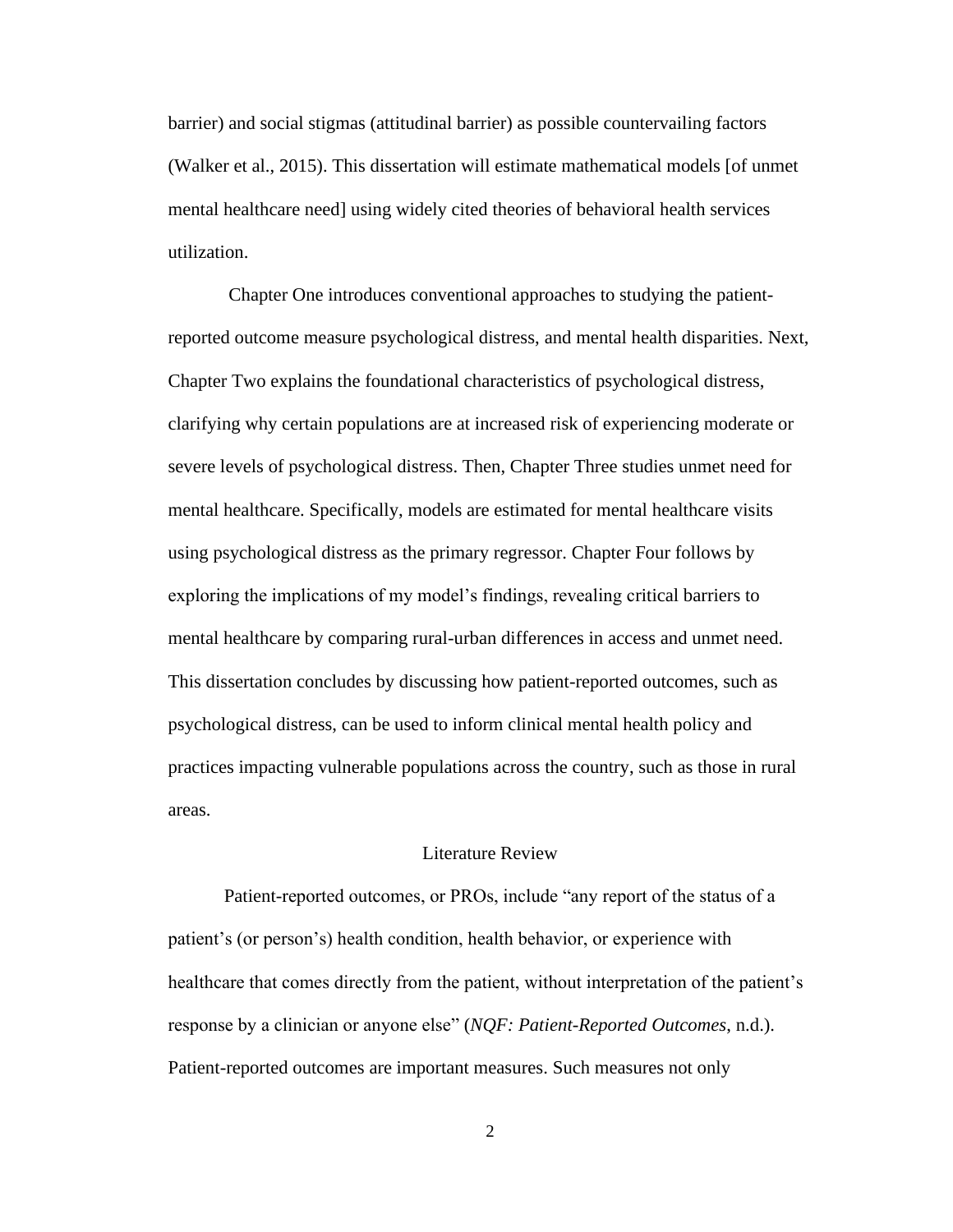barrier) and social stigmas (attitudinal barrier) as possible countervailing factors (Walker et al., 2015). This dissertation will estimate mathematical models [of unmet mental healthcare need] using widely cited theories of behavioral health services utilization.

Chapter One introduces conventional approaches to studying the patientreported outcome measure psychological distress, and mental health disparities. Next, Chapter Two explains the foundational characteristics of psychological distress, clarifying why certain populations are at increased risk of experiencing moderate or severe levels of psychological distress. Then, Chapter Three studies unmet need for mental healthcare. Specifically, models are estimated for mental healthcare visits using psychological distress as the primary regressor. Chapter Four follows by exploring the implications of my model's findings, revealing critical barriers to mental healthcare by comparing rural-urban differences in access and unmet need. This dissertation concludes by discussing how patient-reported outcomes, such as psychological distress, can be used to inform clinical mental health policy and practices impacting vulnerable populations across the country, such as those in rural areas.

#### Literature Review

Patient-reported outcomes, or PROs, include "any report of the status of a patient's (or person's) health condition, health behavior, or experience with healthcare that comes directly from the patient, without interpretation of the patient's response by a clinician or anyone else" (*NQF: Patient-Reported Outcomes*, n.d.). Patient-reported outcomes are important measures. Such measures not only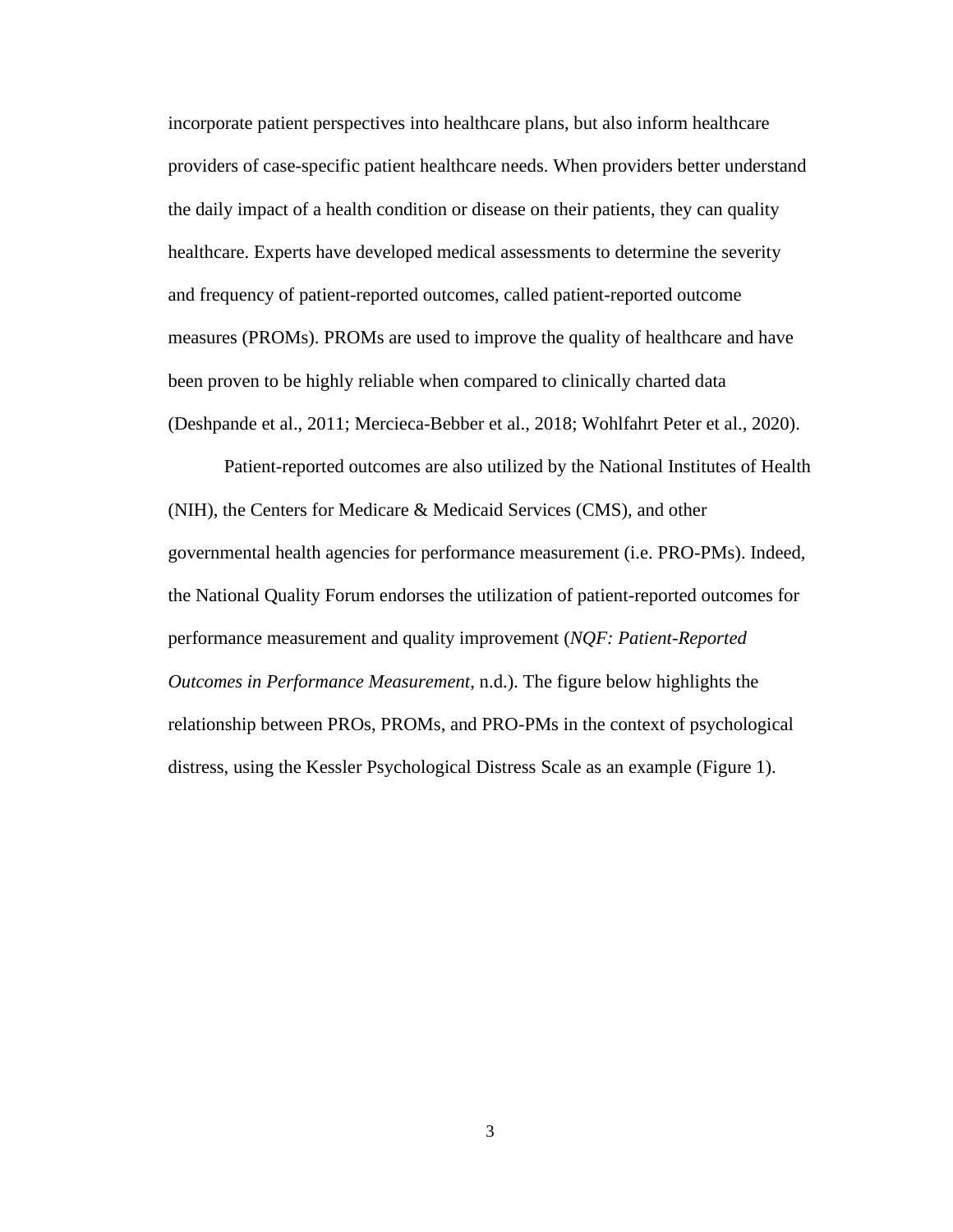incorporate patient perspectives into healthcare plans, but also inform healthcare providers of case-specific patient healthcare needs. When providers better understand the daily impact of a health condition or disease on their patients, they can quality healthcare. Experts have developed medical assessments to determine the severity and frequency of patient-reported outcomes, called patient-reported outcome measures (PROMs). PROMs are used to improve the quality of healthcare and have been proven to be highly reliable when compared to clinically charted data (Deshpande et al., 2011; Mercieca-Bebber et al., 2018; Wohlfahrt Peter et al., 2020).

Patient-reported outcomes are also utilized by the National Institutes of Health (NIH), the Centers for Medicare & Medicaid Services (CMS), and other governmental health agencies for performance measurement (i.e. PRO-PMs). Indeed, the National Quality Forum endorses the utilization of patient-reported outcomes for performance measurement and quality improvement (*NQF: Patient-Reported Outcomes in Performance Measurement*, n.d.). The figure below highlights the relationship between PROs, PROMs, and PRO-PMs in the context of psychological distress, using the Kessler Psychological Distress Scale as an example (Figure 1).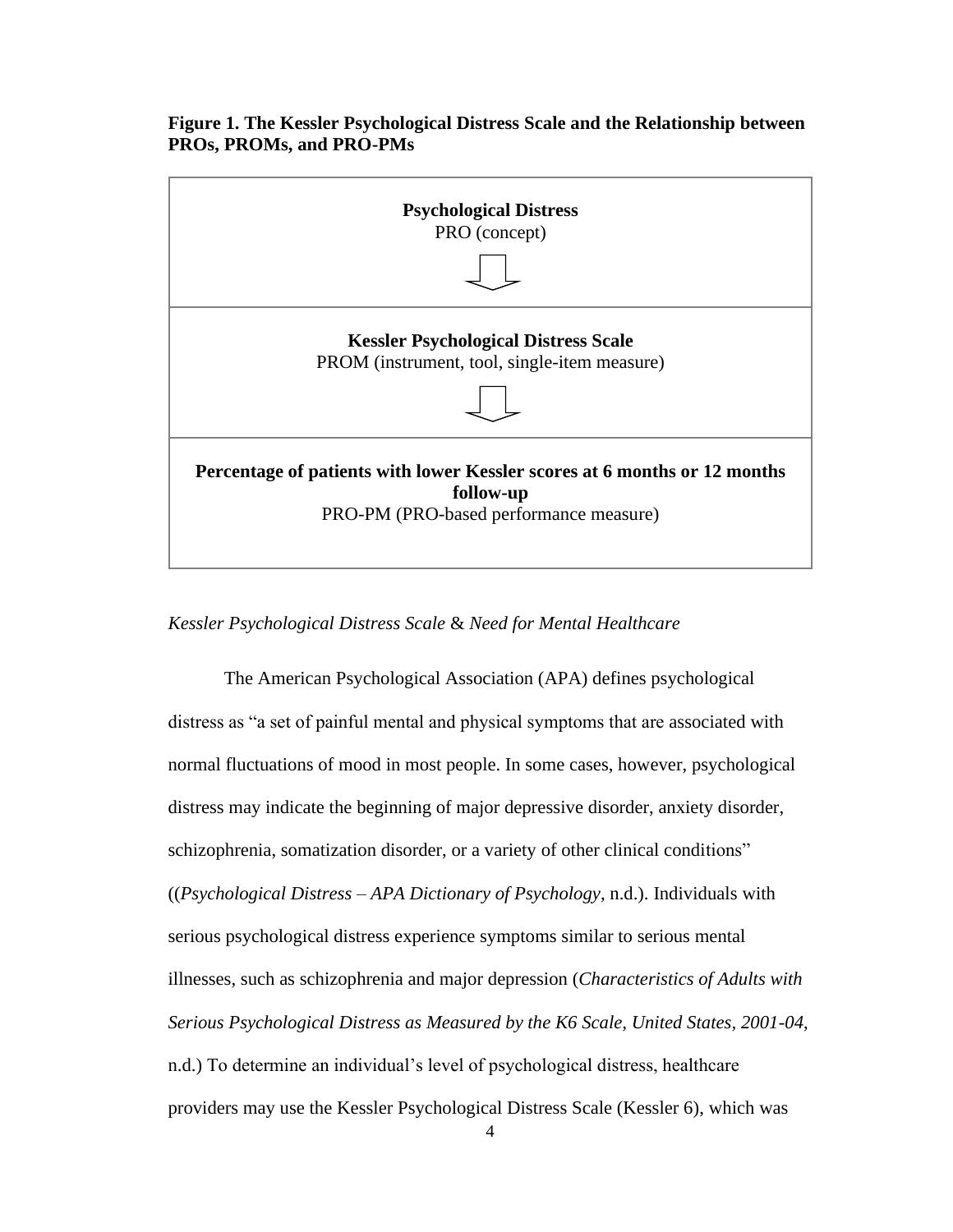# **Figure 1. The Kessler Psychological Distress Scale and the Relationship between PROs, PROMs, and PRO-PMs**



## *Kessler Psychological Distress Scale* & *Need for Mental Healthcare*

The American Psychological Association (APA) defines psychological distress as "a set of painful mental and physical symptoms that are associated with normal fluctuations of mood in most people. In some cases, however, psychological distress may indicate the beginning of major depressive disorder, anxiety disorder, schizophrenia, somatization disorder, or a variety of other clinical conditions" ((*Psychological Distress – APA Dictionary of Psychology*, n.d.). Individuals with serious psychological distress experience symptoms similar to serious mental illnesses, such as schizophrenia and major depression (*Characteristics of Adults with Serious Psychological Distress as Measured by the K6 Scale, United States, 2001-04*, n.d.) To determine an individual's level of psychological distress, healthcare providers may use the Kessler Psychological Distress Scale (Kessler 6), which was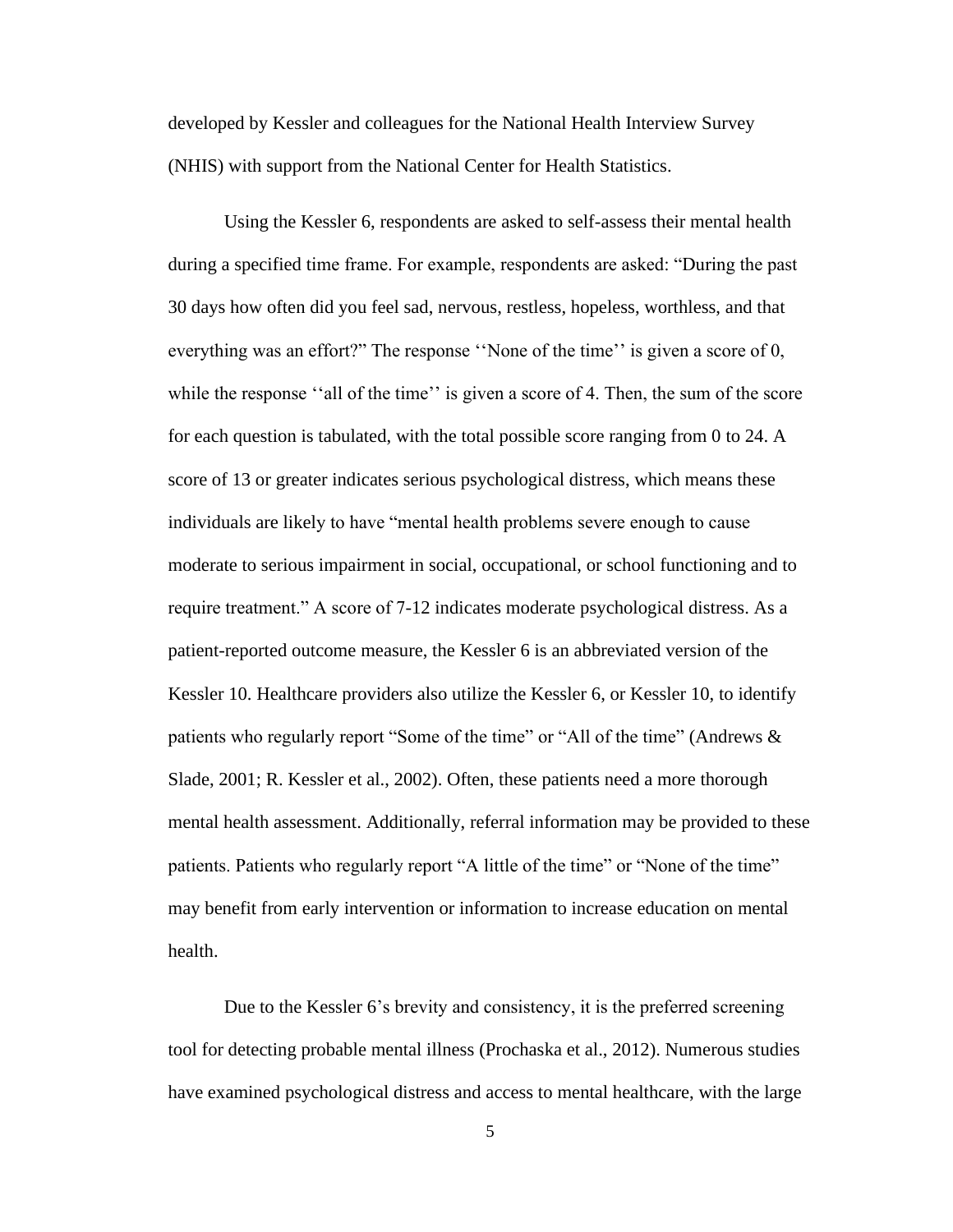developed by Kessler and colleagues for the National Health Interview Survey (NHIS) with support from the National Center for Health Statistics.

Using the Kessler 6, respondents are asked to self-assess their mental health during a specified time frame. For example, respondents are asked: "During the past 30 days how often did you feel sad, nervous, restless, hopeless, worthless, and that everything was an effort?" The response ''None of the time'' is given a score of 0, while the response "all of the time" is given a score of 4. Then, the sum of the score for each question is tabulated, with the total possible score ranging from 0 to 24. A score of 13 or greater indicates serious psychological distress, which means these individuals are likely to have "mental health problems severe enough to cause moderate to serious impairment in social, occupational, or school functioning and to require treatment." A score of 7-12 indicates moderate psychological distress. As a patient-reported outcome measure, the Kessler 6 is an abbreviated version of the Kessler 10. Healthcare providers also utilize the Kessler 6, or Kessler 10, to identify patients who regularly report "Some of the time" or "All of the time" (Andrews & Slade, 2001; R. Kessler et al., 2002). Often, these patients need a more thorough mental health assessment. Additionally, referral information may be provided to these patients. Patients who regularly report "A little of the time" or "None of the time" may benefit from early intervention or information to increase education on mental health.

Due to the Kessler 6's brevity and consistency, it is the preferred screening tool for detecting probable mental illness (Prochaska et al., 2012). Numerous studies have examined psychological distress and access to mental healthcare, with the large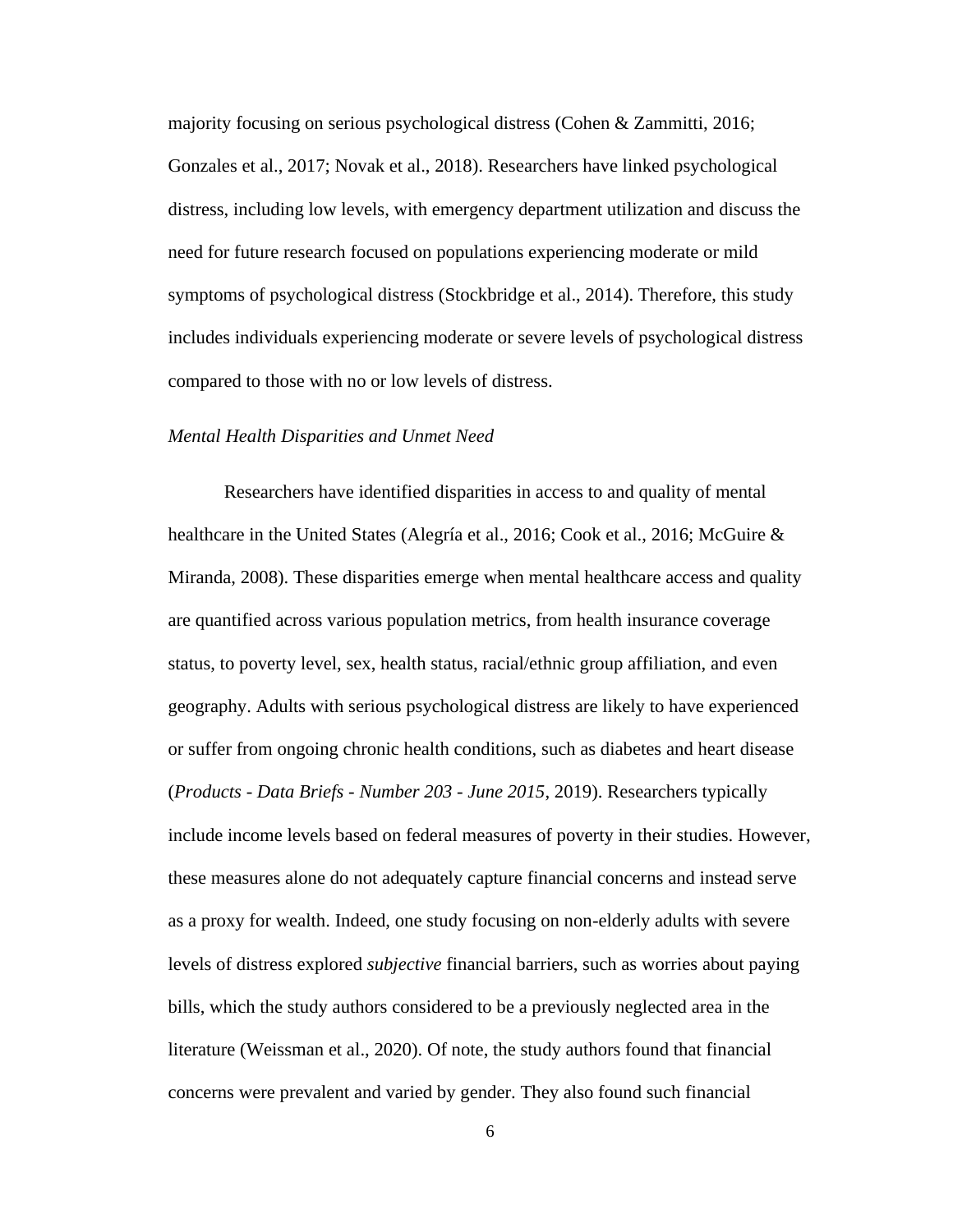majority focusing on serious psychological distress (Cohen & Zammitti, 2016; Gonzales et al., 2017; Novak et al., 2018). Researchers have linked psychological distress, including low levels, with emergency department utilization and discuss the need for future research focused on populations experiencing moderate or mild symptoms of psychological distress (Stockbridge et al., 2014). Therefore, this study includes individuals experiencing moderate or severe levels of psychological distress compared to those with no or low levels of distress.

#### *Mental Health Disparities and Unmet Need*

Researchers have identified disparities in access to and quality of mental healthcare in the United States (Alegría et al., 2016; Cook et al., 2016; McGuire & Miranda, 2008). These disparities emerge when mental healthcare access and quality are quantified across various population metrics, from health insurance coverage status, to poverty level, sex, health status, racial/ethnic group affiliation, and even geography. Adults with serious psychological distress are likely to have experienced or suffer from ongoing chronic health conditions, such as diabetes and heart disease (*Products - Data Briefs - Number 203 - June 2015*, 2019). Researchers typically include income levels based on federal measures of poverty in their studies. However, these measures alone do not adequately capture financial concerns and instead serve as a proxy for wealth. Indeed, one study focusing on non-elderly adults with severe levels of distress explored *subjective* financial barriers, such as worries about paying bills, which the study authors considered to be a previously neglected area in the literature (Weissman et al., 2020). Of note, the study authors found that financial concerns were prevalent and varied by gender. They also found such financial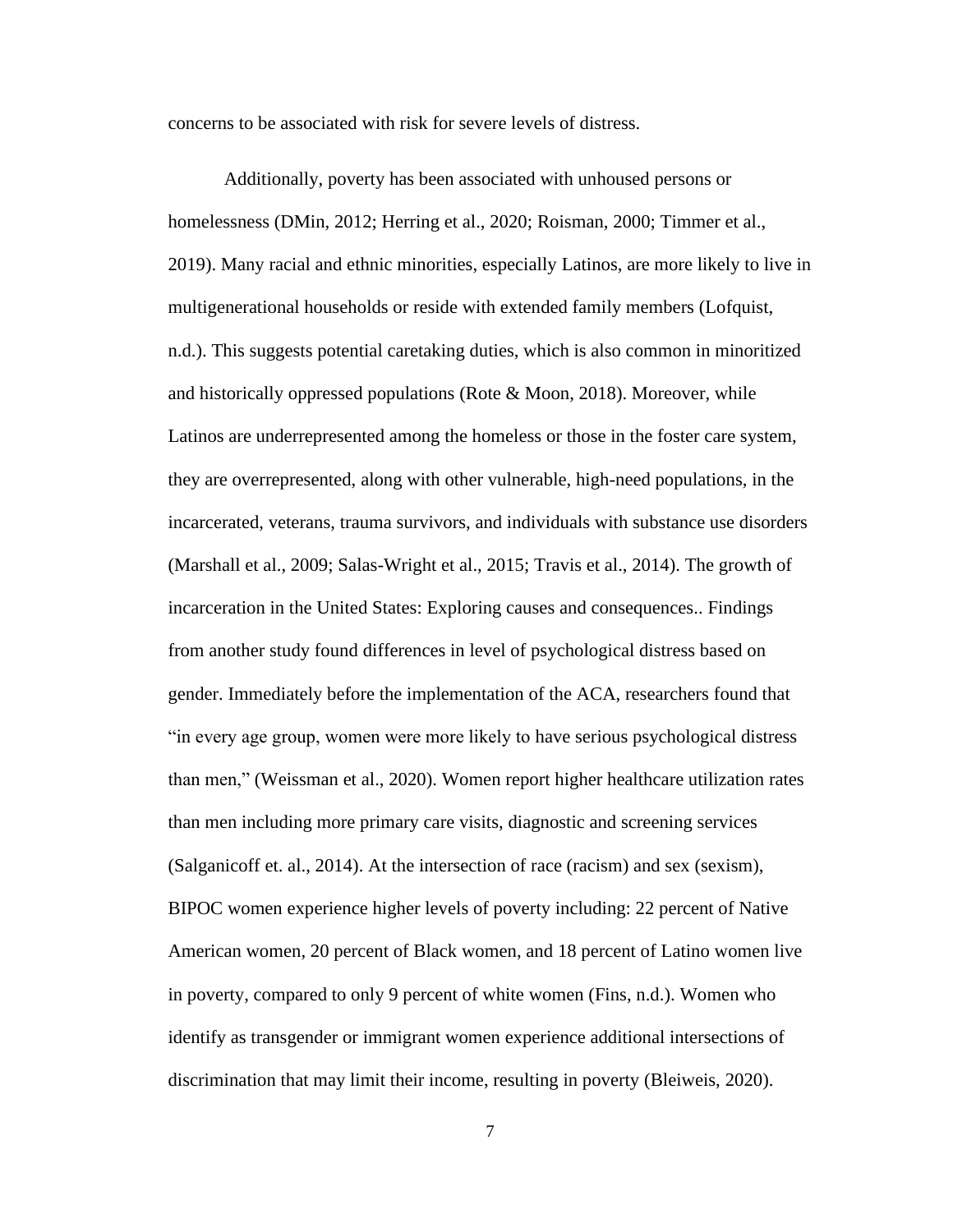concerns to be associated with risk for severe levels of distress.

Additionally, poverty has been associated with unhoused persons or homelessness (DMin, 2012; Herring et al., 2020; Roisman, 2000; Timmer et al., 2019). Many racial and ethnic minorities, especially Latinos, are more likely to live in multigenerational households or reside with extended family members (Lofquist, n.d.). This suggests potential caretaking duties, which is also common in minoritized and historically oppressed populations (Rote & Moon, 2018). Moreover, while Latinos are underrepresented among the homeless or those in the foster care system, they are overrepresented, along with other vulnerable, high-need populations, in the incarcerated, veterans, trauma survivors, and individuals with substance use disorders (Marshall et al., 2009; Salas-Wright et al., 2015; Travis et al., 2014). The growth of incarceration in the United States: Exploring causes and consequences.. Findings from another study found differences in level of psychological distress based on gender. Immediately before the implementation of the ACA, researchers found that "in every age group, women were more likely to have serious psychological distress than men," (Weissman et al., 2020). Women report higher healthcare utilization rates than men including more primary care visits, diagnostic and screening services (Salganicoff et. al., 2014). At the intersection of race (racism) and sex (sexism), BIPOC women experience higher levels of poverty including: 22 percent of Native American women, 20 percent of Black women, and 18 percent of Latino women live in poverty, compared to only 9 percent of white women (Fins, n.d.). Women who identify as transgender or immigrant women experience additional intersections of discrimination that may limit their income, resulting in poverty (Bleiweis, 2020).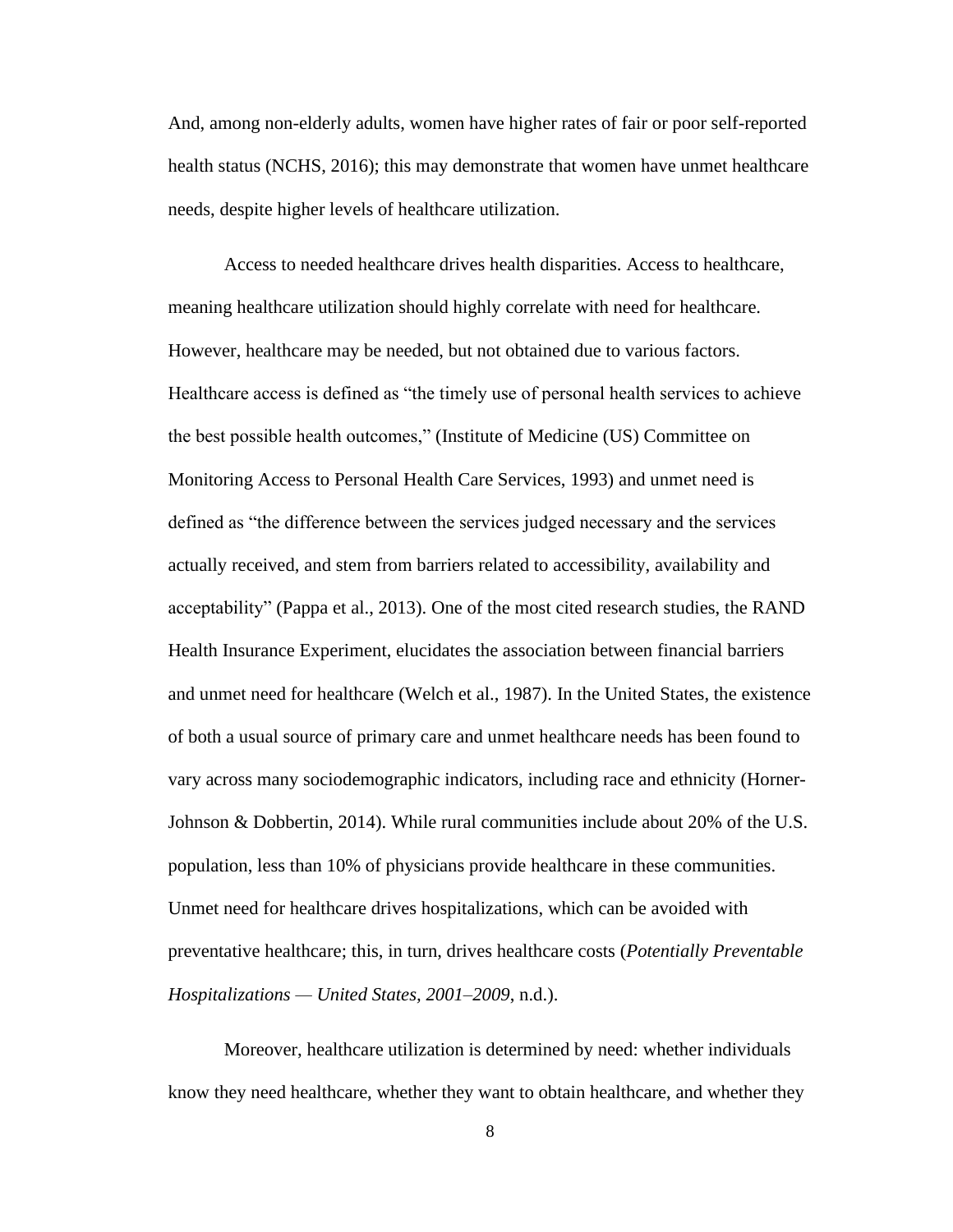And, among non-elderly adults, women have higher rates of fair or poor self-reported health status (NCHS, 2016); this may demonstrate that women have unmet healthcare needs, despite higher levels of healthcare utilization.

Access to needed healthcare drives health disparities. Access to healthcare, meaning healthcare utilization should highly correlate with need for healthcare. However, healthcare may be needed, but not obtained due to various factors. Healthcare access is defined as "the timely use of personal health services to achieve the best possible health outcomes," (Institute of Medicine (US) Committee on Monitoring Access to Personal Health Care Services, 1993) and unmet need is defined as "the difference between the services judged necessary and the services actually received, and stem from barriers related to accessibility, availability and acceptability" (Pappa et al., 2013). One of the most cited research studies, the RAND Health Insurance Experiment, elucidates the association between financial barriers and unmet need for healthcare (Welch et al., 1987). In the United States, the existence of both a usual source of primary care and unmet healthcare needs has been found to vary across many sociodemographic indicators, including race and ethnicity (Horner-Johnson & Dobbertin, 2014). While rural communities include about 20% of the U.S. population, less than 10% of physicians provide healthcare in these communities. Unmet need for healthcare drives hospitalizations, which can be avoided with preventative healthcare; this, in turn, drives healthcare costs (*Potentially Preventable Hospitalizations — United States, 2001–2009*, n.d.).

Moreover, healthcare utilization is determined by need: whether individuals know they need healthcare, whether they want to obtain healthcare, and whether they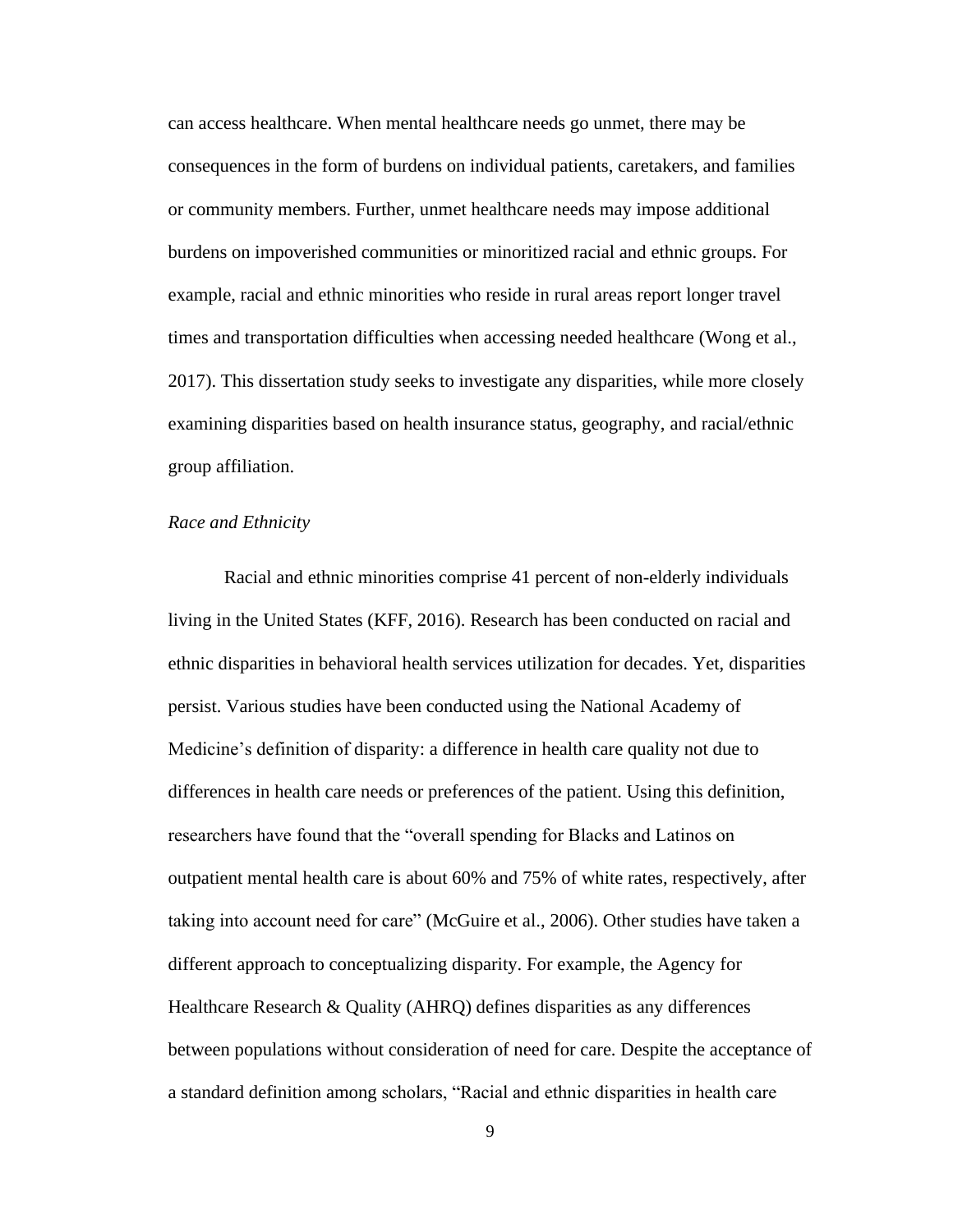can access healthcare. When mental healthcare needs go unmet, there may be consequences in the form of burdens on individual patients, caretakers, and families or community members. Further, unmet healthcare needs may impose additional burdens on impoverished communities or minoritized racial and ethnic groups. For example, racial and ethnic minorities who reside in rural areas report longer travel times and transportation difficulties when accessing needed healthcare (Wong et al., 2017). This dissertation study seeks to investigate any disparities, while more closely examining disparities based on health insurance status, geography, and racial/ethnic group affiliation.

## *Race and Ethnicity*

Racial and ethnic minorities comprise 41 percent of non-elderly individuals living in the United States (KFF, 2016). Research has been conducted on racial and ethnic disparities in behavioral health services utilization for decades. Yet, disparities persist. Various studies have been conducted using the National Academy of Medicine's definition of disparity: a difference in health care quality not due to differences in health care needs or preferences of the patient. Using this definition, researchers have found that the "overall spending for Blacks and Latinos on outpatient mental health care is about 60% and 75% of white rates, respectively, after taking into account need for care" (McGuire et al., 2006). Other studies have taken a different approach to conceptualizing disparity. For example, the Agency for Healthcare Research & Quality (AHRQ) defines disparities as any differences between populations without consideration of need for care. Despite the acceptance of a standard definition among scholars, "Racial and ethnic disparities in health care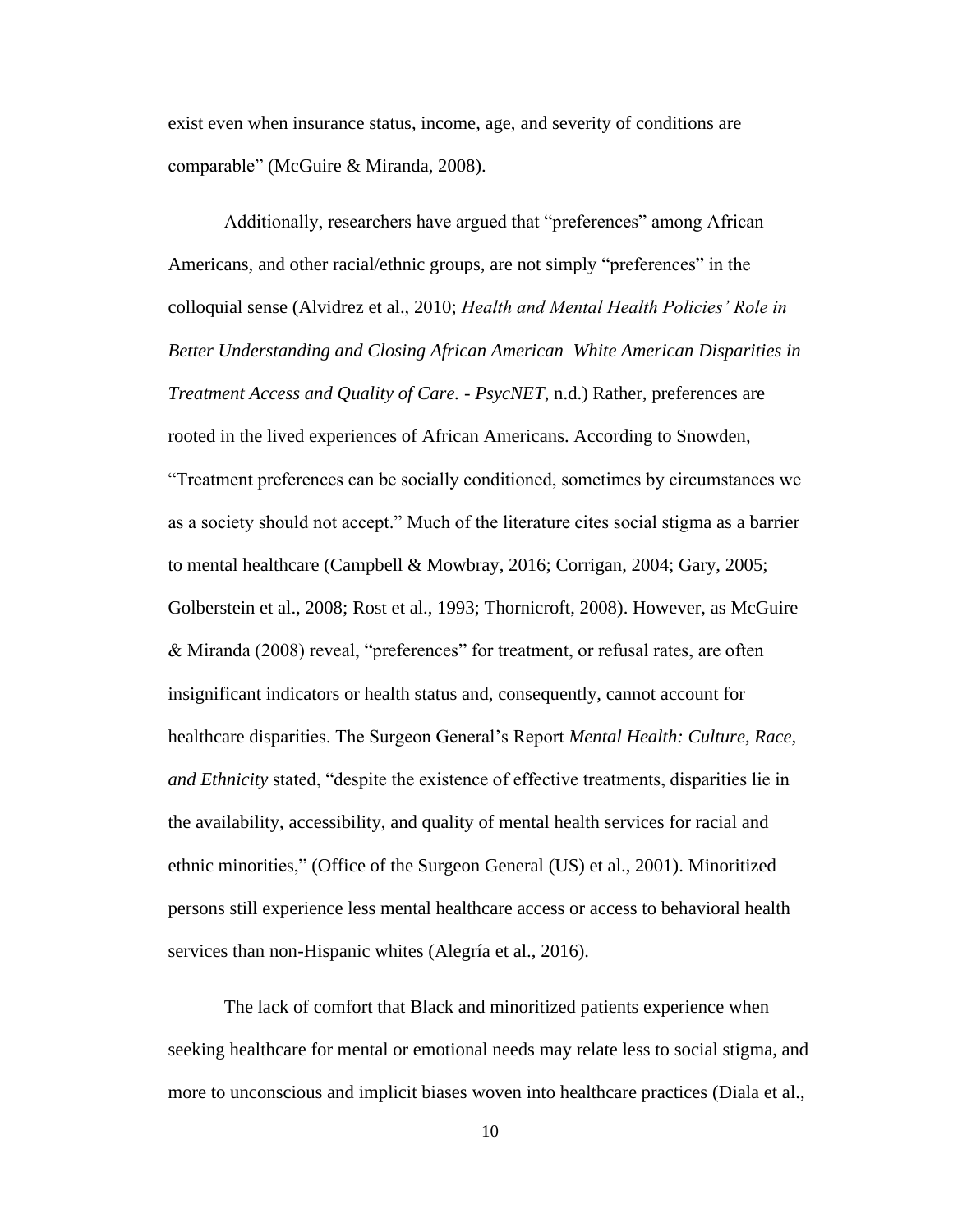exist even when insurance status, income, age, and severity of conditions are comparable" (McGuire & Miranda, 2008).

Additionally, researchers have argued that "preferences" among African Americans, and other racial/ethnic groups, are not simply "preferences" in the colloquial sense (Alvidrez et al., 2010; *Health and Mental Health Policies' Role in Better Understanding and Closing African American–White American Disparities in Treatment Access and Quality of Care. - PsycNET*, n.d.) Rather, preferences are rooted in the lived experiences of African Americans. According to Snowden, "Treatment preferences can be socially conditioned, sometimes by circumstances we as a society should not accept." Much of the literature cites social stigma as a barrier to mental healthcare (Campbell & Mowbray, 2016; Corrigan, 2004; Gary, 2005; Golberstein et al., 2008; Rost et al., 1993; Thornicroft, 2008). However, as McGuire & Miranda (2008) reveal, "preferences" for treatment, or refusal rates, are often insignificant indicators or health status and, consequently, cannot account for healthcare disparities. The Surgeon General's Report *Mental Health: Culture, Race, and Ethnicity* stated, "despite the existence of effective treatments, disparities lie in the availability, accessibility, and quality of mental health services for racial and ethnic minorities," (Office of the Surgeon General (US) et al., 2001). Minoritized persons still experience less mental healthcare access or access to behavioral health services than non-Hispanic whites (Alegría et al., 2016).

The lack of comfort that Black and minoritized patients experience when seeking healthcare for mental or emotional needs may relate less to social stigma, and more to unconscious and implicit biases woven into healthcare practices (Diala et al.,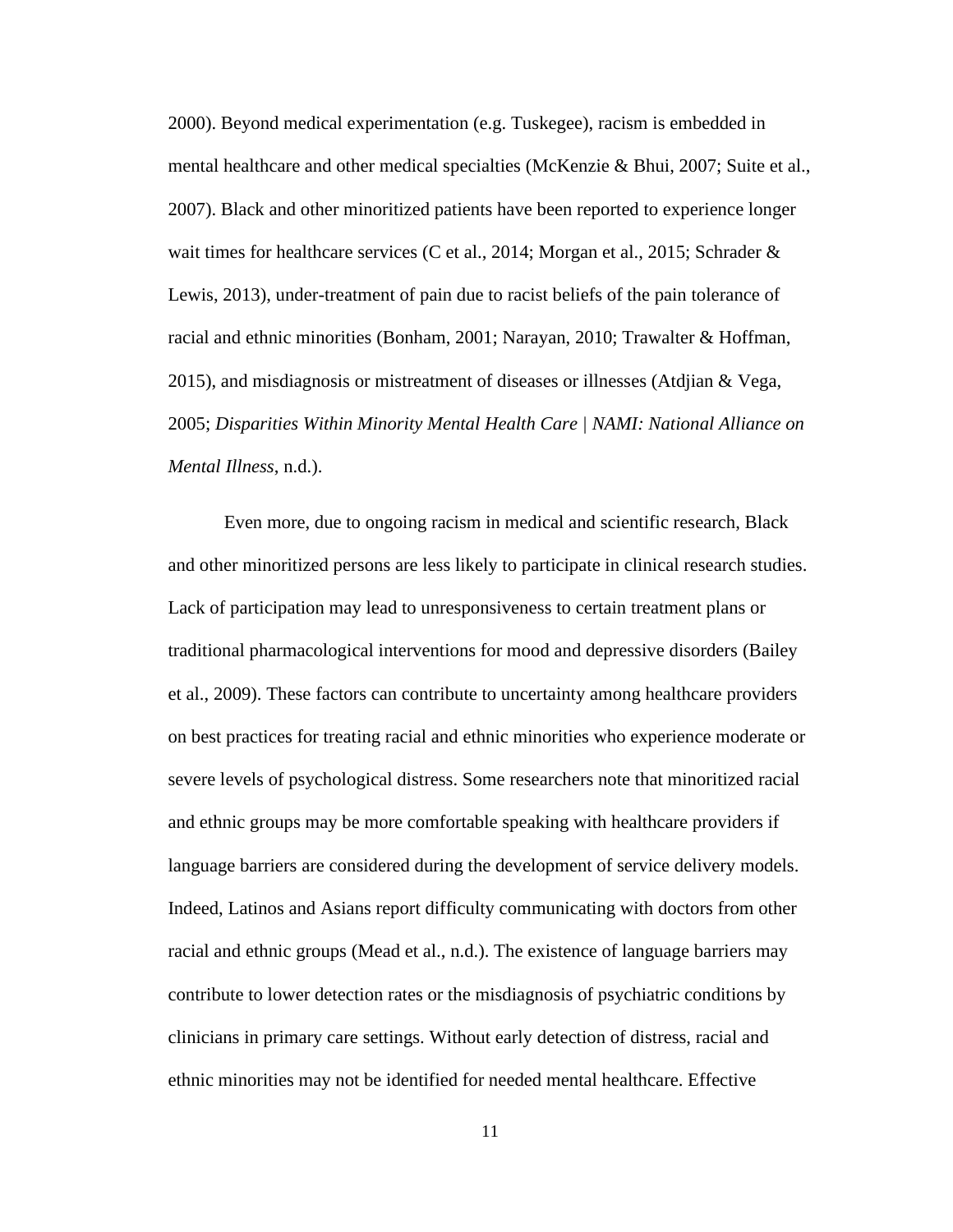2000). Beyond medical experimentation (e.g. Tuskegee), racism is embedded in mental healthcare and other medical specialties (McKenzie & Bhui, 2007; Suite et al., 2007). Black and other minoritized patients have been reported to experience longer wait times for healthcare services (C et al., 2014; Morgan et al., 2015; Schrader & Lewis, 2013), under-treatment of pain due to racist beliefs of the pain tolerance of racial and ethnic minorities (Bonham, 2001; Narayan, 2010; Trawalter & Hoffman, 2015), and misdiagnosis or mistreatment of diseases or illnesses (Atdjian & Vega, 2005; *Disparities Within Minority Mental Health Care | NAMI: National Alliance on Mental Illness*, n.d.).

Even more, due to ongoing racism in medical and scientific research, Black and other minoritized persons are less likely to participate in clinical research studies. Lack of participation may lead to unresponsiveness to certain treatment plans or traditional pharmacological interventions for mood and depressive disorders (Bailey et al., 2009). These factors can contribute to uncertainty among healthcare providers on best practices for treating racial and ethnic minorities who experience moderate or severe levels of psychological distress. Some researchers note that minoritized racial and ethnic groups may be more comfortable speaking with healthcare providers if language barriers are considered during the development of service delivery models. Indeed, Latinos and Asians report difficulty communicating with doctors from other racial and ethnic groups (Mead et al., n.d.). The existence of language barriers may contribute to lower detection rates or the misdiagnosis of psychiatric conditions by clinicians in primary care settings. Without early detection of distress, racial and ethnic minorities may not be identified for needed mental healthcare. Effective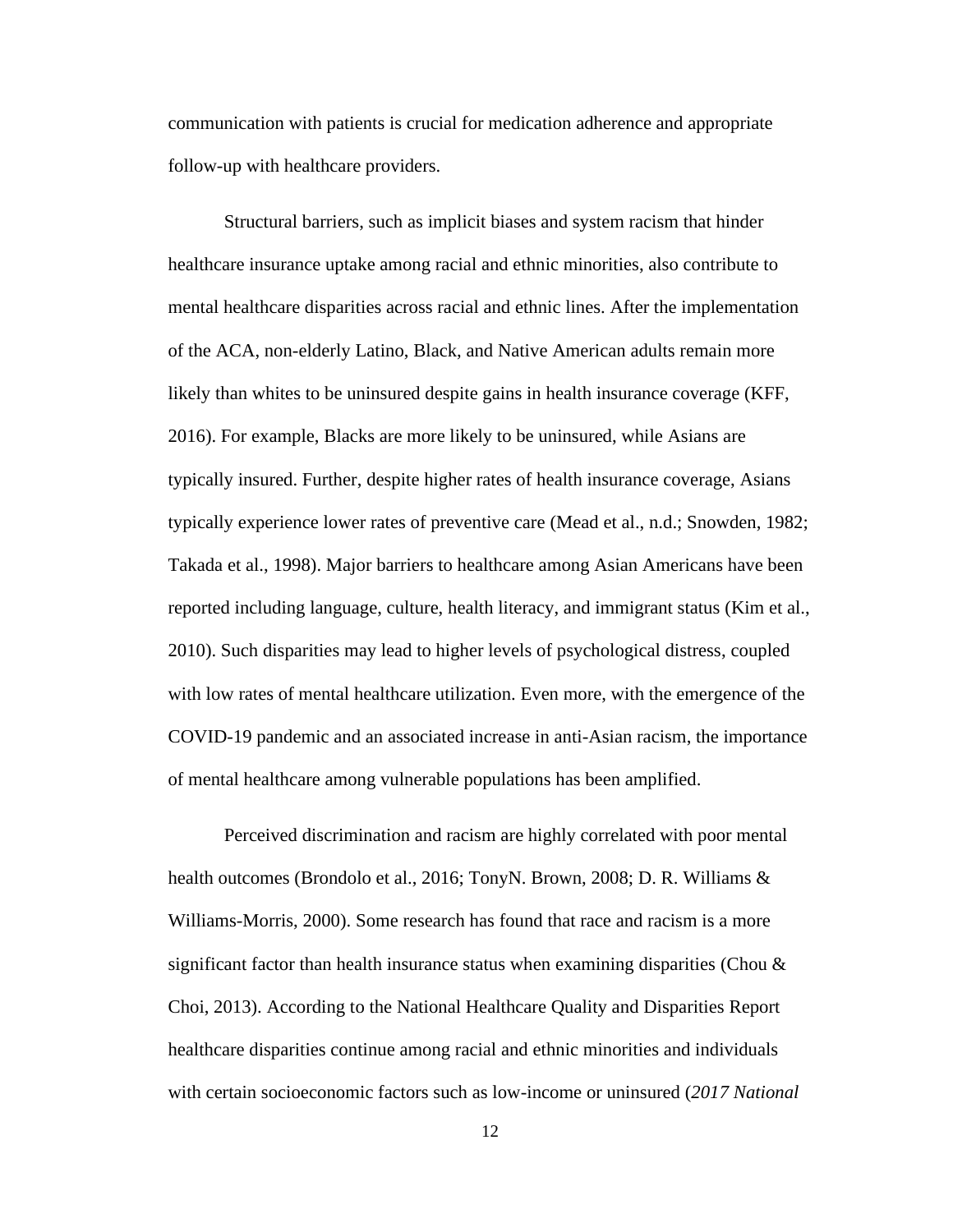communication with patients is crucial for medication adherence and appropriate follow-up with healthcare providers.

Structural barriers, such as implicit biases and system racism that hinder healthcare insurance uptake among racial and ethnic minorities, also contribute to mental healthcare disparities across racial and ethnic lines. After the implementation of the ACA, non-elderly Latino, Black, and Native American adults remain more likely than whites to be uninsured despite gains in health insurance coverage (KFF, 2016). For example, Blacks are more likely to be uninsured, while Asians are typically insured. Further, despite higher rates of health insurance coverage, Asians typically experience lower rates of preventive care (Mead et al., n.d.; Snowden, 1982; Takada et al., 1998). Major barriers to healthcare among Asian Americans have been reported including language, culture, health literacy, and immigrant status (Kim et al., 2010). Such disparities may lead to higher levels of psychological distress, coupled with low rates of mental healthcare utilization. Even more, with the emergence of the COVID-19 pandemic and an associated increase in anti-Asian racism, the importance of mental healthcare among vulnerable populations has been amplified.

Perceived discrimination and racism are highly correlated with poor mental health outcomes (Brondolo et al., 2016; TonyN. Brown, 2008; D. R. Williams & Williams-Morris, 2000). Some research has found that race and racism is a more significant factor than health insurance status when examining disparities (Chou  $\&$ Choi, 2013). According to the National Healthcare Quality and Disparities Report healthcare disparities continue among racial and ethnic minorities and individuals with certain socioeconomic factors such as low-income or uninsured (*2017 National*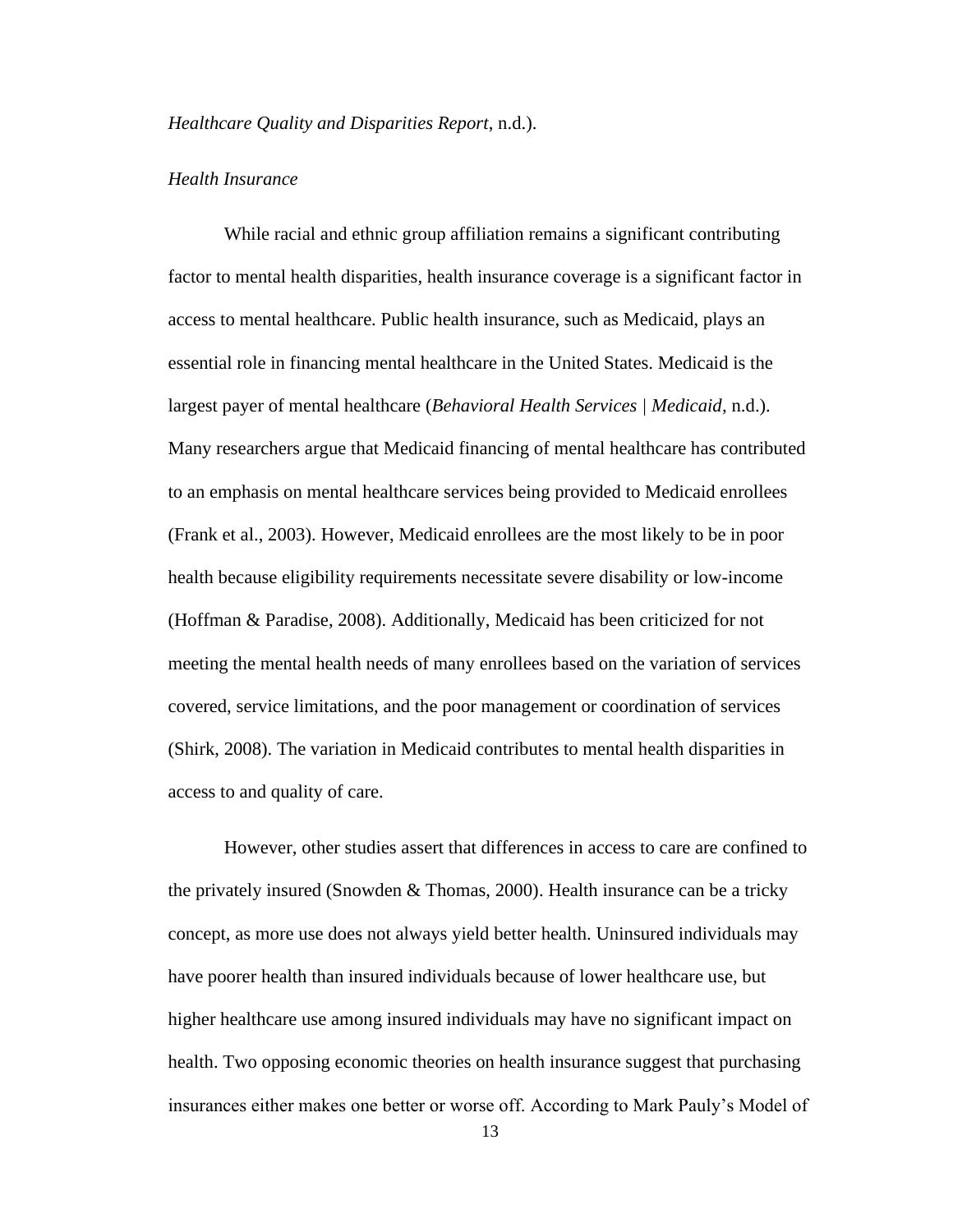#### *Healthcare Quality and Disparities Report*, n.d.).

#### *Health Insurance*

While racial and ethnic group affiliation remains a significant contributing factor to mental health disparities, health insurance coverage is a significant factor in access to mental healthcare. Public health insurance, such as Medicaid, plays an essential role in financing mental healthcare in the United States. Medicaid is the largest payer of mental healthcare (*Behavioral Health Services | Medicaid*, n.d.). Many researchers argue that Medicaid financing of mental healthcare has contributed to an emphasis on mental healthcare services being provided to Medicaid enrollees (Frank et al., 2003). However, Medicaid enrollees are the most likely to be in poor health because eligibility requirements necessitate severe disability or low-income (Hoffman & Paradise, 2008). Additionally, Medicaid has been criticized for not meeting the mental health needs of many enrollees based on the variation of services covered, service limitations, and the poor management or coordination of services (Shirk, 2008). The variation in Medicaid contributes to mental health disparities in access to and quality of care.

However, other studies assert that differences in access to care are confined to the privately insured (Snowden & Thomas, 2000). Health insurance can be a tricky concept, as more use does not always yield better health. Uninsured individuals may have poorer health than insured individuals because of lower healthcare use, but higher healthcare use among insured individuals may have no significant impact on health. Two opposing economic theories on health insurance suggest that purchasing insurances either makes one better or worse off. According to Mark Pauly's Model of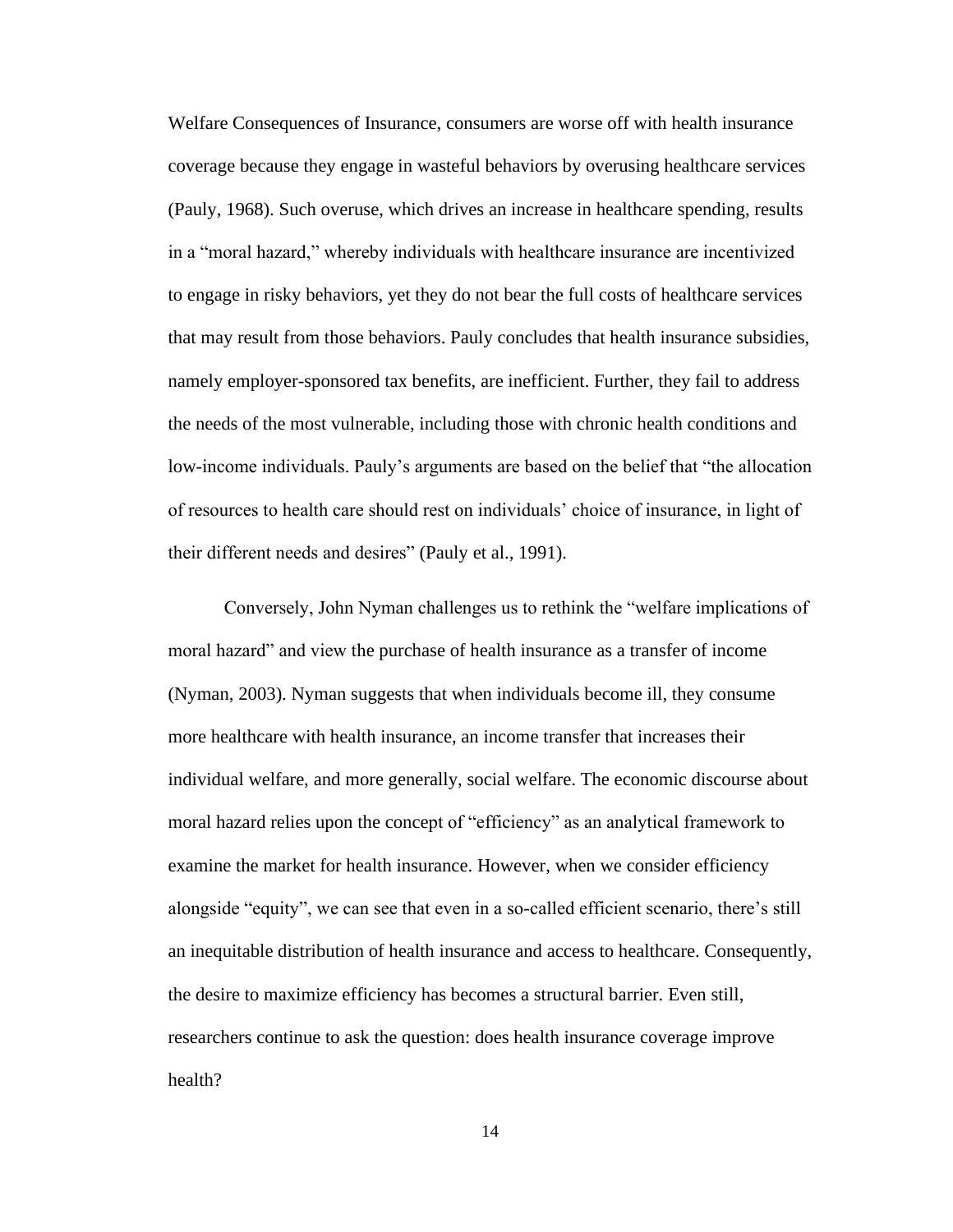Welfare Consequences of Insurance, consumers are worse off with health insurance coverage because they engage in wasteful behaviors by overusing healthcare services (Pauly, 1968). Such overuse, which drives an increase in healthcare spending, results in a "moral hazard," whereby individuals with healthcare insurance are incentivized to engage in risky behaviors, yet they do not bear the full costs of healthcare services that may result from those behaviors. Pauly concludes that health insurance subsidies, namely employer-sponsored tax benefits, are inefficient. Further, they fail to address the needs of the most vulnerable, including those with chronic health conditions and low-income individuals. Pauly's arguments are based on the belief that "the allocation of resources to health care should rest on individuals' choice of insurance, in light of their different needs and desires" (Pauly et al., 1991).

Conversely, John Nyman challenges us to rethink the "welfare implications of moral hazard" and view the purchase of health insurance as a transfer of income (Nyman, 2003). Nyman suggests that when individuals become ill, they consume more healthcare with health insurance, an income transfer that increases their individual welfare, and more generally, social welfare. The economic discourse about moral hazard relies upon the concept of "efficiency" as an analytical framework to examine the market for health insurance. However, when we consider efficiency alongside "equity", we can see that even in a so-called efficient scenario, there's still an inequitable distribution of health insurance and access to healthcare. Consequently, the desire to maximize efficiency has becomes a structural barrier. Even still, researchers continue to ask the question: does health insurance coverage improve health?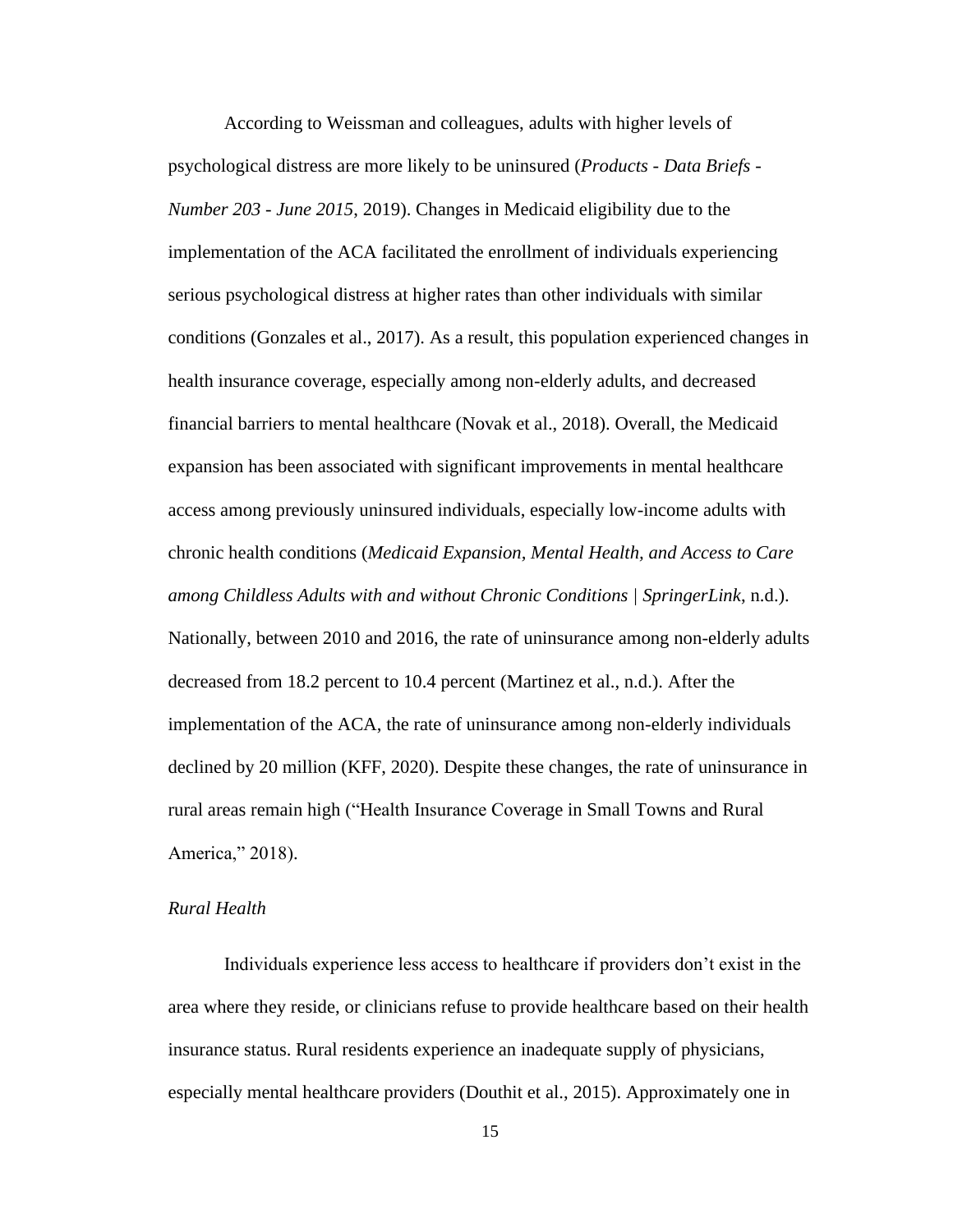According to Weissman and colleagues, adults with higher levels of psychological distress are more likely to be uninsured (*Products - Data Briefs - Number 203 - June 2015*, 2019). Changes in Medicaid eligibility due to the implementation of the ACA facilitated the enrollment of individuals experiencing serious psychological distress at higher rates than other individuals with similar conditions (Gonzales et al., 2017). As a result, this population experienced changes in health insurance coverage, especially among non-elderly adults, and decreased financial barriers to mental healthcare (Novak et al., 2018). Overall, the Medicaid expansion has been associated with significant improvements in mental healthcare access among previously uninsured individuals, especially low-income adults with chronic health conditions (*Medicaid Expansion, Mental Health, and Access to Care among Childless Adults with and without Chronic Conditions | SpringerLink*, n.d.). Nationally, between 2010 and 2016, the rate of uninsurance among non-elderly adults decreased from 18.2 percent to 10.4 percent (Martinez et al., n.d.). After the implementation of the ACA, the rate of uninsurance among non-elderly individuals declined by 20 million (KFF, 2020). Despite these changes, the rate of uninsurance in rural areas remain high ("Health Insurance Coverage in Small Towns and Rural America," 2018).

#### *Rural Health*

Individuals experience less access to healthcare if providers don't exist in the area where they reside, or clinicians refuse to provide healthcare based on their health insurance status. Rural residents experience an inadequate supply of physicians, especially mental healthcare providers (Douthit et al., 2015). Approximately one in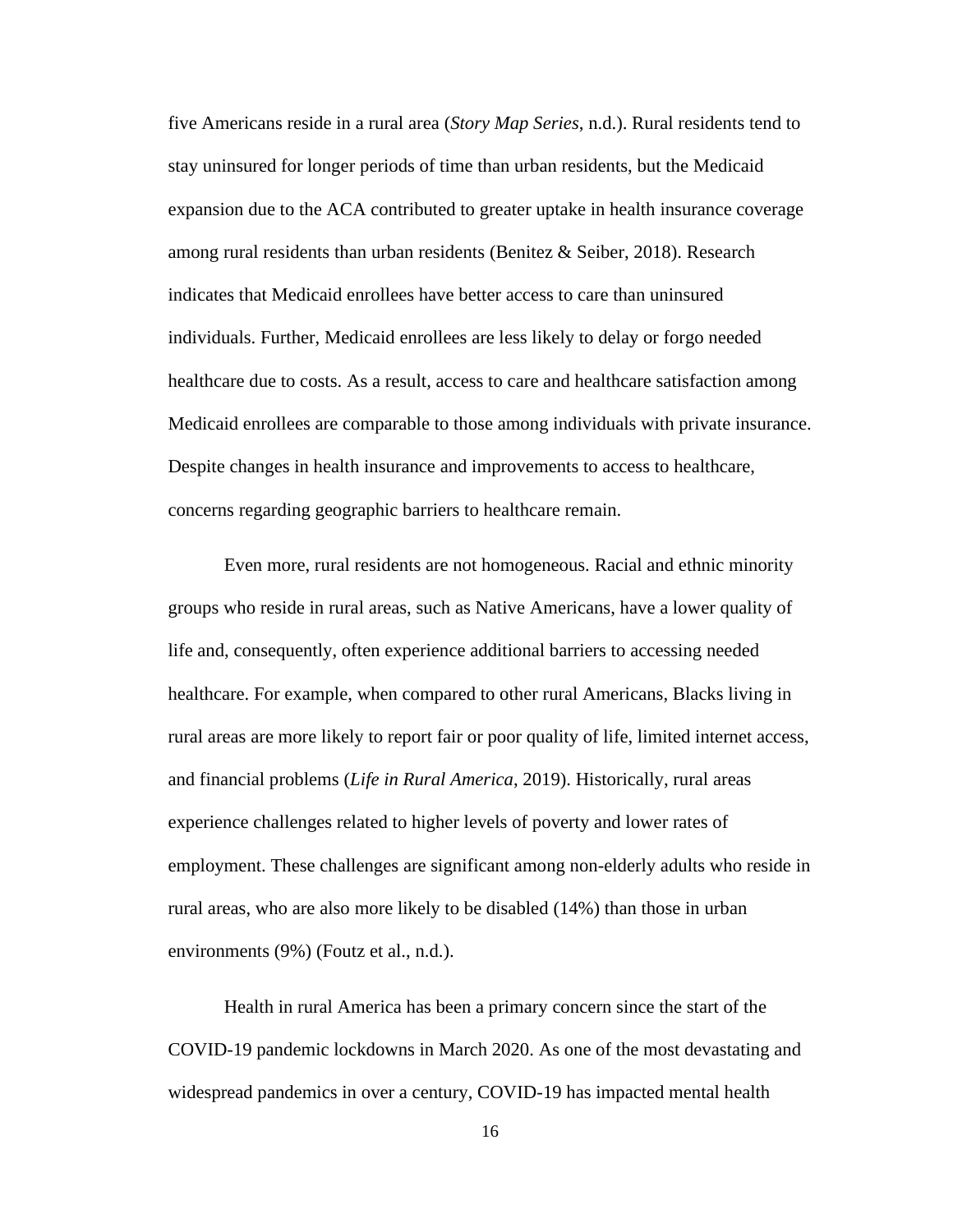five Americans reside in a rural area (*Story Map Series*, n.d.). Rural residents tend to stay uninsured for longer periods of time than urban residents, but the Medicaid expansion due to the ACA contributed to greater uptake in health insurance coverage among rural residents than urban residents (Benitez  $\&$  Seiber, 2018). Research indicates that Medicaid enrollees have better access to care than uninsured individuals. Further, Medicaid enrollees are less likely to delay or forgo needed healthcare due to costs. As a result, access to care and healthcare satisfaction among Medicaid enrollees are comparable to those among individuals with private insurance. Despite changes in health insurance and improvements to access to healthcare, concerns regarding geographic barriers to healthcare remain.

Even more, rural residents are not homogeneous. Racial and ethnic minority groups who reside in rural areas, such as Native Americans, have a lower quality of life and, consequently, often experience additional barriers to accessing needed healthcare. For example, when compared to other rural Americans, Blacks living in rural areas are more likely to report fair or poor quality of life, limited internet access, and financial problems (*Life in Rural America*, 2019). Historically, rural areas experience challenges related to higher levels of poverty and lower rates of employment. These challenges are significant among non-elderly adults who reside in rural areas, who are also more likely to be disabled (14%) than those in urban environments (9%) (Foutz et al., n.d.).

Health in rural America has been a primary concern since the start of the COVID-19 pandemic lockdowns in March 2020. As one of the most devastating and widespread pandemics in over a century, COVID-19 has impacted mental health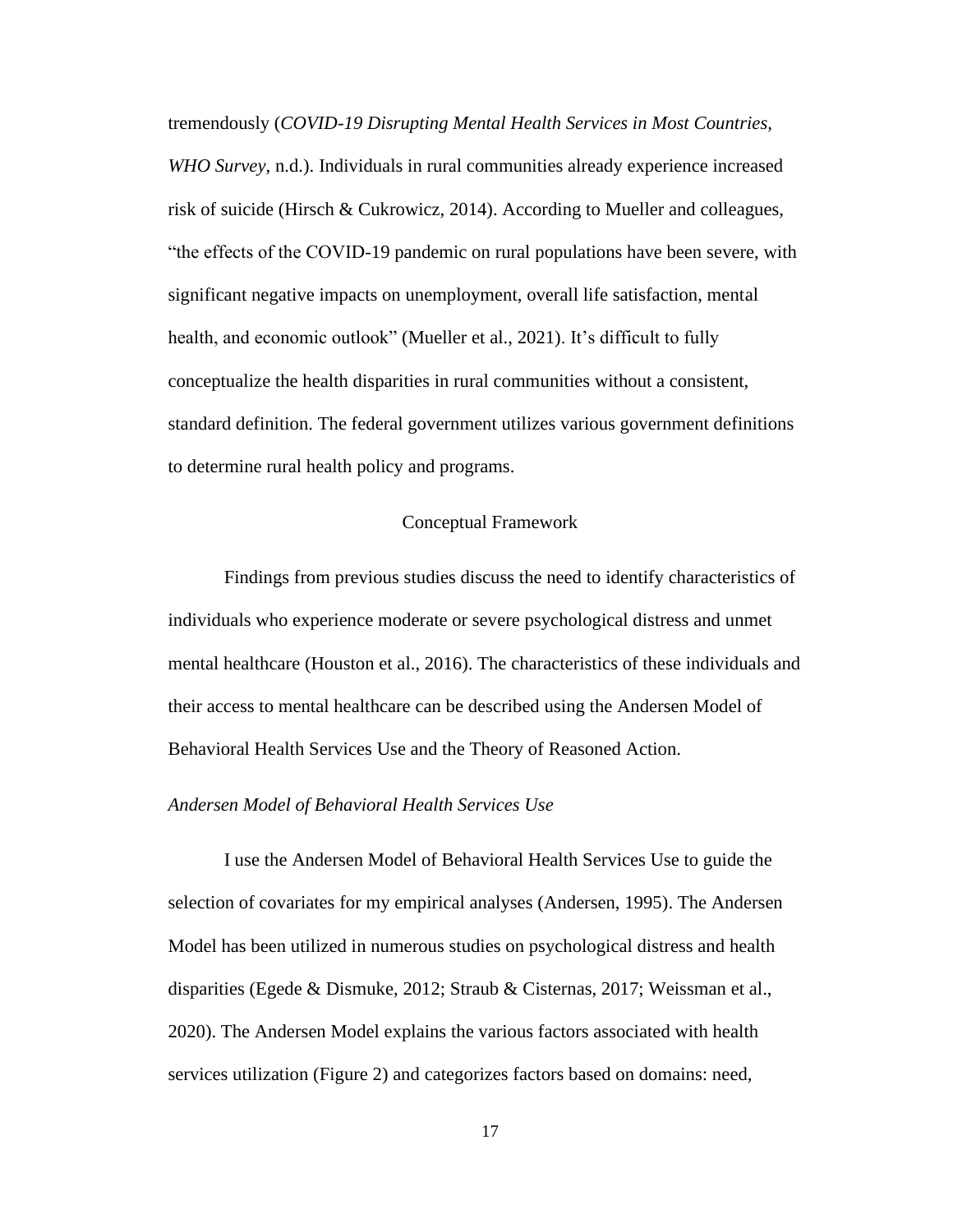tremendously (*COVID-19 Disrupting Mental Health Services in Most Countries, WHO Survey*, n.d.). Individuals in rural communities already experience increased risk of suicide (Hirsch & Cukrowicz, 2014). According to Mueller and colleagues, "the effects of the COVID-19 pandemic on rural populations have been severe, with significant negative impacts on unemployment, overall life satisfaction, mental health, and economic outlook" (Mueller et al., 2021). It's difficult to fully conceptualize the health disparities in rural communities without a consistent, standard definition. The federal government utilizes various government definitions to determine rural health policy and programs.

## Conceptual Framework

Findings from previous studies discuss the need to identify characteristics of individuals who experience moderate or severe psychological distress and unmet mental healthcare (Houston et al., 2016). The characteristics of these individuals and their access to mental healthcare can be described using the Andersen Model of Behavioral Health Services Use and the Theory of Reasoned Action.

## *Andersen Model of Behavioral Health Services Use*

I use the Andersen Model of Behavioral Health Services Use to guide the selection of covariates for my empirical analyses (Andersen, 1995). The Andersen Model has been utilized in numerous studies on psychological distress and health disparities (Egede & Dismuke, 2012; Straub & Cisternas, 2017; Weissman et al., 2020). The Andersen Model explains the various factors associated with health services utilization (Figure 2) and categorizes factors based on domains: need,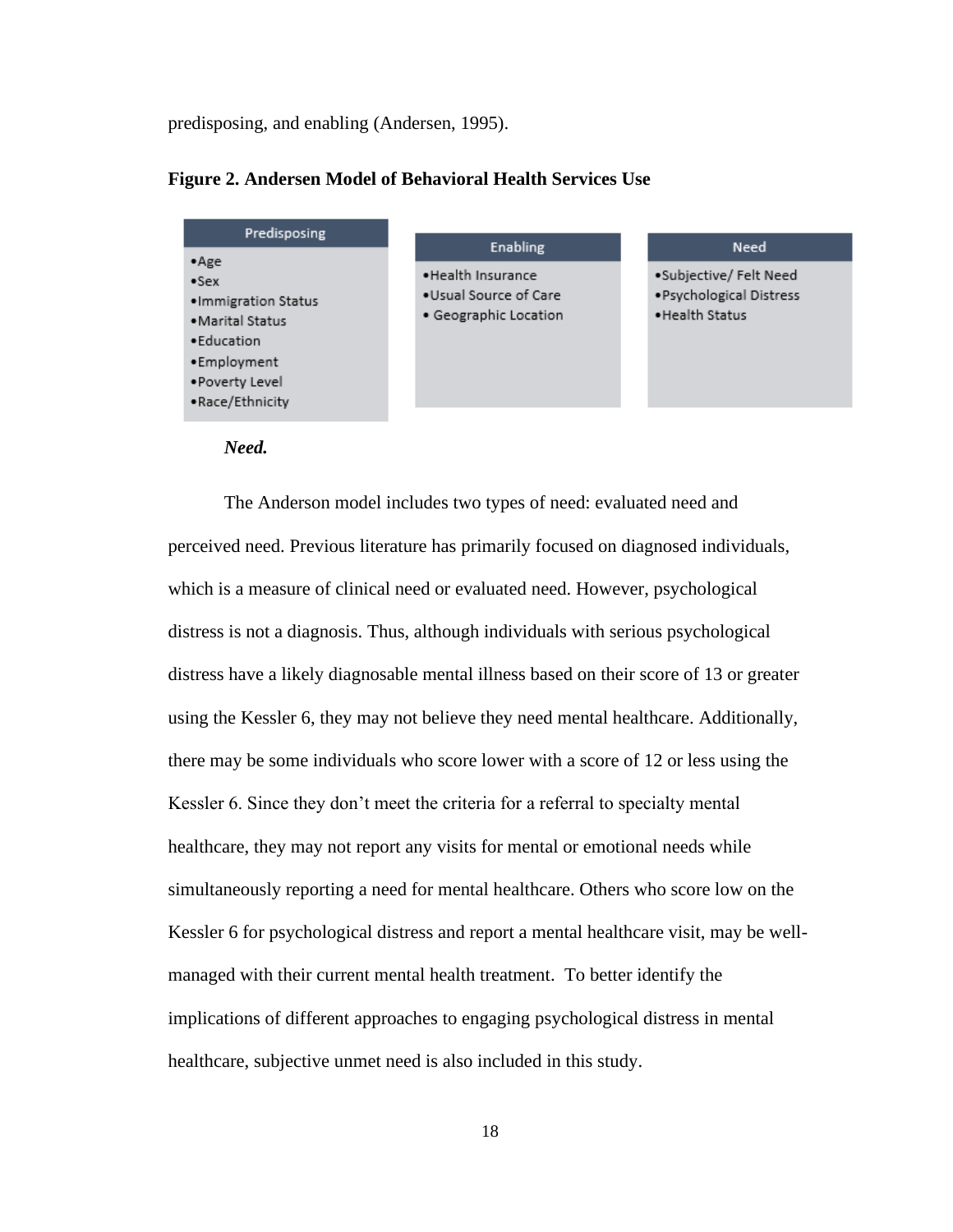predisposing, and enabling (Andersen, 1995).



#### **Figure 2. Andersen Model of Behavioral Health Services Use**



The Anderson model includes two types of need: evaluated need and perceived need. Previous literature has primarily focused on diagnosed individuals, which is a measure of clinical need or evaluated need. However, psychological distress is not a diagnosis. Thus, although individuals with serious psychological distress have a likely diagnosable mental illness based on their score of 13 or greater using the Kessler 6, they may not believe they need mental healthcare. Additionally, there may be some individuals who score lower with a score of 12 or less using the Kessler 6. Since they don't meet the criteria for a referral to specialty mental healthcare, they may not report any visits for mental or emotional needs while simultaneously reporting a need for mental healthcare. Others who score low on the Kessler 6 for psychological distress and report a mental healthcare visit, may be wellmanaged with their current mental health treatment. To better identify the implications of different approaches to engaging psychological distress in mental healthcare, subjective unmet need is also included in this study.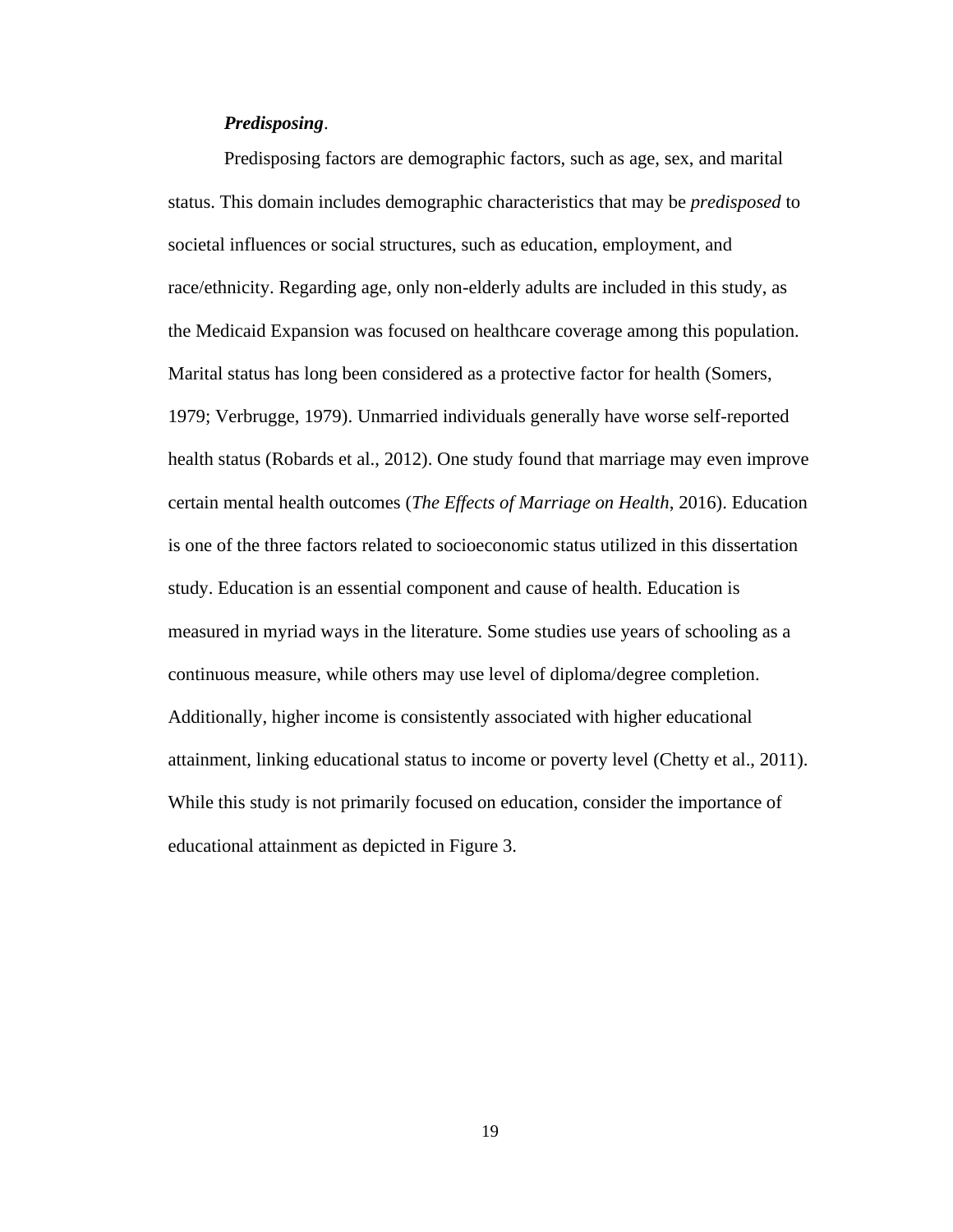## *Predisposing*.

Predisposing factors are demographic factors, such as age, sex, and marital status. This domain includes demographic characteristics that may be *predisposed* to societal influences or social structures, such as education, employment, and race/ethnicity. Regarding age, only non-elderly adults are included in this study, as the Medicaid Expansion was focused on healthcare coverage among this population. Marital status has long been considered as a protective factor for health (Somers, 1979; Verbrugge, 1979). Unmarried individuals generally have worse self-reported health status (Robards et al., 2012). One study found that marriage may even improve certain mental health outcomes (*The Effects of Marriage on Health*, 2016). Education is one of the three factors related to socioeconomic status utilized in this dissertation study. Education is an essential component and cause of health. Education is measured in myriad ways in the literature. Some studies use years of schooling as a continuous measure, while others may use level of diploma/degree completion. Additionally, higher income is consistently associated with higher educational attainment, linking educational status to income or poverty level (Chetty et al., 2011). While this study is not primarily focused on education, consider the importance of educational attainment as depicted in Figure 3.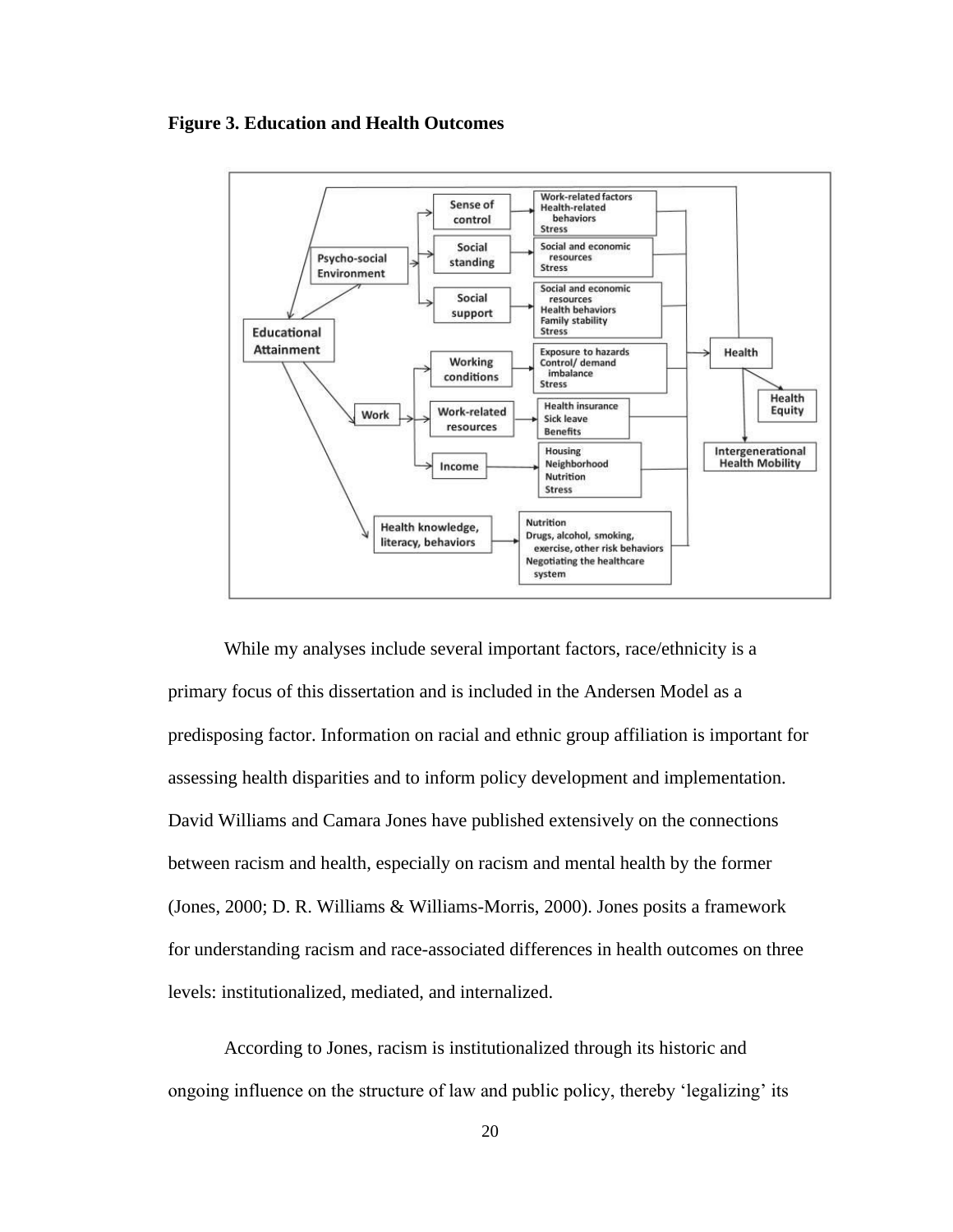# **Figure 3. Education and Health Outcomes**



While my analyses include several important factors, race/ethnicity is a primary focus of this dissertation and is included in the Andersen Model as a predisposing factor. Information on racial and ethnic group affiliation is important for assessing health disparities and to inform policy development and implementation. David Williams and Camara Jones have published extensively on the connections between racism and health, especially on racism and mental health by the former (Jones, 2000; D. R. Williams & Williams-Morris, 2000). Jones posits a framework for understanding racism and race-associated differences in health outcomes on three levels: institutionalized, mediated, and internalized.

According to Jones, racism is institutionalized through its historic and ongoing influence on the structure of law and public policy, thereby 'legalizing' its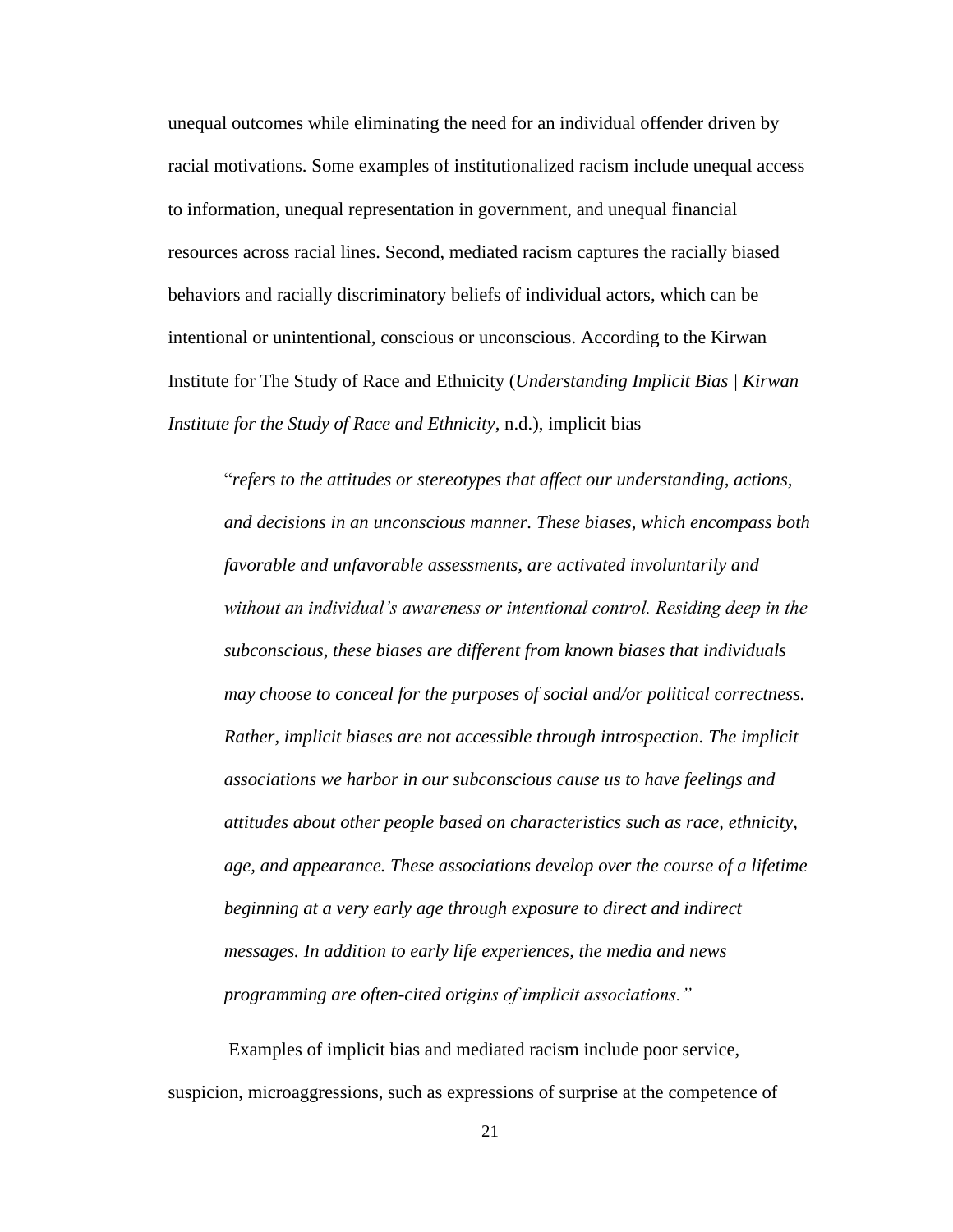unequal outcomes while eliminating the need for an individual offender driven by racial motivations. Some examples of institutionalized racism include unequal access to information, unequal representation in government, and unequal financial resources across racial lines. Second, mediated racism captures the racially biased behaviors and racially discriminatory beliefs of individual actors, which can be intentional or unintentional, conscious or unconscious. According to the Kirwan Institute for The Study of Race and Ethnicity (*Understanding Implicit Bias | Kirwan Institute for the Study of Race and Ethnicity*, n.d.), implicit bias

"*refers to the attitudes or stereotypes that affect our understanding, actions, and decisions in an unconscious manner. These biases, which encompass both favorable and unfavorable assessments, are activated involuntarily and without an individual's awareness or intentional control. Residing deep in the subconscious, these biases are different from known biases that individuals may choose to conceal for the purposes of social and/or political correctness. Rather, implicit biases are not accessible through introspection. The implicit associations we harbor in our subconscious cause us to have feelings and attitudes about other people based on characteristics such as race, ethnicity, age, and appearance. These associations develop over the course of a lifetime beginning at a very early age through exposure to direct and indirect messages. In addition to early life experiences, the media and news programming are often-cited origins of implicit associations."*

Examples of implicit bias and mediated racism include poor service, suspicion, microaggressions, such as expressions of surprise at the competence of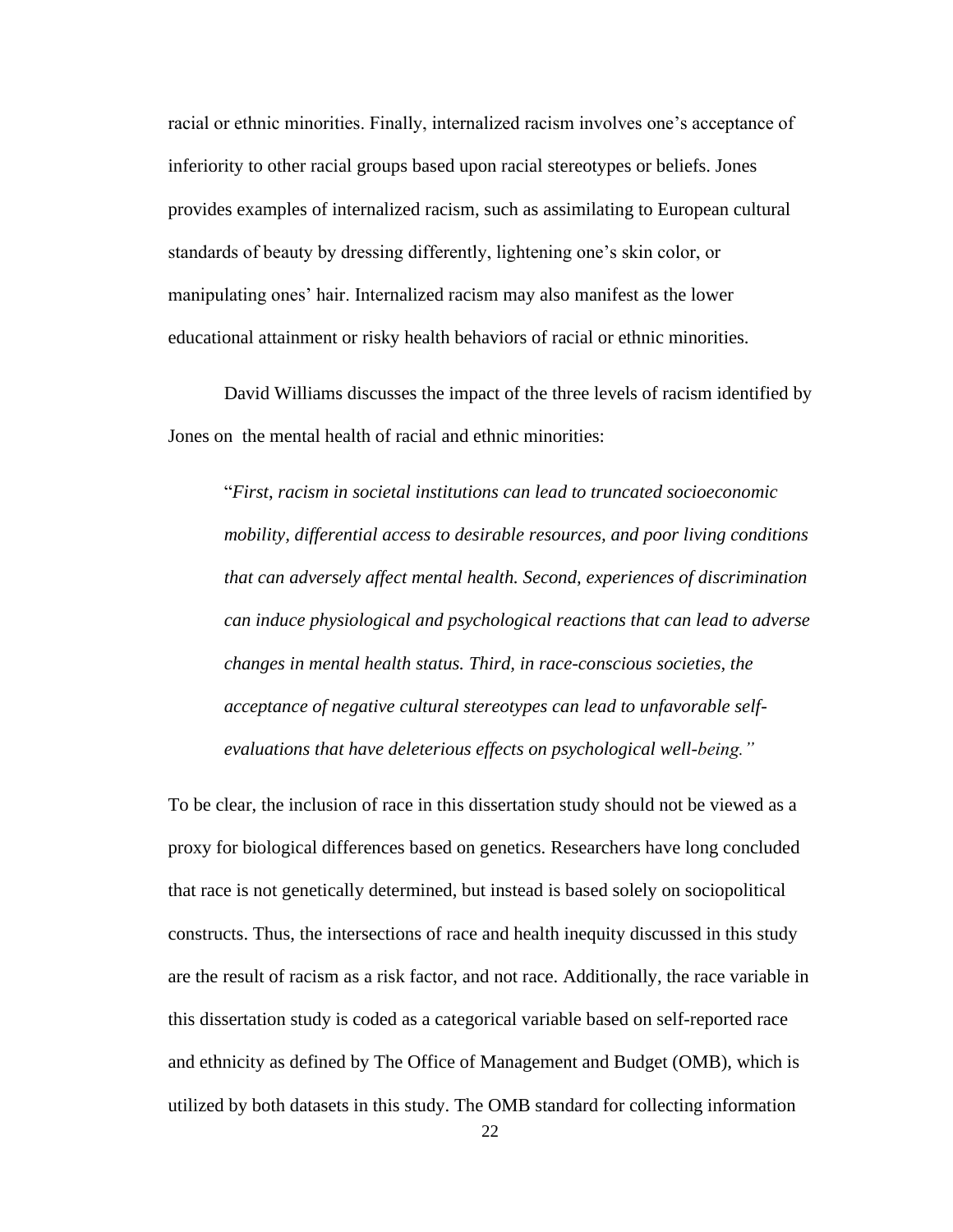racial or ethnic minorities. Finally, internalized racism involves one's acceptance of inferiority to other racial groups based upon racial stereotypes or beliefs. Jones provides examples of internalized racism, such as assimilating to European cultural standards of beauty by dressing differently, lightening one's skin color, or manipulating ones' hair. Internalized racism may also manifest as the lower educational attainment or risky health behaviors of racial or ethnic minorities.

David Williams discusses the impact of the three levels of racism identified by Jones on the mental health of racial and ethnic minorities:

"*First*, *racism in societal institutions can lead to truncated socioeconomic mobility, differential access to desirable resources, and poor living conditions that can adversely affect mental health. Second, experiences of discrimination can induce physiological and psychological reactions that can lead to adverse changes in mental health status. Third, in race-conscious societies, the acceptance of negative cultural stereotypes can lead to unfavorable selfevaluations that have deleterious effects on psychological well-being."*

To be clear, the inclusion of race in this dissertation study should not be viewed as a proxy for biological differences based on genetics. Researchers have long concluded that race is not genetically determined, but instead is based solely on sociopolitical constructs. Thus, the intersections of race and health inequity discussed in this study are the result of racism as a risk factor, and not race. Additionally, the race variable in this dissertation study is coded as a categorical variable based on self-reported race and ethnicity as defined by The Office of Management and Budget (OMB), which is utilized by both datasets in this study. The OMB standard for collecting information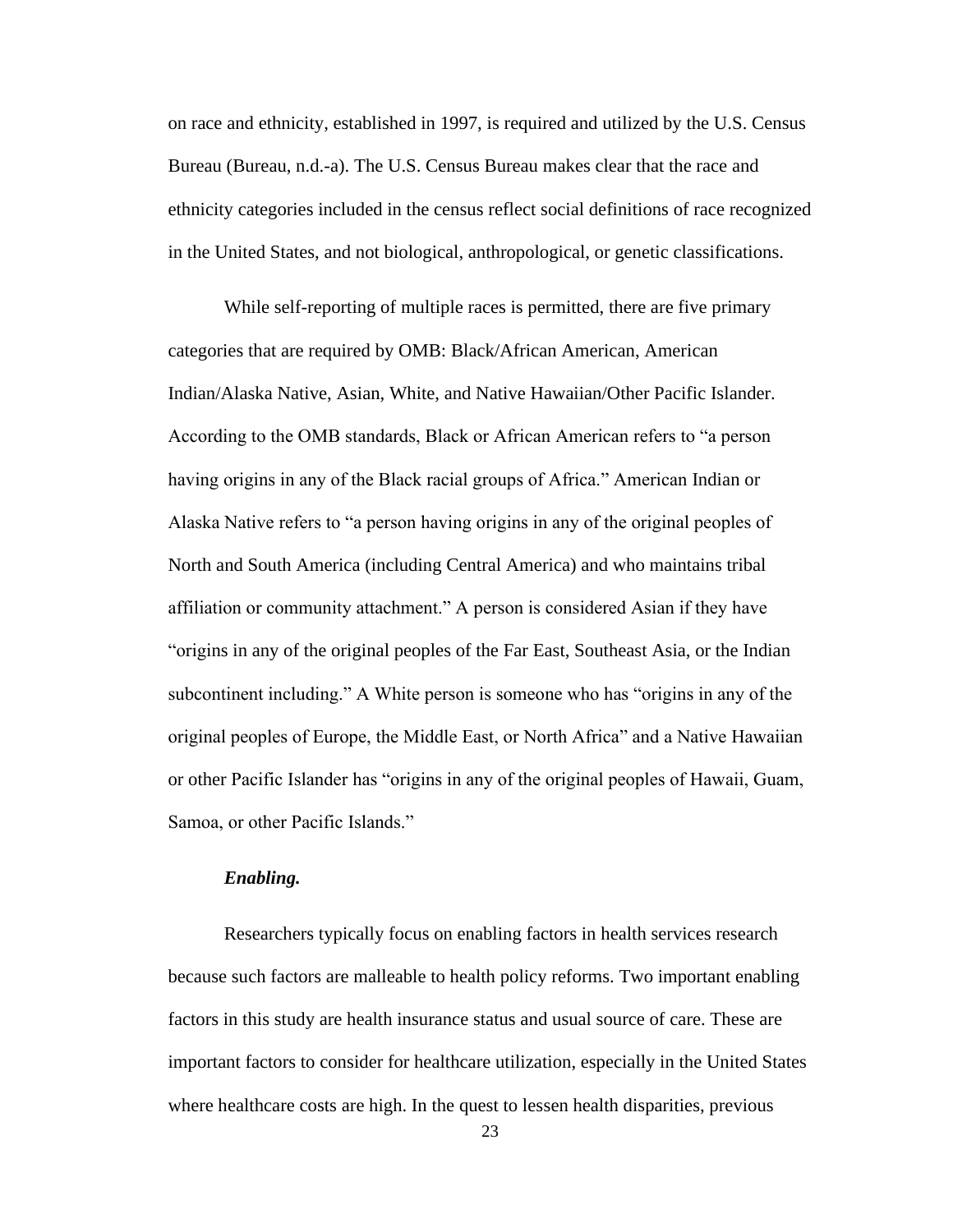on race and ethnicity, established in 1997, is required and utilized by the U.S. Census Bureau (Bureau, n.d.-a). The U.S. Census Bureau makes clear that the race and ethnicity categories included in the census reflect social definitions of race recognized in the United States, and not biological, anthropological, or genetic classifications.

While self-reporting of multiple races is permitted, there are five primary categories that are required by OMB: Black/African American, American Indian/Alaska Native, Asian, White, and Native Hawaiian/Other Pacific Islander. According to the OMB standards, Black or African American refers to "a person having origins in any of the Black racial groups of Africa." American Indian or Alaska Native refers to "a person having origins in any of the original peoples of North and South America (including Central America) and who maintains tribal affiliation or community attachment." A person is considered Asian if they have "origins in any of the original peoples of the Far East, Southeast Asia, or the Indian subcontinent including." A White person is someone who has "origins in any of the original peoples of Europe, the Middle East, or North Africa" and a Native Hawaiian or other Pacific Islander has "origins in any of the original peoples of Hawaii, Guam, Samoa, or other Pacific Islands."

#### *Enabling.*

Researchers typically focus on enabling factors in health services research because such factors are malleable to health policy reforms. Two important enabling factors in this study are health insurance status and usual source of care. These are important factors to consider for healthcare utilization, especially in the United States where healthcare costs are high. In the quest to lessen health disparities, previous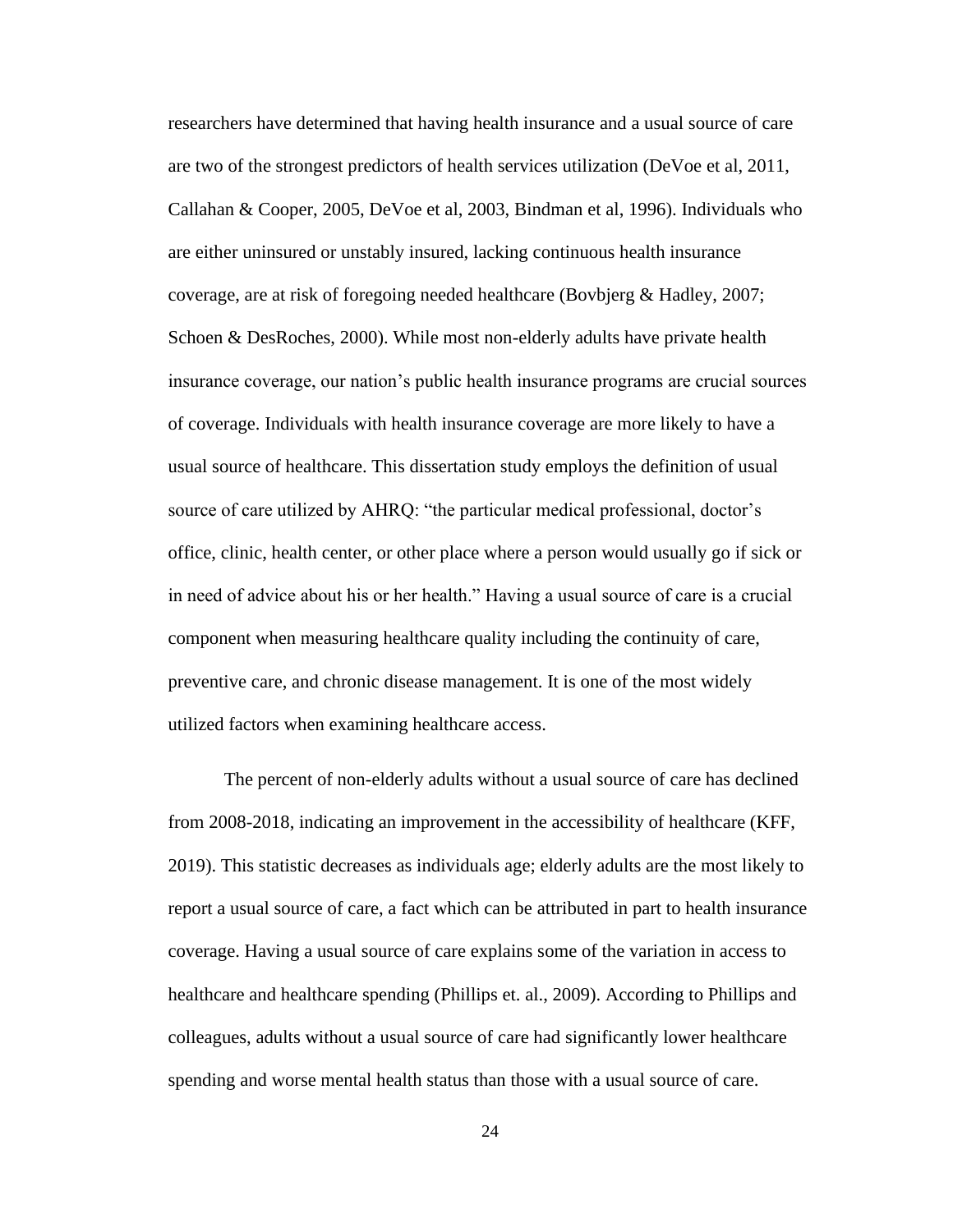researchers have determined that having health insurance and a usual source of care are two of the strongest predictors of health services utilization (DeVoe et al, 2011, Callahan & Cooper, 2005, DeVoe et al, 2003, Bindman et al, 1996). Individuals who are either uninsured or unstably insured, lacking continuous health insurance coverage, are at risk of foregoing needed healthcare (Bovbjerg & Hadley, 2007; Schoen & DesRoches, 2000). While most non-elderly adults have private health insurance coverage, our nation's public health insurance programs are crucial sources of coverage. Individuals with health insurance coverage are more likely to have a usual source of healthcare. This dissertation study employs the definition of usual source of care utilized by AHRQ: "the particular medical professional, doctor's office, clinic, health center, or other place where a person would usually go if sick or in need of advice about his or her health." Having a usual source of care is a crucial component when measuring healthcare quality including the continuity of care, preventive care, and chronic disease management. It is one of the most widely utilized factors when examining healthcare access.

The percent of non-elderly adults without a usual source of care has declined from 2008-2018, indicating an improvement in the accessibility of healthcare (KFF, 2019). This statistic decreases as individuals age; elderly adults are the most likely to report a usual source of care, a fact which can be attributed in part to health insurance coverage. Having a usual source of care explains some of the variation in access to healthcare and healthcare spending (Phillips et. al., 2009). According to Phillips and colleagues, adults without a usual source of care had significantly lower healthcare spending and worse mental health status than those with a usual source of care.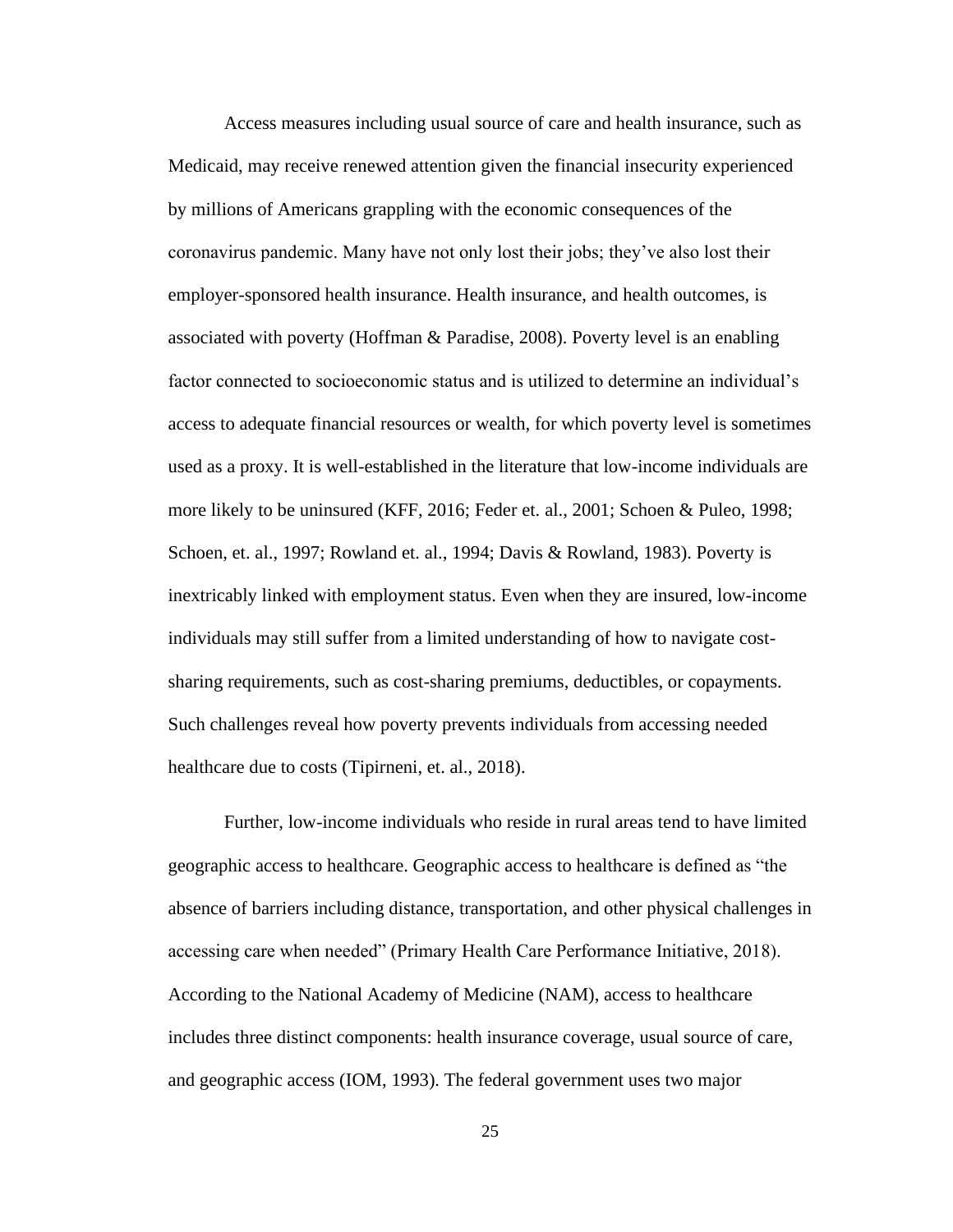Access measures including usual source of care and health insurance, such as Medicaid, may receive renewed attention given the financial insecurity experienced by millions of Americans grappling with the economic consequences of the coronavirus pandemic. Many have not only lost their jobs; they've also lost their employer-sponsored health insurance. Health insurance, and health outcomes, is associated with poverty (Hoffman & Paradise, 2008). Poverty level is an enabling factor connected to socioeconomic status and is utilized to determine an individual's access to adequate financial resources or wealth, for which poverty level is sometimes used as a proxy. It is well-established in the literature that low-income individuals are more likely to be uninsured (KFF, 2016; Feder et. al., 2001; Schoen & Puleo, 1998; Schoen, et. al., 1997; Rowland et. al., 1994; Davis & Rowland, 1983). Poverty is inextricably linked with employment status. Even when they are insured, low-income individuals may still suffer from a limited understanding of how to navigate costsharing requirements, such as cost-sharing premiums, deductibles, or copayments. Such challenges reveal how poverty prevents individuals from accessing needed healthcare due to costs (Tipirneni, et. al., 2018).

Further, low-income individuals who reside in rural areas tend to have limited geographic access to healthcare. Geographic access to healthcare is defined as "the absence of barriers including distance, transportation, and other physical challenges in accessing care when needed" (Primary Health Care Performance Initiative, 2018). According to the National Academy of Medicine (NAM), access to healthcare includes three distinct components: health insurance coverage, usual source of care, and geographic access (IOM, 1993). The federal government uses two major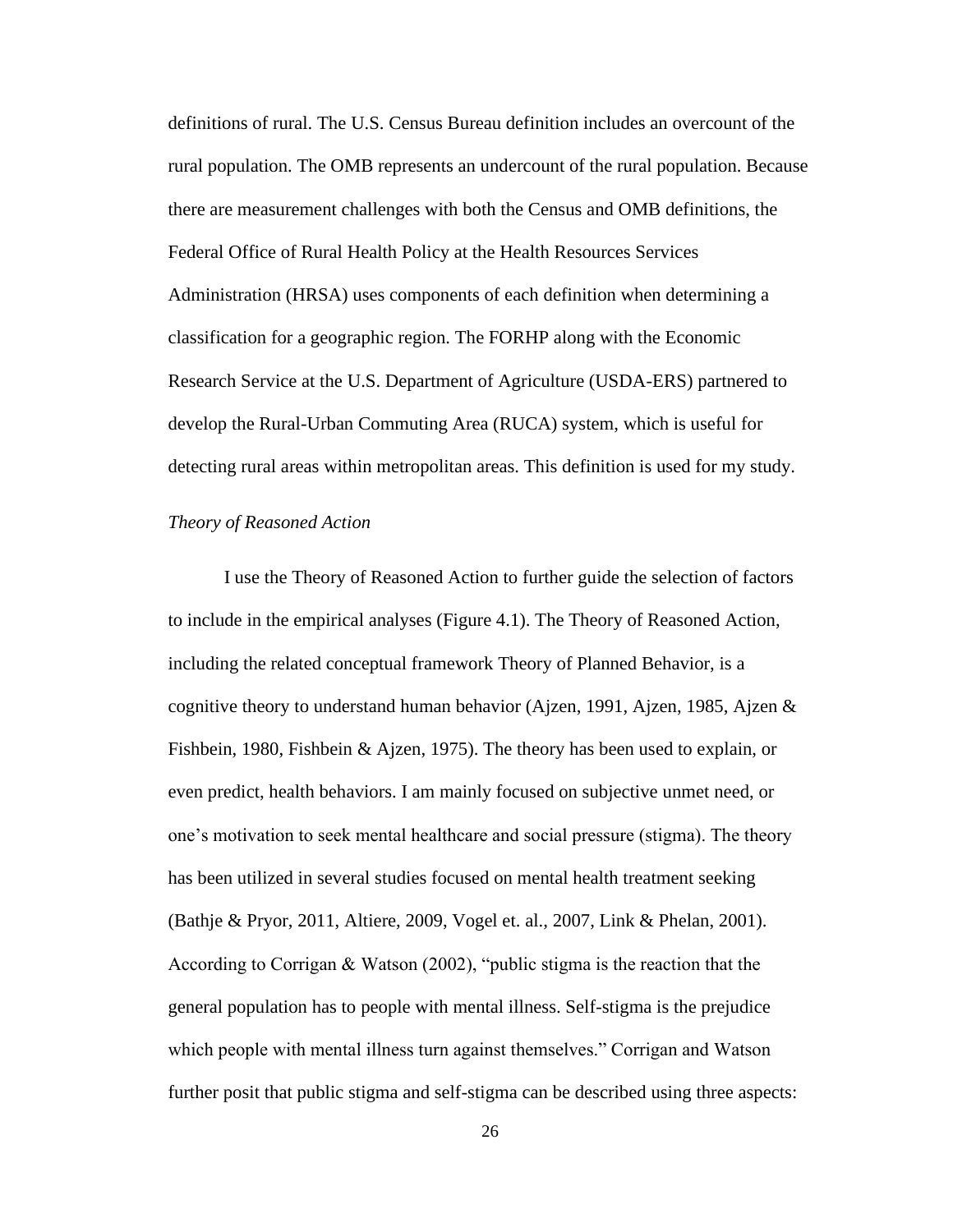definitions of rural. The U.S. Census Bureau definition includes an overcount of the rural population. The OMB represents an undercount of the rural population. Because there are measurement challenges with both the Census and OMB definitions, the Federal Office of Rural Health Policy at the Health Resources Services Administration (HRSA) uses components of each definition when determining a classification for a geographic region. The FORHP along with the Economic Research Service at the U.S. Department of Agriculture (USDA-ERS) partnered to develop the Rural-Urban Commuting Area (RUCA) system, which is useful for detecting rural areas within metropolitan areas. This definition is used for my study.

# *Theory of Reasoned Action*

I use the Theory of Reasoned Action to further guide the selection of factors to include in the empirical analyses (Figure 4.1). The Theory of Reasoned Action, including the related conceptual framework Theory of Planned Behavior, is a cognitive theory to understand human behavior (Ajzen, 1991, Ajzen, 1985, Ajzen  $\&$ Fishbein, 1980, Fishbein & Ajzen, 1975). The theory has been used to explain, or even predict, health behaviors. I am mainly focused on subjective unmet need, or one's motivation to seek mental healthcare and social pressure (stigma). The theory has been utilized in several studies focused on mental health treatment seeking (Bathje & Pryor, 2011, Altiere, 2009, Vogel et. al., 2007, Link & Phelan, 2001). According to Corrigan & Watson (2002), "public stigma is the reaction that the general population has to people with mental illness. Self-stigma is the prejudice which people with mental illness turn against themselves." Corrigan and Watson further posit that public stigma and self-stigma can be described using three aspects: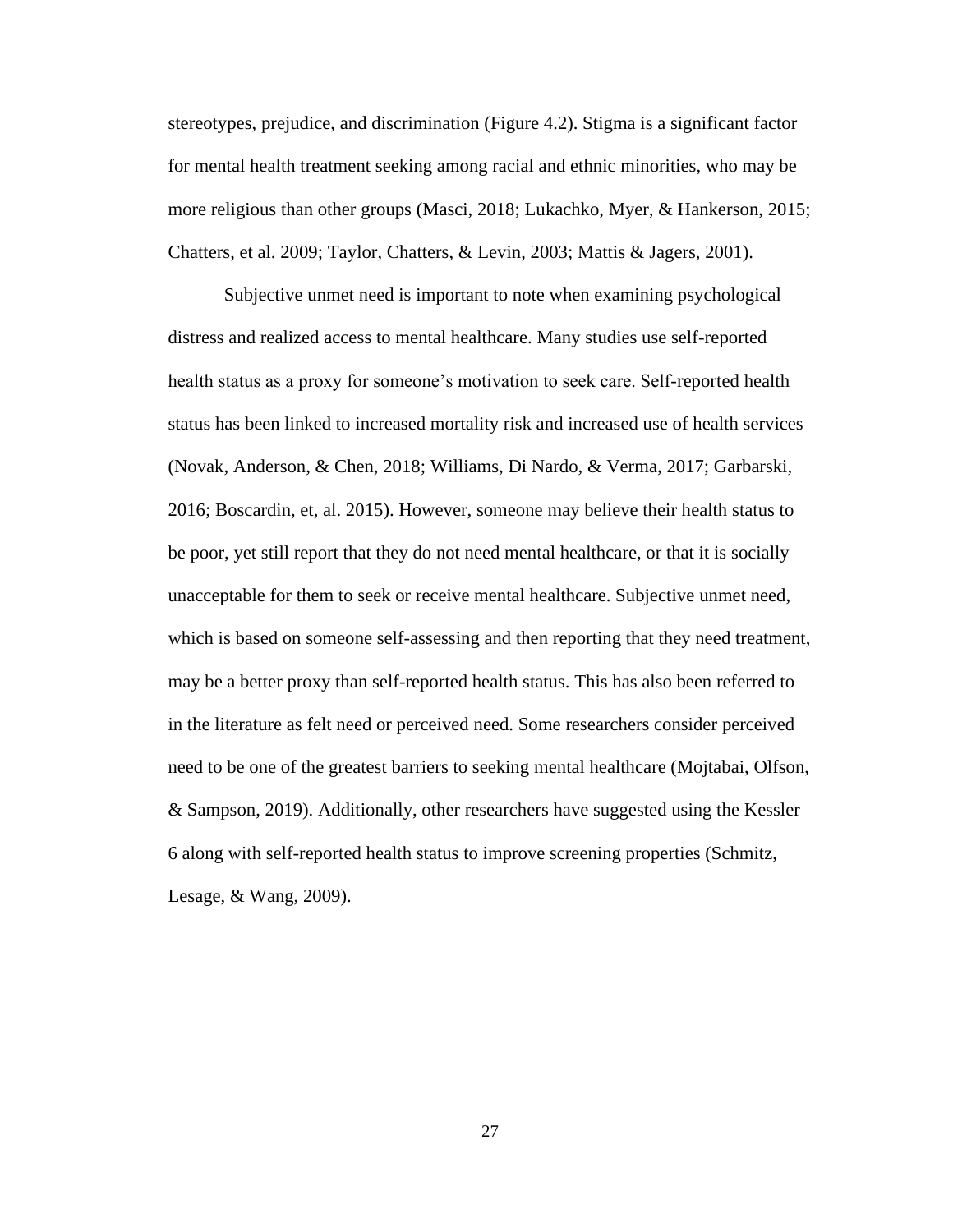stereotypes, prejudice, and discrimination (Figure 4.2). Stigma is a significant factor for mental health treatment seeking among racial and ethnic minorities, who may be more religious than other groups (Masci, 2018; Lukachko, Myer, & Hankerson, 2015; Chatters, et al. 2009; Taylor, Chatters, & Levin, 2003; Mattis & Jagers, 2001).

Subjective unmet need is important to note when examining psychological distress and realized access to mental healthcare. Many studies use self-reported health status as a proxy for someone's motivation to seek care. Self-reported health status has been linked to increased mortality risk and increased use of health services (Novak, Anderson, & Chen, 2018; Williams, Di Nardo, & Verma, 2017; Garbarski, 2016; Boscardin, et, al. 2015). However, someone may believe their health status to be poor, yet still report that they do not need mental healthcare, or that it is socially unacceptable for them to seek or receive mental healthcare. Subjective unmet need, which is based on someone self-assessing and then reporting that they need treatment, may be a better proxy than self-reported health status. This has also been referred to in the literature as felt need or perceived need. Some researchers consider perceived need to be one of the greatest barriers to seeking mental healthcare (Mojtabai, Olfson, & Sampson, 2019). Additionally, other researchers have suggested using the Kessler 6 along with self-reported health status to improve screening properties (Schmitz, Lesage, & Wang, 2009).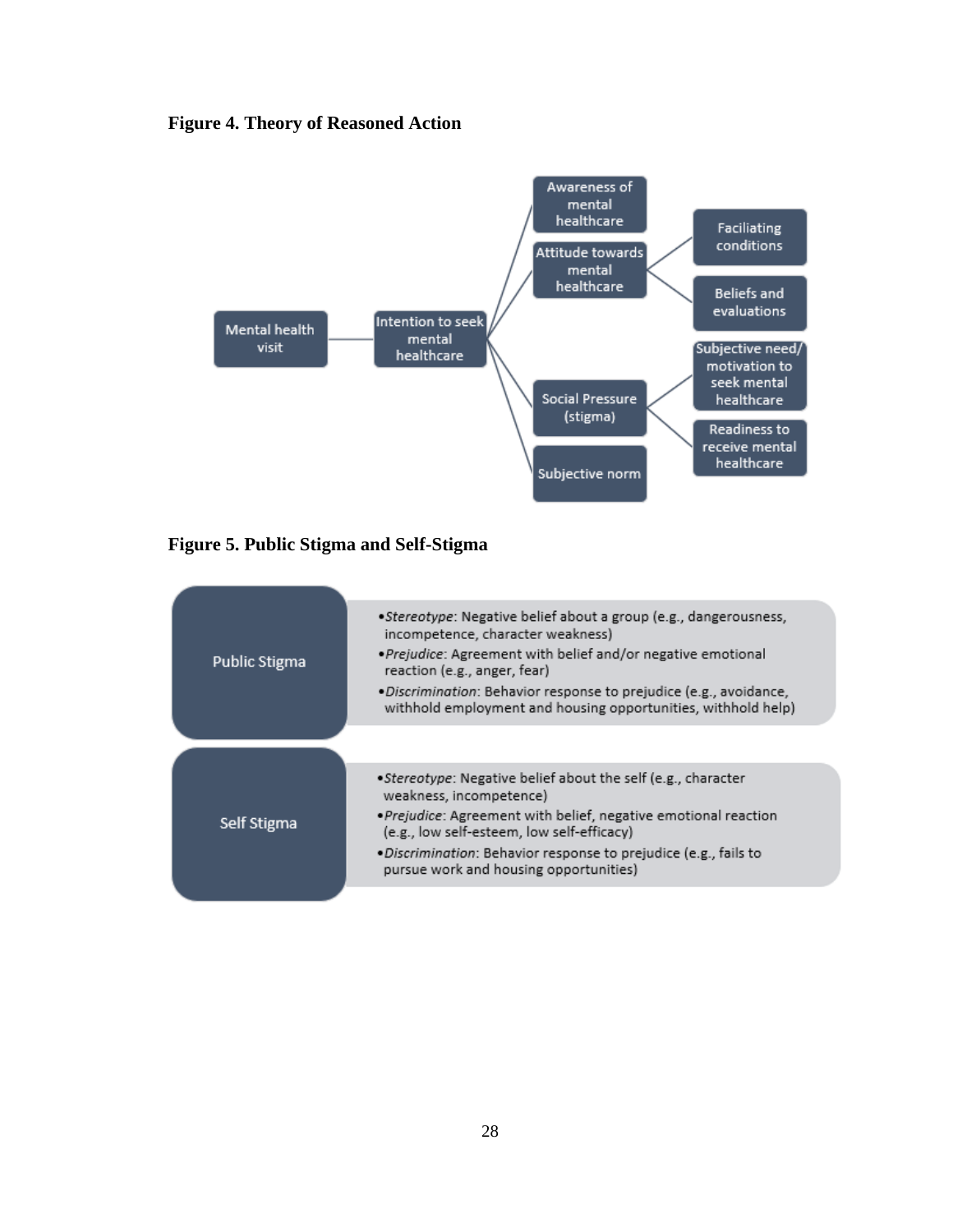# **Figure 4. Theory of Reasoned Action**



**Figure 5. Public Stigma and Self-Stigma**

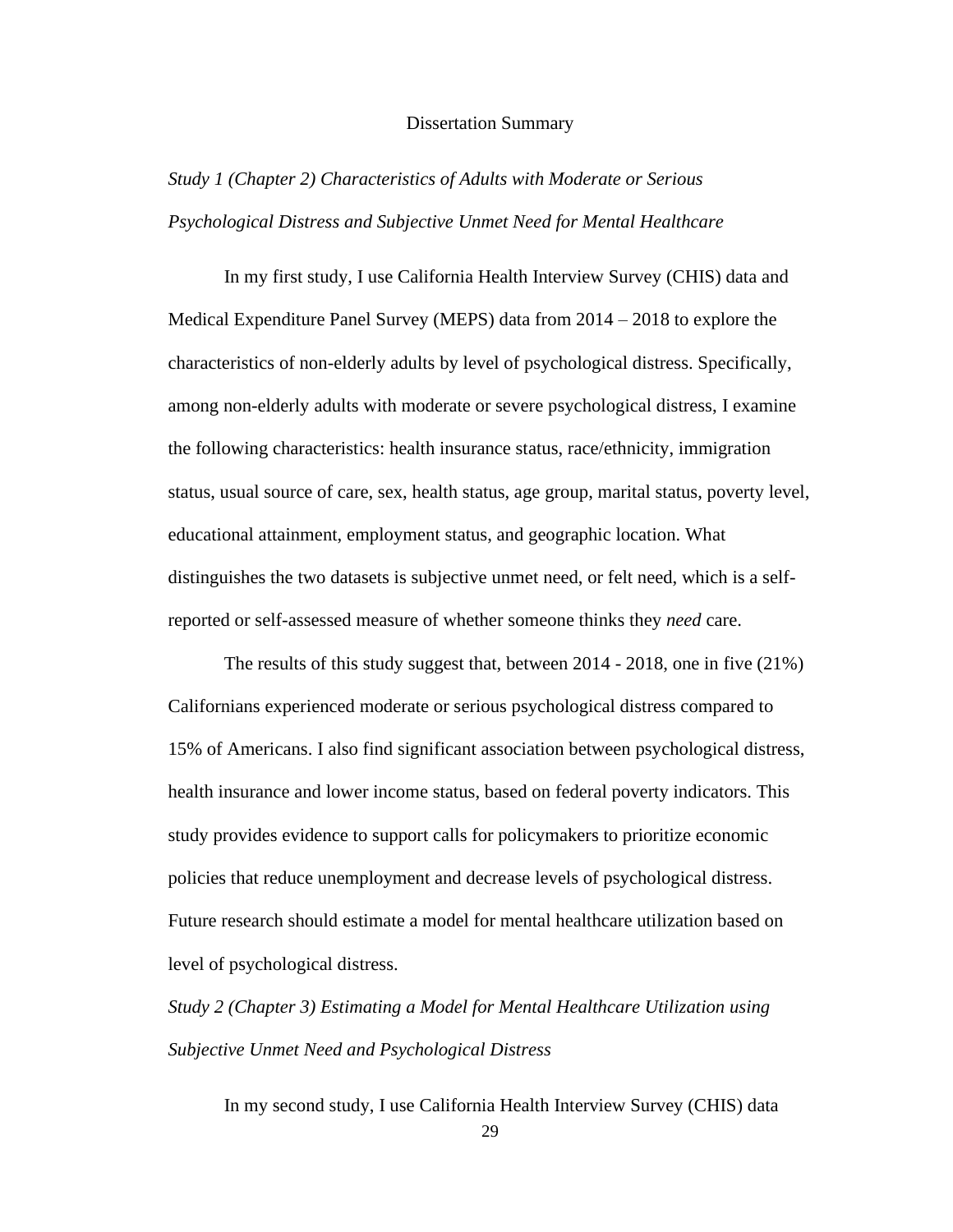#### Dissertation Summary

# *Study 1 (Chapter 2) Characteristics of Adults with Moderate or Serious Psychological Distress and Subjective Unmet Need for Mental Healthcare*

In my first study, I use California Health Interview Survey (CHIS) data and Medical Expenditure Panel Survey (MEPS) data from 2014 – 2018 to explore the characteristics of non-elderly adults by level of psychological distress. Specifically, among non-elderly adults with moderate or severe psychological distress, I examine the following characteristics: health insurance status, race/ethnicity, immigration status, usual source of care, sex, health status, age group, marital status, poverty level, educational attainment, employment status, and geographic location. What distinguishes the two datasets is subjective unmet need, or felt need, which is a selfreported or self-assessed measure of whether someone thinks they *need* care.

The results of this study suggest that, between 2014 - 2018, one in five (21%) Californians experienced moderate or serious psychological distress compared to 15% of Americans. I also find significant association between psychological distress, health insurance and lower income status, based on federal poverty indicators. This study provides evidence to support calls for policymakers to prioritize economic policies that reduce unemployment and decrease levels of psychological distress. Future research should estimate a model for mental healthcare utilization based on level of psychological distress.

*Study 2 (Chapter 3) Estimating a Model for Mental Healthcare Utilization using Subjective Unmet Need and Psychological Distress*

In my second study, I use California Health Interview Survey (CHIS) data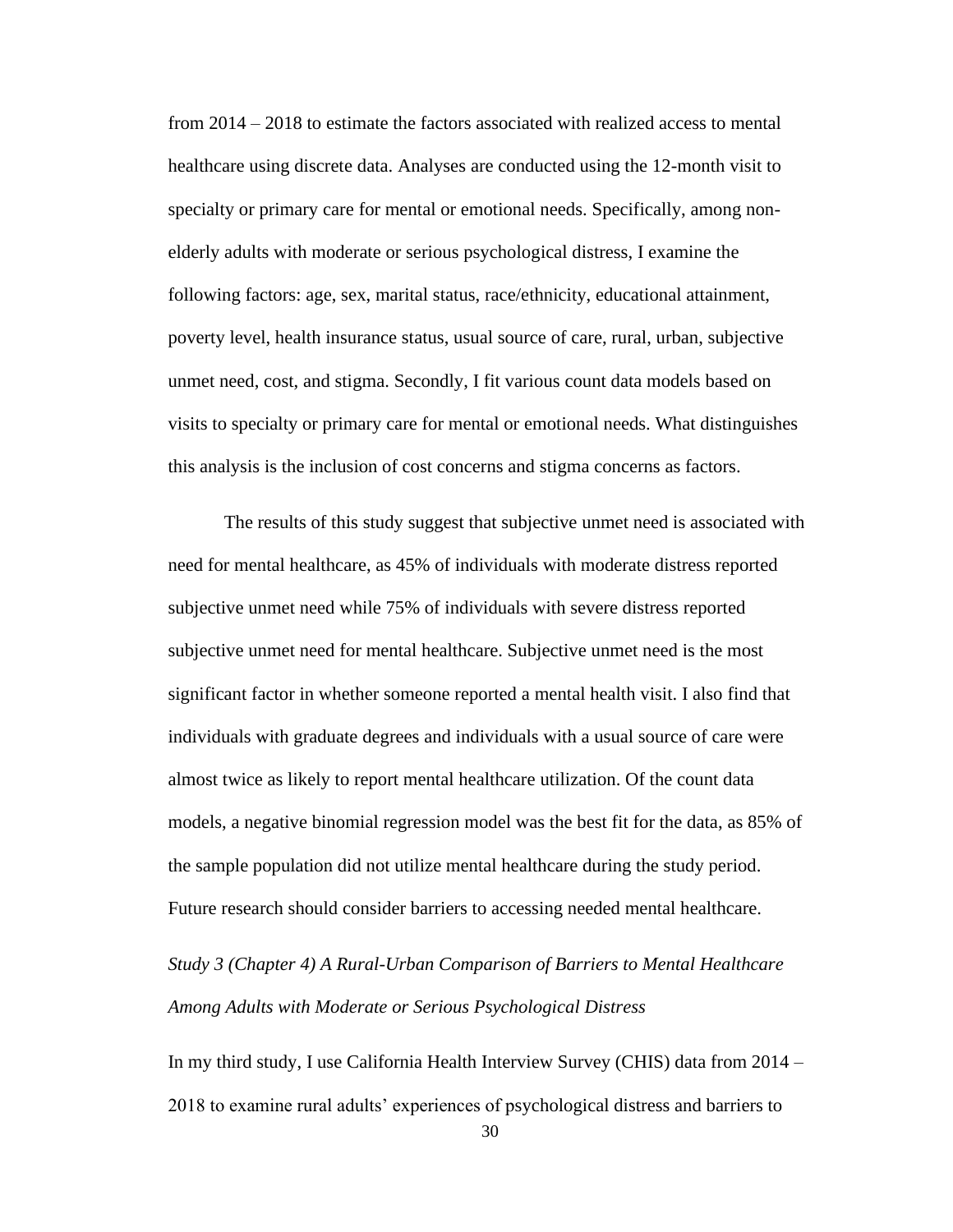from 2014 – 2018 to estimate the factors associated with realized access to mental healthcare using discrete data. Analyses are conducted using the 12-month visit to specialty or primary care for mental or emotional needs. Specifically, among nonelderly adults with moderate or serious psychological distress, I examine the following factors: age, sex, marital status, race/ethnicity, educational attainment, poverty level, health insurance status, usual source of care, rural, urban, subjective unmet need, cost, and stigma. Secondly, I fit various count data models based on visits to specialty or primary care for mental or emotional needs. What distinguishes this analysis is the inclusion of cost concerns and stigma concerns as factors.

The results of this study suggest that subjective unmet need is associated with need for mental healthcare, as 45% of individuals with moderate distress reported subjective unmet need while 75% of individuals with severe distress reported subjective unmet need for mental healthcare. Subjective unmet need is the most significant factor in whether someone reported a mental health visit. I also find that individuals with graduate degrees and individuals with a usual source of care were almost twice as likely to report mental healthcare utilization. Of the count data models, a negative binomial regression model was the best fit for the data, as 85% of the sample population did not utilize mental healthcare during the study period. Future research should consider barriers to accessing needed mental healthcare.

*Study 3 (Chapter 4) A Rural-Urban Comparison of Barriers to Mental Healthcare Among Adults with Moderate or Serious Psychological Distress*

In my third study, I use California Health Interview Survey (CHIS) data from 2014 – 2018 to examine rural adults' experiences of psychological distress and barriers to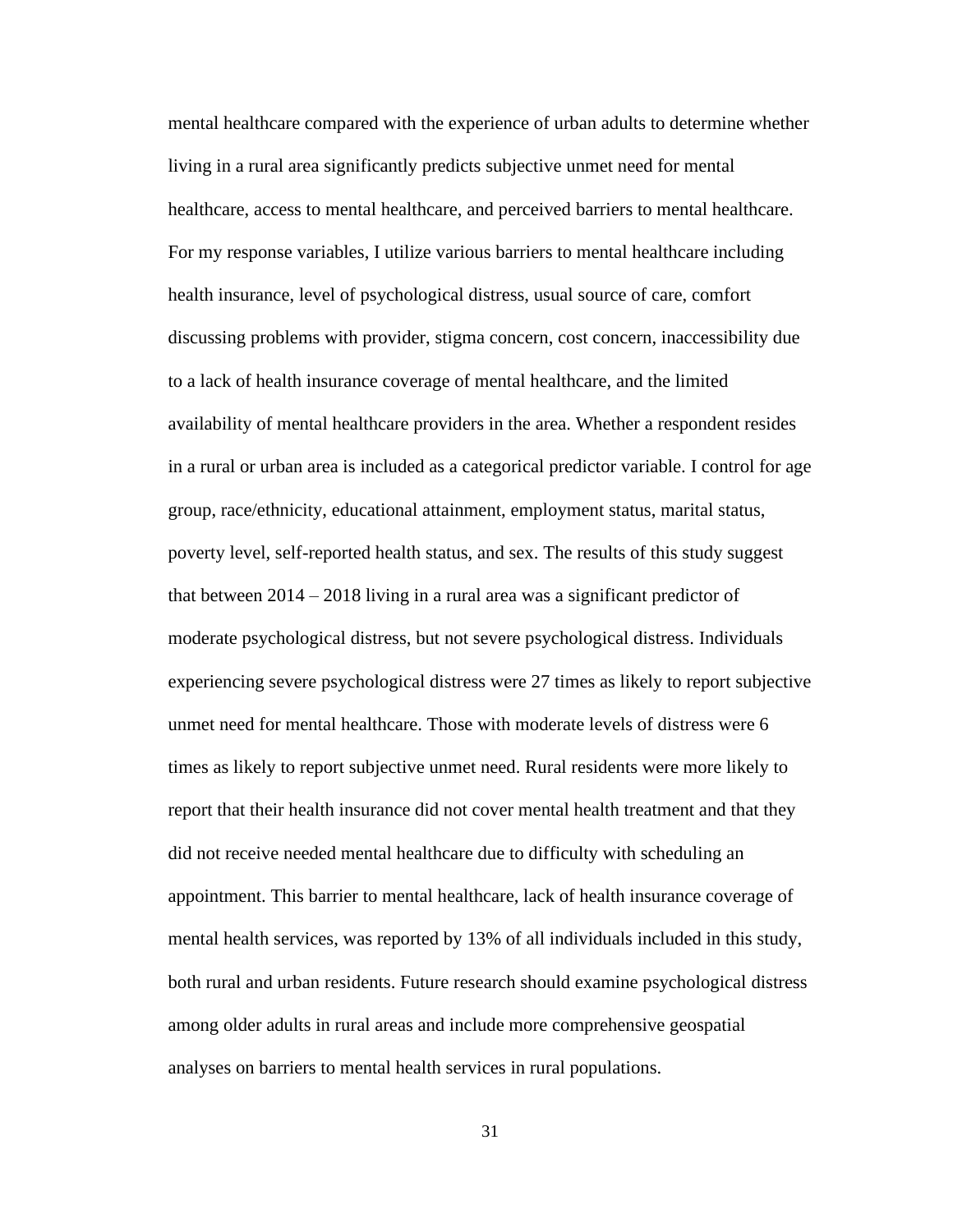mental healthcare compared with the experience of urban adults to determine whether living in a rural area significantly predicts subjective unmet need for mental healthcare, access to mental healthcare, and perceived barriers to mental healthcare. For my response variables, I utilize various barriers to mental healthcare including health insurance, level of psychological distress, usual source of care, comfort discussing problems with provider, stigma concern, cost concern, inaccessibility due to a lack of health insurance coverage of mental healthcare, and the limited availability of mental healthcare providers in the area. Whether a respondent resides in a rural or urban area is included as a categorical predictor variable. I control for age group, race/ethnicity, educational attainment, employment status, marital status, poverty level, self-reported health status, and sex. The results of this study suggest that between 2014 – 2018 living in a rural area was a significant predictor of moderate psychological distress, but not severe psychological distress. Individuals experiencing severe psychological distress were 27 times as likely to report subjective unmet need for mental healthcare. Those with moderate levels of distress were 6 times as likely to report subjective unmet need. Rural residents were more likely to report that their health insurance did not cover mental health treatment and that they did not receive needed mental healthcare due to difficulty with scheduling an appointment. This barrier to mental healthcare, lack of health insurance coverage of mental health services, was reported by 13% of all individuals included in this study, both rural and urban residents. Future research should examine psychological distress among older adults in rural areas and include more comprehensive geospatial analyses on barriers to mental health services in rural populations.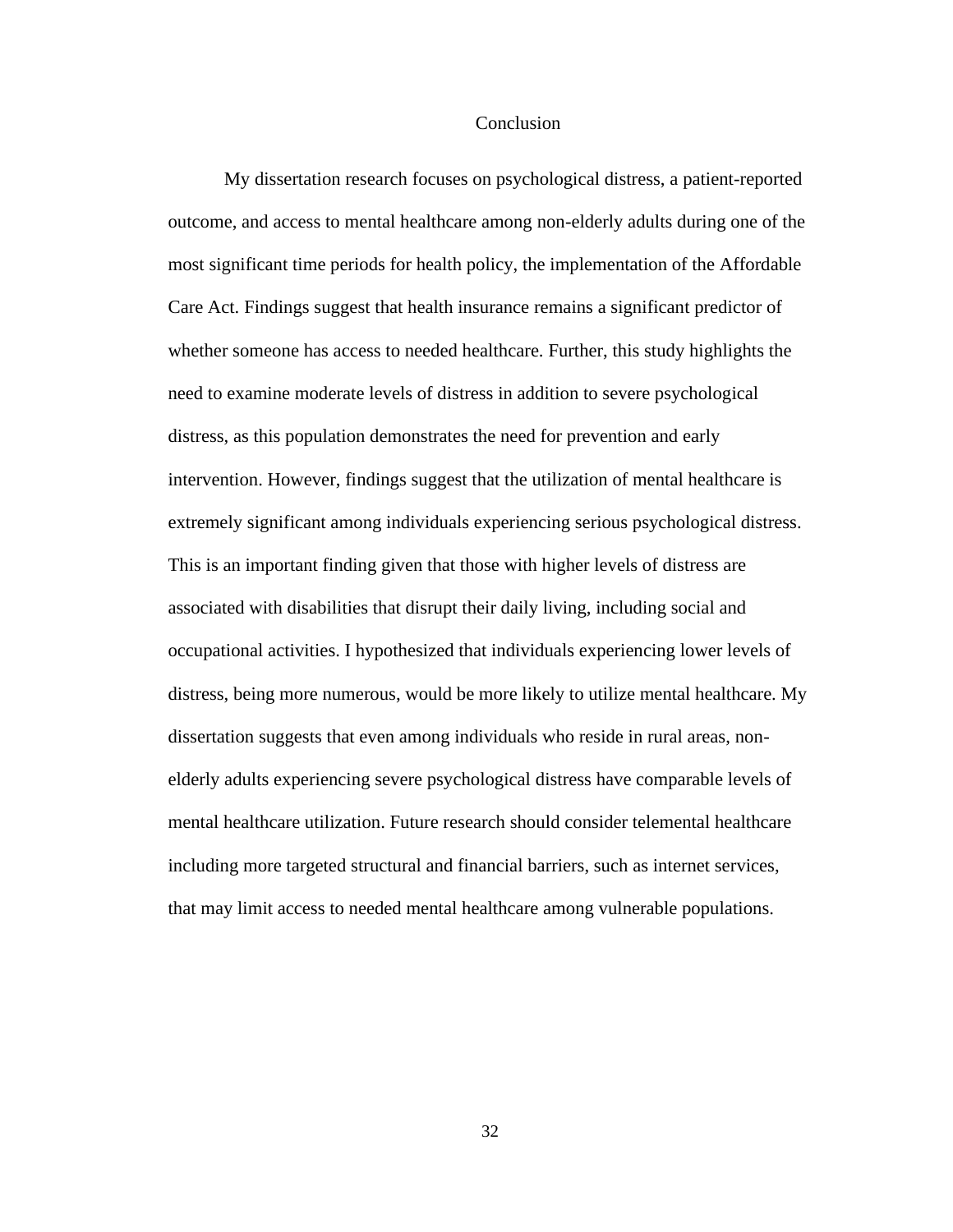#### **Conclusion**

My dissertation research focuses on psychological distress, a patient-reported outcome, and access to mental healthcare among non-elderly adults during one of the most significant time periods for health policy, the implementation of the Affordable Care Act. Findings suggest that health insurance remains a significant predictor of whether someone has access to needed healthcare. Further, this study highlights the need to examine moderate levels of distress in addition to severe psychological distress, as this population demonstrates the need for prevention and early intervention. However, findings suggest that the utilization of mental healthcare is extremely significant among individuals experiencing serious psychological distress. This is an important finding given that those with higher levels of distress are associated with disabilities that disrupt their daily living, including social and occupational activities. I hypothesized that individuals experiencing lower levels of distress, being more numerous, would be more likely to utilize mental healthcare. My dissertation suggests that even among individuals who reside in rural areas, nonelderly adults experiencing severe psychological distress have comparable levels of mental healthcare utilization. Future research should consider telemental healthcare including more targeted structural and financial barriers, such as internet services, that may limit access to needed mental healthcare among vulnerable populations.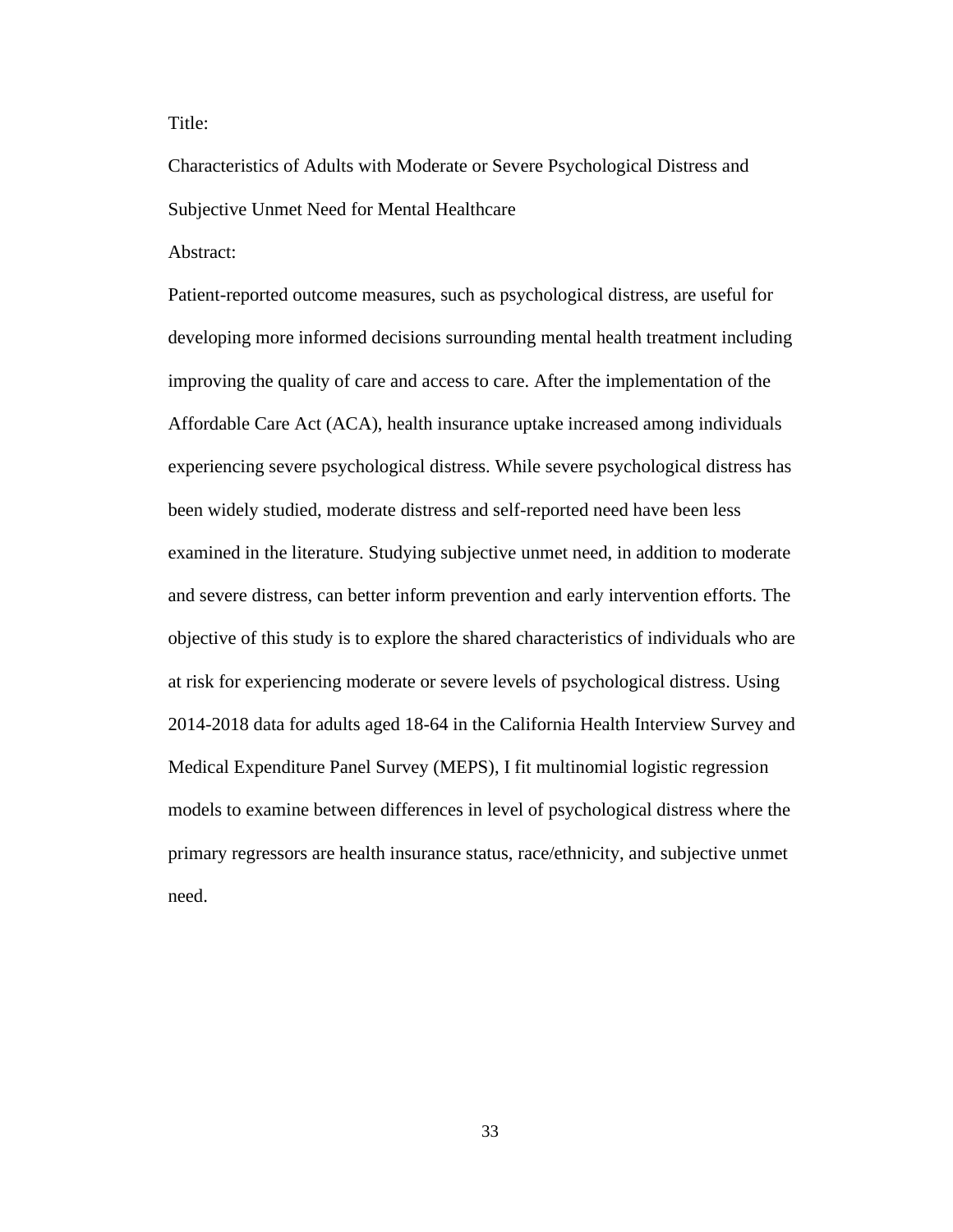Title:

Characteristics of Adults with Moderate or Severe Psychological Distress and Subjective Unmet Need for Mental Healthcare

Abstract:

Patient-reported outcome measures, such as psychological distress, are useful for developing more informed decisions surrounding mental health treatment including improving the quality of care and access to care. After the implementation of the Affordable Care Act (ACA), health insurance uptake increased among individuals experiencing severe psychological distress. While severe psychological distress has been widely studied, moderate distress and self-reported need have been less examined in the literature. Studying subjective unmet need, in addition to moderate and severe distress, can better inform prevention and early intervention efforts. The objective of this study is to explore the shared characteristics of individuals who are at risk for experiencing moderate or severe levels of psychological distress. Using 2014-2018 data for adults aged 18-64 in the California Health Interview Survey and Medical Expenditure Panel Survey (MEPS), I fit multinomial logistic regression models to examine between differences in level of psychological distress where the primary regressors are health insurance status, race/ethnicity, and subjective unmet need.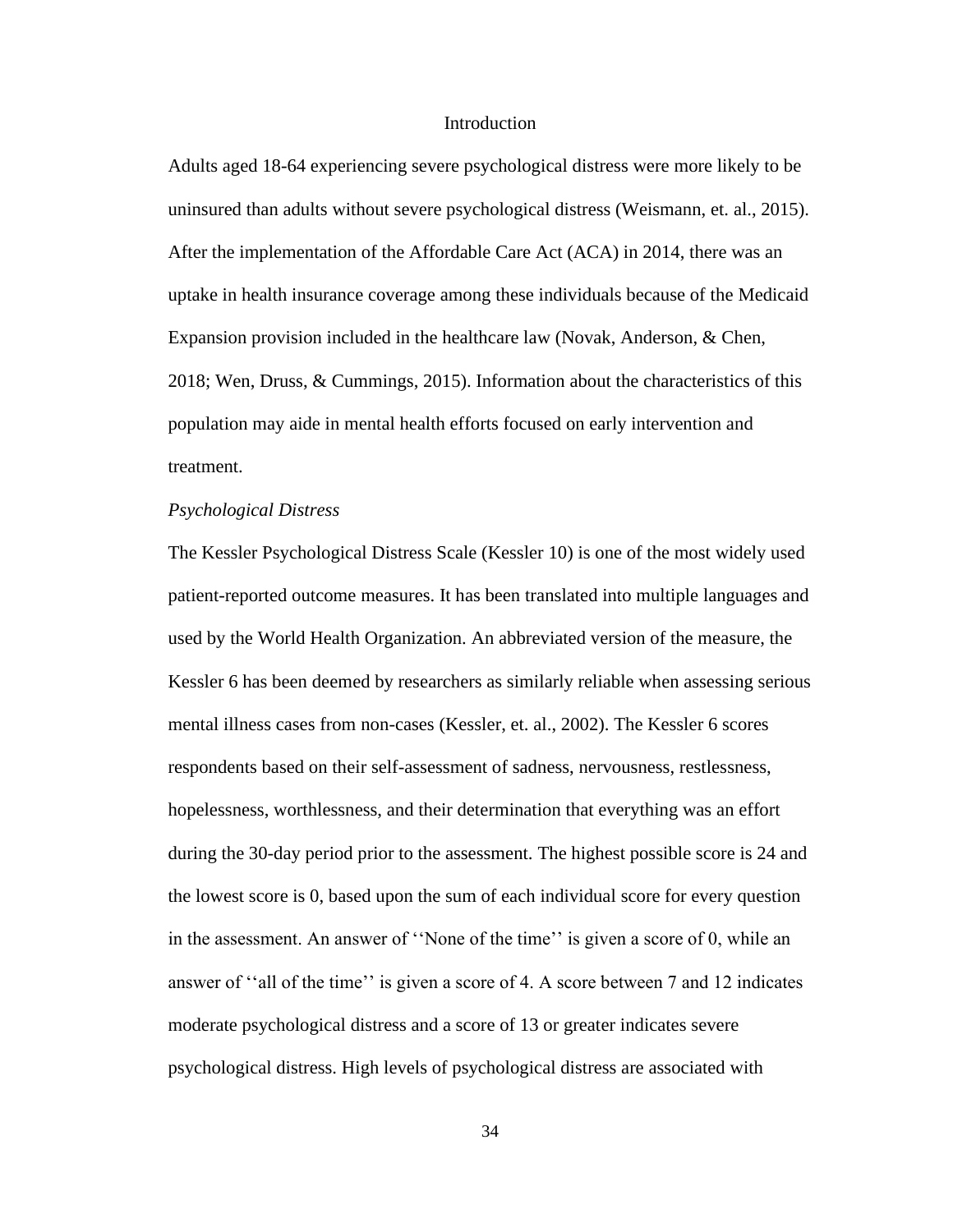#### **Introduction**

Adults aged 18-64 experiencing severe psychological distress were more likely to be uninsured than adults without severe psychological distress (Weismann, et. al., 2015). After the implementation of the Affordable Care Act (ACA) in 2014, there was an uptake in health insurance coverage among these individuals because of the Medicaid Expansion provision included in the healthcare law (Novak, Anderson, & Chen, 2018; Wen, Druss, & Cummings, 2015). Information about the characteristics of this population may aide in mental health efforts focused on early intervention and treatment.

#### *Psychological Distress*

The Kessler Psychological Distress Scale (Kessler 10) is one of the most widely used patient-reported outcome measures. It has been translated into multiple languages and used by the World Health Organization. An abbreviated version of the measure, the Kessler 6 has been deemed by researchers as similarly reliable when assessing serious mental illness cases from non-cases (Kessler, et. al., 2002). The Kessler 6 scores respondents based on their self-assessment of sadness, nervousness, restlessness, hopelessness, worthlessness, and their determination that everything was an effort during the 30-day period prior to the assessment. The highest possible score is 24 and the lowest score is 0, based upon the sum of each individual score for every question in the assessment. An answer of ''None of the time'' is given a score of 0, while an answer of ''all of the time'' is given a score of 4. A score between 7 and 12 indicates moderate psychological distress and a score of 13 or greater indicates severe psychological distress. High levels of psychological distress are associated with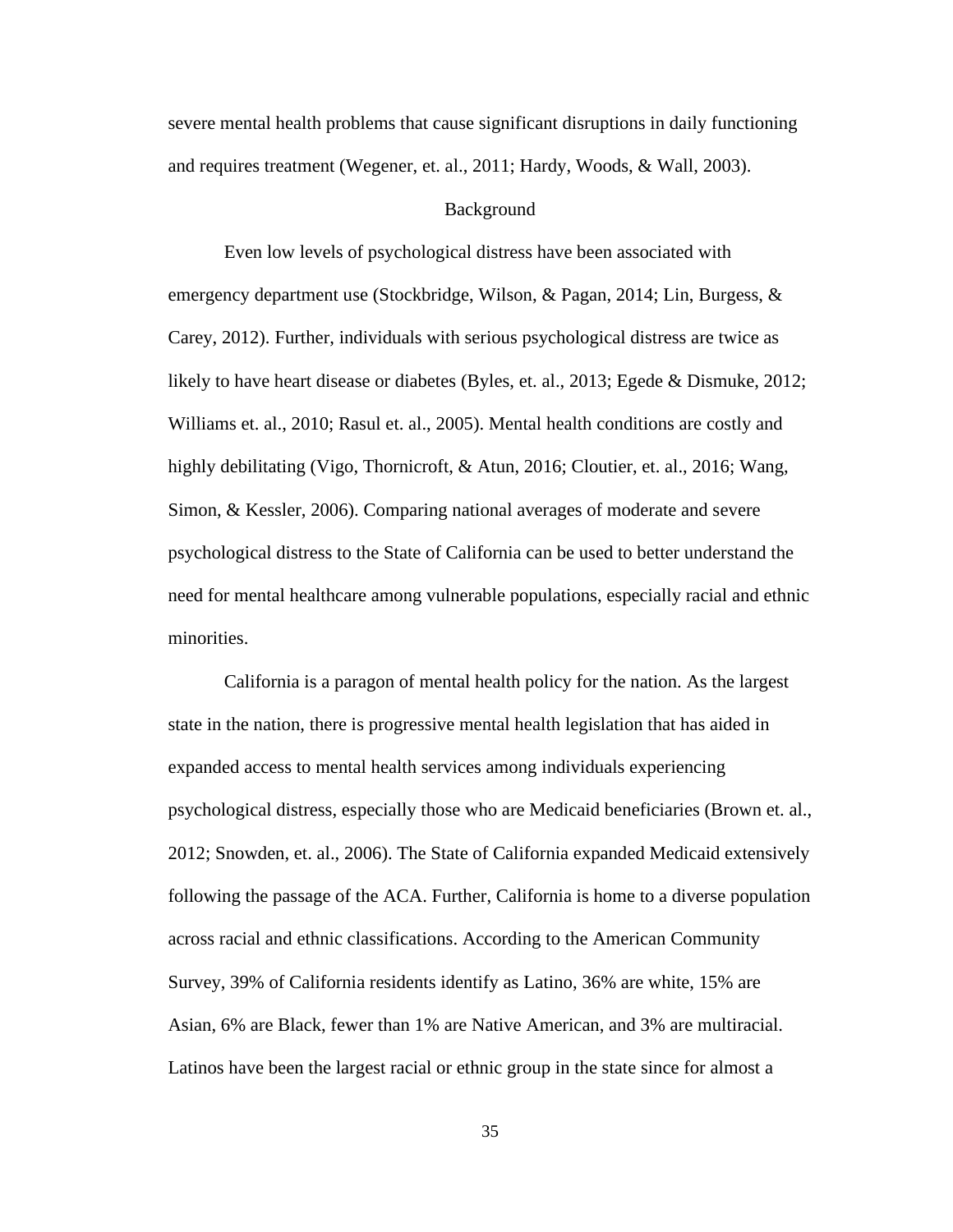severe mental health problems that cause significant disruptions in daily functioning and requires treatment (Wegener, et. al., 2011; Hardy, Woods, & Wall, 2003).

#### Background

Even low levels of psychological distress have been associated with emergency department use (Stockbridge, Wilson, & Pagan, 2014; Lin, Burgess, & Carey, 2012). Further, individuals with serious psychological distress are twice as likely to have heart disease or diabetes (Byles, et. al., 2013; Egede & Dismuke, 2012; Williams et. al., 2010; Rasul et. al., 2005). Mental health conditions are costly and highly debilitating (Vigo, Thornicroft, & Atun, 2016; Cloutier, et. al., 2016; Wang, Simon, & Kessler, 2006). Comparing national averages of moderate and severe psychological distress to the State of California can be used to better understand the need for mental healthcare among vulnerable populations, especially racial and ethnic minorities.

California is a paragon of mental health policy for the nation. As the largest state in the nation, there is progressive mental health legislation that has aided in expanded access to mental health services among individuals experiencing psychological distress, especially those who are Medicaid beneficiaries (Brown et. al., 2012; Snowden, et. al., 2006). The State of California expanded Medicaid extensively following the passage of the ACA. Further, California is home to a diverse population across racial and ethnic classifications. According to the American Community Survey, 39% of California residents identify as Latino, 36% are white, 15% are Asian, 6% are Black, fewer than 1% are Native American, and 3% are multiracial. Latinos have been the largest racial or ethnic group in the state since for almost a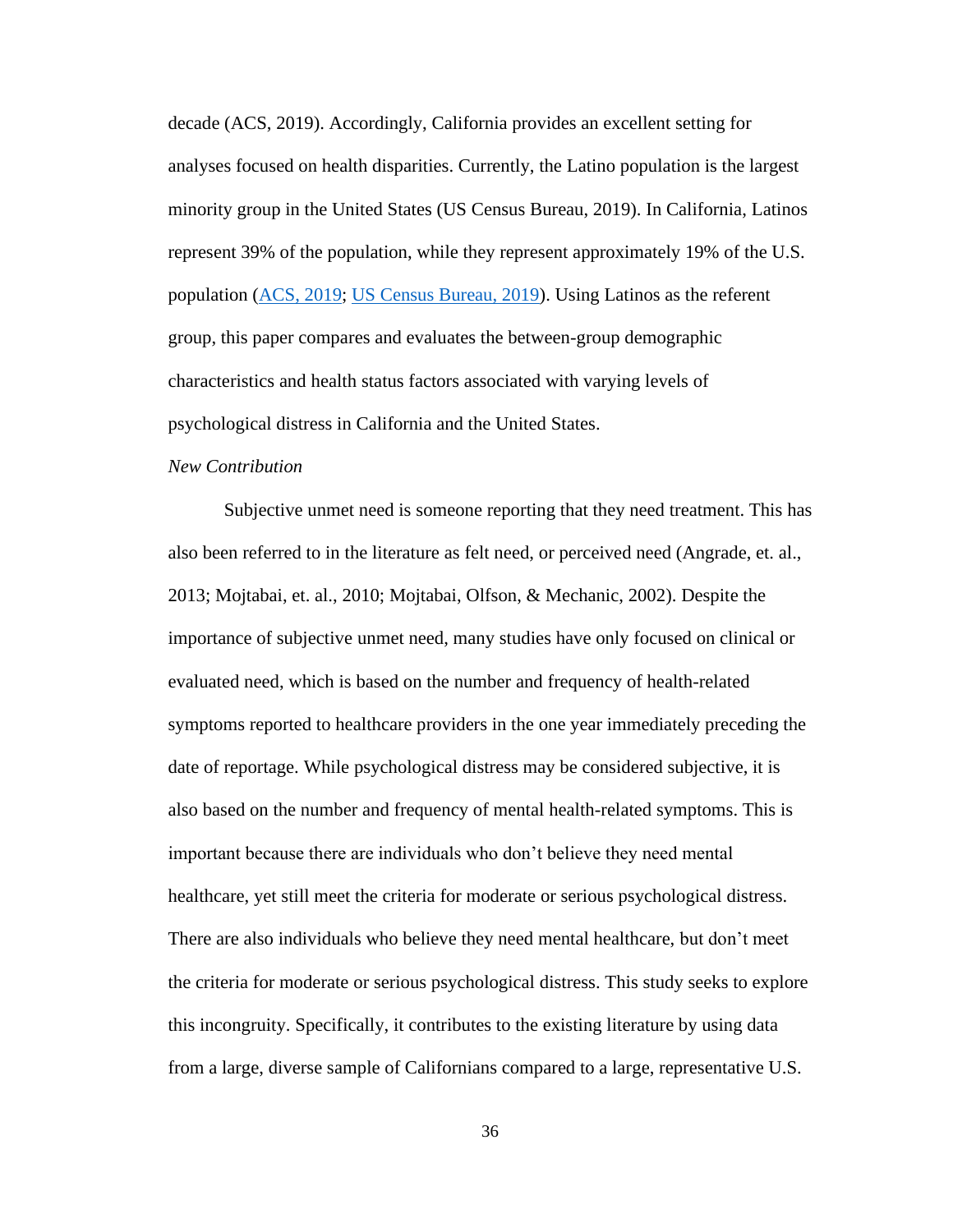decade (ACS, 2019). Accordingly, California provides an excellent setting for analyses focused on health disparities. Currently, the Latino population is the largest minority group in the United States (US Census Bureau, 2019). In California, Latinos represent 39% of the population, while they represent approximately 19% of the U.S. population [\(ACS, 2019;](https://www.census.gov/quickfacts/fact/table/CA/PST045219) [US Census Bureau, 2019\)](https://www.census.gov/quickfacts/fact/table/US/RHI725219). Using Latinos as the referent group, this paper compares and evaluates the between-group demographic characteristics and health status factors associated with varying levels of psychological distress in California and the United States.

# *New Contribution*

Subjective unmet need is someone reporting that they need treatment. This has also been referred to in the literature as felt need, or perceived need (Angrade, et. al., 2013; Mojtabai, et. al., 2010; Mojtabai, Olfson, & Mechanic, 2002). Despite the importance of subjective unmet need, many studies have only focused on clinical or evaluated need, which is based on the number and frequency of health-related symptoms reported to healthcare providers in the one year immediately preceding the date of reportage. While psychological distress may be considered subjective, it is also based on the number and frequency of mental health-related symptoms. This is important because there are individuals who don't believe they need mental healthcare, yet still meet the criteria for moderate or serious psychological distress. There are also individuals who believe they need mental healthcare, but don't meet the criteria for moderate or serious psychological distress. This study seeks to explore this incongruity. Specifically, it contributes to the existing literature by using data from a large, diverse sample of Californians compared to a large, representative U.S.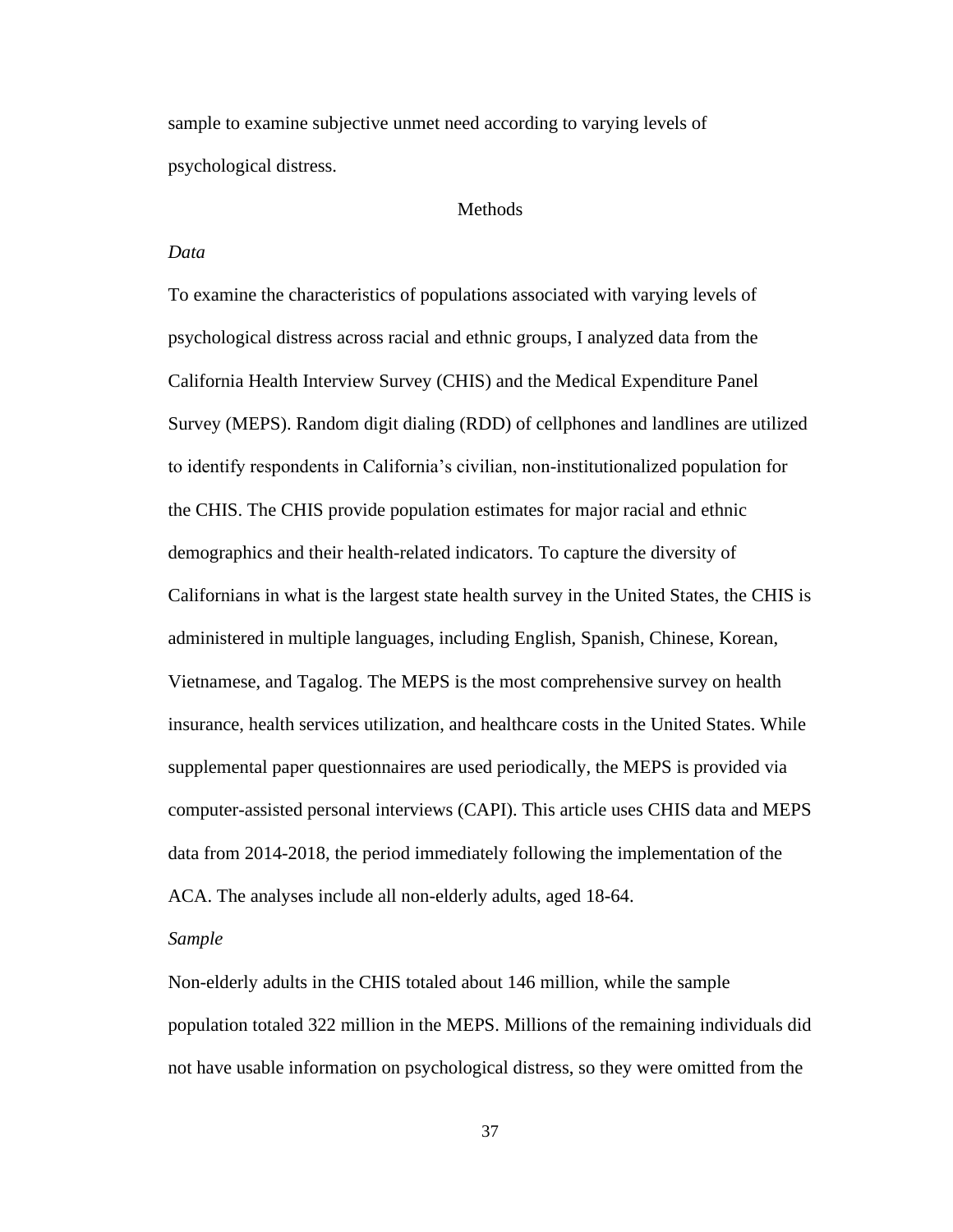sample to examine subjective unmet need according to varying levels of psychological distress.

# Methods

# *Data*

To examine the characteristics of populations associated with varying levels of psychological distress across racial and ethnic groups, I analyzed data from the California Health Interview Survey (CHIS) and the Medical Expenditure Panel Survey (MEPS). Random digit dialing (RDD) of cellphones and landlines are utilized to identify respondents in California's civilian, non-institutionalized population for the CHIS. The CHIS provide population estimates for major racial and ethnic demographics and their health-related indicators. To capture the diversity of Californians in what is the largest state health survey in the United States, the CHIS is administered in multiple languages, including English, Spanish, Chinese, Korean, Vietnamese, and Tagalog. The MEPS is the most comprehensive survey on health insurance, health services utilization, and healthcare costs in the United States. While supplemental paper questionnaires are used periodically, the MEPS is provided via computer-assisted personal interviews (CAPI). This article uses CHIS data and MEPS data from 2014-2018, the period immediately following the implementation of the ACA. The analyses include all non-elderly adults, aged 18-64.

#### *Sample*

Non-elderly adults in the CHIS totaled about 146 million, while the sample population totaled 322 million in the MEPS. Millions of the remaining individuals did not have usable information on psychological distress, so they were omitted from the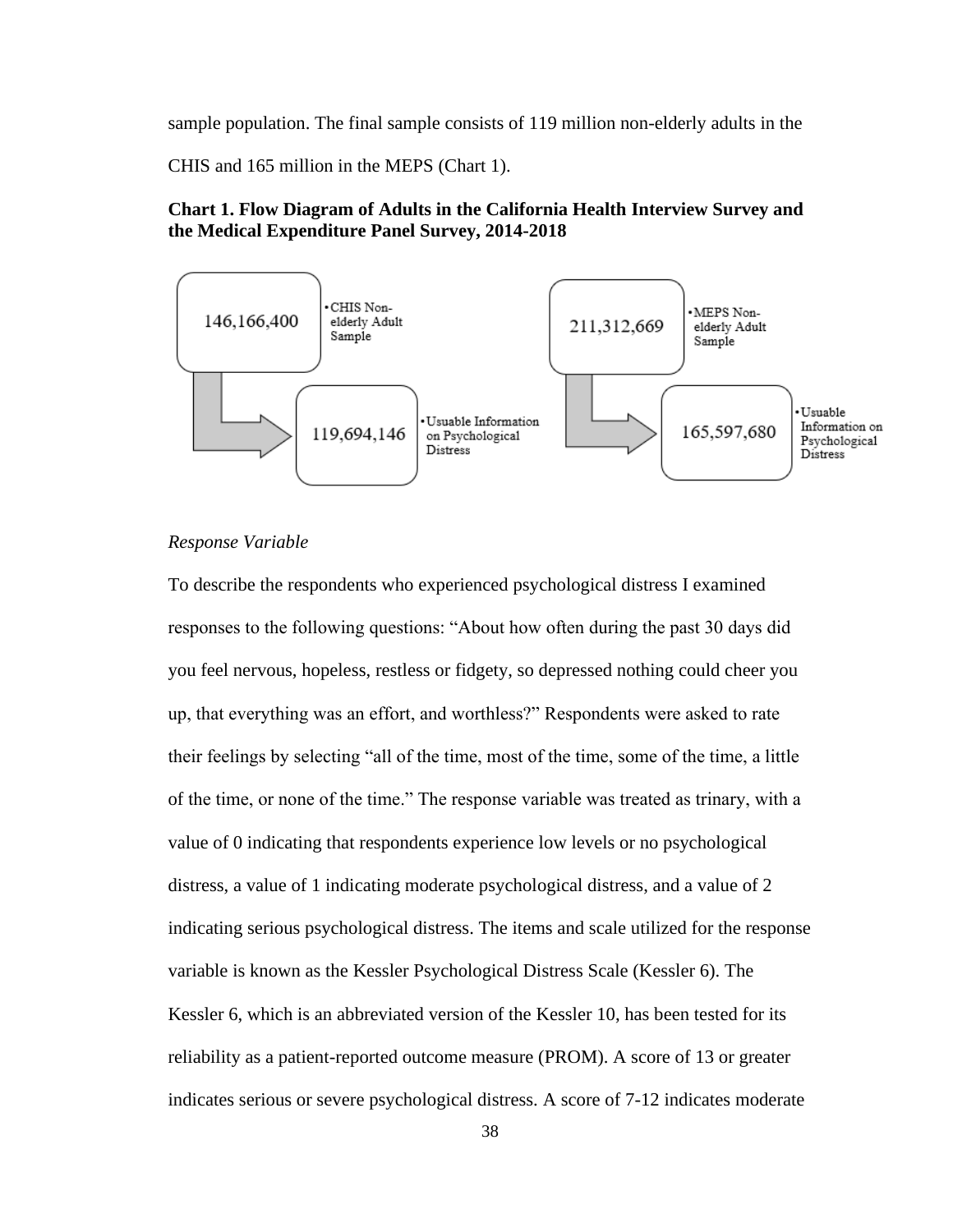sample population. The final sample consists of 119 million non-elderly adults in the

CHIS and 165 million in the MEPS (Chart 1).

# **Chart 1. Flow Diagram of Adults in the California Health Interview Survey and the Medical Expenditure Panel Survey, 2014-2018**



# *Response Variable*

To describe the respondents who experienced psychological distress I examined responses to the following questions: "About how often during the past 30 days did you feel nervous, hopeless, restless or fidgety, so depressed nothing could cheer you up, that everything was an effort, and worthless?" Respondents were asked to rate their feelings by selecting "all of the time, most of the time, some of the time, a little of the time, or none of the time." The response variable was treated as trinary, with a value of 0 indicating that respondents experience low levels or no psychological distress, a value of 1 indicating moderate psychological distress, and a value of 2 indicating serious psychological distress. The items and scale utilized for the response variable is known as the Kessler Psychological Distress Scale (Kessler 6). The Kessler 6, which is an abbreviated version of the Kessler 10, has been tested for its reliability as a patient-reported outcome measure (PROM). A score of 13 or greater indicates serious or severe psychological distress. A score of 7-12 indicates moderate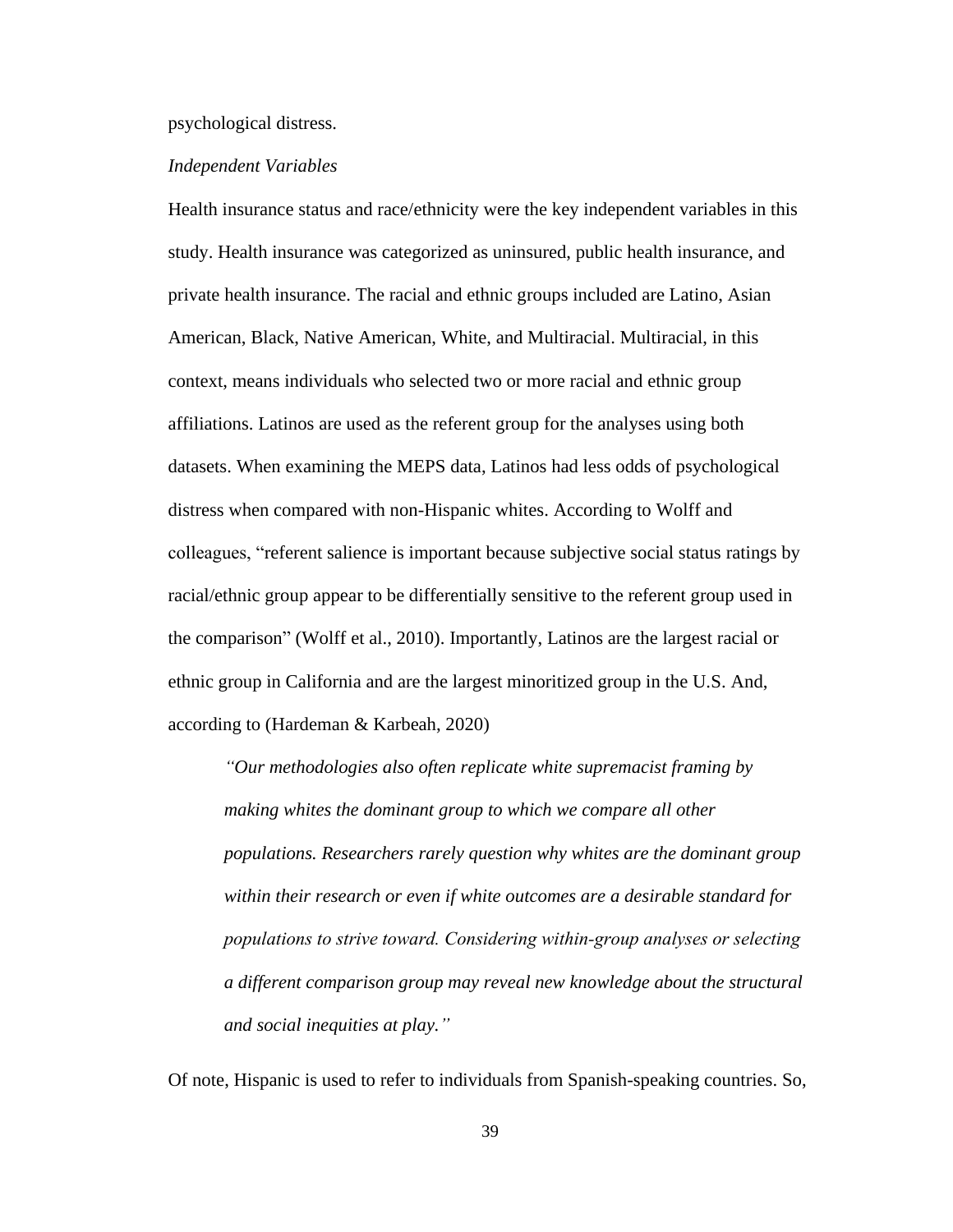#### psychological distress.

#### *Independent Variables*

Health insurance status and race/ethnicity were the key independent variables in this study. Health insurance was categorized as uninsured, public health insurance, and private health insurance. The racial and ethnic groups included are Latino, Asian American, Black, Native American, White, and Multiracial. Multiracial, in this context, means individuals who selected two or more racial and ethnic group affiliations. Latinos are used as the referent group for the analyses using both datasets. When examining the MEPS data, Latinos had less odds of psychological distress when compared with non-Hispanic whites. According to Wolff and colleagues, "referent salience is important because subjective social status ratings by racial/ethnic group appear to be differentially sensitive to the referent group used in the comparison" (Wolff et al., 2010). Importantly, Latinos are the largest racial or ethnic group in California and are the largest minoritized group in the U.S. And, according to (Hardeman & Karbeah, 2020)

*"Our methodologies also often replicate white supremacist framing by making whites the dominant group to which we compare all other populations. Researchers rarely question why whites are the dominant group within their research or even if white outcomes are a desirable standard for populations to strive toward. Considering within‐group analyses or selecting a different comparison group may reveal new knowledge about the structural and social inequities at play."*

Of note, Hispanic is used to refer to individuals from Spanish-speaking countries. So,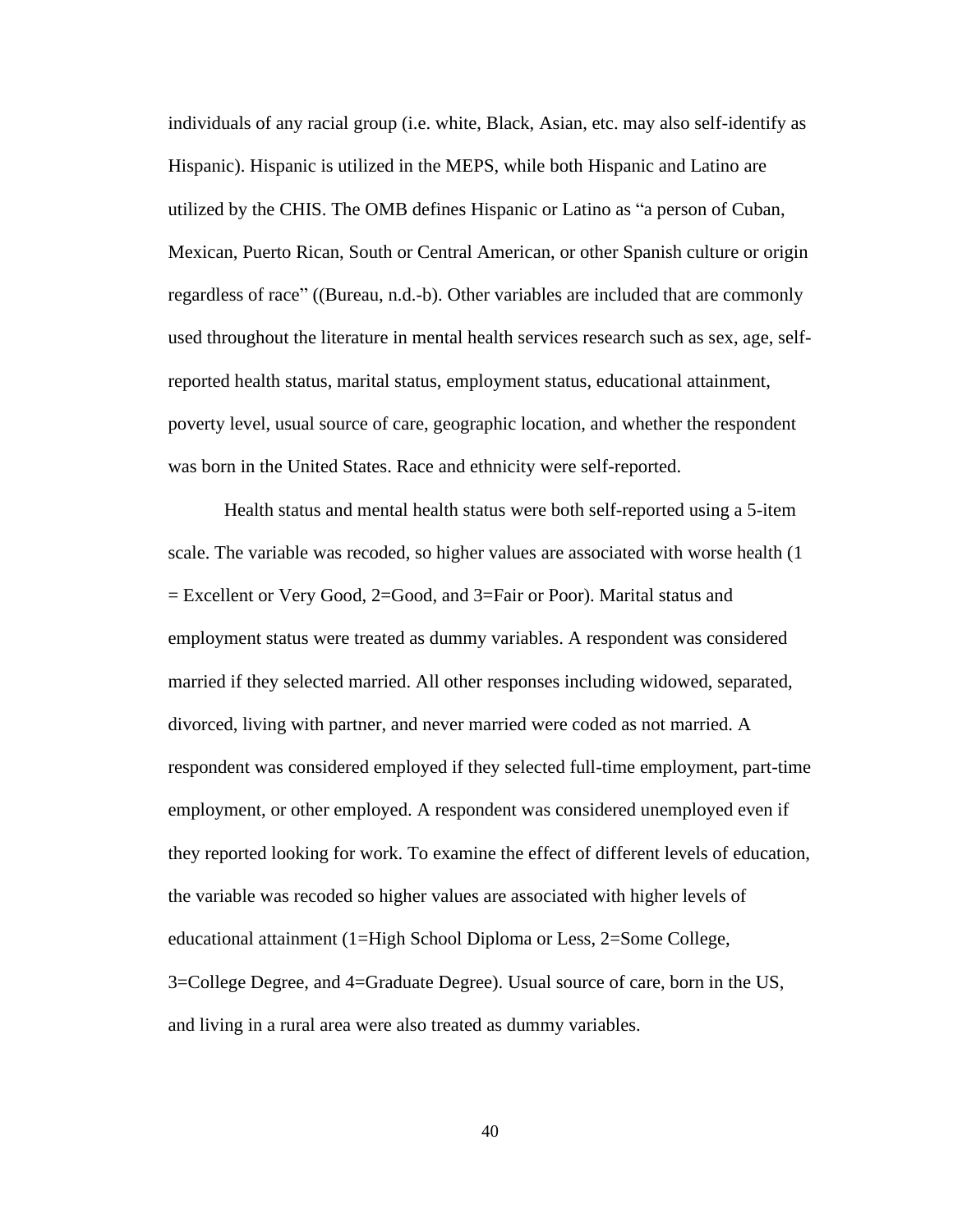individuals of any racial group (i.e. white, Black, Asian, etc. may also self-identify as Hispanic). Hispanic is utilized in the MEPS, while both Hispanic and Latino are utilized by the CHIS. The OMB defines Hispanic or Latino as "a person of Cuban, Mexican, Puerto Rican, South or Central American, or other Spanish culture or origin regardless of race" ((Bureau, n.d.-b). Other variables are included that are commonly used throughout the literature in mental health services research such as sex, age, selfreported health status, marital status, employment status, educational attainment, poverty level, usual source of care, geographic location, and whether the respondent was born in the United States. Race and ethnicity were self-reported.

Health status and mental health status were both self-reported using a 5-item scale. The variable was recoded, so higher values are associated with worse health (1 = Excellent or Very Good, 2=Good, and 3=Fair or Poor). Marital status and employment status were treated as dummy variables. A respondent was considered married if they selected married. All other responses including widowed, separated, divorced, living with partner, and never married were coded as not married. A respondent was considered employed if they selected full-time employment, part-time employment, or other employed. A respondent was considered unemployed even if they reported looking for work. To examine the effect of different levels of education, the variable was recoded so higher values are associated with higher levels of educational attainment (1=High School Diploma or Less, 2=Some College, 3=College Degree, and 4=Graduate Degree). Usual source of care, born in the US, and living in a rural area were also treated as dummy variables.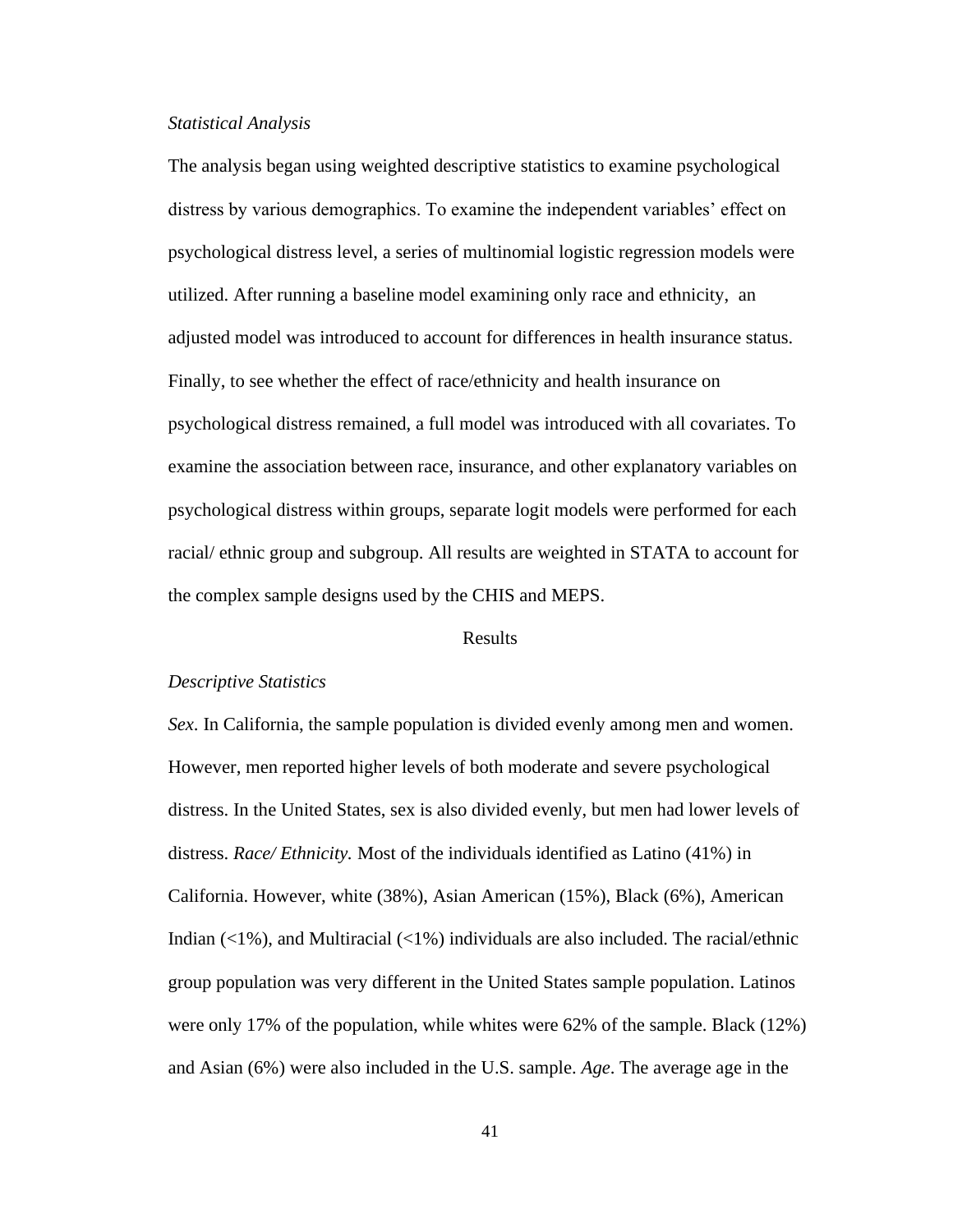#### *Statistical Analysis*

The analysis began using weighted descriptive statistics to examine psychological distress by various demographics. To examine the independent variables' effect on psychological distress level, a series of multinomial logistic regression models were utilized. After running a baseline model examining only race and ethnicity, an adjusted model was introduced to account for differences in health insurance status. Finally, to see whether the effect of race/ethnicity and health insurance on psychological distress remained, a full model was introduced with all covariates. To examine the association between race, insurance, and other explanatory variables on psychological distress within groups, separate logit models were performed for each racial/ ethnic group and subgroup. All results are weighted in STATA to account for the complex sample designs used by the CHIS and MEPS.

#### Results

#### *Descriptive Statistics*

*Sex*. In California, the sample population is divided evenly among men and women. However, men reported higher levels of both moderate and severe psychological distress. In the United States, sex is also divided evenly, but men had lower levels of distress. *Race/ Ethnicity.* Most of the individuals identified as Latino (41%) in California. However, white (38%), Asian American (15%), Black (6%), American Indian  $\left\langle \langle 1\% \rangle \right\rangle$ , and Multiracial  $\left\langle \langle 1\% \rangle \right\rangle$  individuals are also included. The racial/ethnic group population was very different in the United States sample population. Latinos were only 17% of the population, while whites were 62% of the sample. Black (12%) and Asian (6%) were also included in the U.S. sample. *Age*. The average age in the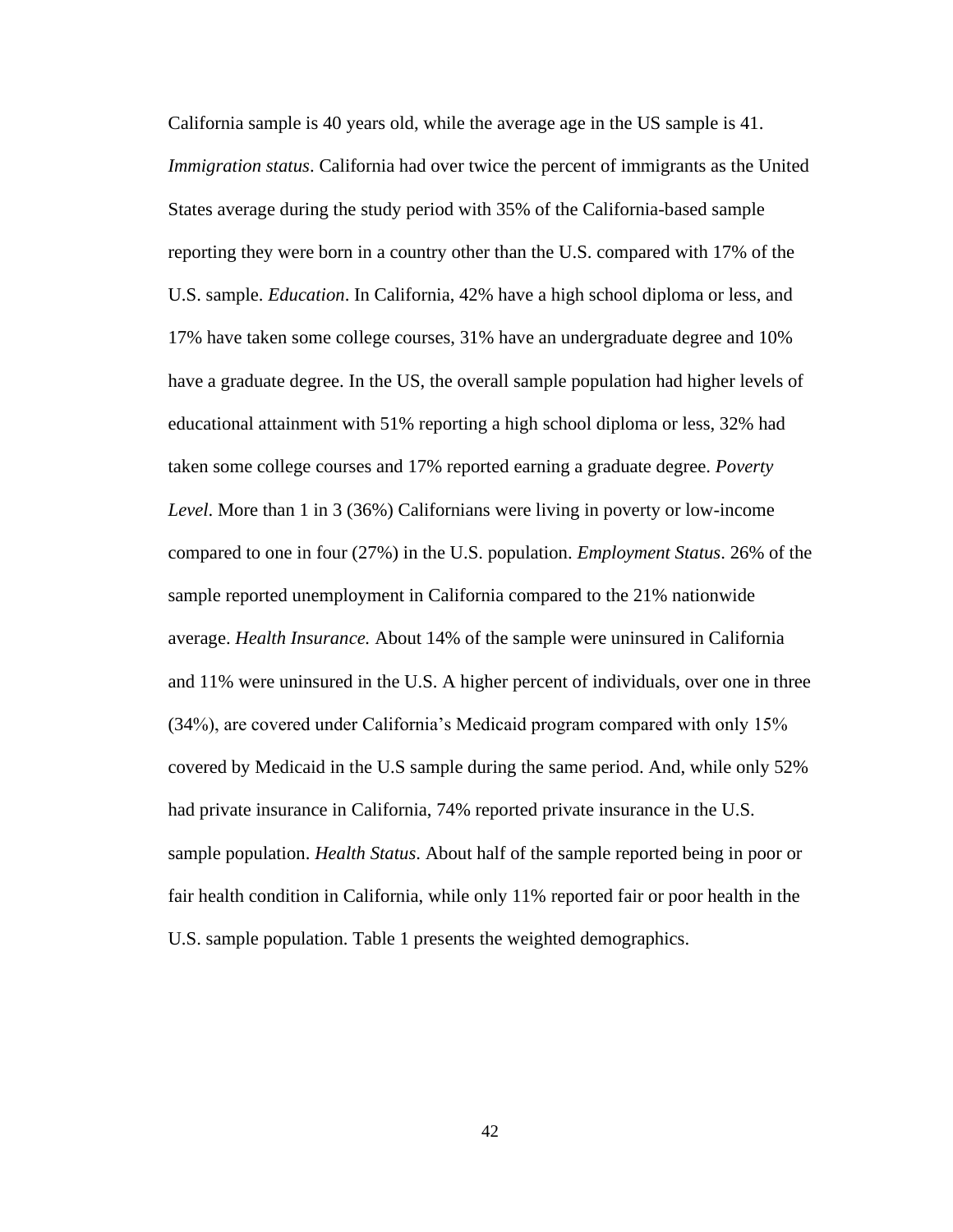California sample is 40 years old, while the average age in the US sample is 41. *Immigration status*. California had over twice the percent of immigrants as the United States average during the study period with 35% of the California-based sample reporting they were born in a country other than the U.S. compared with 17% of the U.S. sample. *Education*. In California, 42% have a high school diploma or less, and 17% have taken some college courses, 31% have an undergraduate degree and 10% have a graduate degree. In the US, the overall sample population had higher levels of educational attainment with 51% reporting a high school diploma or less, 32% had taken some college courses and 17% reported earning a graduate degree. *Poverty Level*. More than 1 in 3 (36%) Californians were living in poverty or low-income compared to one in four (27%) in the U.S. population. *Employment Status*. 26% of the sample reported unemployment in California compared to the 21% nationwide average. *Health Insurance.* About 14% of the sample were uninsured in California and 11% were uninsured in the U.S. A higher percent of individuals, over one in three (34%), are covered under California's Medicaid program compared with only 15% covered by Medicaid in the U.S sample during the same period. And, while only 52% had private insurance in California, 74% reported private insurance in the U.S. sample population. *Health Status*. About half of the sample reported being in poor or fair health condition in California, while only 11% reported fair or poor health in the U.S. sample population. Table 1 presents the weighted demographics.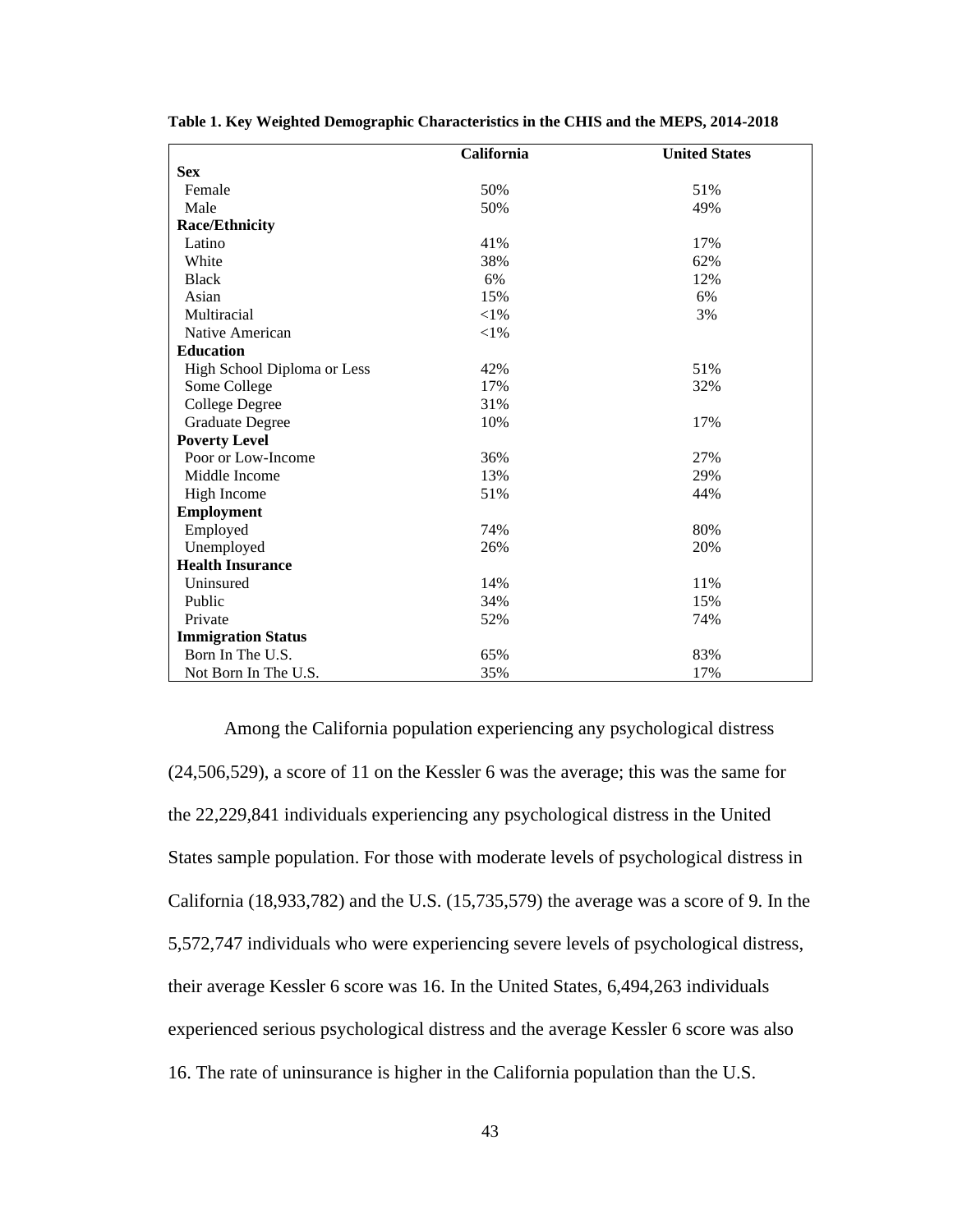|                             | California | <b>United States</b> |
|-----------------------------|------------|----------------------|
| <b>Sex</b>                  |            |                      |
| Female                      | 50%        | 51%                  |
| Male                        | 50%        | 49%                  |
| <b>Race/Ethnicity</b>       |            |                      |
| Latino                      | 41%        | 17%                  |
| White                       | 38%        | 62%                  |
| <b>Black</b>                | 6%         | 12%                  |
| Asian                       | 15%        | 6%                   |
| Multiracial                 | $<\!\!1\%$ | 3%                   |
| Native American             | ${<}1\%$   |                      |
| <b>Education</b>            |            |                      |
| High School Diploma or Less | 42%        | 51%                  |
| Some College                | 17%        | 32%                  |
| <b>College Degree</b>       | 31%        |                      |
| <b>Graduate Degree</b>      | 10%        | 17%                  |
| <b>Poverty Level</b>        |            |                      |
| Poor or Low-Income          | 36%        | 27%                  |
| Middle Income               | 13%        | 29%                  |
| High Income                 | 51%        | 44%                  |
| <b>Employment</b>           |            |                      |
| Employed                    | 74%        | 80%                  |
| Unemployed                  | 26%        | 20%                  |
| <b>Health Insurance</b>     |            |                      |
| Uninsured                   | 14%        | 11%                  |
| Public                      | 34%        | 15%                  |
| Private                     | 52%        | 74%                  |
| <b>Immigration Status</b>   |            |                      |
| Born In The U.S.            | 65%        | 83%                  |
| Not Born In The U.S.        | 35%        | 17%                  |

**Table 1. Key Weighted Demographic Characteristics in the CHIS and the MEPS, 2014-2018**

Among the California population experiencing any psychological distress (24,506,529), a score of 11 on the Kessler 6 was the average; this was the same for the 22,229,841 individuals experiencing any psychological distress in the United States sample population. For those with moderate levels of psychological distress in California (18,933,782) and the U.S. (15,735,579) the average was a score of 9. In the 5,572,747 individuals who were experiencing severe levels of psychological distress, their average Kessler 6 score was 16. In the United States, 6,494,263 individuals experienced serious psychological distress and the average Kessler 6 score was also 16. The rate of uninsurance is higher in the California population than the U.S.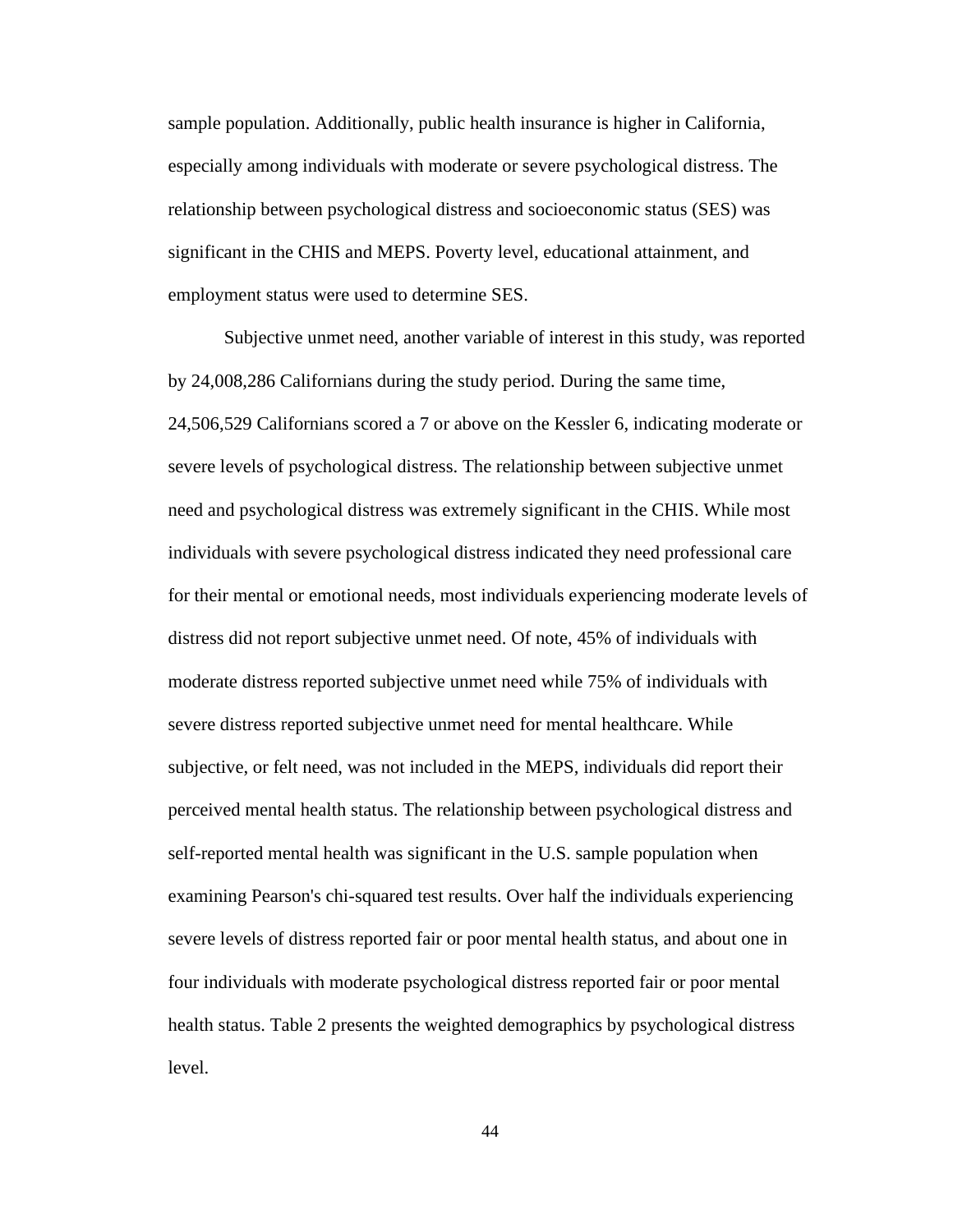sample population. Additionally, public health insurance is higher in California, especially among individuals with moderate or severe psychological distress. The relationship between psychological distress and socioeconomic status (SES) was significant in the CHIS and MEPS. Poverty level, educational attainment, and employment status were used to determine SES.

Subjective unmet need, another variable of interest in this study, was reported by 24,008,286 Californians during the study period. During the same time, 24,506,529 Californians scored a 7 or above on the Kessler 6, indicating moderate or severe levels of psychological distress. The relationship between subjective unmet need and psychological distress was extremely significant in the CHIS. While most individuals with severe psychological distress indicated they need professional care for their mental or emotional needs, most individuals experiencing moderate levels of distress did not report subjective unmet need. Of note, 45% of individuals with moderate distress reported subjective unmet need while 75% of individuals with severe distress reported subjective unmet need for mental healthcare. While subjective, or felt need, was not included in the MEPS, individuals did report their perceived mental health status. The relationship between psychological distress and self-reported mental health was significant in the U.S. sample population when examining Pearson's chi-squared test results. Over half the individuals experiencing severe levels of distress reported fair or poor mental health status, and about one in four individuals with moderate psychological distress reported fair or poor mental health status. Table 2 presents the weighted demographics by psychological distress level.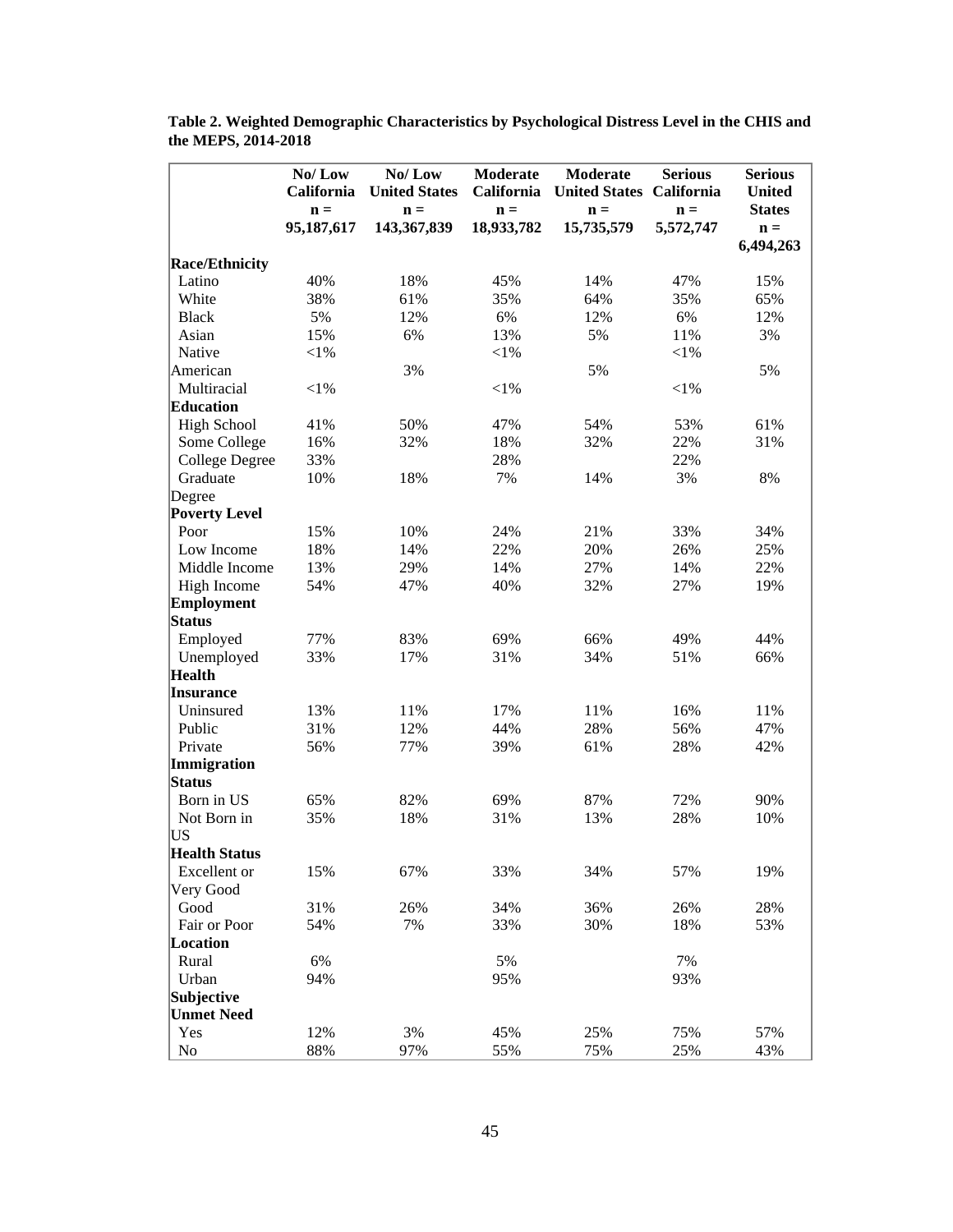|                       | No/Low         | No/Low               | Moderate       | <b>Moderate</b>                 | <b>Serious</b> | <b>Serious</b> |
|-----------------------|----------------|----------------------|----------------|---------------------------------|----------------|----------------|
|                       | California     | <b>United States</b> | California     | <b>United States California</b> |                | <b>United</b>  |
|                       | $\mathbf{n} =$ | $\mathbf{n} =$       | $\mathbf{n} =$ | $\mathbf{n} =$                  | $\mathbf{n} =$ | <b>States</b>  |
|                       | 95,187,617     | 143,367,839          | 18,933,782     | 15,735,579                      | 5,572,747      | $\mathbf{n} =$ |
|                       |                |                      |                |                                 |                | 6,494,263      |
| <b>Race/Ethnicity</b> |                |                      |                |                                 |                |                |
| Latino                | 40%            | 18%                  | 45%            | 14%                             | 47%            | 15%            |
| White                 | 38%            | 61%                  | 35%            | 64%                             | 35%            | 65%            |
| <b>Black</b>          | 5%             | 12%                  | 6%             | 12%                             | 6%             | 12%            |
| Asian                 | 15%            | 6%                   | 13%            | 5%                              | 11%            | 3%             |
| Native                | $<$ 1%         |                      | $<\!\!1\%$     |                                 | $<$ 1%         |                |
| American              |                | 3%                   |                | 5%                              |                | 5%             |
| Multiracial           | $<$ 1%         |                      | $<\!\!1\%$     |                                 | $<$ 1%         |                |
| <b>Education</b>      |                |                      |                |                                 |                |                |
| <b>High School</b>    | 41%            | 50%                  | 47%            | 54%                             | 53%            | 61%            |
| Some College          | 16%            | 32%                  | 18%            | 32%                             | 22%            | 31%            |
| <b>College Degree</b> | 33%            |                      | 28%            |                                 | 22%            |                |
| Graduate              | 10%            | 18%                  | 7%             | 14%                             | 3%             | 8%             |
| Degree                |                |                      |                |                                 |                |                |
| <b>Poverty Level</b>  |                |                      |                |                                 |                |                |
| Poor                  | 15%            | 10%                  | 24%            | 21%                             | 33%            | 34%            |
| Low Income            | 18%            | 14%                  | 22%            | 20%                             | 26%            | 25%            |
| Middle Income         | 13%            | 29%                  | 14%            | 27%                             | 14%            | 22%            |
| High Income           | 54%            | 47%                  | 40%            | 32%                             | 27%            | 19%            |
| <b>Employment</b>     |                |                      |                |                                 |                |                |
| <b>Status</b>         |                |                      |                |                                 |                |                |
| Employed              | 77%            | 83%                  | 69%            | 66%                             | 49%            | 44%            |
| Unemployed            | 33%            | 17%                  | 31%            | 34%                             | 51%            | 66%            |
| <b>Health</b>         |                |                      |                |                                 |                |                |
| <b>Insurance</b>      |                |                      |                |                                 |                |                |
| Uninsured             | 13%            | 11%                  | 17%            | 11%                             | 16%            | 11%            |
| Public                | 31%            | 12%                  | 44%            | 28%                             | 56%            | 47%            |
| Private               | 56%            | 77%                  | 39%            | 61%                             | 28%            | 42%            |
| Immigration           |                |                      |                |                                 |                |                |
| <b>Status</b>         |                |                      |                |                                 |                |                |
| Born in US            | 65%            | 82%                  | 69%            | 87%                             | 72%            | 90%            |
| Not Born in           | 35%            | 18%                  | 31%            | 13%                             | 28%            | 10%            |
| US                    |                |                      |                |                                 |                |                |
| <b>Health Status</b>  |                |                      |                |                                 |                |                |
| Excellent or          | 15%            | 67%                  | 33%            | 34%                             | 57%            | 19%            |
| Very Good             |                |                      |                |                                 |                |                |
| Good                  | 31%            | 26%                  | 34%            | 36%                             | 26%            | 28%            |
| Fair or Poor          | 54%            | 7%                   | 33%            | 30%                             | 18%            | 53%            |
| Location              |                |                      |                |                                 |                |                |
| Rural                 | 6%             |                      | 5%             |                                 | 7%             |                |
| Urban                 | 94%            |                      | 95%            |                                 | 93%            |                |
| Subjective            |                |                      |                |                                 |                |                |
| <b>Unmet Need</b>     |                |                      |                |                                 |                |                |
| Yes                   | 12%            | 3%                   | 45%            | 25%                             | 75%            | 57%            |
| No                    | 88%            | 97%                  | 55%            | 75%                             | 25%            | 43%            |
|                       |                |                      |                |                                 |                |                |

**Table 2. Weighted Demographic Characteristics by Psychological Distress Level in the CHIS and the MEPS, 2014-2018**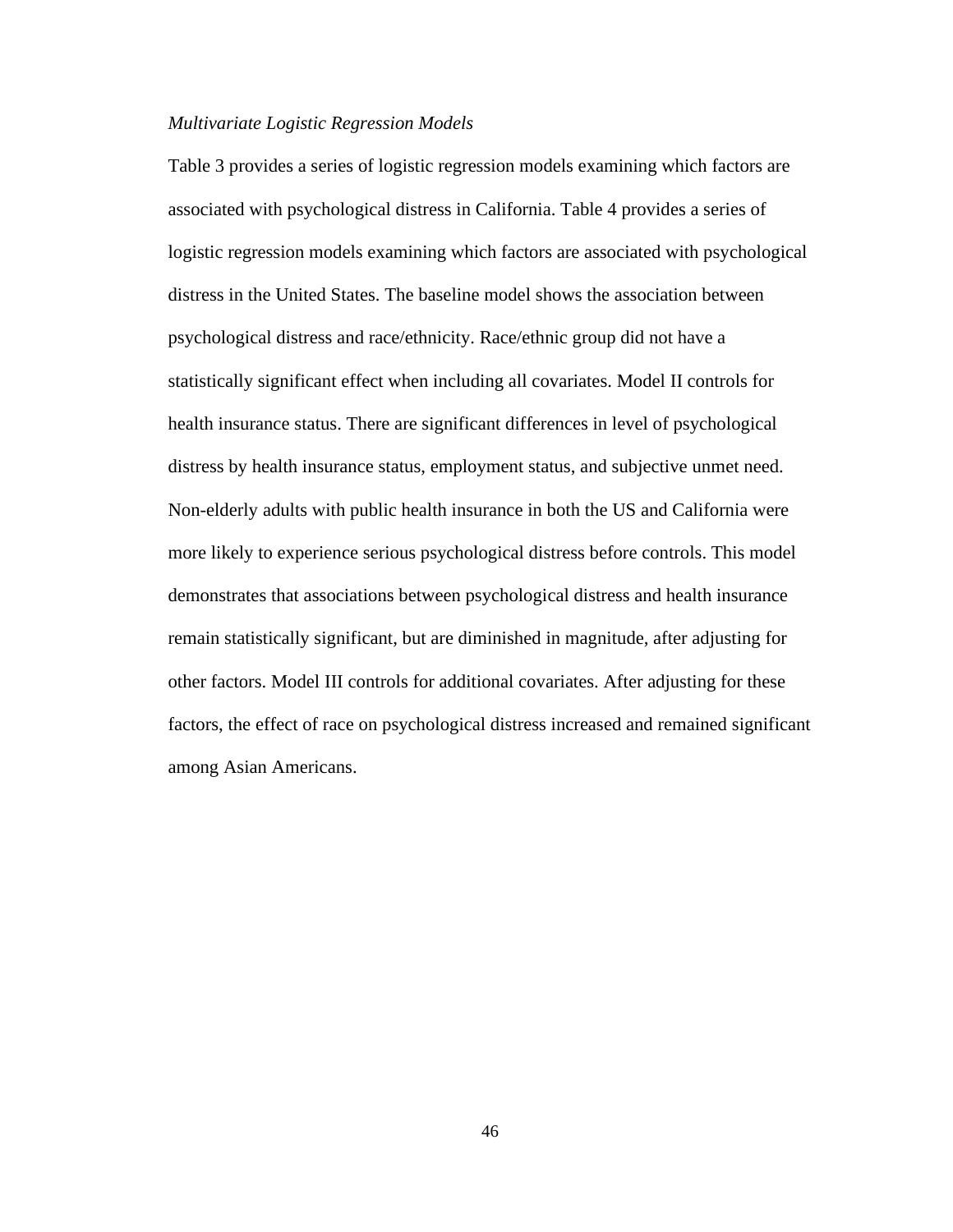#### *Multivariate Logistic Regression Models*

Table 3 provides a series of logistic regression models examining which factors are associated with psychological distress in California. Table 4 provides a series of logistic regression models examining which factors are associated with psychological distress in the United States. The baseline model shows the association between psychological distress and race/ethnicity. Race/ethnic group did not have a statistically significant effect when including all covariates. Model II controls for health insurance status. There are significant differences in level of psychological distress by health insurance status, employment status, and subjective unmet need. Non-elderly adults with public health insurance in both the US and California were more likely to experience serious psychological distress before controls. This model demonstrates that associations between psychological distress and health insurance remain statistically significant, but are diminished in magnitude, after adjusting for other factors. Model III controls for additional covariates. After adjusting for these factors, the effect of race on psychological distress increased and remained significant among Asian Americans.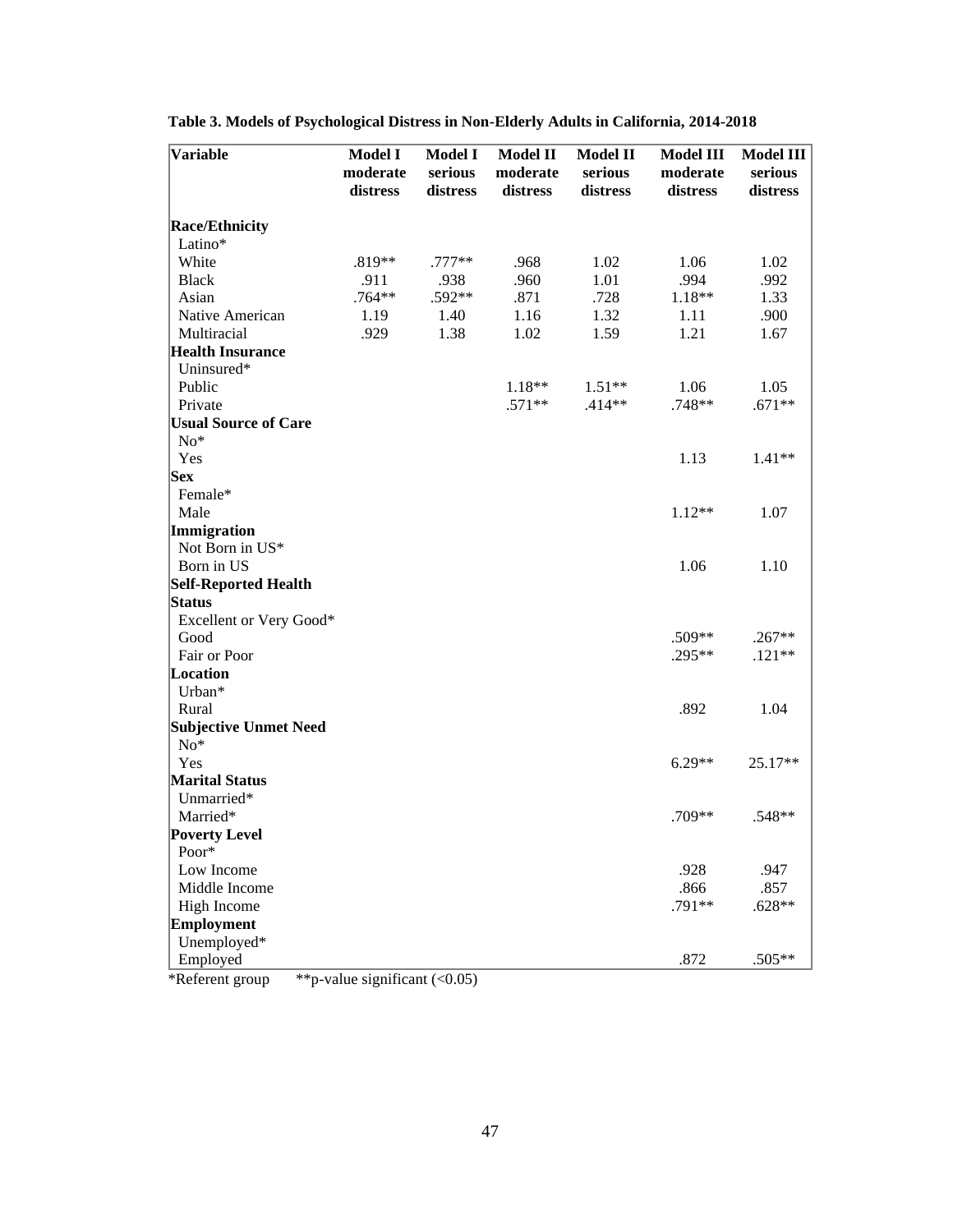| serious<br>serious<br>serious<br>moderate<br>moderate<br>moderate<br>distress<br>distress<br>distress<br>distress<br>distress<br>distress<br><b>Race/Ethnicity</b><br>Latino*<br>White<br>.819**<br>$.777**$<br>.968<br>1.02<br>1.06<br>1.02<br>.960<br>1.01<br>.994<br>.992<br><b>Black</b><br>.911<br>.938<br>.764**<br>$.592**$<br>.871<br>.728<br>Asian<br>$1.18**$<br>1.33<br>1.16<br>1.32<br>.900<br>Native American<br>1.19<br>1.40<br>1.11<br>Multiracial<br>.929<br>1.38<br>1.02<br>1.59<br>1.21<br>1.67<br><b>Health Insurance</b><br>Uninsured*<br>Public<br>$1.18**$<br>$1.51**$<br>1.06<br>1.05<br>Private<br>$.571**$<br>.748**<br>$.671**$<br>$.414**$<br><b>Usual Source of Care</b><br>$No*$<br>Yes<br>1.13<br>$1.41**$<br><b>Sex</b><br>Female*<br>Male<br>$1.12**$<br>1.07<br>Immigration<br>Not Born in US*<br>Born in US<br>1.06<br>1.10<br>Self-Reported Health<br><b>Status</b><br>Excellent or Very Good*<br>Good<br>.509**<br>$.267**$<br>Fair or Poor<br>.295**<br>$.121**$<br>Location<br>Urban*<br>Rural<br>.892<br>1.04<br><b>Subjective Unmet Need</b><br>$No*$<br>$6.29**$<br>25.17**<br>Yes<br><b>Marital Status</b><br>Unmarried*<br>Married*<br>.709**<br>.548**<br><b>Poverty Level</b><br>Poor*<br>Low Income<br>.928<br>.947<br>Middle Income<br>.866<br>.857<br>$.628**$<br>.791**<br>High Income<br>Employment<br>Unemployed*<br>.872<br>.505**<br>Employed | Variable | <b>Model I</b> | <b>Model I</b> | <b>Model II</b> | <b>Model II</b> | <b>Model III</b> | Model III |
|----------------------------------------------------------------------------------------------------------------------------------------------------------------------------------------------------------------------------------------------------------------------------------------------------------------------------------------------------------------------------------------------------------------------------------------------------------------------------------------------------------------------------------------------------------------------------------------------------------------------------------------------------------------------------------------------------------------------------------------------------------------------------------------------------------------------------------------------------------------------------------------------------------------------------------------------------------------------------------------------------------------------------------------------------------------------------------------------------------------------------------------------------------------------------------------------------------------------------------------------------------------------------------------------------------------------------------------------------------------------------------------------------|----------|----------------|----------------|-----------------|-----------------|------------------|-----------|
|                                                                                                                                                                                                                                                                                                                                                                                                                                                                                                                                                                                                                                                                                                                                                                                                                                                                                                                                                                                                                                                                                                                                                                                                                                                                                                                                                                                                    |          |                |                |                 |                 |                  |           |
|                                                                                                                                                                                                                                                                                                                                                                                                                                                                                                                                                                                                                                                                                                                                                                                                                                                                                                                                                                                                                                                                                                                                                                                                                                                                                                                                                                                                    |          |                |                |                 |                 |                  |           |
|                                                                                                                                                                                                                                                                                                                                                                                                                                                                                                                                                                                                                                                                                                                                                                                                                                                                                                                                                                                                                                                                                                                                                                                                                                                                                                                                                                                                    |          |                |                |                 |                 |                  |           |
|                                                                                                                                                                                                                                                                                                                                                                                                                                                                                                                                                                                                                                                                                                                                                                                                                                                                                                                                                                                                                                                                                                                                                                                                                                                                                                                                                                                                    |          |                |                |                 |                 |                  |           |
|                                                                                                                                                                                                                                                                                                                                                                                                                                                                                                                                                                                                                                                                                                                                                                                                                                                                                                                                                                                                                                                                                                                                                                                                                                                                                                                                                                                                    |          |                |                |                 |                 |                  |           |
|                                                                                                                                                                                                                                                                                                                                                                                                                                                                                                                                                                                                                                                                                                                                                                                                                                                                                                                                                                                                                                                                                                                                                                                                                                                                                                                                                                                                    |          |                |                |                 |                 |                  |           |
|                                                                                                                                                                                                                                                                                                                                                                                                                                                                                                                                                                                                                                                                                                                                                                                                                                                                                                                                                                                                                                                                                                                                                                                                                                                                                                                                                                                                    |          |                |                |                 |                 |                  |           |
|                                                                                                                                                                                                                                                                                                                                                                                                                                                                                                                                                                                                                                                                                                                                                                                                                                                                                                                                                                                                                                                                                                                                                                                                                                                                                                                                                                                                    |          |                |                |                 |                 |                  |           |
|                                                                                                                                                                                                                                                                                                                                                                                                                                                                                                                                                                                                                                                                                                                                                                                                                                                                                                                                                                                                                                                                                                                                                                                                                                                                                                                                                                                                    |          |                |                |                 |                 |                  |           |
|                                                                                                                                                                                                                                                                                                                                                                                                                                                                                                                                                                                                                                                                                                                                                                                                                                                                                                                                                                                                                                                                                                                                                                                                                                                                                                                                                                                                    |          |                |                |                 |                 |                  |           |
|                                                                                                                                                                                                                                                                                                                                                                                                                                                                                                                                                                                                                                                                                                                                                                                                                                                                                                                                                                                                                                                                                                                                                                                                                                                                                                                                                                                                    |          |                |                |                 |                 |                  |           |
|                                                                                                                                                                                                                                                                                                                                                                                                                                                                                                                                                                                                                                                                                                                                                                                                                                                                                                                                                                                                                                                                                                                                                                                                                                                                                                                                                                                                    |          |                |                |                 |                 |                  |           |
|                                                                                                                                                                                                                                                                                                                                                                                                                                                                                                                                                                                                                                                                                                                                                                                                                                                                                                                                                                                                                                                                                                                                                                                                                                                                                                                                                                                                    |          |                |                |                 |                 |                  |           |
|                                                                                                                                                                                                                                                                                                                                                                                                                                                                                                                                                                                                                                                                                                                                                                                                                                                                                                                                                                                                                                                                                                                                                                                                                                                                                                                                                                                                    |          |                |                |                 |                 |                  |           |
|                                                                                                                                                                                                                                                                                                                                                                                                                                                                                                                                                                                                                                                                                                                                                                                                                                                                                                                                                                                                                                                                                                                                                                                                                                                                                                                                                                                                    |          |                |                |                 |                 |                  |           |
|                                                                                                                                                                                                                                                                                                                                                                                                                                                                                                                                                                                                                                                                                                                                                                                                                                                                                                                                                                                                                                                                                                                                                                                                                                                                                                                                                                                                    |          |                |                |                 |                 |                  |           |
|                                                                                                                                                                                                                                                                                                                                                                                                                                                                                                                                                                                                                                                                                                                                                                                                                                                                                                                                                                                                                                                                                                                                                                                                                                                                                                                                                                                                    |          |                |                |                 |                 |                  |           |
|                                                                                                                                                                                                                                                                                                                                                                                                                                                                                                                                                                                                                                                                                                                                                                                                                                                                                                                                                                                                                                                                                                                                                                                                                                                                                                                                                                                                    |          |                |                |                 |                 |                  |           |
|                                                                                                                                                                                                                                                                                                                                                                                                                                                                                                                                                                                                                                                                                                                                                                                                                                                                                                                                                                                                                                                                                                                                                                                                                                                                                                                                                                                                    |          |                |                |                 |                 |                  |           |
|                                                                                                                                                                                                                                                                                                                                                                                                                                                                                                                                                                                                                                                                                                                                                                                                                                                                                                                                                                                                                                                                                                                                                                                                                                                                                                                                                                                                    |          |                |                |                 |                 |                  |           |
|                                                                                                                                                                                                                                                                                                                                                                                                                                                                                                                                                                                                                                                                                                                                                                                                                                                                                                                                                                                                                                                                                                                                                                                                                                                                                                                                                                                                    |          |                |                |                 |                 |                  |           |
|                                                                                                                                                                                                                                                                                                                                                                                                                                                                                                                                                                                                                                                                                                                                                                                                                                                                                                                                                                                                                                                                                                                                                                                                                                                                                                                                                                                                    |          |                |                |                 |                 |                  |           |
|                                                                                                                                                                                                                                                                                                                                                                                                                                                                                                                                                                                                                                                                                                                                                                                                                                                                                                                                                                                                                                                                                                                                                                                                                                                                                                                                                                                                    |          |                |                |                 |                 |                  |           |
|                                                                                                                                                                                                                                                                                                                                                                                                                                                                                                                                                                                                                                                                                                                                                                                                                                                                                                                                                                                                                                                                                                                                                                                                                                                                                                                                                                                                    |          |                |                |                 |                 |                  |           |
|                                                                                                                                                                                                                                                                                                                                                                                                                                                                                                                                                                                                                                                                                                                                                                                                                                                                                                                                                                                                                                                                                                                                                                                                                                                                                                                                                                                                    |          |                |                |                 |                 |                  |           |
|                                                                                                                                                                                                                                                                                                                                                                                                                                                                                                                                                                                                                                                                                                                                                                                                                                                                                                                                                                                                                                                                                                                                                                                                                                                                                                                                                                                                    |          |                |                |                 |                 |                  |           |
|                                                                                                                                                                                                                                                                                                                                                                                                                                                                                                                                                                                                                                                                                                                                                                                                                                                                                                                                                                                                                                                                                                                                                                                                                                                                                                                                                                                                    |          |                |                |                 |                 |                  |           |
|                                                                                                                                                                                                                                                                                                                                                                                                                                                                                                                                                                                                                                                                                                                                                                                                                                                                                                                                                                                                                                                                                                                                                                                                                                                                                                                                                                                                    |          |                |                |                 |                 |                  |           |
|                                                                                                                                                                                                                                                                                                                                                                                                                                                                                                                                                                                                                                                                                                                                                                                                                                                                                                                                                                                                                                                                                                                                                                                                                                                                                                                                                                                                    |          |                |                |                 |                 |                  |           |
|                                                                                                                                                                                                                                                                                                                                                                                                                                                                                                                                                                                                                                                                                                                                                                                                                                                                                                                                                                                                                                                                                                                                                                                                                                                                                                                                                                                                    |          |                |                |                 |                 |                  |           |
|                                                                                                                                                                                                                                                                                                                                                                                                                                                                                                                                                                                                                                                                                                                                                                                                                                                                                                                                                                                                                                                                                                                                                                                                                                                                                                                                                                                                    |          |                |                |                 |                 |                  |           |
|                                                                                                                                                                                                                                                                                                                                                                                                                                                                                                                                                                                                                                                                                                                                                                                                                                                                                                                                                                                                                                                                                                                                                                                                                                                                                                                                                                                                    |          |                |                |                 |                 |                  |           |
|                                                                                                                                                                                                                                                                                                                                                                                                                                                                                                                                                                                                                                                                                                                                                                                                                                                                                                                                                                                                                                                                                                                                                                                                                                                                                                                                                                                                    |          |                |                |                 |                 |                  |           |
|                                                                                                                                                                                                                                                                                                                                                                                                                                                                                                                                                                                                                                                                                                                                                                                                                                                                                                                                                                                                                                                                                                                                                                                                                                                                                                                                                                                                    |          |                |                |                 |                 |                  |           |
|                                                                                                                                                                                                                                                                                                                                                                                                                                                                                                                                                                                                                                                                                                                                                                                                                                                                                                                                                                                                                                                                                                                                                                                                                                                                                                                                                                                                    |          |                |                |                 |                 |                  |           |
|                                                                                                                                                                                                                                                                                                                                                                                                                                                                                                                                                                                                                                                                                                                                                                                                                                                                                                                                                                                                                                                                                                                                                                                                                                                                                                                                                                                                    |          |                |                |                 |                 |                  |           |
|                                                                                                                                                                                                                                                                                                                                                                                                                                                                                                                                                                                                                                                                                                                                                                                                                                                                                                                                                                                                                                                                                                                                                                                                                                                                                                                                                                                                    |          |                |                |                 |                 |                  |           |
|                                                                                                                                                                                                                                                                                                                                                                                                                                                                                                                                                                                                                                                                                                                                                                                                                                                                                                                                                                                                                                                                                                                                                                                                                                                                                                                                                                                                    |          |                |                |                 |                 |                  |           |
|                                                                                                                                                                                                                                                                                                                                                                                                                                                                                                                                                                                                                                                                                                                                                                                                                                                                                                                                                                                                                                                                                                                                                                                                                                                                                                                                                                                                    |          |                |                |                 |                 |                  |           |
|                                                                                                                                                                                                                                                                                                                                                                                                                                                                                                                                                                                                                                                                                                                                                                                                                                                                                                                                                                                                                                                                                                                                                                                                                                                                                                                                                                                                    |          |                |                |                 |                 |                  |           |
|                                                                                                                                                                                                                                                                                                                                                                                                                                                                                                                                                                                                                                                                                                                                                                                                                                                                                                                                                                                                                                                                                                                                                                                                                                                                                                                                                                                                    |          |                |                |                 |                 |                  |           |
|                                                                                                                                                                                                                                                                                                                                                                                                                                                                                                                                                                                                                                                                                                                                                                                                                                                                                                                                                                                                                                                                                                                                                                                                                                                                                                                                                                                                    |          |                |                |                 |                 |                  |           |
|                                                                                                                                                                                                                                                                                                                                                                                                                                                                                                                                                                                                                                                                                                                                                                                                                                                                                                                                                                                                                                                                                                                                                                                                                                                                                                                                                                                                    |          |                |                |                 |                 |                  |           |
|                                                                                                                                                                                                                                                                                                                                                                                                                                                                                                                                                                                                                                                                                                                                                                                                                                                                                                                                                                                                                                                                                                                                                                                                                                                                                                                                                                                                    |          |                |                |                 |                 |                  |           |

**Table 3. Models of Psychological Distress in Non-Elderly Adults in California, 2014-2018**

\*Referent group  $*$ \*p-value significant (<0.05)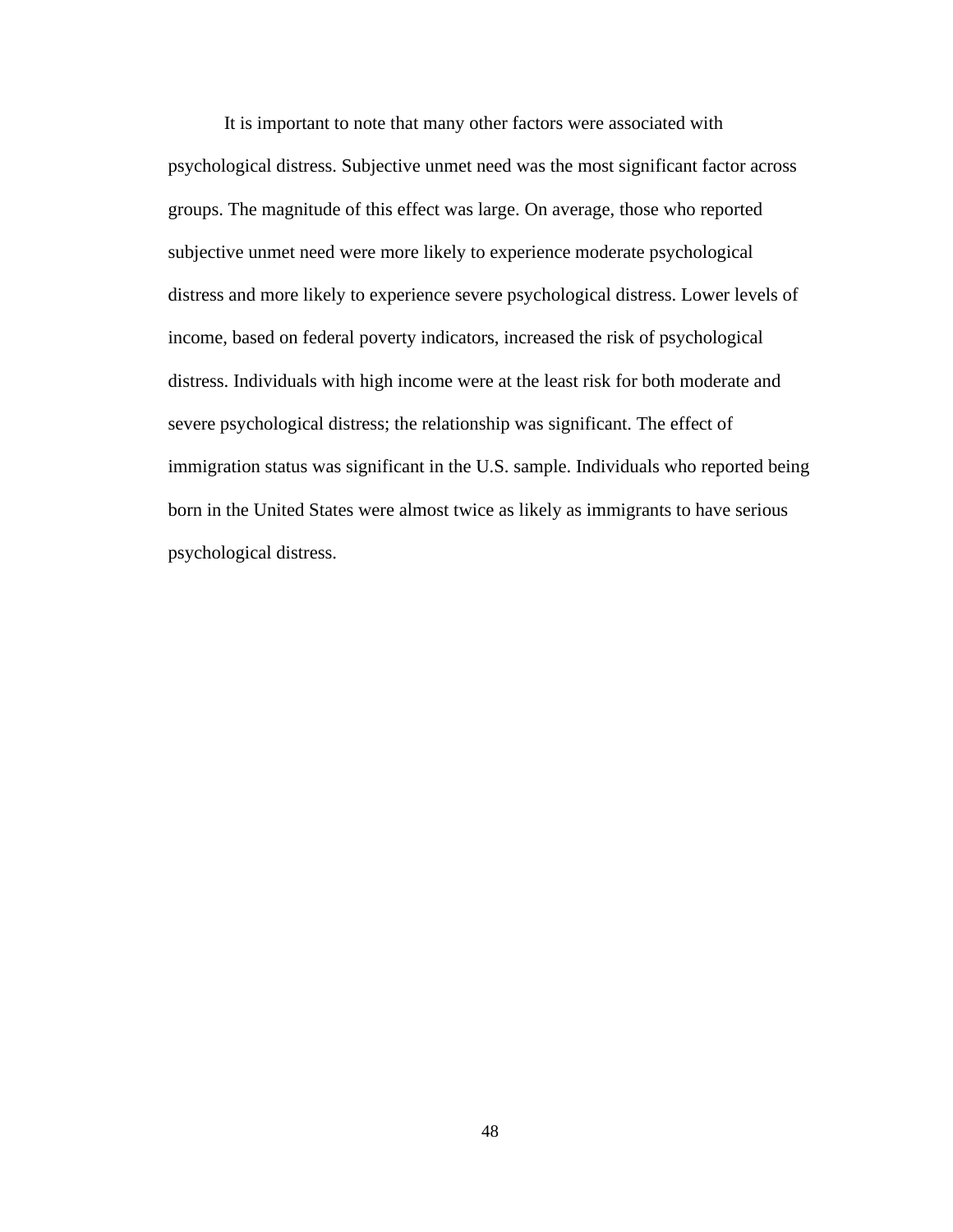It is important to note that many other factors were associated with psychological distress. Subjective unmet need was the most significant factor across groups. The magnitude of this effect was large. On average, those who reported subjective unmet need were more likely to experience moderate psychological distress and more likely to experience severe psychological distress. Lower levels of income, based on federal poverty indicators, increased the risk of psychological distress. Individuals with high income were at the least risk for both moderate and severe psychological distress; the relationship was significant. The effect of immigration status was significant in the U.S. sample. Individuals who reported being born in the United States were almost twice as likely as immigrants to have serious psychological distress.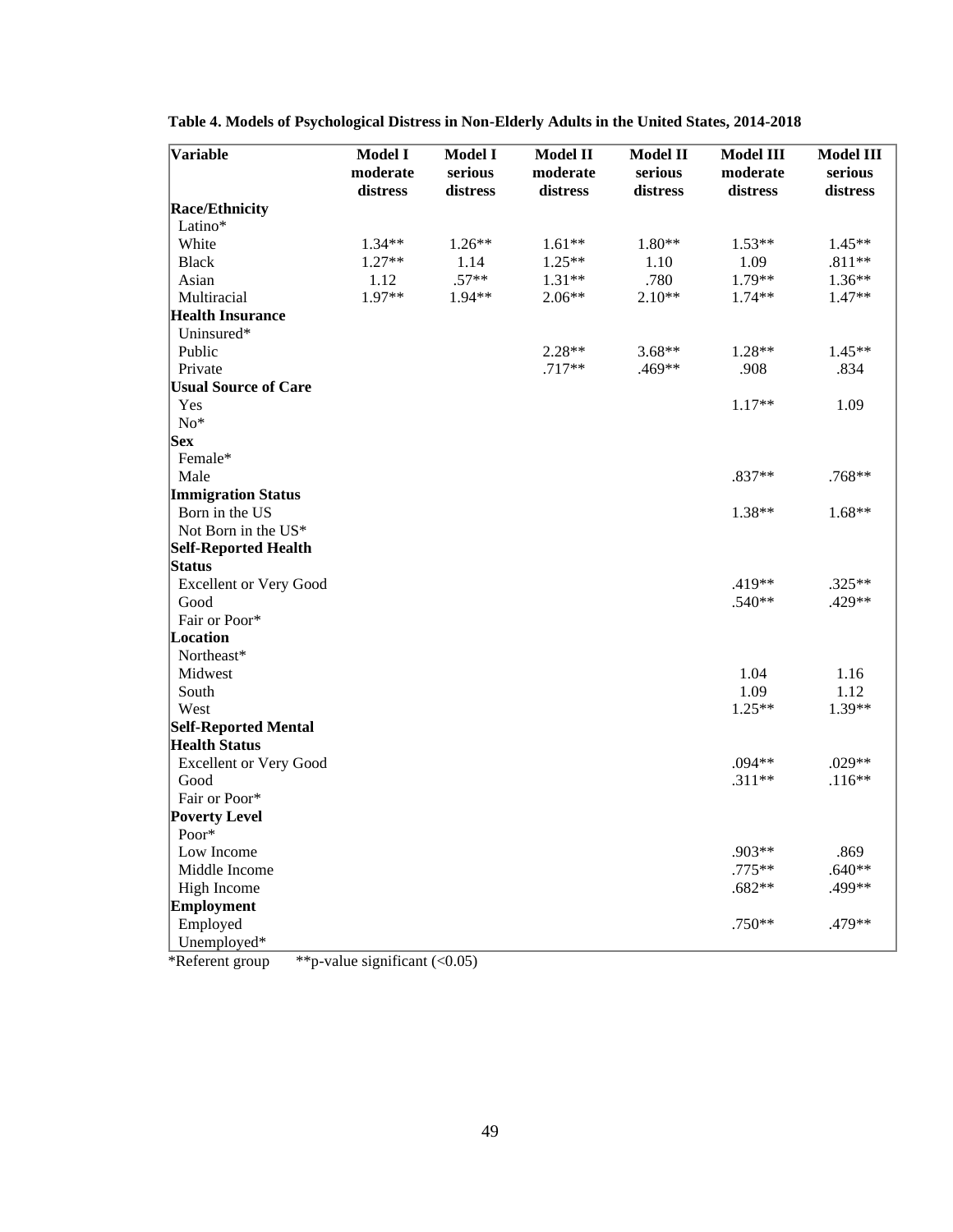| Race/Ethnicity<br>Latino*<br>White<br>$1.34**$<br>$1.26**$<br>$1.61**$<br>$1.80**$<br>$1.53**$<br>$1.45**$<br>1.09<br>$.811**$<br><b>Black</b><br>$1.27**$<br>1.14<br>$1.25**$<br>1.10<br>1.12<br>$.57**$<br>.780<br>1.79**<br>$1.36**$<br>Asian<br>$1.31**$<br>1.97**<br>Multiracial<br>1.94**<br>$2.06**$<br>$2.10**$<br>1.74**<br>1.47**<br><b>Health Insurance</b><br>Uninsured*<br>Public<br>2.28**<br>$3.68**$<br>1.28**<br>$1.45**$<br>.908<br>Private<br>$.717**$<br>.469**<br>.834<br><b>Usual Source of Care</b><br>1.09<br>Yes<br>$1.17**$<br>$No*$<br> Sex <br>Female*<br>Male<br>.837**<br>$.768**$<br><b>Immigration Status</b><br>1.38**<br>$1.68**$<br>Born in the US<br>Not Born in the US*<br><b>Self-Reported Health</b><br><b>Status</b><br>.419**<br>.325**<br><b>Excellent or Very Good</b><br>.540**<br>.429**<br>Good<br>Fair or Poor*<br>Location<br>Northeast*<br>Midwest<br>1.04<br>1.16<br>1.09<br>1.12<br>South<br>West<br>$1.25**$<br>1.39**<br><b>Self-Reported Mental</b><br><b>Health Status</b><br>.029**<br><b>Excellent or Very Good</b><br>.094**<br>$.311**$<br>$.116**$<br>Good<br>Fair or Poor*<br><b>Poverty Level</b><br>Poor*<br>.903**<br>.869<br>Low Income<br>.775**<br>$.640**$<br>Middle Income<br>$.682**$<br>.499**<br>High Income<br><b>Employment</b><br>.479**<br>Employed<br>.750** | Variable    | <b>Model I</b><br>moderate<br>distress | Model I<br>serious<br>distress | <b>Model II</b><br>moderate<br>distress | <b>Model II</b><br>serious<br>distress | <b>Model III</b><br>moderate<br>distress | <b>Model III</b><br>serious<br>distress |
|-------------------------------------------------------------------------------------------------------------------------------------------------------------------------------------------------------------------------------------------------------------------------------------------------------------------------------------------------------------------------------------------------------------------------------------------------------------------------------------------------------------------------------------------------------------------------------------------------------------------------------------------------------------------------------------------------------------------------------------------------------------------------------------------------------------------------------------------------------------------------------------------------------------------------------------------------------------------------------------------------------------------------------------------------------------------------------------------------------------------------------------------------------------------------------------------------------------------------------------------------------------------------------------------------------------------------------------------|-------------|----------------------------------------|--------------------------------|-----------------------------------------|----------------------------------------|------------------------------------------|-----------------------------------------|
|                                                                                                                                                                                                                                                                                                                                                                                                                                                                                                                                                                                                                                                                                                                                                                                                                                                                                                                                                                                                                                                                                                                                                                                                                                                                                                                                           |             |                                        |                                |                                         |                                        |                                          |                                         |
|                                                                                                                                                                                                                                                                                                                                                                                                                                                                                                                                                                                                                                                                                                                                                                                                                                                                                                                                                                                                                                                                                                                                                                                                                                                                                                                                           |             |                                        |                                |                                         |                                        |                                          |                                         |
|                                                                                                                                                                                                                                                                                                                                                                                                                                                                                                                                                                                                                                                                                                                                                                                                                                                                                                                                                                                                                                                                                                                                                                                                                                                                                                                                           |             |                                        |                                |                                         |                                        |                                          |                                         |
|                                                                                                                                                                                                                                                                                                                                                                                                                                                                                                                                                                                                                                                                                                                                                                                                                                                                                                                                                                                                                                                                                                                                                                                                                                                                                                                                           |             |                                        |                                |                                         |                                        |                                          |                                         |
|                                                                                                                                                                                                                                                                                                                                                                                                                                                                                                                                                                                                                                                                                                                                                                                                                                                                                                                                                                                                                                                                                                                                                                                                                                                                                                                                           |             |                                        |                                |                                         |                                        |                                          |                                         |
|                                                                                                                                                                                                                                                                                                                                                                                                                                                                                                                                                                                                                                                                                                                                                                                                                                                                                                                                                                                                                                                                                                                                                                                                                                                                                                                                           |             |                                        |                                |                                         |                                        |                                          |                                         |
|                                                                                                                                                                                                                                                                                                                                                                                                                                                                                                                                                                                                                                                                                                                                                                                                                                                                                                                                                                                                                                                                                                                                                                                                                                                                                                                                           |             |                                        |                                |                                         |                                        |                                          |                                         |
|                                                                                                                                                                                                                                                                                                                                                                                                                                                                                                                                                                                                                                                                                                                                                                                                                                                                                                                                                                                                                                                                                                                                                                                                                                                                                                                                           |             |                                        |                                |                                         |                                        |                                          |                                         |
|                                                                                                                                                                                                                                                                                                                                                                                                                                                                                                                                                                                                                                                                                                                                                                                                                                                                                                                                                                                                                                                                                                                                                                                                                                                                                                                                           |             |                                        |                                |                                         |                                        |                                          |                                         |
|                                                                                                                                                                                                                                                                                                                                                                                                                                                                                                                                                                                                                                                                                                                                                                                                                                                                                                                                                                                                                                                                                                                                                                                                                                                                                                                                           |             |                                        |                                |                                         |                                        |                                          |                                         |
|                                                                                                                                                                                                                                                                                                                                                                                                                                                                                                                                                                                                                                                                                                                                                                                                                                                                                                                                                                                                                                                                                                                                                                                                                                                                                                                                           |             |                                        |                                |                                         |                                        |                                          |                                         |
|                                                                                                                                                                                                                                                                                                                                                                                                                                                                                                                                                                                                                                                                                                                                                                                                                                                                                                                                                                                                                                                                                                                                                                                                                                                                                                                                           |             |                                        |                                |                                         |                                        |                                          |                                         |
|                                                                                                                                                                                                                                                                                                                                                                                                                                                                                                                                                                                                                                                                                                                                                                                                                                                                                                                                                                                                                                                                                                                                                                                                                                                                                                                                           |             |                                        |                                |                                         |                                        |                                          |                                         |
|                                                                                                                                                                                                                                                                                                                                                                                                                                                                                                                                                                                                                                                                                                                                                                                                                                                                                                                                                                                                                                                                                                                                                                                                                                                                                                                                           |             |                                        |                                |                                         |                                        |                                          |                                         |
|                                                                                                                                                                                                                                                                                                                                                                                                                                                                                                                                                                                                                                                                                                                                                                                                                                                                                                                                                                                                                                                                                                                                                                                                                                                                                                                                           |             |                                        |                                |                                         |                                        |                                          |                                         |
|                                                                                                                                                                                                                                                                                                                                                                                                                                                                                                                                                                                                                                                                                                                                                                                                                                                                                                                                                                                                                                                                                                                                                                                                                                                                                                                                           |             |                                        |                                |                                         |                                        |                                          |                                         |
|                                                                                                                                                                                                                                                                                                                                                                                                                                                                                                                                                                                                                                                                                                                                                                                                                                                                                                                                                                                                                                                                                                                                                                                                                                                                                                                                           |             |                                        |                                |                                         |                                        |                                          |                                         |
|                                                                                                                                                                                                                                                                                                                                                                                                                                                                                                                                                                                                                                                                                                                                                                                                                                                                                                                                                                                                                                                                                                                                                                                                                                                                                                                                           |             |                                        |                                |                                         |                                        |                                          |                                         |
|                                                                                                                                                                                                                                                                                                                                                                                                                                                                                                                                                                                                                                                                                                                                                                                                                                                                                                                                                                                                                                                                                                                                                                                                                                                                                                                                           |             |                                        |                                |                                         |                                        |                                          |                                         |
|                                                                                                                                                                                                                                                                                                                                                                                                                                                                                                                                                                                                                                                                                                                                                                                                                                                                                                                                                                                                                                                                                                                                                                                                                                                                                                                                           |             |                                        |                                |                                         |                                        |                                          |                                         |
|                                                                                                                                                                                                                                                                                                                                                                                                                                                                                                                                                                                                                                                                                                                                                                                                                                                                                                                                                                                                                                                                                                                                                                                                                                                                                                                                           |             |                                        |                                |                                         |                                        |                                          |                                         |
|                                                                                                                                                                                                                                                                                                                                                                                                                                                                                                                                                                                                                                                                                                                                                                                                                                                                                                                                                                                                                                                                                                                                                                                                                                                                                                                                           |             |                                        |                                |                                         |                                        |                                          |                                         |
|                                                                                                                                                                                                                                                                                                                                                                                                                                                                                                                                                                                                                                                                                                                                                                                                                                                                                                                                                                                                                                                                                                                                                                                                                                                                                                                                           |             |                                        |                                |                                         |                                        |                                          |                                         |
|                                                                                                                                                                                                                                                                                                                                                                                                                                                                                                                                                                                                                                                                                                                                                                                                                                                                                                                                                                                                                                                                                                                                                                                                                                                                                                                                           |             |                                        |                                |                                         |                                        |                                          |                                         |
|                                                                                                                                                                                                                                                                                                                                                                                                                                                                                                                                                                                                                                                                                                                                                                                                                                                                                                                                                                                                                                                                                                                                                                                                                                                                                                                                           |             |                                        |                                |                                         |                                        |                                          |                                         |
|                                                                                                                                                                                                                                                                                                                                                                                                                                                                                                                                                                                                                                                                                                                                                                                                                                                                                                                                                                                                                                                                                                                                                                                                                                                                                                                                           |             |                                        |                                |                                         |                                        |                                          |                                         |
|                                                                                                                                                                                                                                                                                                                                                                                                                                                                                                                                                                                                                                                                                                                                                                                                                                                                                                                                                                                                                                                                                                                                                                                                                                                                                                                                           |             |                                        |                                |                                         |                                        |                                          |                                         |
|                                                                                                                                                                                                                                                                                                                                                                                                                                                                                                                                                                                                                                                                                                                                                                                                                                                                                                                                                                                                                                                                                                                                                                                                                                                                                                                                           |             |                                        |                                |                                         |                                        |                                          |                                         |
|                                                                                                                                                                                                                                                                                                                                                                                                                                                                                                                                                                                                                                                                                                                                                                                                                                                                                                                                                                                                                                                                                                                                                                                                                                                                                                                                           |             |                                        |                                |                                         |                                        |                                          |                                         |
|                                                                                                                                                                                                                                                                                                                                                                                                                                                                                                                                                                                                                                                                                                                                                                                                                                                                                                                                                                                                                                                                                                                                                                                                                                                                                                                                           |             |                                        |                                |                                         |                                        |                                          |                                         |
|                                                                                                                                                                                                                                                                                                                                                                                                                                                                                                                                                                                                                                                                                                                                                                                                                                                                                                                                                                                                                                                                                                                                                                                                                                                                                                                                           |             |                                        |                                |                                         |                                        |                                          |                                         |
|                                                                                                                                                                                                                                                                                                                                                                                                                                                                                                                                                                                                                                                                                                                                                                                                                                                                                                                                                                                                                                                                                                                                                                                                                                                                                                                                           |             |                                        |                                |                                         |                                        |                                          |                                         |
|                                                                                                                                                                                                                                                                                                                                                                                                                                                                                                                                                                                                                                                                                                                                                                                                                                                                                                                                                                                                                                                                                                                                                                                                                                                                                                                                           |             |                                        |                                |                                         |                                        |                                          |                                         |
|                                                                                                                                                                                                                                                                                                                                                                                                                                                                                                                                                                                                                                                                                                                                                                                                                                                                                                                                                                                                                                                                                                                                                                                                                                                                                                                                           |             |                                        |                                |                                         |                                        |                                          |                                         |
|                                                                                                                                                                                                                                                                                                                                                                                                                                                                                                                                                                                                                                                                                                                                                                                                                                                                                                                                                                                                                                                                                                                                                                                                                                                                                                                                           |             |                                        |                                |                                         |                                        |                                          |                                         |
|                                                                                                                                                                                                                                                                                                                                                                                                                                                                                                                                                                                                                                                                                                                                                                                                                                                                                                                                                                                                                                                                                                                                                                                                                                                                                                                                           |             |                                        |                                |                                         |                                        |                                          |                                         |
|                                                                                                                                                                                                                                                                                                                                                                                                                                                                                                                                                                                                                                                                                                                                                                                                                                                                                                                                                                                                                                                                                                                                                                                                                                                                                                                                           |             |                                        |                                |                                         |                                        |                                          |                                         |
|                                                                                                                                                                                                                                                                                                                                                                                                                                                                                                                                                                                                                                                                                                                                                                                                                                                                                                                                                                                                                                                                                                                                                                                                                                                                                                                                           |             |                                        |                                |                                         |                                        |                                          |                                         |
|                                                                                                                                                                                                                                                                                                                                                                                                                                                                                                                                                                                                                                                                                                                                                                                                                                                                                                                                                                                                                                                                                                                                                                                                                                                                                                                                           |             |                                        |                                |                                         |                                        |                                          |                                         |
|                                                                                                                                                                                                                                                                                                                                                                                                                                                                                                                                                                                                                                                                                                                                                                                                                                                                                                                                                                                                                                                                                                                                                                                                                                                                                                                                           |             |                                        |                                |                                         |                                        |                                          |                                         |
|                                                                                                                                                                                                                                                                                                                                                                                                                                                                                                                                                                                                                                                                                                                                                                                                                                                                                                                                                                                                                                                                                                                                                                                                                                                                                                                                           |             |                                        |                                |                                         |                                        |                                          |                                         |
|                                                                                                                                                                                                                                                                                                                                                                                                                                                                                                                                                                                                                                                                                                                                                                                                                                                                                                                                                                                                                                                                                                                                                                                                                                                                                                                                           | Unemployed* |                                        |                                |                                         |                                        |                                          |                                         |

**Table 4. Models of Psychological Distress in Non-Elderly Adults in the United States, 2014-2018**

\*Referent group \*\*p-value significant (<0.05)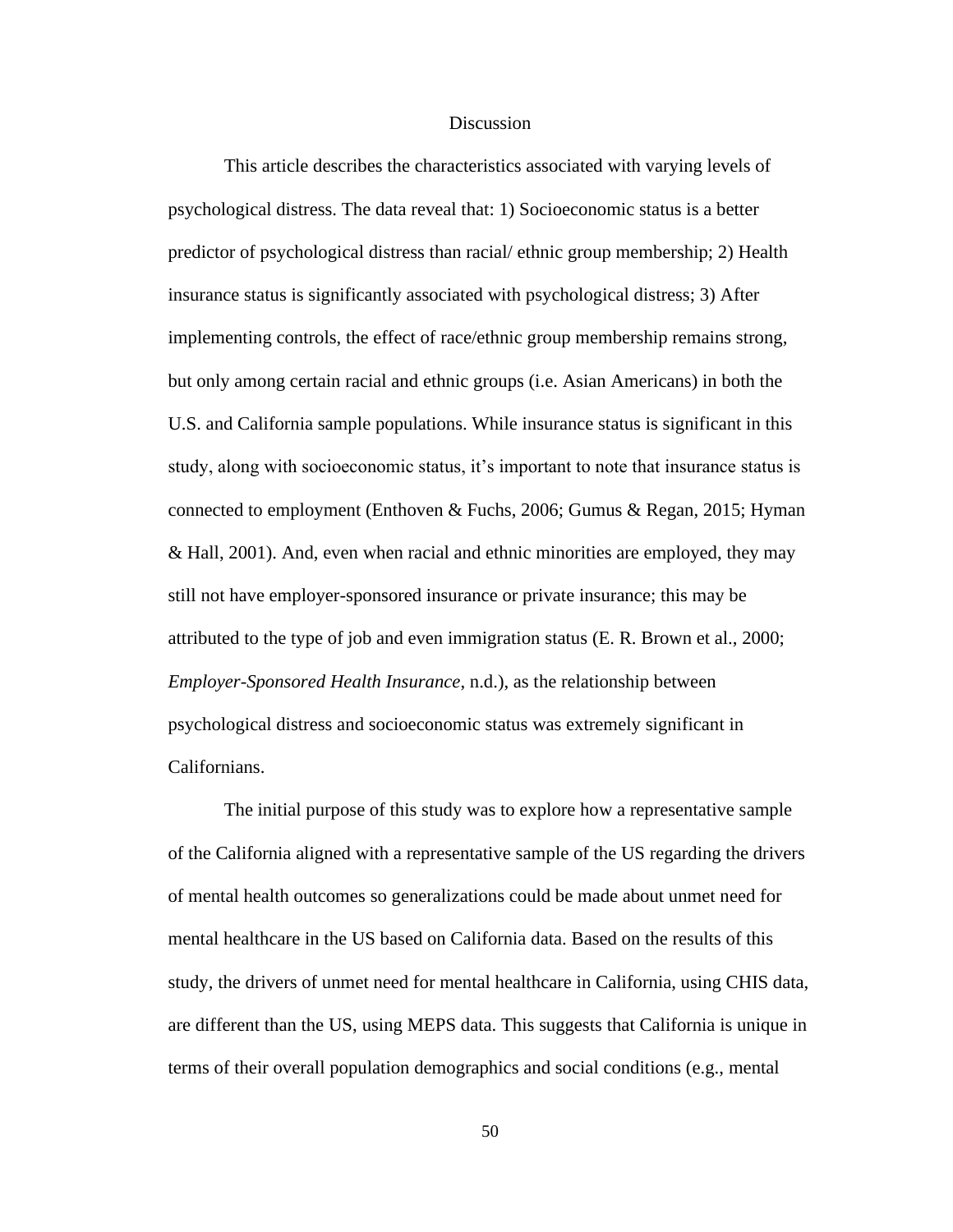#### **Discussion**

This article describes the characteristics associated with varying levels of psychological distress. The data reveal that: 1) Socioeconomic status is a better predictor of psychological distress than racial/ ethnic group membership; 2) Health insurance status is significantly associated with psychological distress; 3) After implementing controls, the effect of race/ethnic group membership remains strong, but only among certain racial and ethnic groups (i.e. Asian Americans) in both the U.S. and California sample populations. While insurance status is significant in this study, along with socioeconomic status, it's important to note that insurance status is connected to employment (Enthoven & Fuchs, 2006; Gumus & Regan, 2015; Hyman & Hall, 2001). And, even when racial and ethnic minorities are employed, they may still not have employer-sponsored insurance or private insurance; this may be attributed to the type of job and even immigration status (E. R. Brown et al., 2000; *Employer-Sponsored Health Insurance*, n.d.), as the relationship between psychological distress and socioeconomic status was extremely significant in Californians.

The initial purpose of this study was to explore how a representative sample of the California aligned with a representative sample of the US regarding the drivers of mental health outcomes so generalizations could be made about unmet need for mental healthcare in the US based on California data. Based on the results of this study, the drivers of unmet need for mental healthcare in California, using CHIS data, are different than the US, using MEPS data. This suggests that California is unique in terms of their overall population demographics and social conditions (e.g., mental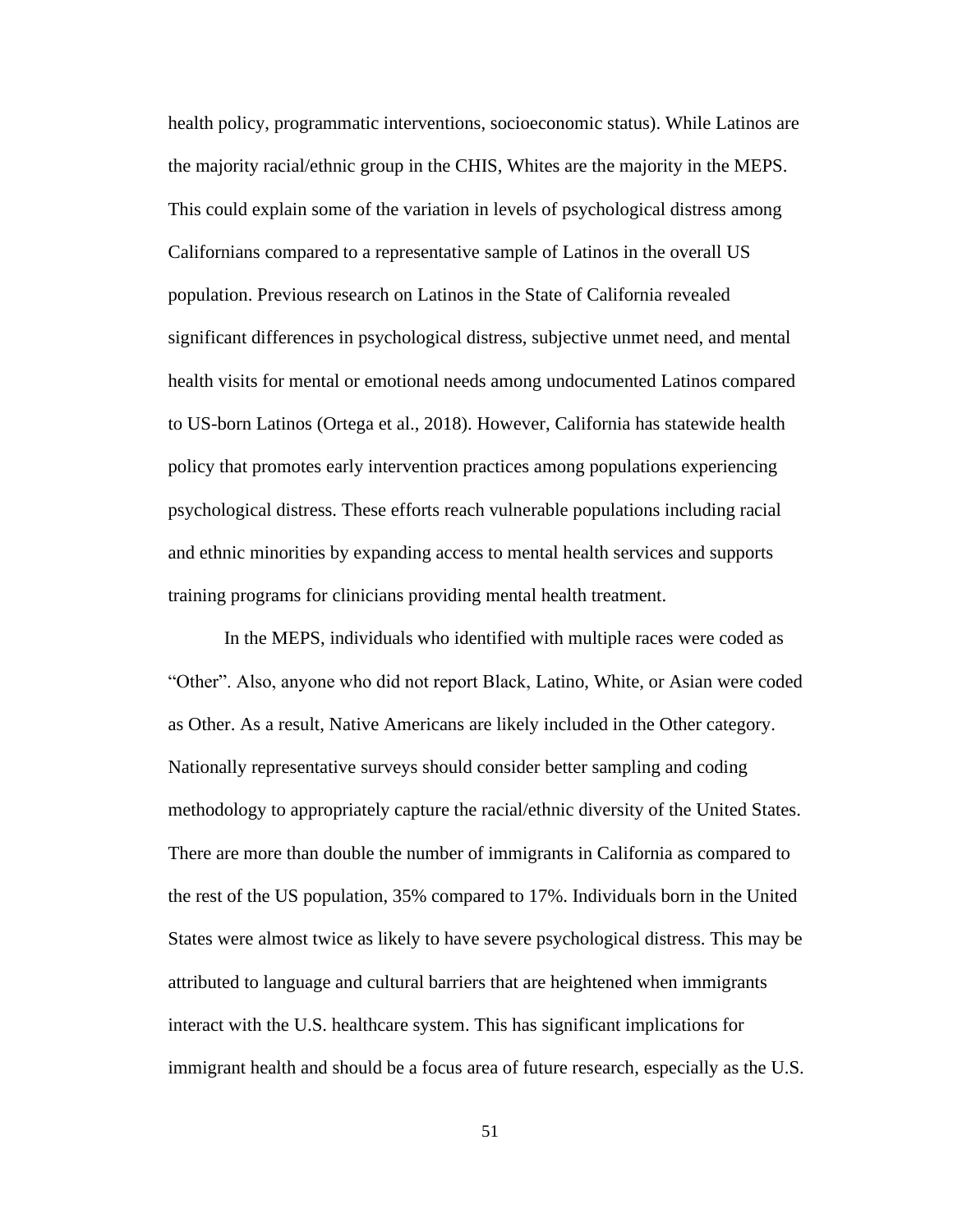health policy, programmatic interventions, socioeconomic status). While Latinos are the majority racial/ethnic group in the CHIS, Whites are the majority in the MEPS. This could explain some of the variation in levels of psychological distress among Californians compared to a representative sample of Latinos in the overall US population. Previous research on Latinos in the State of California revealed significant differences in psychological distress, subjective unmet need, and mental health visits for mental or emotional needs among undocumented Latinos compared to US-born Latinos (Ortega et al., 2018). However, California has statewide health policy that promotes early intervention practices among populations experiencing psychological distress. These efforts reach vulnerable populations including racial and ethnic minorities by expanding access to mental health services and supports training programs for clinicians providing mental health treatment.

In the MEPS, individuals who identified with multiple races were coded as "Other". Also, anyone who did not report Black, Latino, White, or Asian were coded as Other. As a result, Native Americans are likely included in the Other category. Nationally representative surveys should consider better sampling and coding methodology to appropriately capture the racial/ethnic diversity of the United States. There are more than double the number of immigrants in California as compared to the rest of the US population, 35% compared to 17%. Individuals born in the United States were almost twice as likely to have severe psychological distress. This may be attributed to language and cultural barriers that are heightened when immigrants interact with the U.S. healthcare system. This has significant implications for immigrant health and should be a focus area of future research, especially as the U.S.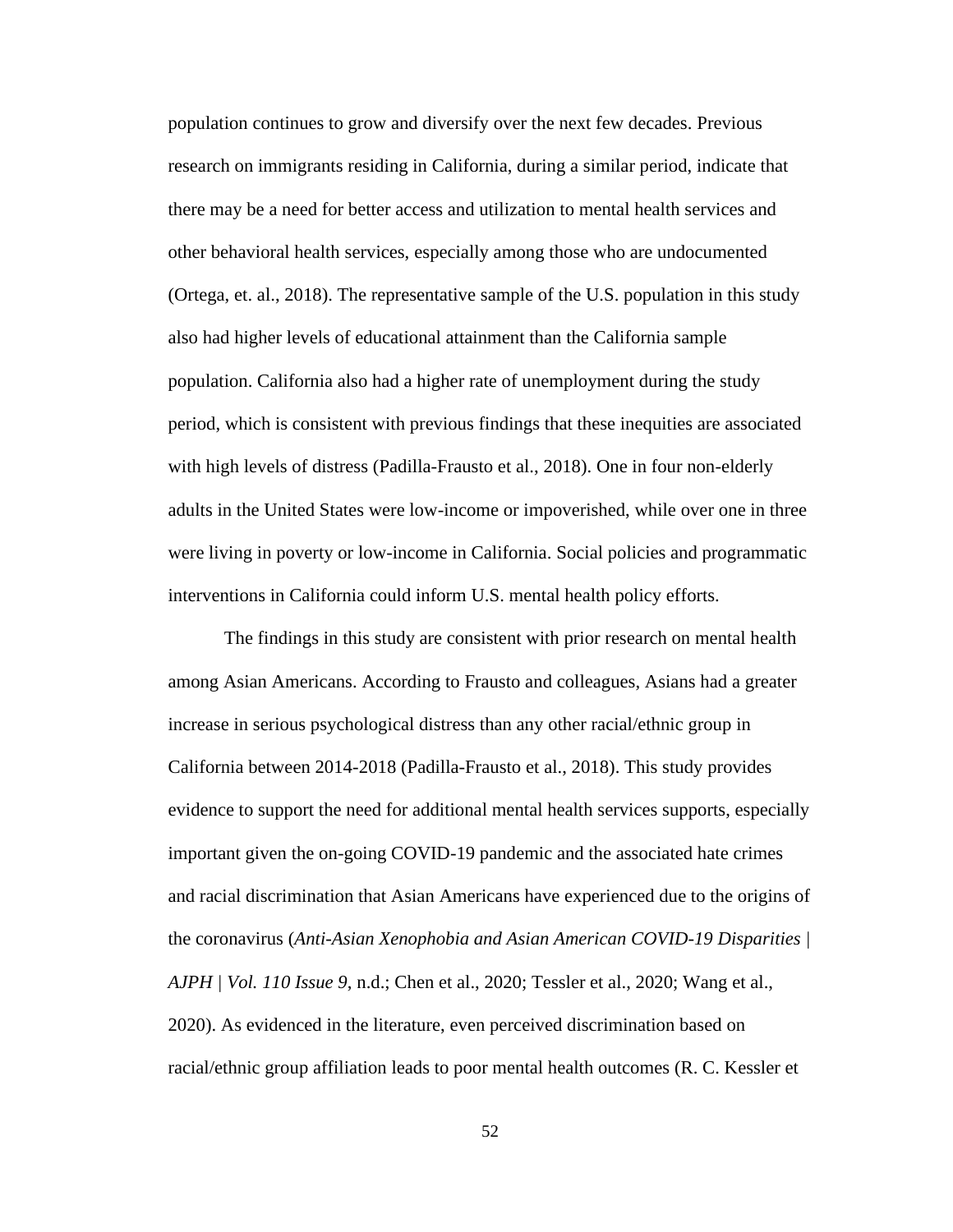population continues to grow and diversify over the next few decades. Previous research on immigrants residing in California, during a similar period, indicate that there may be a need for better access and utilization to mental health services and other behavioral health services, especially among those who are undocumented (Ortega, et. al., 2018). The representative sample of the U.S. population in this study also had higher levels of educational attainment than the California sample population. California also had a higher rate of unemployment during the study period, which is consistent with previous findings that these inequities are associated with high levels of distress (Padilla-Frausto et al., 2018). One in four non-elderly adults in the United States were low-income or impoverished, while over one in three were living in poverty or low-income in California. Social policies and programmatic interventions in California could inform U.S. mental health policy efforts.

The findings in this study are consistent with prior research on mental health among Asian Americans. According to Frausto and colleagues, Asians had a greater increase in serious psychological distress than any other racial/ethnic group in California between 2014-2018 (Padilla-Frausto et al., 2018). This study provides evidence to support the need for additional mental health services supports, especially important given the on-going COVID-19 pandemic and the associated hate crimes and racial discrimination that Asian Americans have experienced due to the origins of the coronavirus (*Anti-Asian Xenophobia and Asian American COVID-19 Disparities | AJPH | Vol. 110 Issue 9*, n.d.; Chen et al., 2020; Tessler et al., 2020; Wang et al., 2020). As evidenced in the literature, even perceived discrimination based on racial/ethnic group affiliation leads to poor mental health outcomes (R. C. Kessler et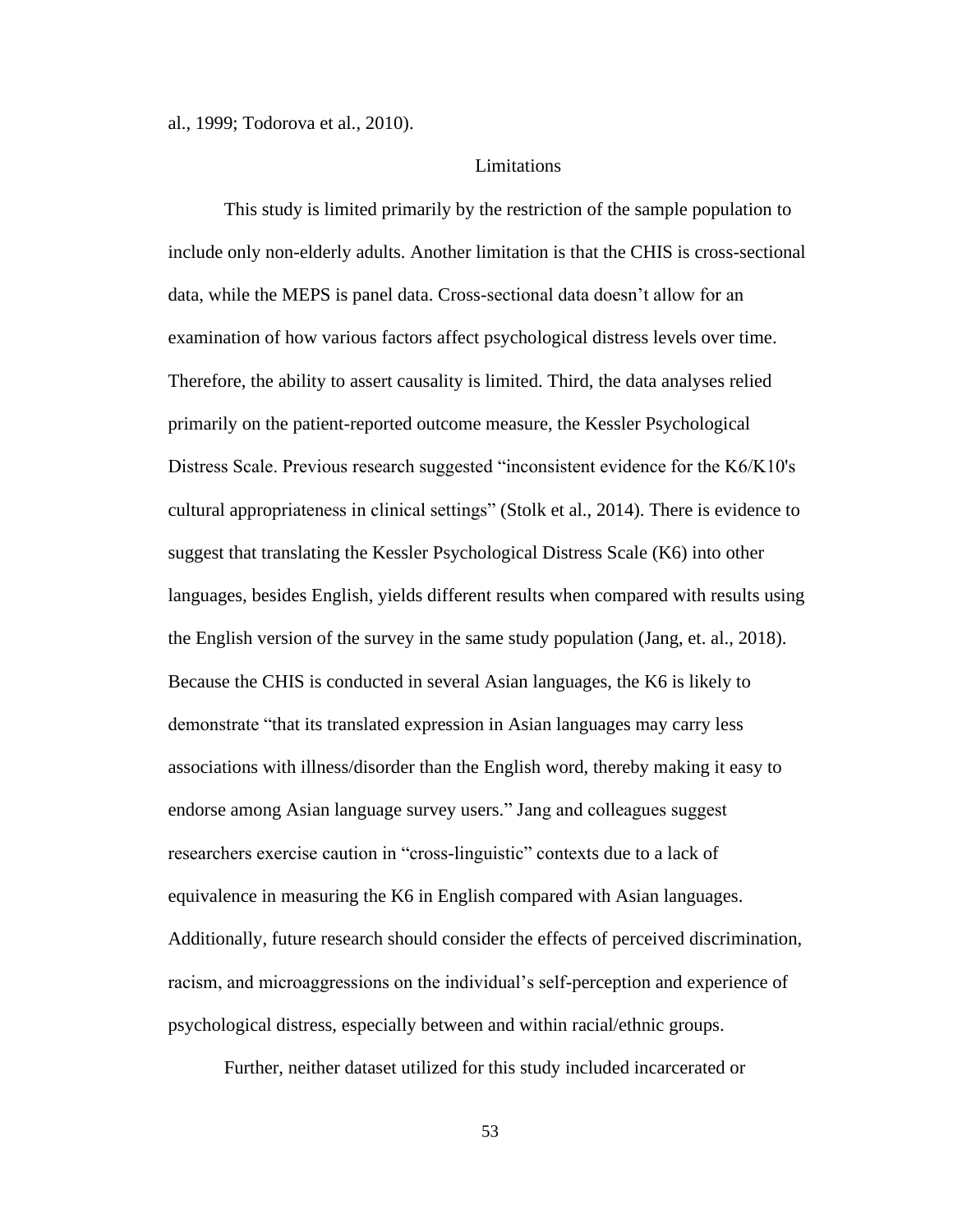al., 1999; Todorova et al., 2010).

# Limitations

This study is limited primarily by the restriction of the sample population to include only non-elderly adults. Another limitation is that the CHIS is cross-sectional data, while the MEPS is panel data. Cross-sectional data doesn't allow for an examination of how various factors affect psychological distress levels over time. Therefore, the ability to assert causality is limited. Third, the data analyses relied primarily on the patient-reported outcome measure, the Kessler Psychological Distress Scale. Previous research suggested "inconsistent evidence for the K6/K10's cultural appropriateness in clinical settings" (Stolk et al., 2014). There is evidence to suggest that translating the Kessler Psychological Distress Scale (K6) into other languages, besides English, yields different results when compared with results using the English version of the survey in the same study population (Jang, et. al., 2018). Because the CHIS is conducted in several Asian languages, the K6 is likely to demonstrate "that its translated expression in Asian languages may carry less associations with illness/disorder than the English word, thereby making it easy to endorse among Asian language survey users." Jang and colleagues suggest researchers exercise caution in "cross-linguistic" contexts due to a lack of equivalence in measuring the K6 in English compared with Asian languages. Additionally, future research should consider the effects of perceived discrimination, racism, and microaggressions on the individual's self-perception and experience of psychological distress, especially between and within racial/ethnic groups.

Further, neither dataset utilized for this study included incarcerated or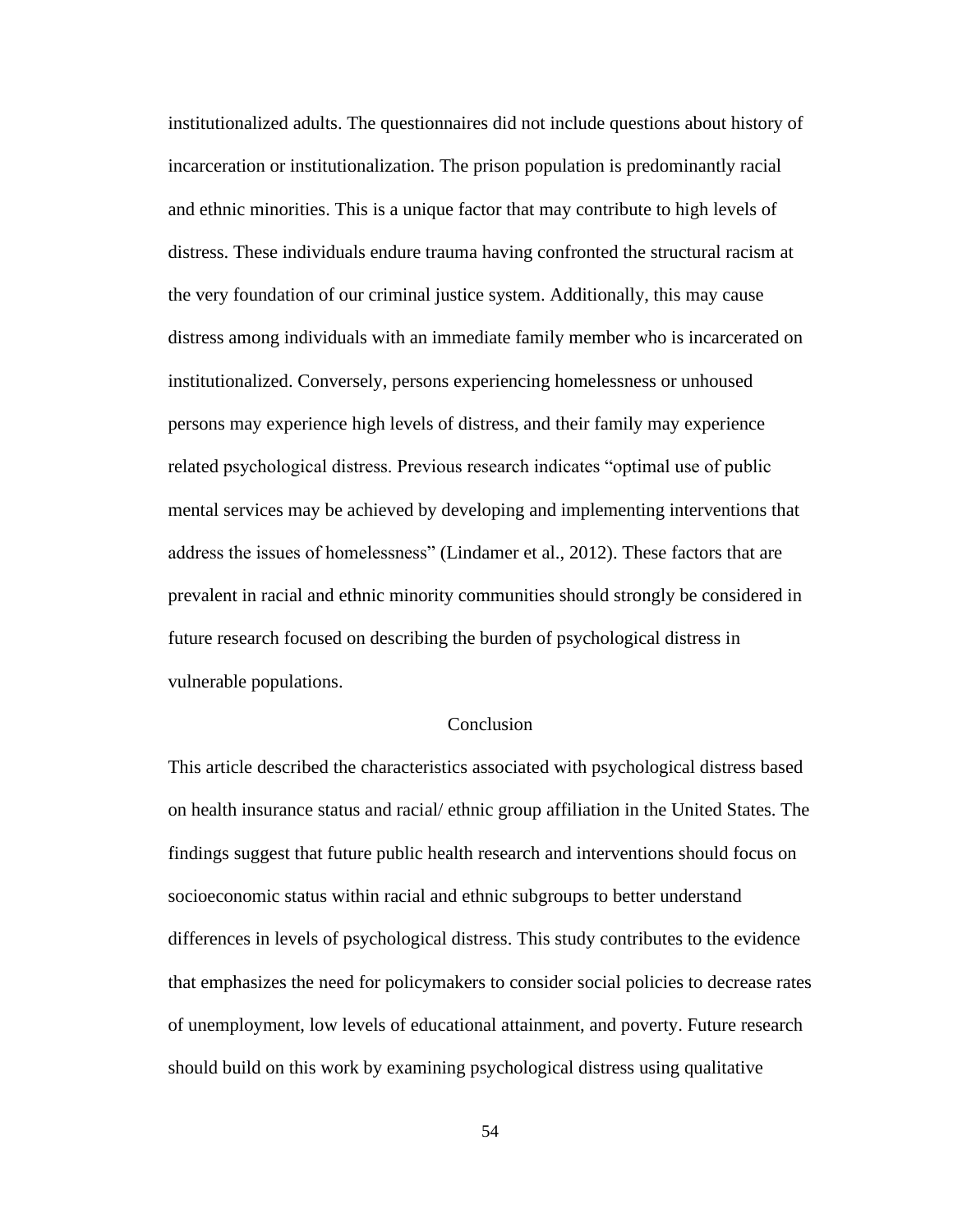institutionalized adults. The questionnaires did not include questions about history of incarceration or institutionalization. The prison population is predominantly racial and ethnic minorities. This is a unique factor that may contribute to high levels of distress. These individuals endure trauma having confronted the structural racism at the very foundation of our criminal justice system. Additionally, this may cause distress among individuals with an immediate family member who is incarcerated on institutionalized. Conversely, persons experiencing homelessness or unhoused persons may experience high levels of distress, and their family may experience related psychological distress. Previous research indicates "optimal use of public mental services may be achieved by developing and implementing interventions that address the issues of homelessness" (Lindamer et al., 2012). These factors that are prevalent in racial and ethnic minority communities should strongly be considered in future research focused on describing the burden of psychological distress in vulnerable populations.

## Conclusion

This article described the characteristics associated with psychological distress based on health insurance status and racial/ ethnic group affiliation in the United States. The findings suggest that future public health research and interventions should focus on socioeconomic status within racial and ethnic subgroups to better understand differences in levels of psychological distress. This study contributes to the evidence that emphasizes the need for policymakers to consider social policies to decrease rates of unemployment, low levels of educational attainment, and poverty. Future research should build on this work by examining psychological distress using qualitative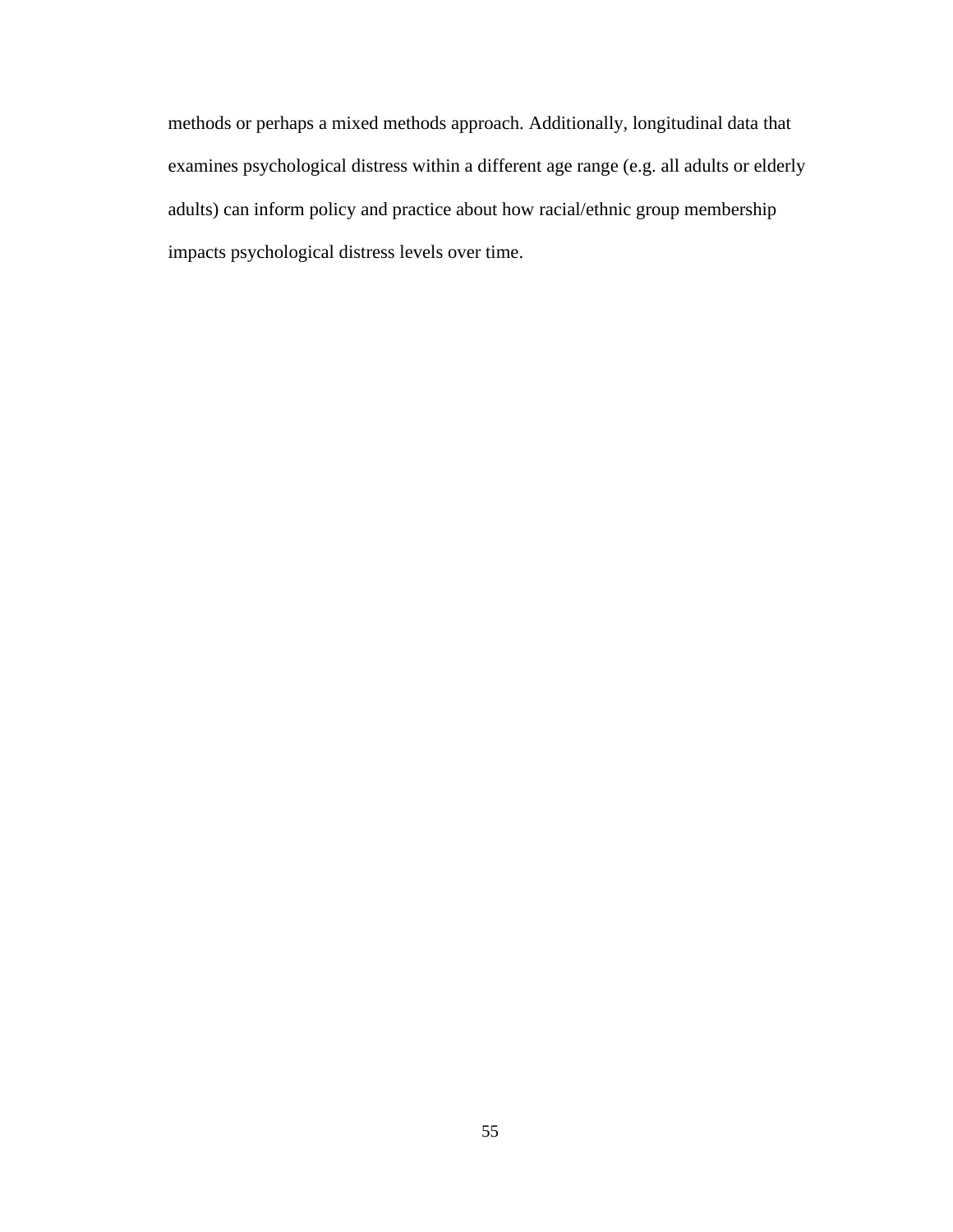methods or perhaps a mixed methods approach. Additionally, longitudinal data that examines psychological distress within a different age range (e.g. all adults or elderly adults) can inform policy and practice about how racial/ethnic group membership impacts psychological distress levels over time.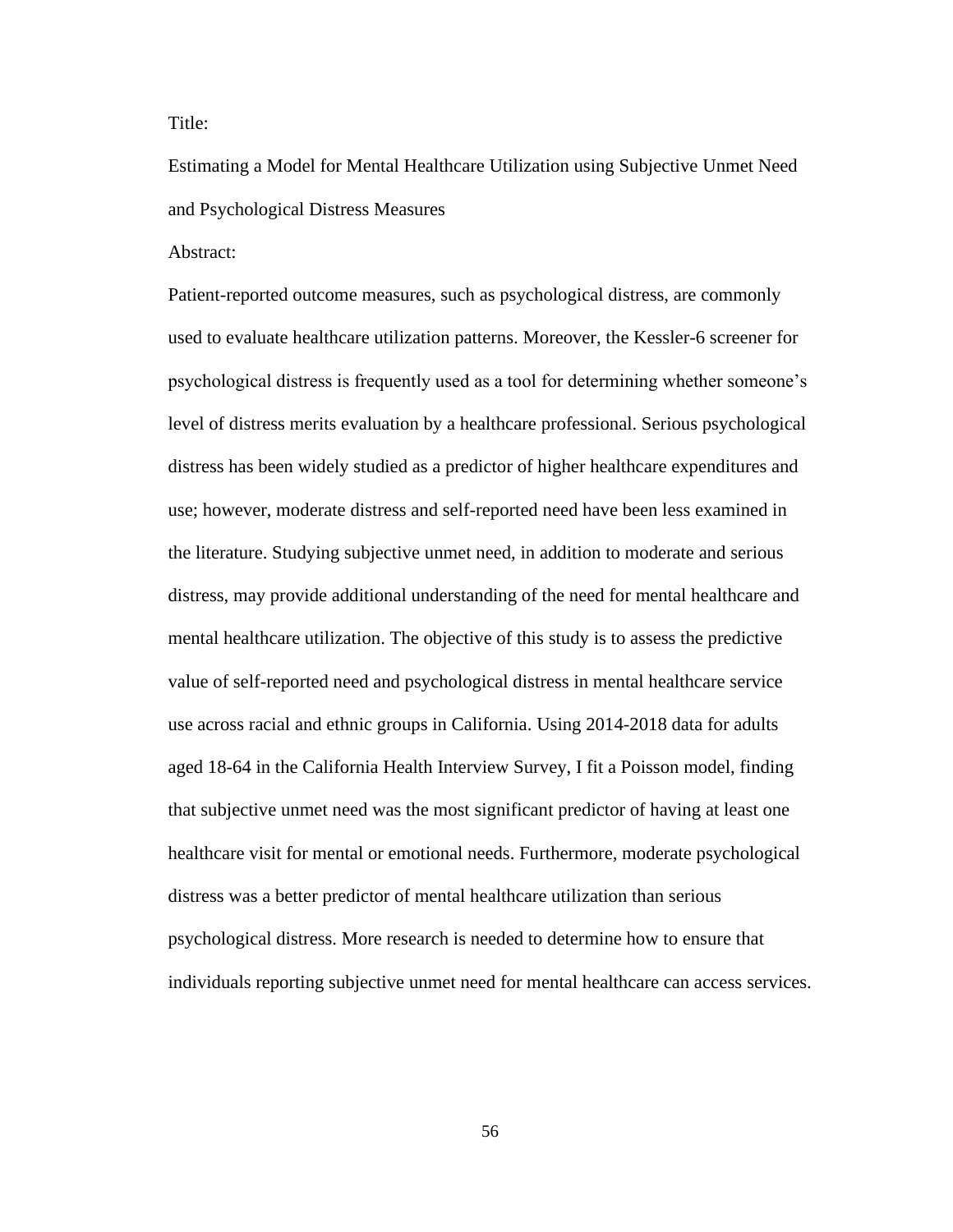Title:

Estimating a Model for Mental Healthcare Utilization using Subjective Unmet Need and Psychological Distress Measures

Abstract:

Patient-reported outcome measures, such as psychological distress, are commonly used to evaluate healthcare utilization patterns. Moreover, the Kessler-6 screener for psychological distress is frequently used as a tool for determining whether someone's level of distress merits evaluation by a healthcare professional. Serious psychological distress has been widely studied as a predictor of higher healthcare expenditures and use; however, moderate distress and self-reported need have been less examined in the literature. Studying subjective unmet need, in addition to moderate and serious distress, may provide additional understanding of the need for mental healthcare and mental healthcare utilization. The objective of this study is to assess the predictive value of self-reported need and psychological distress in mental healthcare service use across racial and ethnic groups in California. Using 2014-2018 data for adults aged 18-64 in the California Health Interview Survey, I fit a Poisson model, finding that subjective unmet need was the most significant predictor of having at least one healthcare visit for mental or emotional needs. Furthermore, moderate psychological distress was a better predictor of mental healthcare utilization than serious psychological distress. More research is needed to determine how to ensure that individuals reporting subjective unmet need for mental healthcare can access services.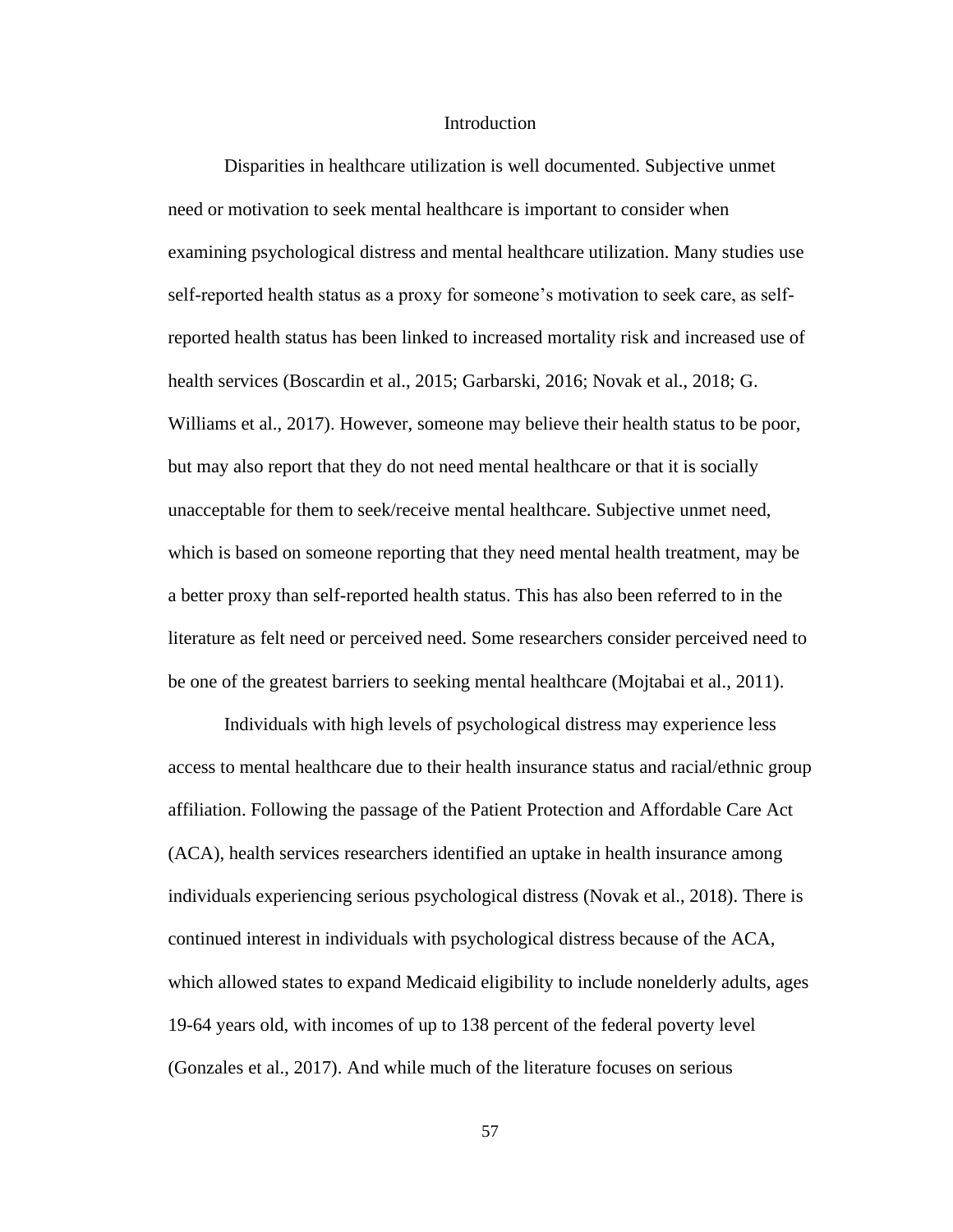### **Introduction**

Disparities in healthcare utilization is well documented. Subjective unmet need or motivation to seek mental healthcare is important to consider when examining psychological distress and mental healthcare utilization. Many studies use self-reported health status as a proxy for someone's motivation to seek care, as selfreported health status has been linked to increased mortality risk and increased use of health services (Boscardin et al., 2015; Garbarski, 2016; Novak et al., 2018; G. Williams et al., 2017). However, someone may believe their health status to be poor, but may also report that they do not need mental healthcare or that it is socially unacceptable for them to seek/receive mental healthcare. Subjective unmet need, which is based on someone reporting that they need mental health treatment, may be a better proxy than self-reported health status. This has also been referred to in the literature as felt need or perceived need. Some researchers consider perceived need to be one of the greatest barriers to seeking mental healthcare (Mojtabai et al., 2011).

Individuals with high levels of psychological distress may experience less access to mental healthcare due to their health insurance status and racial/ethnic group affiliation. Following the passage of the Patient Protection and Affordable Care Act (ACA), health services researchers identified an uptake in health insurance among individuals experiencing serious psychological distress (Novak et al., 2018). There is continued interest in individuals with psychological distress because of the ACA, which allowed states to expand Medicaid eligibility to include nonelderly adults, ages 19-64 years old, with incomes of up to 138 percent of the federal poverty level (Gonzales et al., 2017). And while much of the literature focuses on serious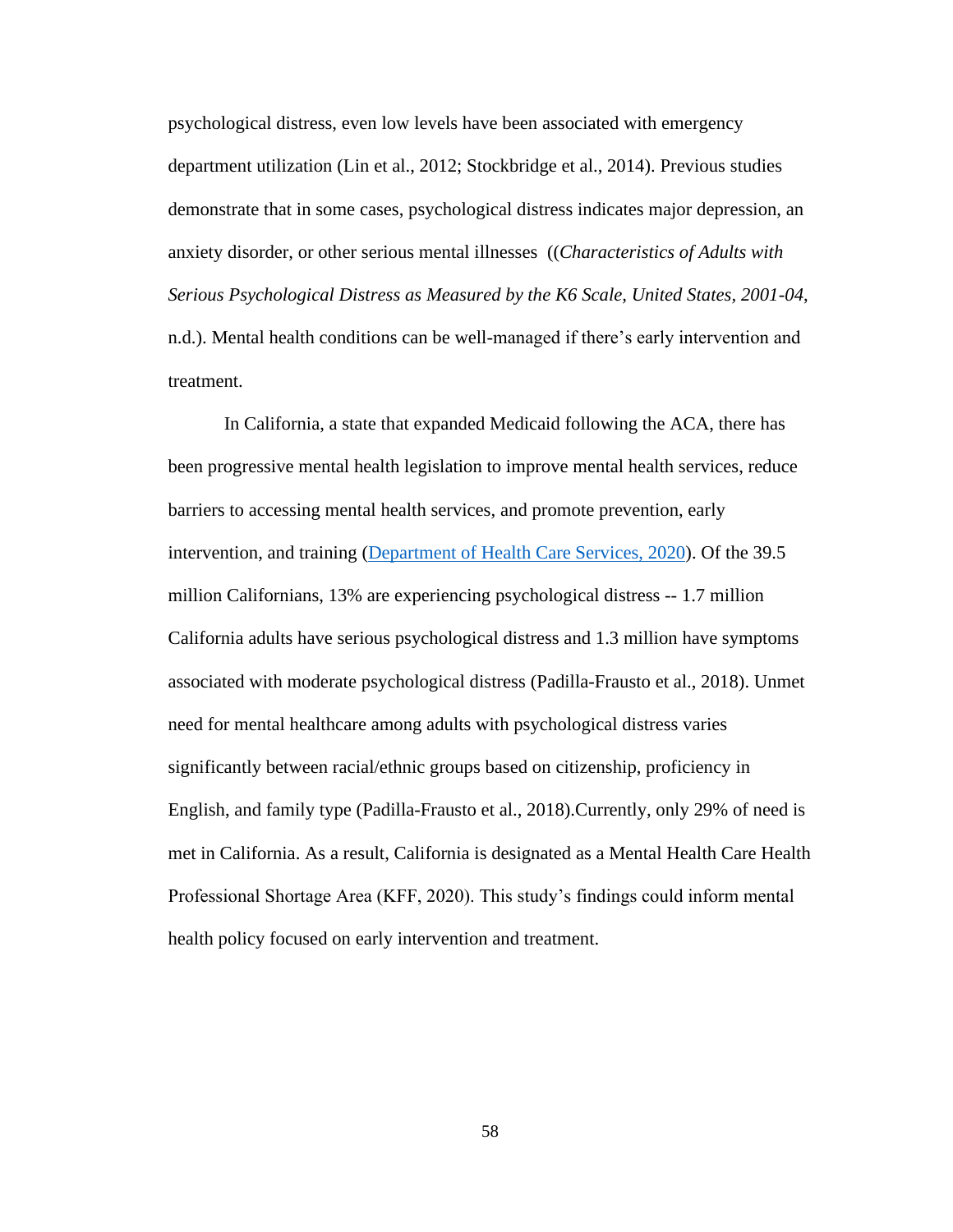psychological distress, even low levels have been associated with emergency department utilization (Lin et al., 2012; Stockbridge et al., 2014). Previous studies demonstrate that in some cases, psychological distress indicates major depression, an anxiety disorder, or other serious mental illnesses ((*Characteristics of Adults with Serious Psychological Distress as Measured by the K6 Scale, United States, 2001-04*, n.d.). Mental health conditions can be well-managed if there's early intervention and treatment.

In California, a state that expanded Medicaid following the ACA, there has been progressive mental health legislation to improve mental health services, reduce barriers to accessing mental health services, and promote prevention, early intervention, and training [\(Department of Health Care Services, 2020\)](https://www.dhcs.ca.gov/services/MH/Pages/MH_Prop63.aspx). Of the 39.5 million Californians, 13% are experiencing psychological distress -- 1.7 million California adults have serious psychological distress and 1.3 million have symptoms associated with moderate psychological distress (Padilla-Frausto et al., 2018). Unmet need for mental healthcare among adults with psychological distress varies significantly between racial/ethnic groups based on citizenship, proficiency in English, and family type (Padilla-Frausto et al., 2018).Currently, only 29% of need is met in California. As a result, California is designated as a Mental Health Care Health Professional Shortage Area (KFF, 2020). This study's findings could inform mental health policy focused on early intervention and treatment.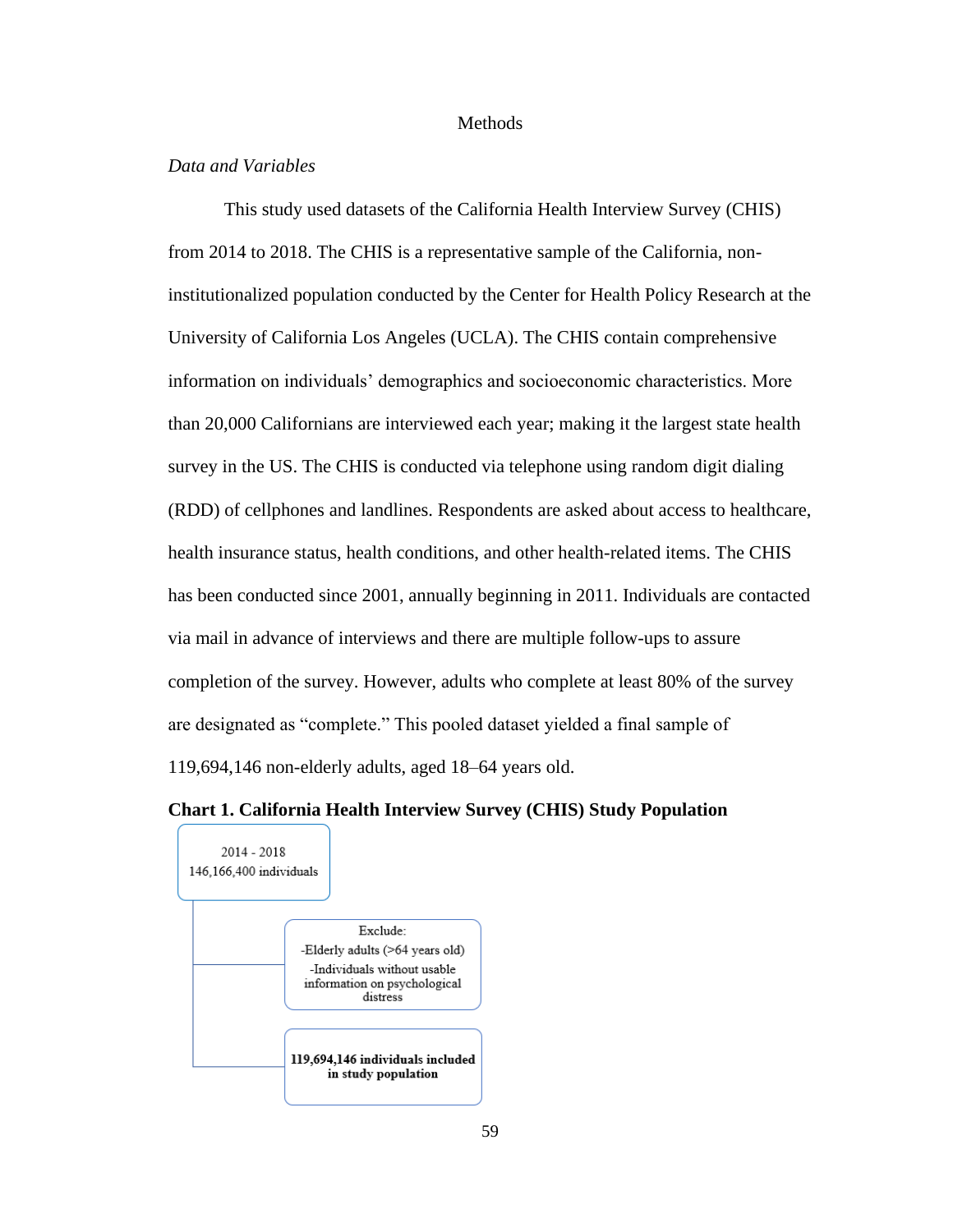### **Methods**

# *Data and Variables*

This study used datasets of the California Health Interview Survey (CHIS) from 2014 to 2018. The CHIS is a representative sample of the California, noninstitutionalized population conducted by the Center for Health Policy Research at the University of California Los Angeles (UCLA). The CHIS contain comprehensive information on individuals' demographics and socioeconomic characteristics. More than 20,000 Californians are interviewed each year; making it the largest state health survey in the US. The CHIS is conducted via telephone using random digit dialing (RDD) of cellphones and landlines. Respondents are asked about access to healthcare, health insurance status, health conditions, and other health-related items. The CHIS has been conducted since 2001, annually beginning in 2011. Individuals are contacted via mail in advance of interviews and there are multiple follow-ups to assure completion of the survey. However, adults who complete at least 80% of the survey are designated as "complete." This pooled dataset yielded a final sample of 119,694,146 non-elderly adults, aged 18–64 years old.

#### **Chart 1. California Health Interview Survey (CHIS) Study Population**

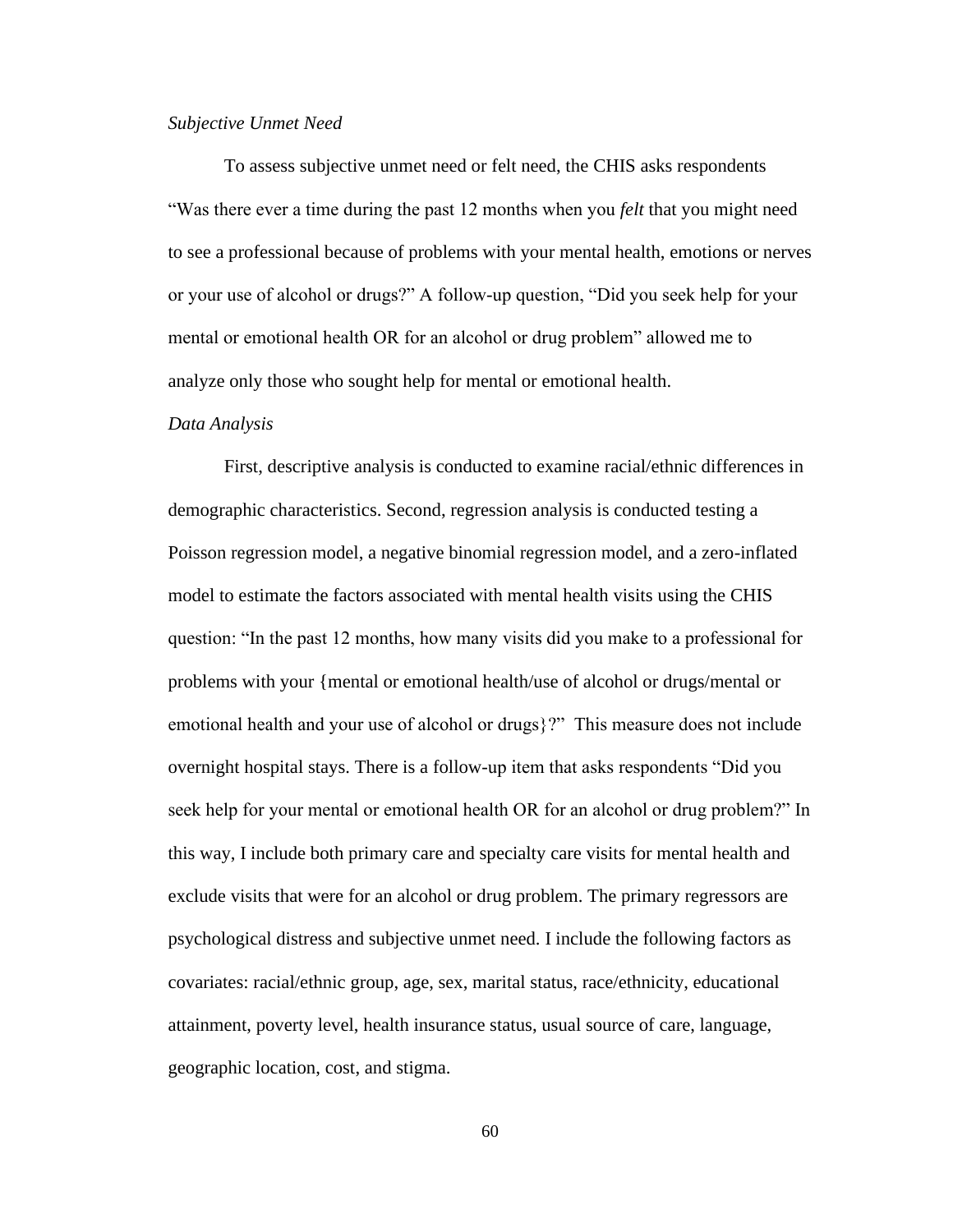#### *Subjective Unmet Need*

To assess subjective unmet need or felt need, the CHIS asks respondents "Was there ever a time during the past 12 months when you *felt* that you might need to see a professional because of problems with your mental health, emotions or nerves or your use of alcohol or drugs?" A follow-up question, "Did you seek help for your mental or emotional health OR for an alcohol or drug problem" allowed me to analyze only those who sought help for mental or emotional health.

#### *Data Analysis*

First, descriptive analysis is conducted to examine racial/ethnic differences in demographic characteristics. Second, regression analysis is conducted testing a Poisson regression model, a negative binomial regression model, and a zero-inflated model to estimate the factors associated with mental health visits using the CHIS question: "In the past 12 months, how many visits did you make to a professional for problems with your {mental or emotional health/use of alcohol or drugs/mental or emotional health and your use of alcohol or drugs}?" This measure does not include overnight hospital stays. There is a follow-up item that asks respondents "Did you seek help for your mental or emotional health OR for an alcohol or drug problem?" In this way, I include both primary care and specialty care visits for mental health and exclude visits that were for an alcohol or drug problem. The primary regressors are psychological distress and subjective unmet need. I include the following factors as covariates: racial/ethnic group, age, sex, marital status, race/ethnicity, educational attainment, poverty level, health insurance status, usual source of care, language, geographic location, cost, and stigma.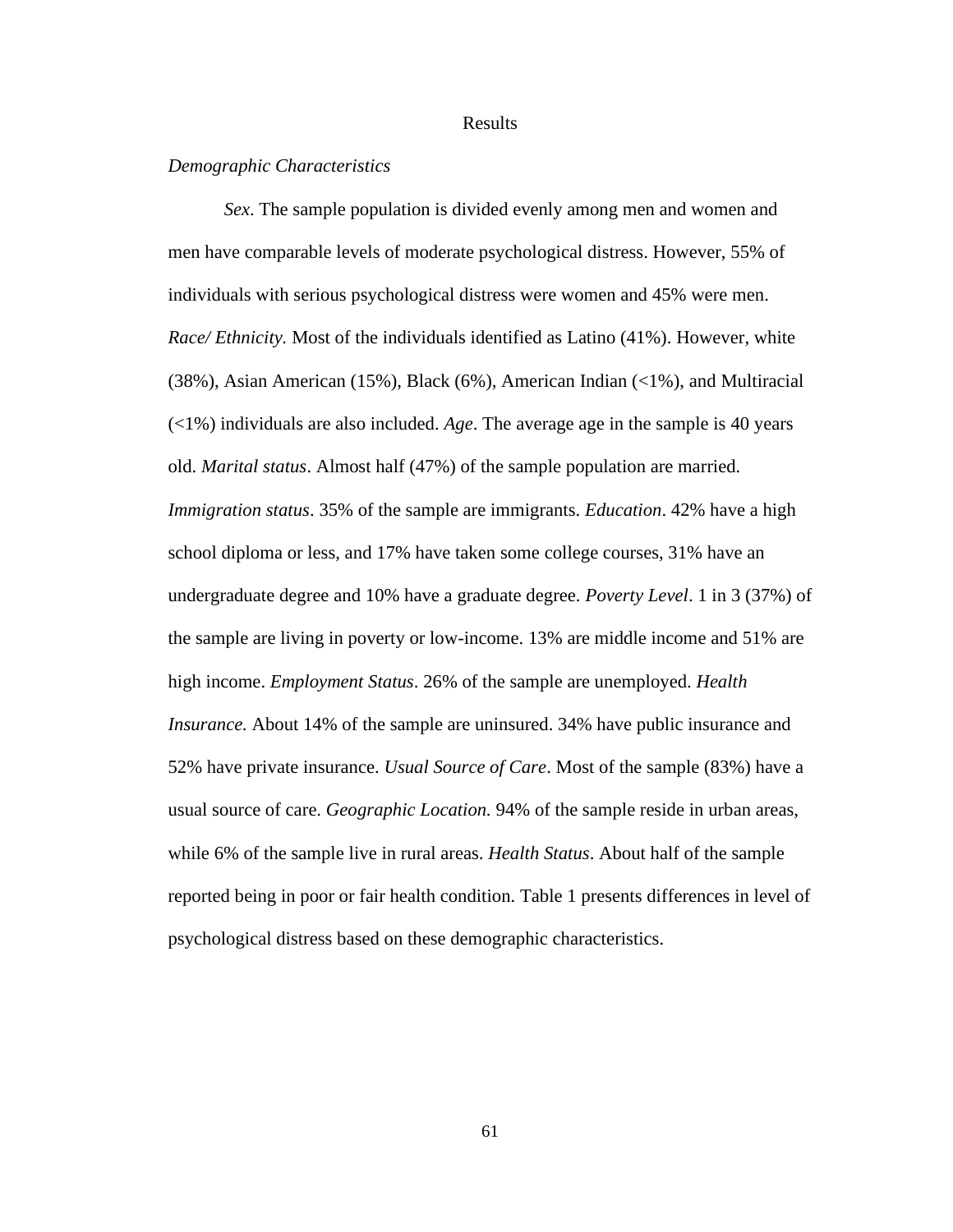#### Results

# *Demographic Characteristics*

*Sex*. The sample population is divided evenly among men and women and men have comparable levels of moderate psychological distress. However, 55% of individuals with serious psychological distress were women and 45% were men. *Race/ Ethnicity.* Most of the individuals identified as Latino (41%). However, white (38%), Asian American (15%), Black (6%), American Indian (<1%), and Multiracial (<1%) individuals are also included. *Age*. The average age in the sample is 40 years old. *Marital status*. Almost half (47%) of the sample population are married*. Immigration status*. 35% of the sample are immigrants. *Education*. 42% have a high school diploma or less, and 17% have taken some college courses, 31% have an undergraduate degree and 10% have a graduate degree. *Poverty Level*. 1 in 3 (37%) of the sample are living in poverty or low-income. 13% are middle income and 51% are high income. *Employment Status*. 26% of the sample are unemployed. *Health Insurance.* About 14% of the sample are uninsured. 34% have public insurance and 52% have private insurance. *Usual Source of Care*. Most of the sample (83%) have a usual source of care. *Geographic Location.* 94% of the sample reside in urban areas, while 6% of the sample live in rural areas. *Health Status*. About half of the sample reported being in poor or fair health condition. Table 1 presents differences in level of psychological distress based on these demographic characteristics.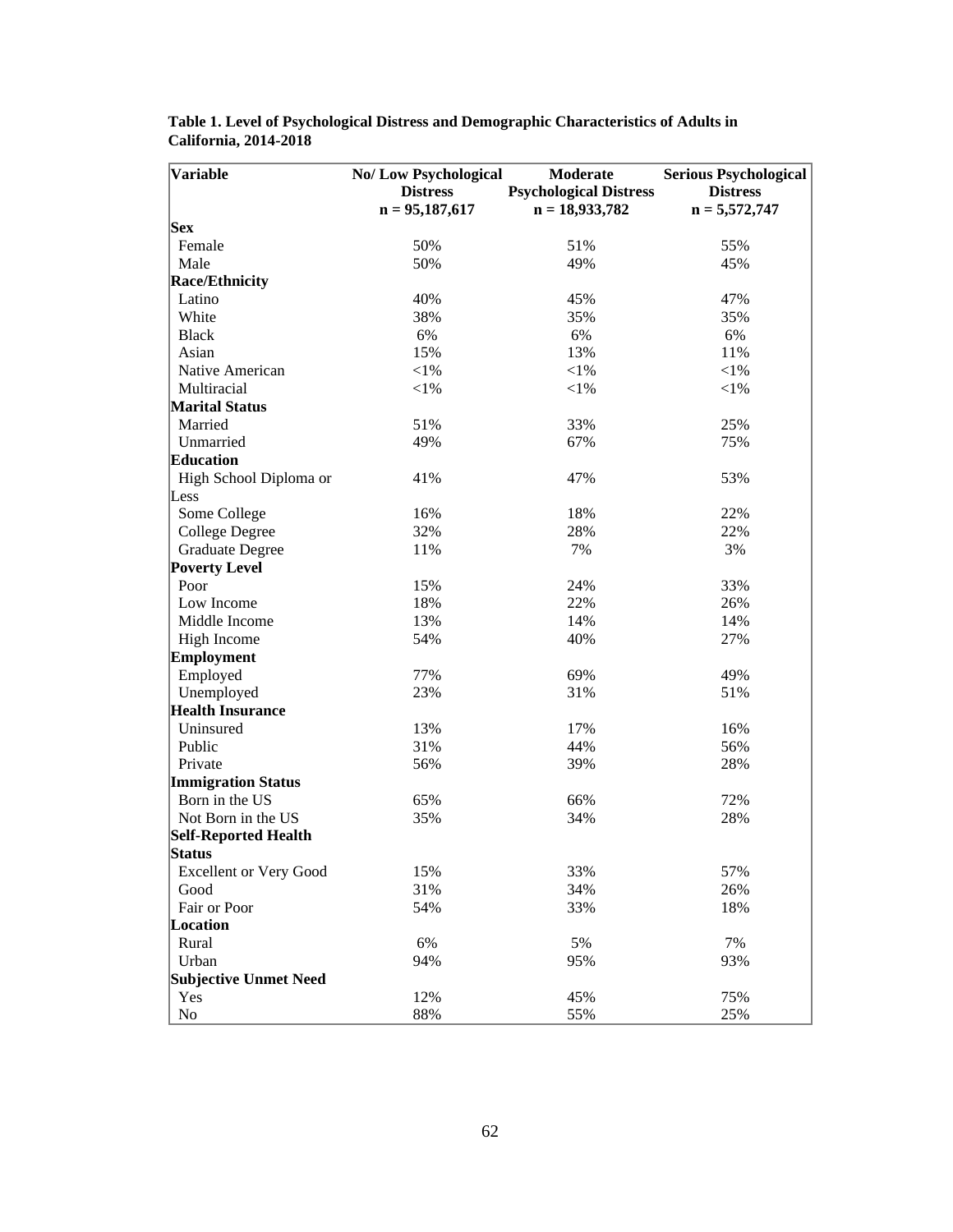| <b>Variable</b>               | No/Low Psychological<br>Moderate |                               | <b>Serious Psychological</b> |  |  |
|-------------------------------|----------------------------------|-------------------------------|------------------------------|--|--|
|                               | <b>Distress</b>                  | <b>Psychological Distress</b> | <b>Distress</b>              |  |  |
|                               | $n = 95,187,617$                 | $n = 18,933,782$              | $n = 5,572,747$              |  |  |
| <b>Sex</b>                    |                                  |                               |                              |  |  |
| Female                        | 50%                              | 51%                           | 55%                          |  |  |
| Male                          | 50%                              | 49%                           | 45%                          |  |  |
| <b>Race/Ethnicity</b>         |                                  |                               |                              |  |  |
| Latino                        | 40%                              | 45%                           | 47%                          |  |  |
| White                         | 38%                              | 35%                           | 35%                          |  |  |
| <b>Black</b>                  | 6%                               | 6%                            | 6%                           |  |  |
| Asian                         | 15%                              | 13%                           | 11%                          |  |  |
| Native American               | $<$ 1%                           | $<$ 1%                        | ${<}1\%$                     |  |  |
| Multiracial                   | $<$ l $%$                        | $<\!\!1\%$                    | $<$ l $%$                    |  |  |
| <b>Marital Status</b>         |                                  |                               |                              |  |  |
| Married                       | 51%                              | 33%                           | 25%                          |  |  |
| Unmarried                     | 49%                              | 67%                           | 75%                          |  |  |
| <b>Education</b>              |                                  |                               |                              |  |  |
| High School Diploma or        | 41%                              | 47%                           | 53%                          |  |  |
| Less                          |                                  |                               |                              |  |  |
| Some College                  | 16%                              | 18%                           | 22%                          |  |  |
| <b>College Degree</b>         | 32%                              | 28%                           | 22%                          |  |  |
| <b>Graduate Degree</b>        | 11%                              | 7%                            | 3%                           |  |  |
| <b>Poverty Level</b>          |                                  |                               |                              |  |  |
| Poor                          | 15%                              | 24%                           | 33%                          |  |  |
| Low Income                    | 18%                              | 22%                           | 26%                          |  |  |
| Middle Income                 | 13%                              | 14%                           | 14%                          |  |  |
| High Income                   | 54%                              | 40%                           | 27%                          |  |  |
| <b>Employment</b>             |                                  |                               |                              |  |  |
| Employed                      | 77%                              | 69%                           | 49%                          |  |  |
| Unemployed                    | 23%                              | 31%                           | 51%                          |  |  |
| <b>Health Insurance</b>       |                                  |                               |                              |  |  |
| Uninsured                     | 13%                              | 17%                           | 16%                          |  |  |
| Public                        | 31%                              | 44%                           | 56%                          |  |  |
| Private                       | 56%                              | 39%                           | 28%                          |  |  |
| <b>Immigration Status</b>     |                                  |                               |                              |  |  |
| Born in the US                | 65%                              | 66%                           | 72%                          |  |  |
| Not Born in the US            | 35%                              | 34%                           | 28%                          |  |  |
| <b>Self-Reported Health</b>   |                                  |                               |                              |  |  |
| Status                        |                                  |                               |                              |  |  |
| <b>Excellent or Very Good</b> | 15%                              | 33%                           | 57%                          |  |  |
| Good                          | 31%                              | 34%                           | 26%                          |  |  |
| Fair or Poor                  | 54%                              | 33%                           | 18%                          |  |  |
| Location                      |                                  |                               |                              |  |  |
| Rural                         | 6%                               | 5%                            | 7%                           |  |  |
| Urban                         | 94%                              | 95%                           | 93%                          |  |  |
| <b>Subjective Unmet Need</b>  |                                  |                               |                              |  |  |
| Yes                           | 12%                              | 45%                           | 75%                          |  |  |
| No                            | 88%                              | 55%                           | 25%                          |  |  |

**Table 1. Level of Psychological Distress and Demographic Characteristics of Adults in California, 2014-2018**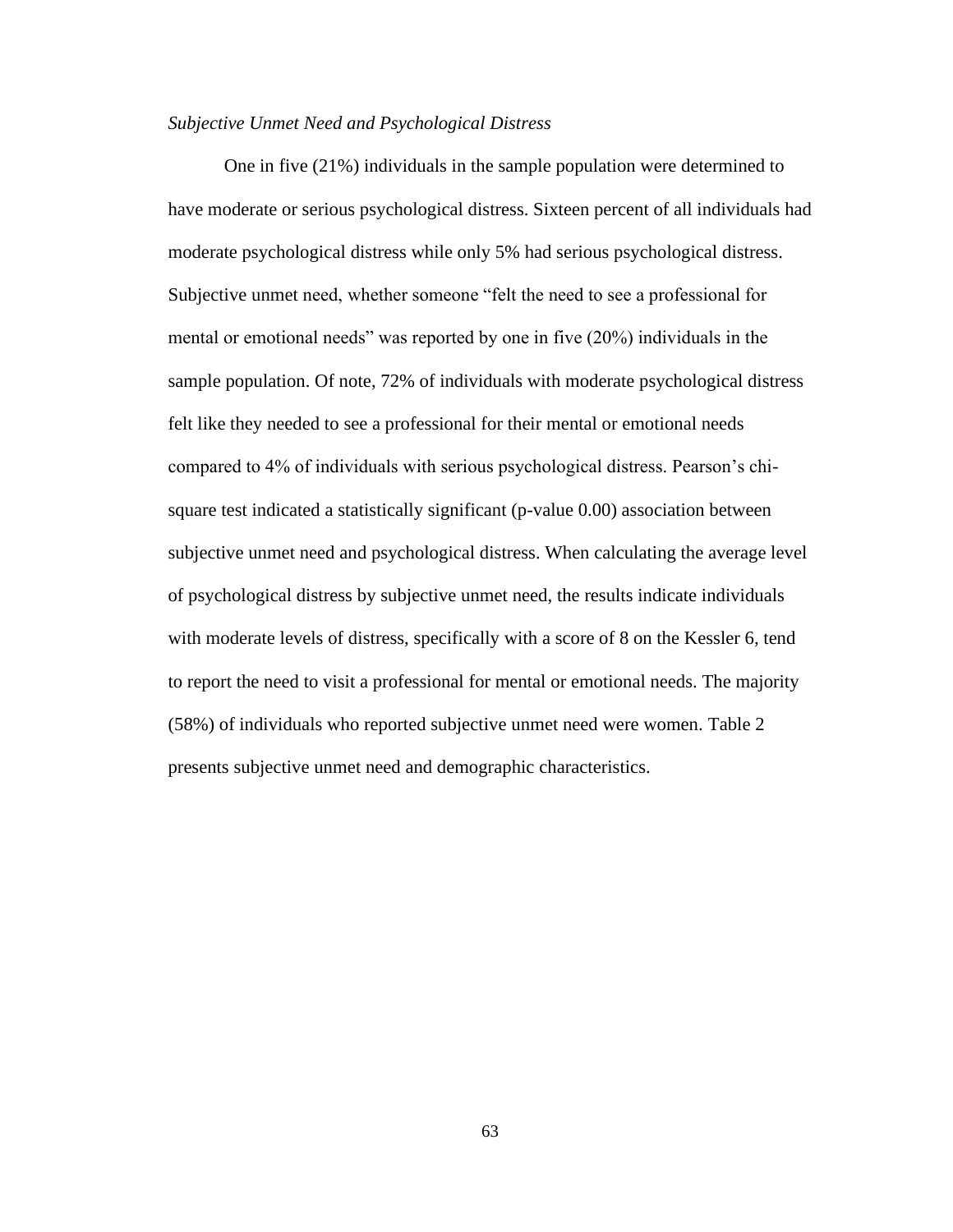# *Subjective Unmet Need and Psychological Distress*

One in five (21%) individuals in the sample population were determined to have moderate or serious psychological distress. Sixteen percent of all individuals had moderate psychological distress while only 5% had serious psychological distress. Subjective unmet need, whether someone "felt the need to see a professional for mental or emotional needs" was reported by one in five (20%) individuals in the sample population. Of note, 72% of individuals with moderate psychological distress felt like they needed to see a professional for their mental or emotional needs compared to 4% of individuals with serious psychological distress. Pearson's chisquare test indicated a statistically significant (p-value 0.00) association between subjective unmet need and psychological distress. When calculating the average level of psychological distress by subjective unmet need, the results indicate individuals with moderate levels of distress, specifically with a score of 8 on the Kessler 6, tend to report the need to visit a professional for mental or emotional needs. The majority (58%) of individuals who reported subjective unmet need were women. Table 2 presents subjective unmet need and demographic characteristics.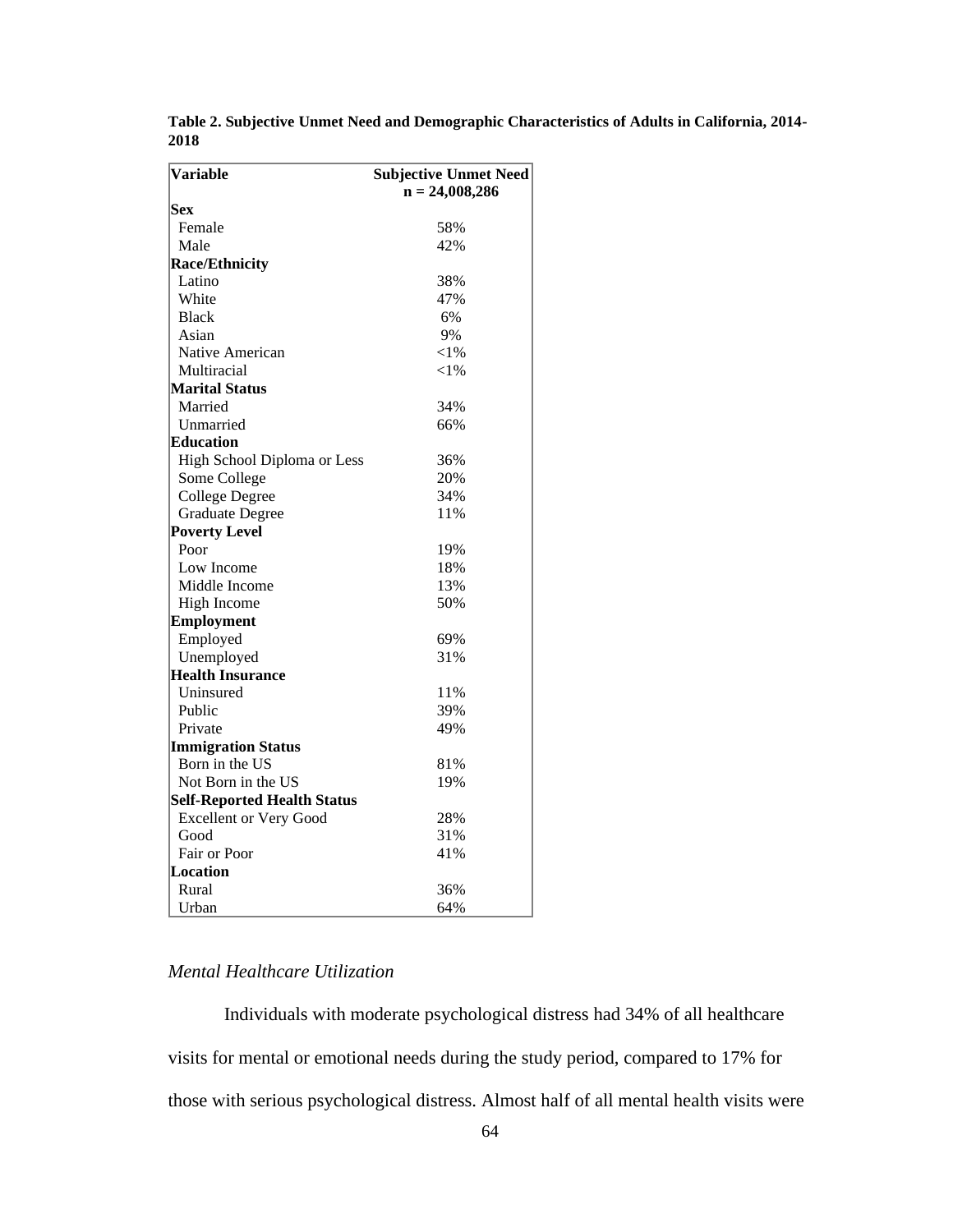| <b>Variable</b>                    | <b>Subjective Unmet Need</b><br>$n = 24,008,286$ |  |
|------------------------------------|--------------------------------------------------|--|
| Sex                                |                                                  |  |
| Female                             | 58%                                              |  |
| Male                               | 42%                                              |  |
| <b>Race/Ethnicity</b>              |                                                  |  |
| Latino                             | 38%                                              |  |
| White                              | 47%                                              |  |
| <b>Black</b>                       | 6%                                               |  |
| Asian                              | 9%                                               |  |
| Native American                    | ${<}1\%$                                         |  |
| Multiracial                        | ${<}1\%$                                         |  |
| <b>Marital Status</b>              |                                                  |  |
| Married                            | 34%                                              |  |
| Unmarried                          | 66%                                              |  |
| Education                          |                                                  |  |
| High School Diploma or Less        | 36%                                              |  |
| Some College                       | 20%                                              |  |
| <b>College Degree</b>              | 34%                                              |  |
| <b>Graduate Degree</b>             | 11%                                              |  |
| <b>Poverty Level</b>               |                                                  |  |
| Poor                               | 19%                                              |  |
| Low Income                         | 18%                                              |  |
| Middle Income                      | 13%                                              |  |
| High Income                        | 50%                                              |  |
| <b>Employment</b>                  |                                                  |  |
| Employed                           | 69%                                              |  |
| Unemployed                         | 31%                                              |  |
| <b>Health Insurance</b>            |                                                  |  |
| Uninsured                          | 11%                                              |  |
| Public                             | 39%                                              |  |
| Private                            | 49%                                              |  |
| <b>Immigration Status</b>          |                                                  |  |
| Born in the US                     | 81%                                              |  |
| Not Born in the US                 | 19%                                              |  |
| <b>Self-Reported Health Status</b> |                                                  |  |
| <b>Excellent or Very Good</b>      | 28%                                              |  |
| Good                               | 31%                                              |  |
| Fair or Poor                       | 41%                                              |  |
| <b>Location</b>                    |                                                  |  |
| Rural                              | 36%                                              |  |
| Urban                              | 64%                                              |  |

**Table 2. Subjective Unmet Need and Demographic Characteristics of Adults in California, 2014- 2018**

# *Mental Healthcare Utilization*

Individuals with moderate psychological distress had 34% of all healthcare visits for mental or emotional needs during the study period, compared to 17% for those with serious psychological distress. Almost half of all mental health visits were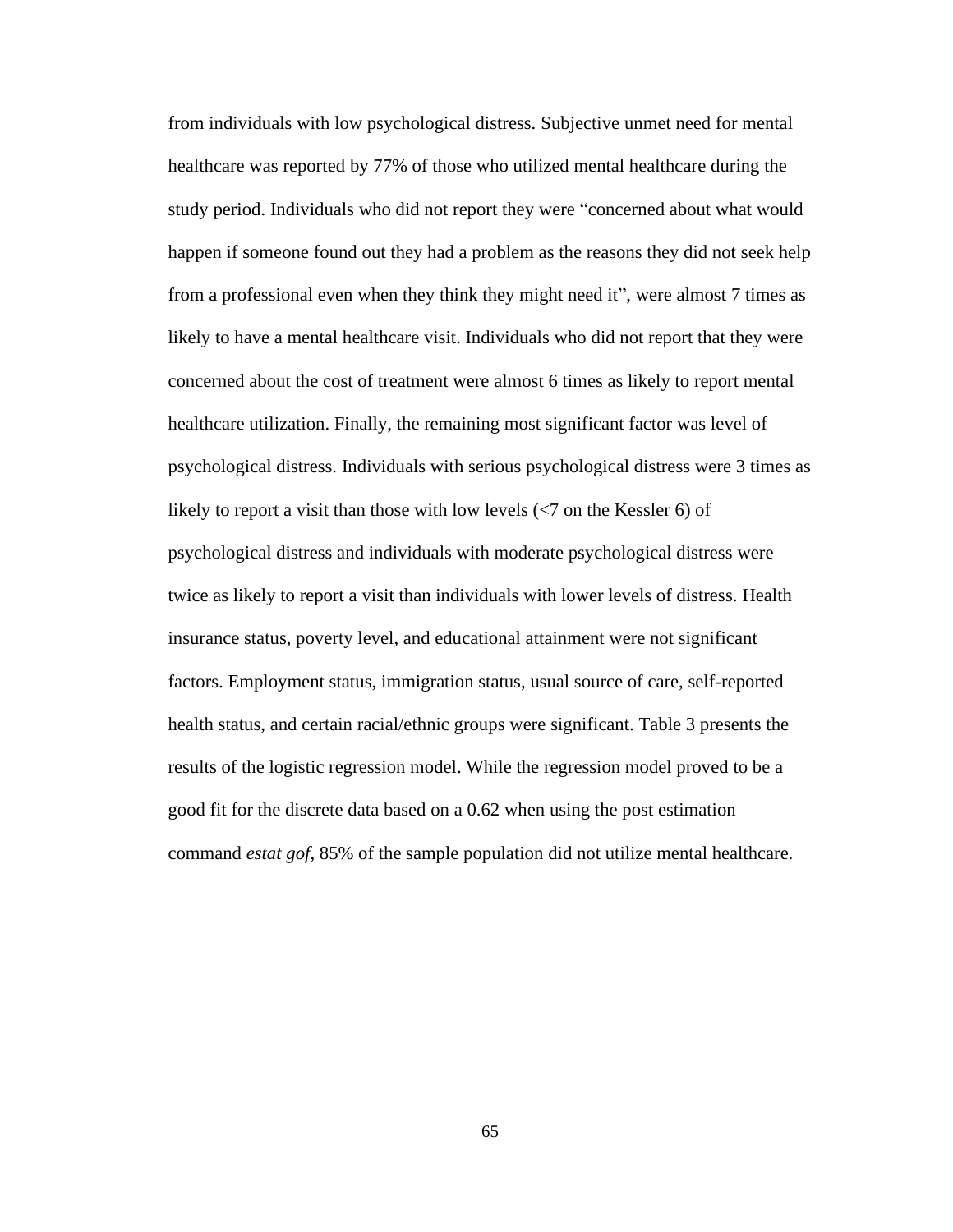from individuals with low psychological distress. Subjective unmet need for mental healthcare was reported by 77% of those who utilized mental healthcare during the study period. Individuals who did not report they were "concerned about what would happen if someone found out they had a problem as the reasons they did not seek help from a professional even when they think they might need it", were almost 7 times as likely to have a mental healthcare visit. Individuals who did not report that they were concerned about the cost of treatment were almost 6 times as likely to report mental healthcare utilization. Finally, the remaining most significant factor was level of psychological distress. Individuals with serious psychological distress were 3 times as likely to report a visit than those with low levels  $\left\langle \right\rangle$  on the Kessler 6) of psychological distress and individuals with moderate psychological distress were twice as likely to report a visit than individuals with lower levels of distress. Health insurance status, poverty level, and educational attainment were not significant factors. Employment status, immigration status, usual source of care, self-reported health status, and certain racial/ethnic groups were significant. Table 3 presents the results of the logistic regression model. While the regression model proved to be a good fit for the discrete data based on a 0.62 when using the post estimation command *estat gof*, 85% of the sample population did not utilize mental healthcare.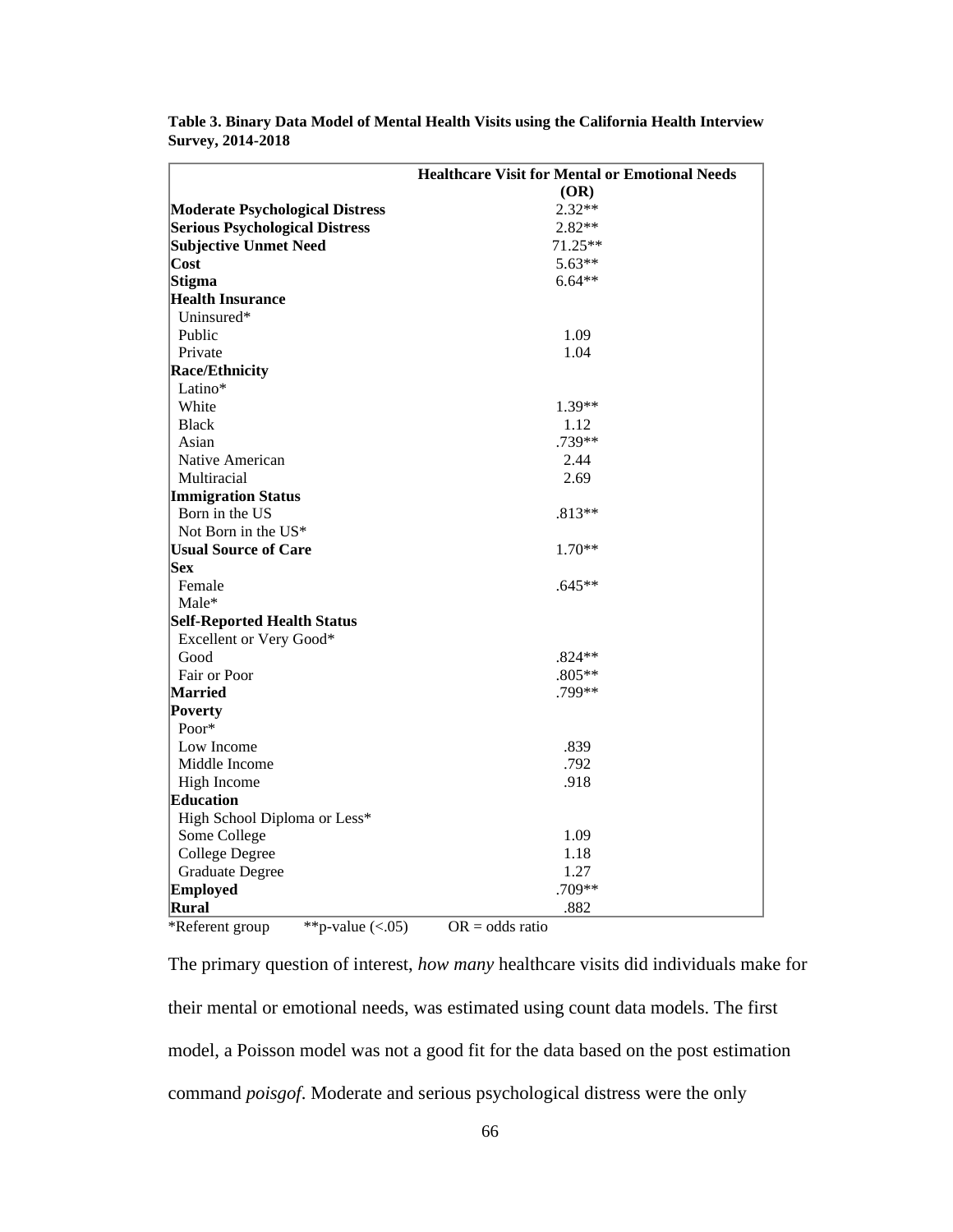|                                        | <b>Healthcare Visit for Mental or Emotional Needs</b> |
|----------------------------------------|-------------------------------------------------------|
|                                        | (OR)                                                  |
| <b>Moderate Psychological Distress</b> | $2.32**$                                              |
| <b>Serious Psychological Distress</b>  | $2.82**$                                              |
| <b>Subjective Unmet Need</b>           | 71.25**                                               |
| $\textsf{Cost}$                        | $5.63**$                                              |
| Stigma                                 | $6.64**$                                              |
| <b>Health Insurance</b>                |                                                       |
| Uninsured*                             |                                                       |
| Public                                 | 1.09                                                  |
| Private                                | 1.04                                                  |
| <b>Race/Ethnicity</b>                  |                                                       |
| Latino*                                |                                                       |
| White                                  | $1.39**$                                              |
| <b>Black</b>                           | 1.12                                                  |
| Asian                                  | .739**                                                |
| Native American                        | 2.44                                                  |
| Multiracial                            | 2.69                                                  |
| <b>Immigration Status</b>              |                                                       |
| Born in the US                         | $.813**$                                              |
| Not Born in the US*                    |                                                       |
| <b>Usual Source of Care</b>            | $1.70**$                                              |
| <b>Sex</b>                             |                                                       |
| Female                                 | $.645**$                                              |
| Male*                                  |                                                       |
| <b>Self-Reported Health Status</b>     |                                                       |
| Excellent or Very Good*                |                                                       |
| Good                                   | $.824**$                                              |
| Fair or Poor                           | $.805**$                                              |
| <b>Married</b>                         | .799**                                                |
| Poverty                                |                                                       |
| Poor*                                  |                                                       |
| Low Income                             | .839                                                  |
| Middle Income                          | .792                                                  |
| High Income                            | .918                                                  |
| Education                              |                                                       |
| High School Diploma or Less*           |                                                       |
| Some College                           | 1.09                                                  |
| <b>College Degree</b>                  | 1.18                                                  |
| <b>Graduate Degree</b>                 | 1.27                                                  |
| Employed                               | .709**                                                |
| Rural                                  | .882                                                  |
| *Referent group<br>**p-value $(<.05)$  | $OR = odds ratio$                                     |

**Table 3. Binary Data Model of Mental Health Visits using the California Health Interview Survey, 2014-2018**

The primary question of interest, *how many* healthcare visits did individuals make for their mental or emotional needs, was estimated using count data models. The first model, a Poisson model was not a good fit for the data based on the post estimation command *poisgof*. Moderate and serious psychological distress were the only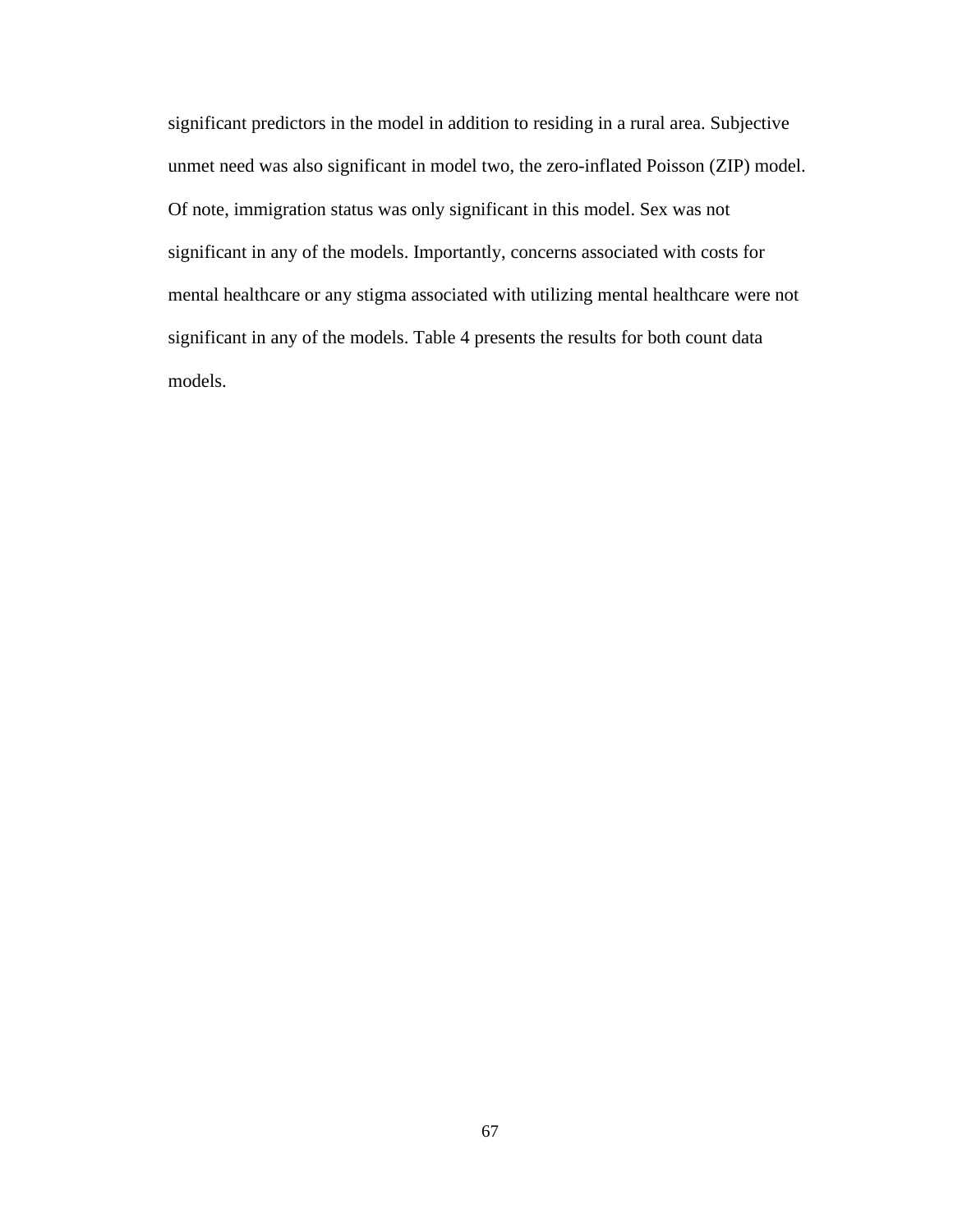significant predictors in the model in addition to residing in a rural area. Subjective unmet need was also significant in model two, the zero-inflated Poisson (ZIP) model. Of note, immigration status was only significant in this model. Sex was not significant in any of the models. Importantly, concerns associated with costs for mental healthcare or any stigma associated with utilizing mental healthcare were not significant in any of the models. Table 4 presents the results for both count data models.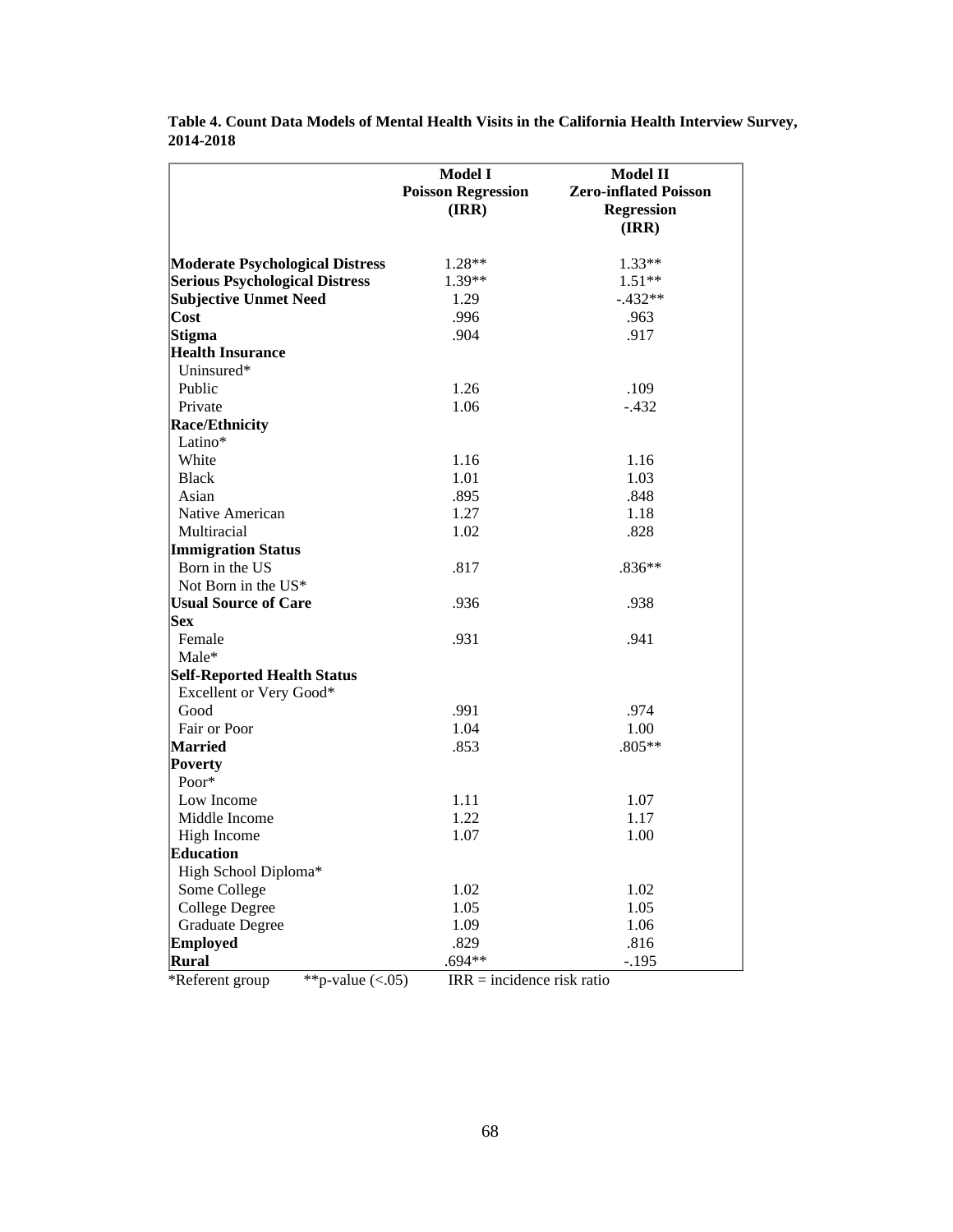|                                        | Model I<br><b>Poisson Regression</b><br>(IRR) | <b>Model II</b><br><b>Zero-inflated Poisson</b><br><b>Regression</b><br>(IRR) |
|----------------------------------------|-----------------------------------------------|-------------------------------------------------------------------------------|
|                                        |                                               |                                                                               |
| <b>Moderate Psychological Distress</b> | $1.28**$                                      | $1.33**$                                                                      |
| <b>Serious Psychological Distress</b>  | $1.39**$                                      | $1.51**$                                                                      |
| <b>Subjective Unmet Need</b>           | 1.29                                          | $-.432**$                                                                     |
| $\cos t$                               | .996                                          | .963                                                                          |
| Stigma                                 | .904                                          | .917                                                                          |
| <b>Health Insurance</b>                |                                               |                                                                               |
| Uninsured*                             |                                               |                                                                               |
| Public                                 | 1.26                                          | .109                                                                          |
| Private                                | 1.06                                          | $-.432$                                                                       |
| <b>Race/Ethnicity</b>                  |                                               |                                                                               |
| Latino*                                |                                               |                                                                               |
| White                                  | 1.16                                          | 1.16                                                                          |
| <b>Black</b>                           | 1.01                                          | 1.03                                                                          |
| Asian                                  | .895                                          | .848                                                                          |
| Native American                        | 1.27                                          | 1.18                                                                          |
| Multiracial                            | 1.02                                          | .828                                                                          |
| <b>Immigration Status</b>              |                                               |                                                                               |
| Born in the US                         | .817                                          | $.836**$                                                                      |
| Not Born in the US*                    |                                               |                                                                               |
| <b>Usual Source of Care</b>            | .936                                          | .938                                                                          |
| <b>Sex</b>                             |                                               |                                                                               |
| Female                                 | .931                                          | .941                                                                          |
| Male*                                  |                                               |                                                                               |
| <b>Self-Reported Health Status</b>     |                                               |                                                                               |
| Excellent or Very Good*                |                                               |                                                                               |
| Good                                   | .991                                          | .974                                                                          |
| Fair or Poor                           | 1.04                                          | 1.00                                                                          |
| <b>Married</b>                         | .853                                          | .805**                                                                        |
| <b>Poverty</b>                         |                                               |                                                                               |
| Poor*                                  |                                               |                                                                               |
| Low Income                             | 1.11                                          | 1.07                                                                          |
| Middle Income                          | 1.22                                          | 1.17                                                                          |
| High Income                            | 1.07                                          | 1.00                                                                          |
| <b>Education</b>                       |                                               |                                                                               |
| High School Diploma*                   |                                               |                                                                               |
| Some College                           | 1.02                                          | 1.02                                                                          |
| <b>College Degree</b>                  | 1.05                                          | 1.05                                                                          |
| <b>Graduate Degree</b>                 | 1.09                                          | 1.06                                                                          |
| <b>Employed</b>                        | .829                                          | .816                                                                          |
| Rural                                  | .694**                                        | $-.195$                                                                       |
| **p-value $(<.05)$<br>*Referent group  | $IRR = incidence risk ratio$                  |                                                                               |

**Table 4. Count Data Models of Mental Health Visits in the California Health Interview Survey, 2014-2018**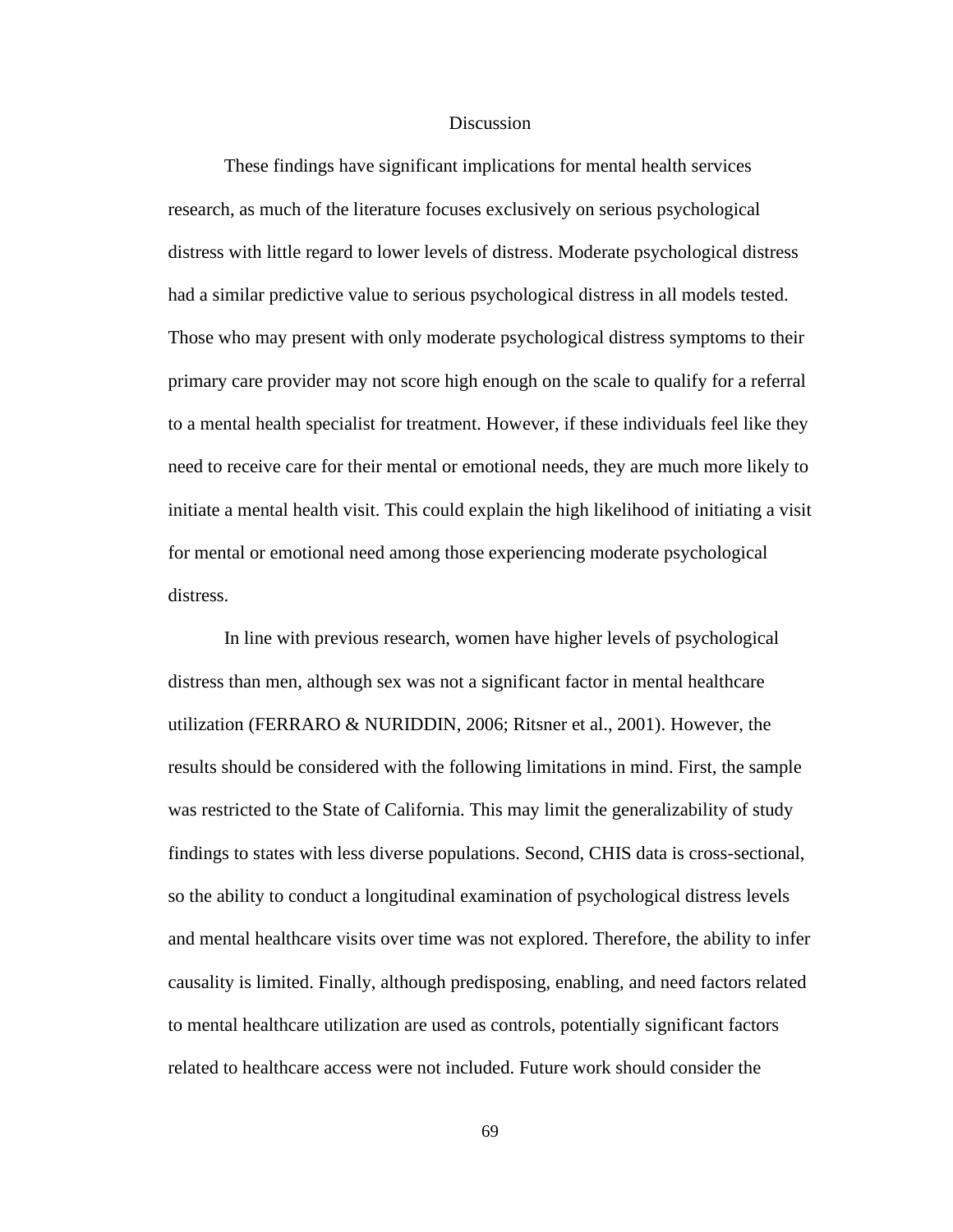#### **Discussion**

These findings have significant implications for mental health services research, as much of the literature focuses exclusively on serious psychological distress with little regard to lower levels of distress. Moderate psychological distress had a similar predictive value to serious psychological distress in all models tested. Those who may present with only moderate psychological distress symptoms to their primary care provider may not score high enough on the scale to qualify for a referral to a mental health specialist for treatment. However, if these individuals feel like they need to receive care for their mental or emotional needs, they are much more likely to initiate a mental health visit. This could explain the high likelihood of initiating a visit for mental or emotional need among those experiencing moderate psychological distress.

In line with previous research, women have higher levels of psychological distress than men, although sex was not a significant factor in mental healthcare utilization (FERRARO & NURIDDIN, 2006; Ritsner et al., 2001). However, the results should be considered with the following limitations in mind. First, the sample was restricted to the State of California. This may limit the generalizability of study findings to states with less diverse populations. Second, CHIS data is cross-sectional, so the ability to conduct a longitudinal examination of psychological distress levels and mental healthcare visits over time was not explored. Therefore, the ability to infer causality is limited. Finally, although predisposing, enabling, and need factors related to mental healthcare utilization are used as controls, potentially significant factors related to healthcare access were not included. Future work should consider the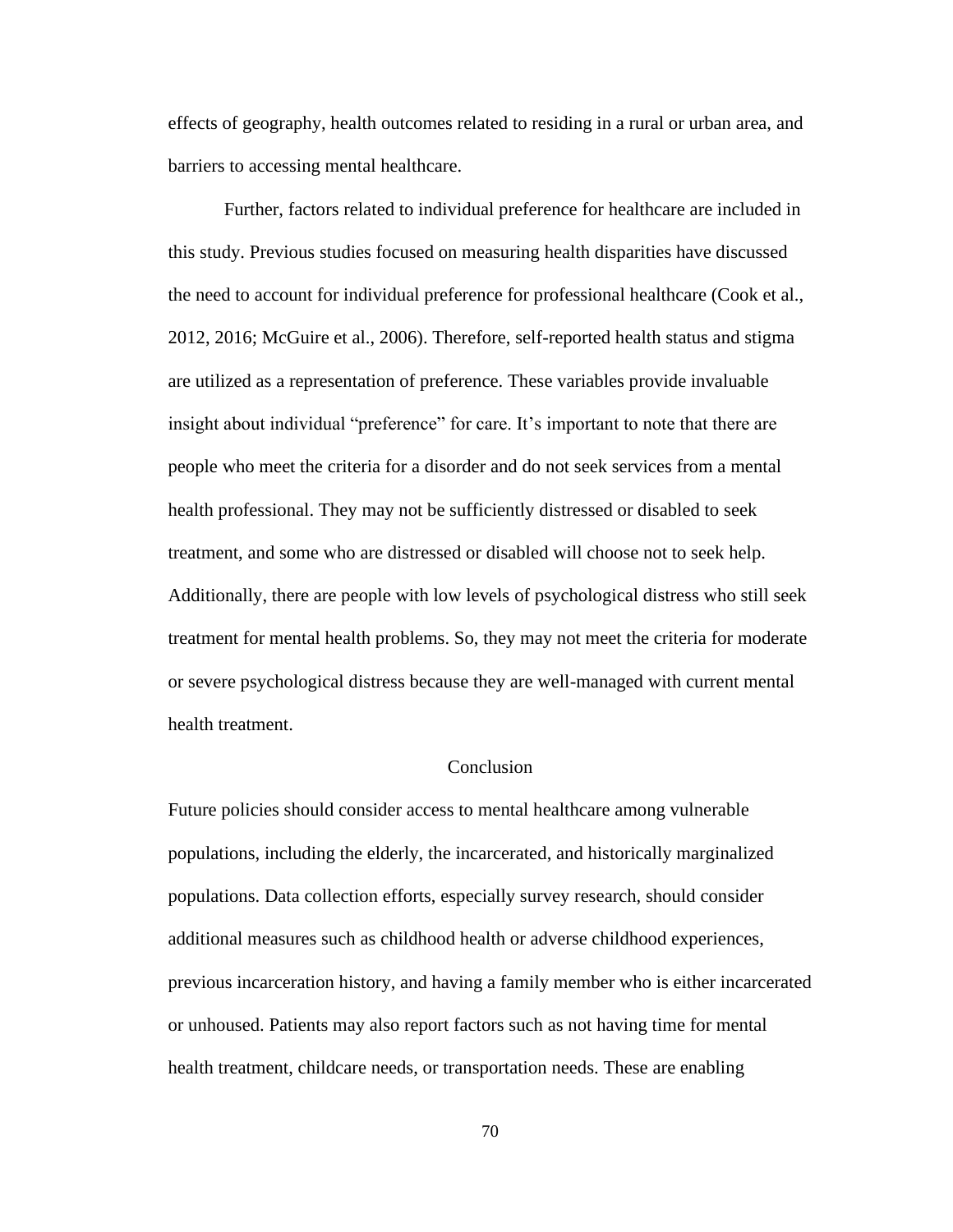effects of geography, health outcomes related to residing in a rural or urban area, and barriers to accessing mental healthcare.

Further, factors related to individual preference for healthcare are included in this study. Previous studies focused on measuring health disparities have discussed the need to account for individual preference for professional healthcare (Cook et al., 2012, 2016; McGuire et al., 2006). Therefore, self-reported health status and stigma are utilized as a representation of preference. These variables provide invaluable insight about individual "preference" for care. It's important to note that there are people who meet the criteria for a disorder and do not seek services from a mental health professional. They may not be sufficiently distressed or disabled to seek treatment, and some who are distressed or disabled will choose not to seek help. Additionally, there are people with low levels of psychological distress who still seek treatment for mental health problems. So, they may not meet the criteria for moderate or severe psychological distress because they are well-managed with current mental health treatment.

# Conclusion

Future policies should consider access to mental healthcare among vulnerable populations, including the elderly, the incarcerated, and historically marginalized populations. Data collection efforts, especially survey research, should consider additional measures such as childhood health or adverse childhood experiences, previous incarceration history, and having a family member who is either incarcerated or unhoused. Patients may also report factors such as not having time for mental health treatment, childcare needs, or transportation needs. These are enabling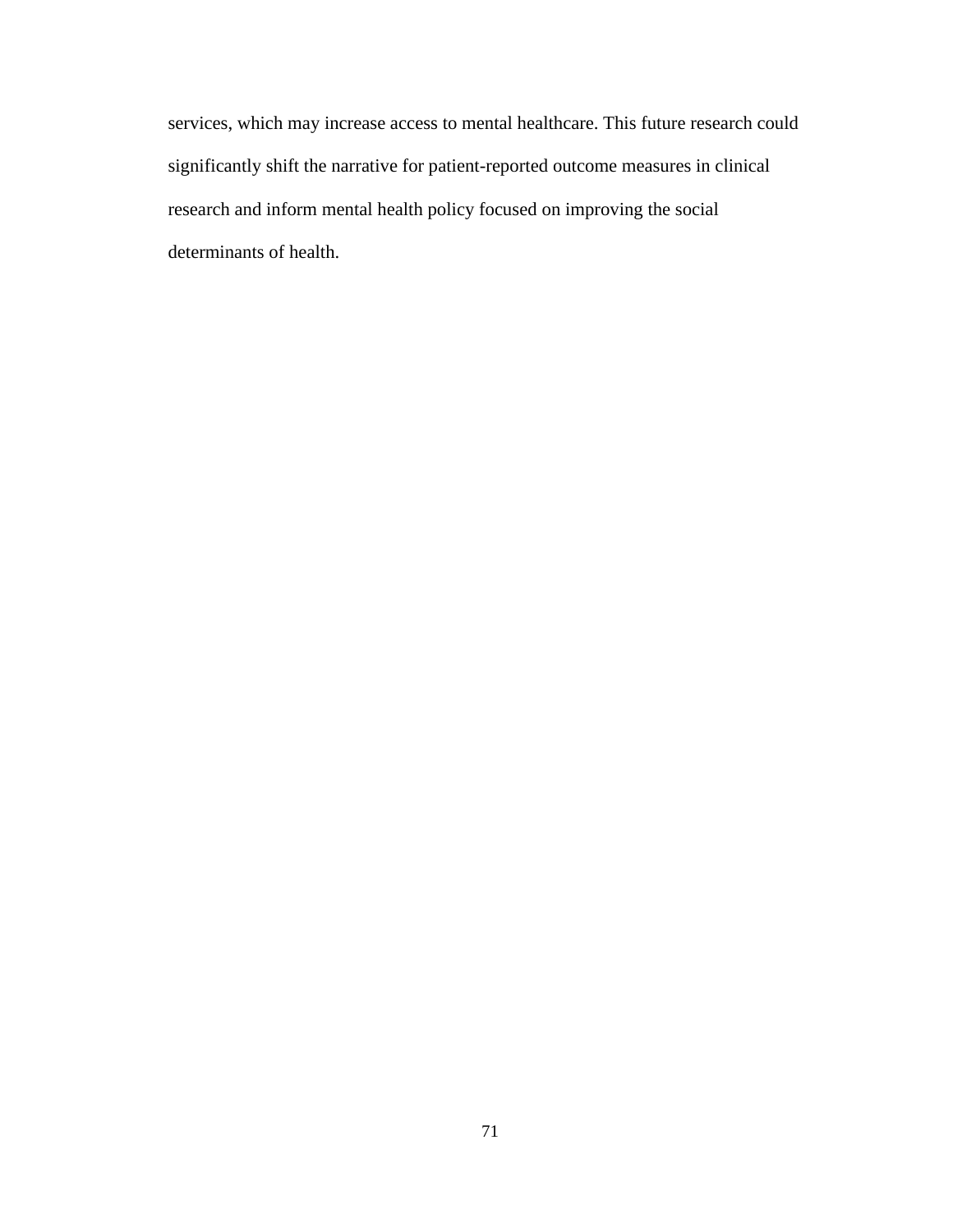services, which may increase access to mental healthcare. This future research could significantly shift the narrative for patient-reported outcome measures in clinical research and inform mental health policy focused on improving the social determinants of health.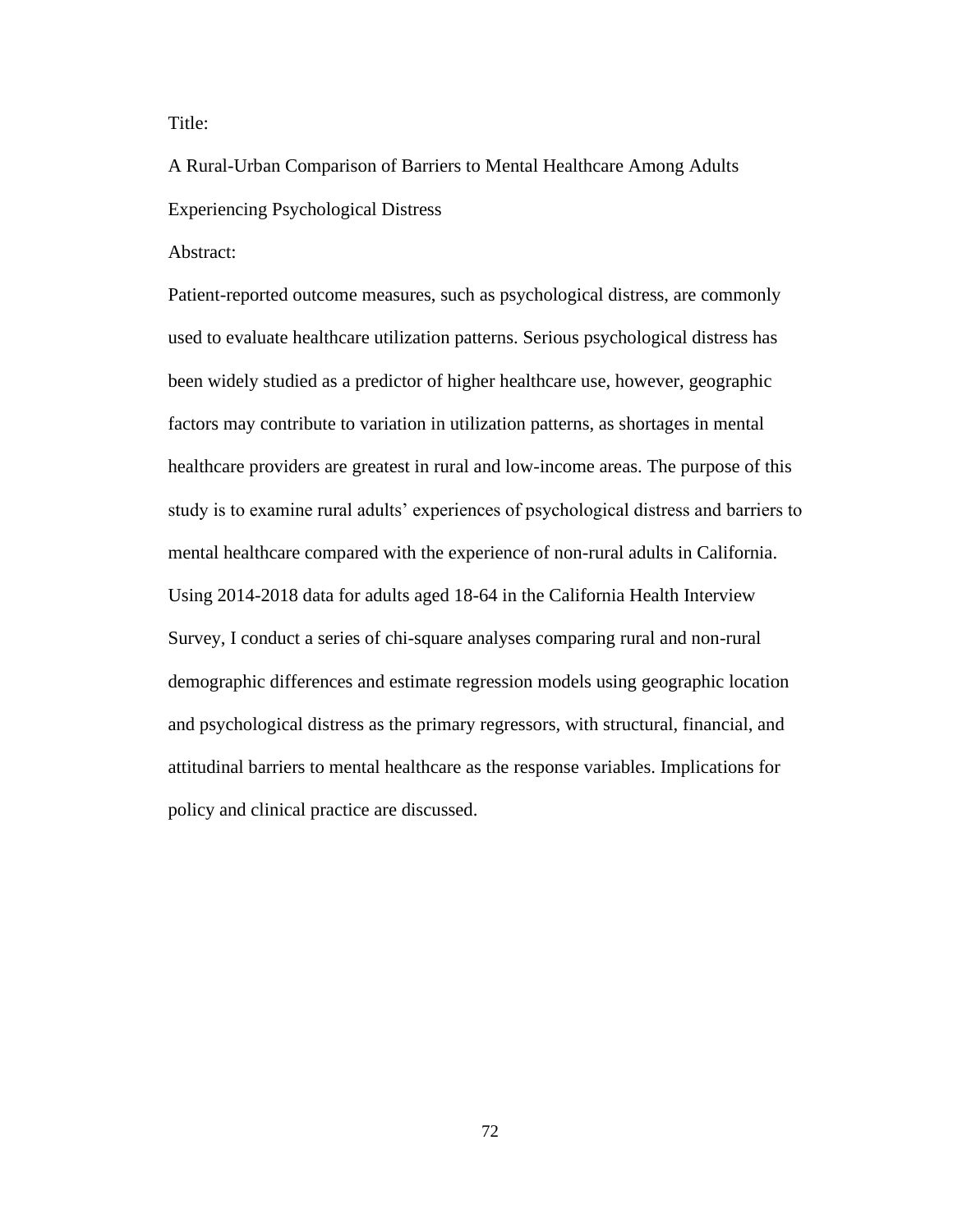Title:

A Rural-Urban Comparison of Barriers to Mental Healthcare Among Adults Experiencing Psychological Distress

Abstract:

Patient-reported outcome measures, such as psychological distress, are commonly used to evaluate healthcare utilization patterns. Serious psychological distress has been widely studied as a predictor of higher healthcare use, however, geographic factors may contribute to variation in utilization patterns, as shortages in mental healthcare providers are greatest in rural and low-income areas. The purpose of this study is to examine rural adults' experiences of psychological distress and barriers to mental healthcare compared with the experience of non-rural adults in California. Using 2014-2018 data for adults aged 18-64 in the California Health Interview Survey, I conduct a series of chi-square analyses comparing rural and non-rural demographic differences and estimate regression models using geographic location and psychological distress as the primary regressors, with structural, financial, and attitudinal barriers to mental healthcare as the response variables. Implications for policy and clinical practice are discussed.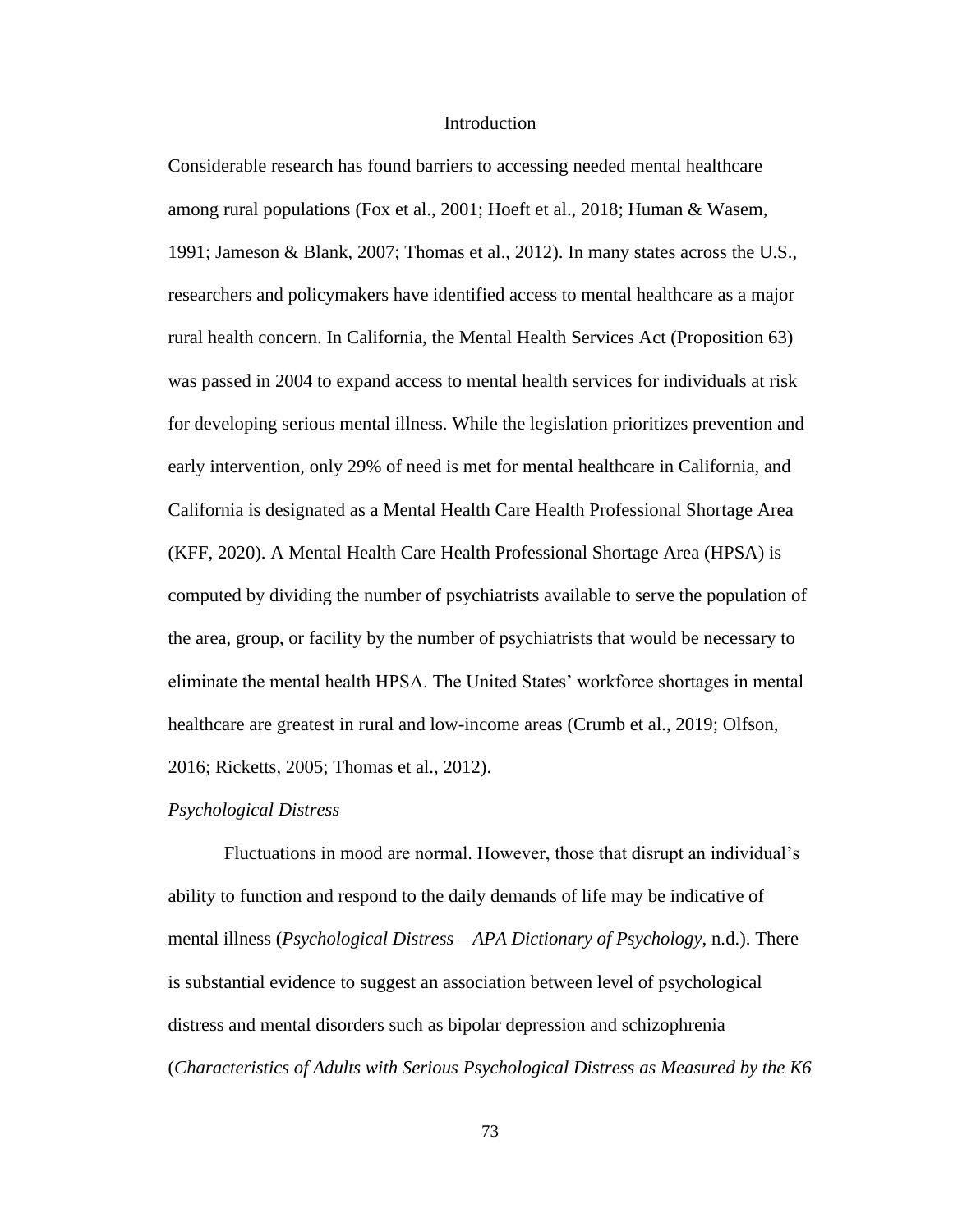### **Introduction**

Considerable research has found barriers to accessing needed mental healthcare among rural populations (Fox et al., 2001; Hoeft et al., 2018; Human & Wasem, 1991; Jameson & Blank, 2007; Thomas et al., 2012). In many states across the U.S., researchers and policymakers have identified access to mental healthcare as a major rural health concern. In California, the Mental Health Services Act (Proposition 63) was passed in 2004 to expand access to mental health services for individuals at risk for developing serious mental illness. While the legislation prioritizes prevention and early intervention, only 29% of need is met for mental healthcare in California, and California is designated as a Mental Health Care Health Professional Shortage Area (KFF, 2020). A Mental Health Care Health Professional Shortage Area (HPSA) is computed by dividing the number of psychiatrists available to serve the population of the area, group, or facility by the number of psychiatrists that would be necessary to eliminate the mental health HPSA. The United States' workforce shortages in mental healthcare are greatest in rural and low-income areas (Crumb et al., 2019; Olfson, 2016; Ricketts, 2005; Thomas et al., 2012).

#### *Psychological Distress*

Fluctuations in mood are normal. However, those that disrupt an individual's ability to function and respond to the daily demands of life may be indicative of mental illness (*Psychological Distress – APA Dictionary of Psychology*, n.d.). There is substantial evidence to suggest an association between level of psychological distress and mental disorders such as bipolar depression and schizophrenia (*Characteristics of Adults with Serious Psychological Distress as Measured by the K6*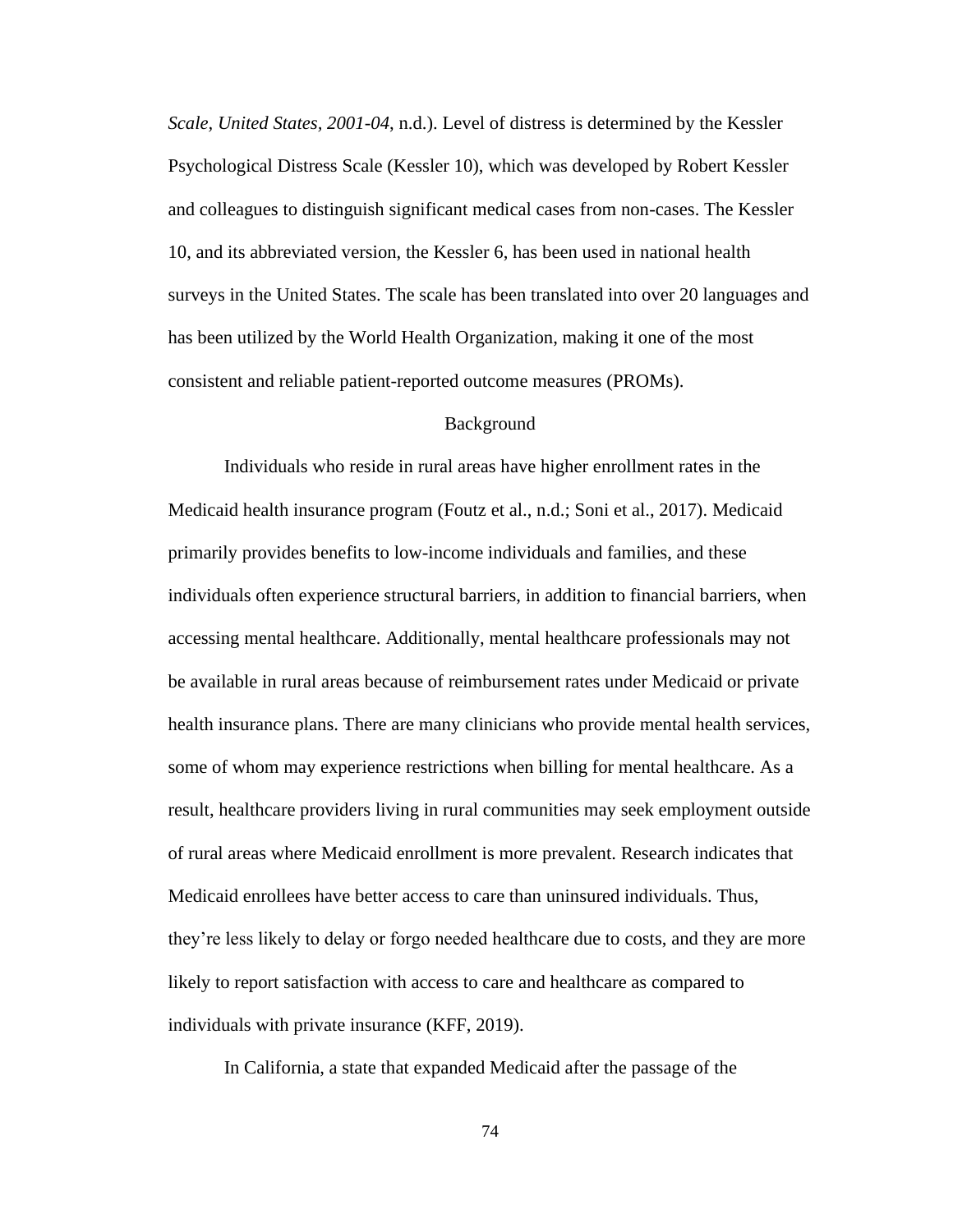*Scale, United States, 2001-04*, n.d.). Level of distress is determined by the Kessler Psychological Distress Scale (Kessler 10), which was developed by Robert Kessler and colleagues to distinguish significant medical cases from non-cases. The Kessler 10, and its abbreviated version, the Kessler 6, has been used in national health surveys in the United States. The scale has been translated into over 20 languages and has been utilized by the World Health Organization, making it one of the most consistent and reliable patient-reported outcome measures (PROMs).

#### Background

Individuals who reside in rural areas have higher enrollment rates in the Medicaid health insurance program (Foutz et al., n.d.; Soni et al., 2017). Medicaid primarily provides benefits to low-income individuals and families, and these individuals often experience structural barriers, in addition to financial barriers, when accessing mental healthcare. Additionally, mental healthcare professionals may not be available in rural areas because of reimbursement rates under Medicaid or private health insurance plans. There are many clinicians who provide mental health services, some of whom may experience restrictions when billing for mental healthcare. As a result, healthcare providers living in rural communities may seek employment outside of rural areas where Medicaid enrollment is more prevalent. Research indicates that Medicaid enrollees have better access to care than uninsured individuals. Thus, they're less likely to delay or forgo needed healthcare due to costs, and they are more likely to report satisfaction with access to care and healthcare as compared to individuals with private insurance (KFF, 2019).

In California, a state that expanded Medicaid after the passage of the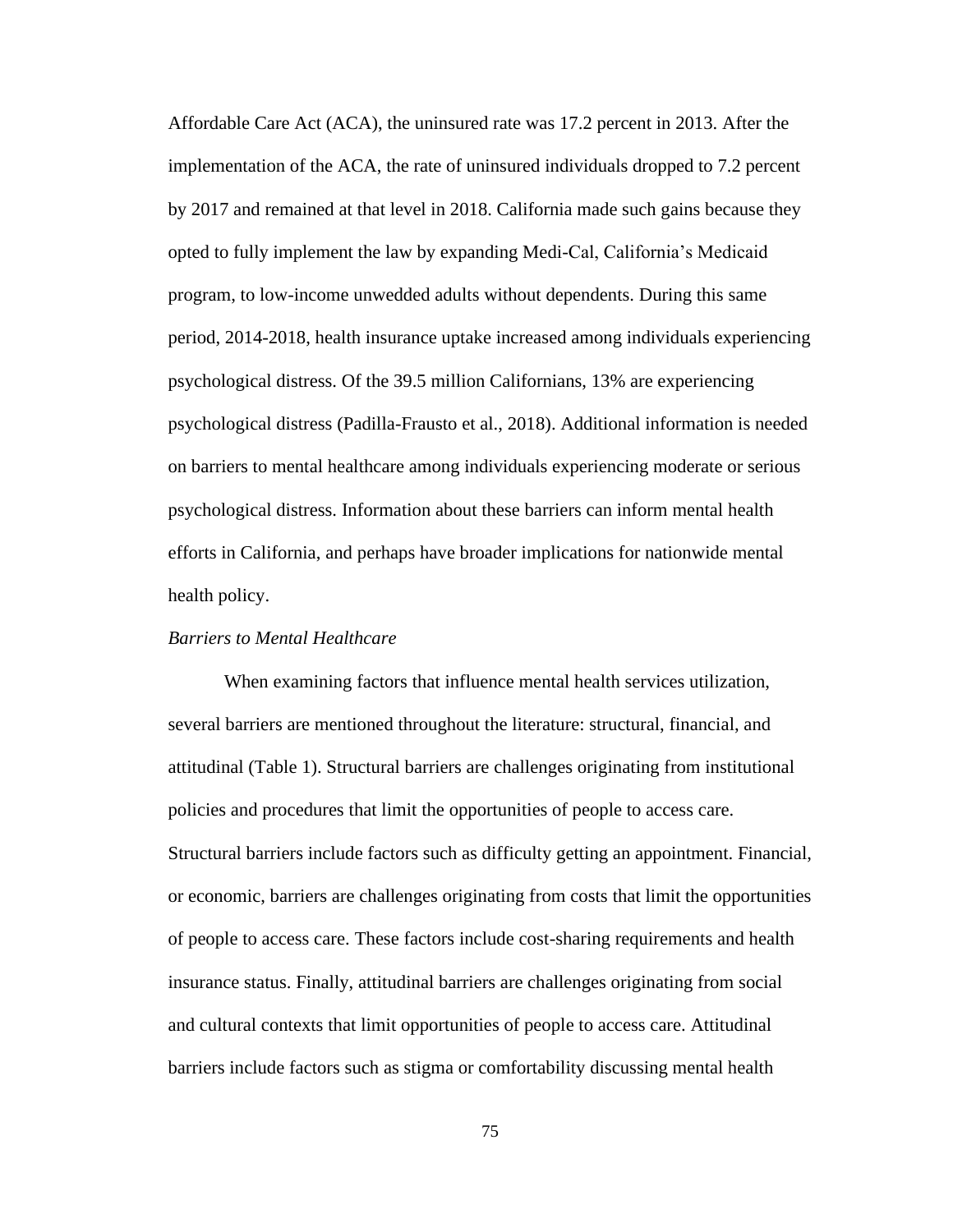Affordable Care Act (ACA), the uninsured rate was 17.2 percent in 2013. After the implementation of the ACA, the rate of uninsured individuals dropped to 7.2 percent by 2017 and remained at that level in 2018. California made such gains because they opted to fully implement the law by expanding Medi-Cal, California's Medicaid program, to low-income unwedded adults without dependents. During this same period, 2014-2018, health insurance uptake increased among individuals experiencing psychological distress. Of the 39.5 million Californians, 13% are experiencing psychological distress (Padilla-Frausto et al., 2018). Additional information is needed on barriers to mental healthcare among individuals experiencing moderate or serious psychological distress. Information about these barriers can inform mental health efforts in California, and perhaps have broader implications for nationwide mental health policy.

# *Barriers to Mental Healthcare*

When examining factors that influence mental health services utilization, several barriers are mentioned throughout the literature: structural, financial, and attitudinal (Table 1). Structural barriers are challenges originating from institutional policies and procedures that limit the opportunities of people to access care. Structural barriers include factors such as difficulty getting an appointment. Financial, or economic, barriers are challenges originating from costs that limit the opportunities of people to access care. These factors include cost-sharing requirements and health insurance status. Finally, attitudinal barriers are challenges originating from social and cultural contexts that limit opportunities of people to access care. Attitudinal barriers include factors such as stigma or comfortability discussing mental health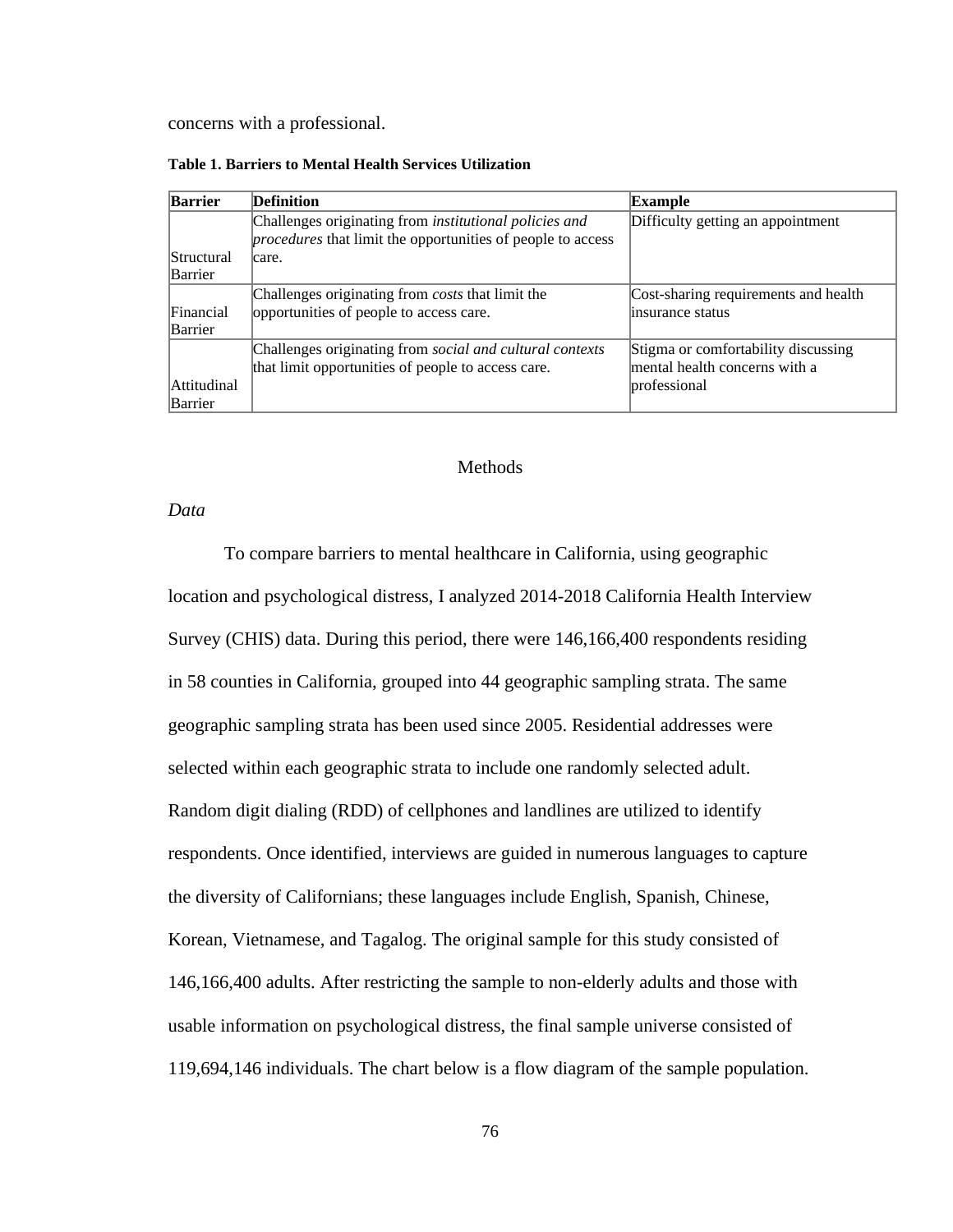concerns with a professional.

**Table 1. Barriers to Mental Health Services Utilization**

| Barrier     | <b>Definition</b>                                                  | Example                              |
|-------------|--------------------------------------------------------------------|--------------------------------------|
|             | Challenges originating from <i>institutional policies and</i>      | Difficulty getting an appointment    |
|             | <i>procedures</i> that limit the opportunities of people to access |                                      |
| Structural  | care.                                                              |                                      |
| Barrier     |                                                                    |                                      |
|             | Challenges originating from <i>costs</i> that limit the            | Cost-sharing requirements and health |
| Financial   | opportunities of people to access care.                            | insurance status                     |
| Barrier     |                                                                    |                                      |
|             | Challenges originating from social and cultural contexts           | Stigma or comfortability discussing  |
|             | that limit opportunities of people to access care.                 | mental health concerns with a        |
| Attitudinal |                                                                    | professional                         |
| Barrier     |                                                                    |                                      |

#### Methods

### *Data*

To compare barriers to mental healthcare in California, using geographic location and psychological distress, I analyzed 2014-2018 California Health Interview Survey (CHIS) data. During this period, there were 146,166,400 respondents residing in 58 counties in California, grouped into 44 geographic sampling strata. The same geographic sampling strata has been used since 2005. Residential addresses were selected within each geographic strata to include one randomly selected adult. Random digit dialing (RDD) of cellphones and landlines are utilized to identify respondents. Once identified, interviews are guided in numerous languages to capture the diversity of Californians; these languages include English, Spanish, Chinese, Korean, Vietnamese, and Tagalog. The original sample for this study consisted of 146,166,400 adults. After restricting the sample to non-elderly adults and those with usable information on psychological distress, the final sample universe consisted of 119,694,146 individuals. The chart below is a flow diagram of the sample population.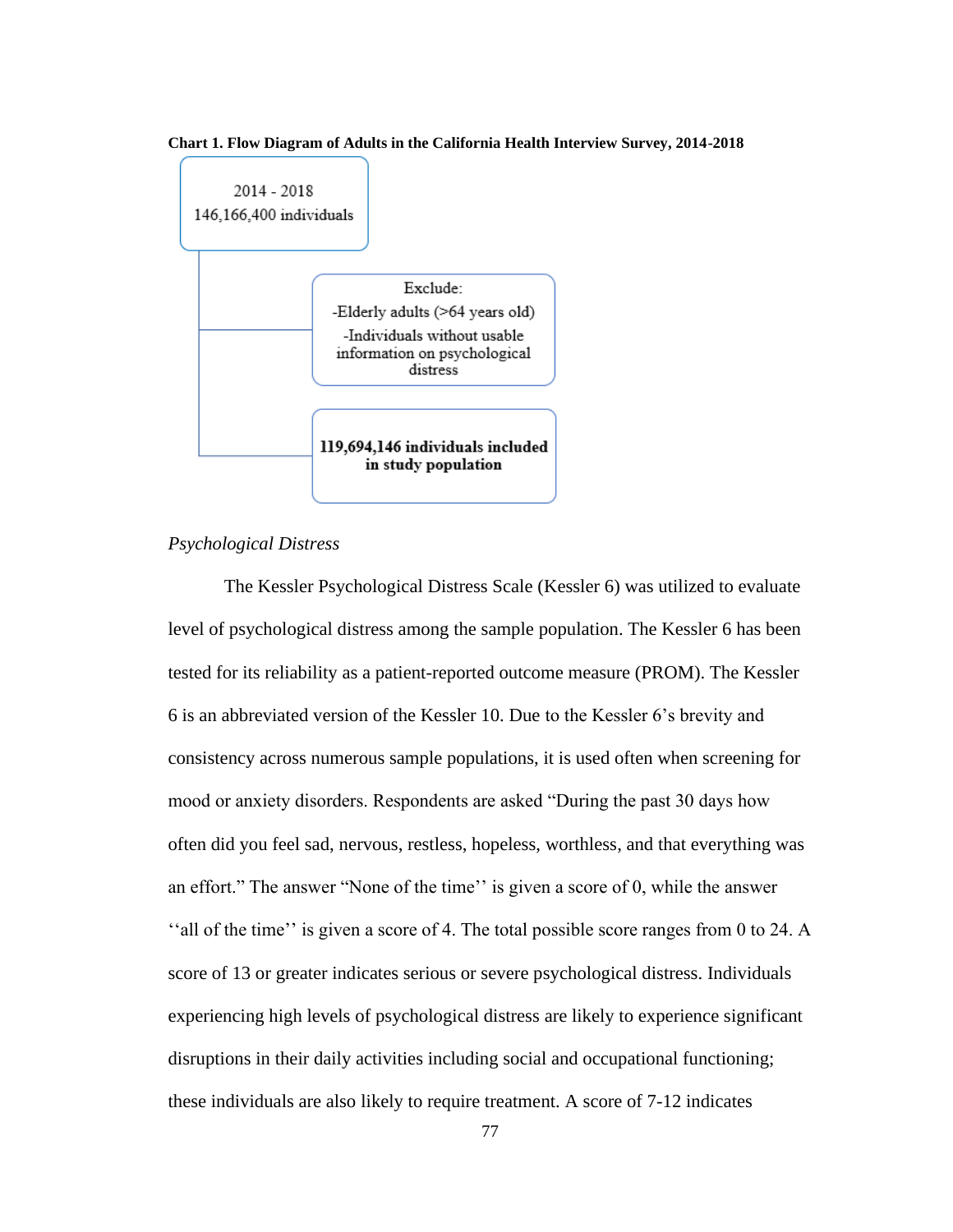#### **Chart 1. Flow Diagram of Adults in the California Health Interview Survey, 2014-2018**



# *Psychological Distress*

The Kessler Psychological Distress Scale (Kessler 6) was utilized to evaluate level of psychological distress among the sample population. The Kessler 6 has been tested for its reliability as a patient-reported outcome measure (PROM). The Kessler 6 is an abbreviated version of the Kessler 10. Due to the Kessler 6's brevity and consistency across numerous sample populations, it is used often when screening for mood or anxiety disorders. Respondents are asked "During the past 30 days how often did you feel sad, nervous, restless, hopeless, worthless, and that everything was an effort." The answer "None of the time'' is given a score of 0, while the answer ''all of the time'' is given a score of 4. The total possible score ranges from 0 to 24. A score of 13 or greater indicates serious or severe psychological distress. Individuals experiencing high levels of psychological distress are likely to experience significant disruptions in their daily activities including social and occupational functioning; these individuals are also likely to require treatment. A score of 7-12 indicates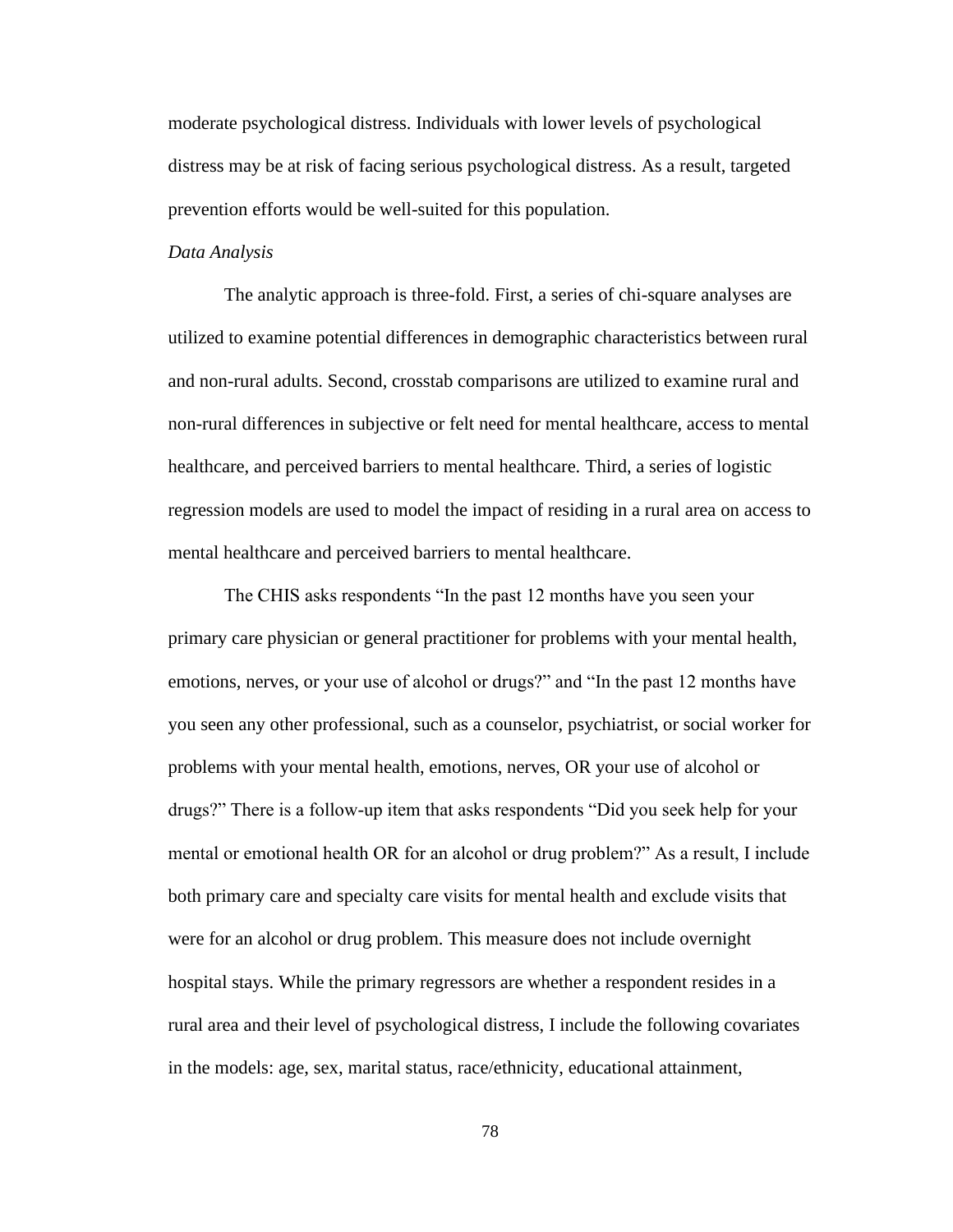moderate psychological distress. Individuals with lower levels of psychological distress may be at risk of facing serious psychological distress. As a result, targeted prevention efforts would be well-suited for this population.

#### *Data Analysis*

The analytic approach is three-fold. First, a series of chi-square analyses are utilized to examine potential differences in demographic characteristics between rural and non-rural adults. Second, crosstab comparisons are utilized to examine rural and non-rural differences in subjective or felt need for mental healthcare, access to mental healthcare, and perceived barriers to mental healthcare. Third, a series of logistic regression models are used to model the impact of residing in a rural area on access to mental healthcare and perceived barriers to mental healthcare.

The CHIS asks respondents "In the past 12 months have you seen your primary care physician or general practitioner for problems with your mental health, emotions, nerves, or your use of alcohol or drugs?" and "In the past 12 months have you seen any other professional, such as a counselor, psychiatrist, or social worker for problems with your mental health, emotions, nerves, OR your use of alcohol or drugs?" There is a follow-up item that asks respondents "Did you seek help for your mental or emotional health OR for an alcohol or drug problem?" As a result, I include both primary care and specialty care visits for mental health and exclude visits that were for an alcohol or drug problem. This measure does not include overnight hospital stays. While the primary regressors are whether a respondent resides in a rural area and their level of psychological distress, I include the following covariates in the models: age, sex, marital status, race/ethnicity, educational attainment,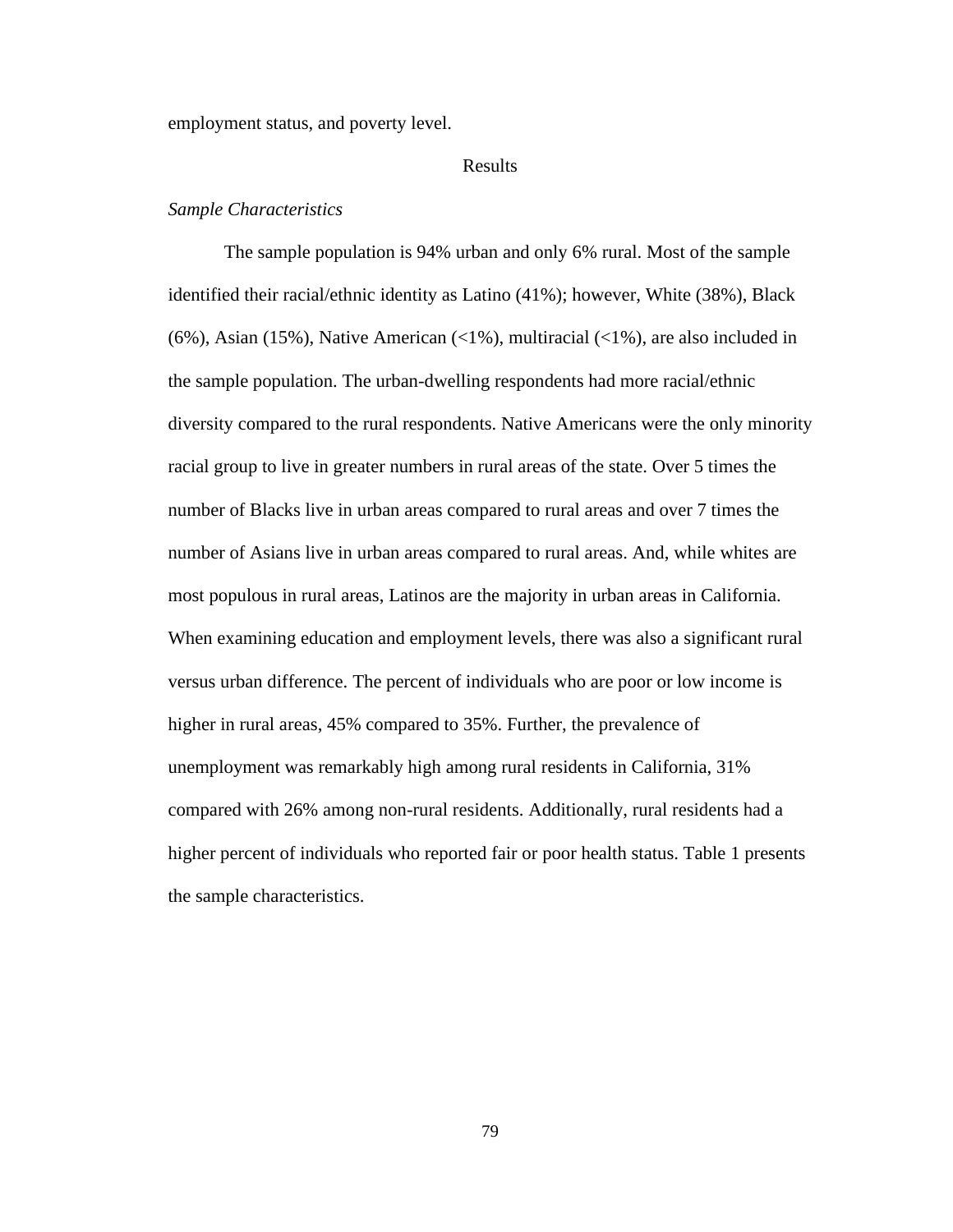employment status, and poverty level.

#### Results

# *Sample Characteristics*

The sample population is 94% urban and only 6% rural. Most of the sample identified their racial/ethnic identity as Latino (41%); however, White (38%), Black (6%), Asian (15%), Native American (<1%), multiracial (<1%), are also included in the sample population. The urban-dwelling respondents had more racial/ethnic diversity compared to the rural respondents. Native Americans were the only minority racial group to live in greater numbers in rural areas of the state. Over 5 times the number of Blacks live in urban areas compared to rural areas and over 7 times the number of Asians live in urban areas compared to rural areas. And, while whites are most populous in rural areas, Latinos are the majority in urban areas in California. When examining education and employment levels, there was also a significant rural versus urban difference. The percent of individuals who are poor or low income is higher in rural areas, 45% compared to 35%. Further, the prevalence of unemployment was remarkably high among rural residents in California, 31% compared with 26% among non-rural residents. Additionally, rural residents had a higher percent of individuals who reported fair or poor health status. Table 1 presents the sample characteristics.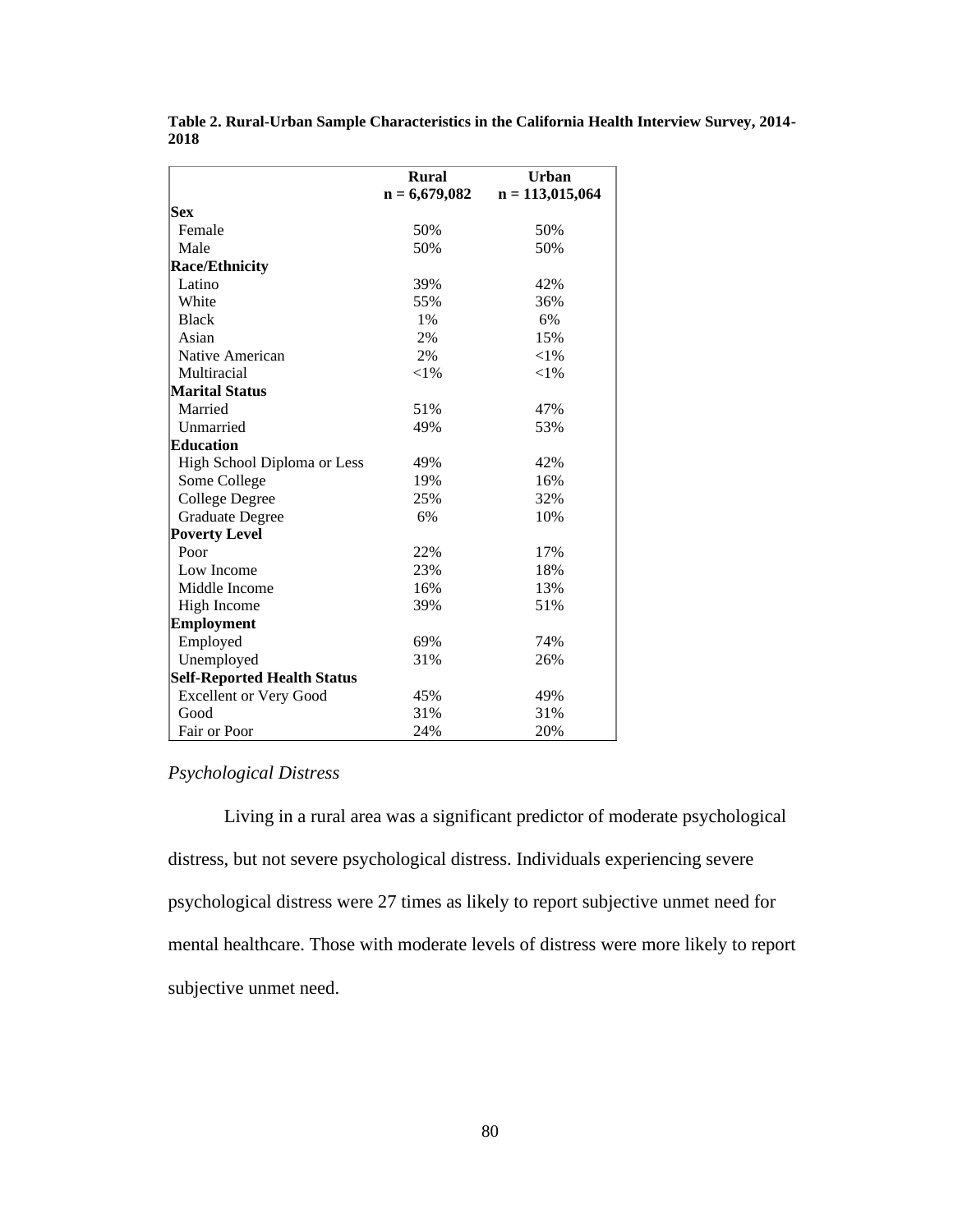|                                    | <b>Rural</b>    | <b>Urban</b>      |
|------------------------------------|-----------------|-------------------|
|                                    | $n = 6,679,082$ | $n = 113,015,064$ |
| <b>Sex</b>                         |                 |                   |
| Female                             | 50%             | 50%               |
| Male                               | 50%             | 50%               |
| <b>Race/Ethnicity</b>              |                 |                   |
| Latino                             | 39%             | 42%               |
| White                              | 55%             | 36%               |
| <b>Black</b>                       | 1%              | 6%                |
| Asian                              | 2%              | 15%               |
| Native American                    | 2%              | ${<}1\%$          |
| Multiracial                        | $<$ 1%          | ${<}1\%$          |
| <b>Marital Status</b>              |                 |                   |
| Married                            | 51%             | 47%               |
| Unmarried                          | 49%             | 53%               |
| Education                          |                 |                   |
| High School Diploma or Less        | 49%             | 42%               |
| Some College                       | 19%             | 16%               |
| <b>College Degree</b>              | 25%             | 32%               |
| <b>Graduate Degree</b>             | 6%              | 10%               |
| <b>Poverty Level</b>               |                 |                   |
| Poor                               | 22%             | 17%               |
| Low Income                         | 23%             | 18%               |
| Middle Income                      | 16%             | 13%               |
| High Income                        | 39%             | 51%               |
| <b>Employment</b>                  |                 |                   |
| Employed                           | 69%             | 74%               |
| Unemployed                         | 31%             | 26%               |
| <b>Self-Reported Health Status</b> |                 |                   |
| <b>Excellent or Very Good</b>      | 45%             | 49%               |
| Good                               | 31%             | 31%               |
| Fair or Poor                       | 24%             | 20%               |

**Table 2. Rural-Urban Sample Characteristics in the California Health Interview Survey, 2014- 2018**

# *Psychological Distress*

Living in a rural area was a significant predictor of moderate psychological distress, but not severe psychological distress. Individuals experiencing severe psychological distress were 27 times as likely to report subjective unmet need for mental healthcare. Those with moderate levels of distress were more likely to report subjective unmet need.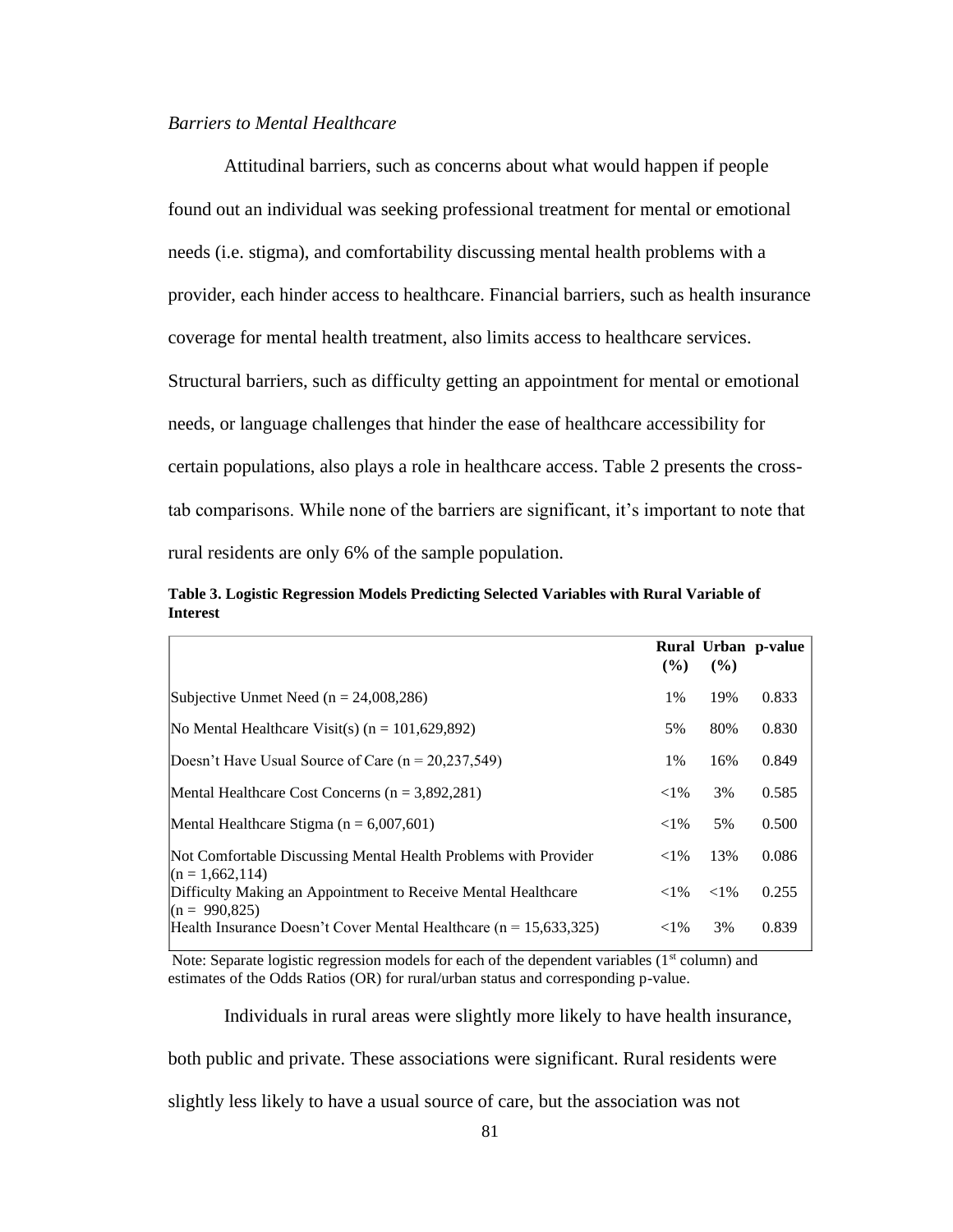# *Barriers to Mental Healthcare*

Attitudinal barriers, such as concerns about what would happen if people found out an individual was seeking professional treatment for mental or emotional needs (i.e. stigma), and comfortability discussing mental health problems with a provider, each hinder access to healthcare. Financial barriers, such as health insurance coverage for mental health treatment, also limits access to healthcare services. Structural barriers, such as difficulty getting an appointment for mental or emotional needs, or language challenges that hinder the ease of healthcare accessibility for certain populations, also plays a role in healthcare access. Table 2 presents the crosstab comparisons. While none of the barriers are significant, it's important to note that rural residents are only 6% of the sample population.

**Table 3. Logistic Regression Models Predicting Selected Variables with Rural Variable of Interest**

|                                                                                          | $($ %) | (%)      | Rural Urban p-value |
|------------------------------------------------------------------------------------------|--------|----------|---------------------|
| Subjective Unmet Need ( $n = 24,008,286$ )                                               | 1%     | 19%      | 0.833               |
| No Mental Healthcare Visit(s) ( $n = 101,629,892$ )                                      | 5%     | 80%      | 0.830               |
| Doesn't Have Usual Source of Care $(n = 20.237.549)$                                     | 1%     | 16%      | 0.849               |
| Mental Healthcare Cost Concerns $(n = 3,892,281)$                                        | $<$ 1% | 3%       | 0.585               |
| Mental Healthcare Stigma ( $n = 6,007,601$ )                                             | $<$ 1% | 5%       | 0.500               |
| Not Comfortable Discussing Mental Health Problems with Provider                          | $<$ 1% | 13%      | 0.086               |
| $(n = 1,662,114)$<br>Difficulty Making an Appointment to Receive Mental Healthcare       | $<$ 1% | ${<}1\%$ | 0.255               |
| $(n = 990,825)$<br>Health Insurance Doesn't Cover Mental Healthcare ( $n = 15,633,325$ ) | $<$ 1% | 3%       | 0.839               |

Note: Separate logistic regression models for each of the dependent variables  $(1<sup>st</sup> column)$  and estimates of the Odds Ratios (OR) for rural/urban status and corresponding p-value.

Individuals in rural areas were slightly more likely to have health insurance,

both public and private. These associations were significant. Rural residents were

slightly less likely to have a usual source of care, but the association was not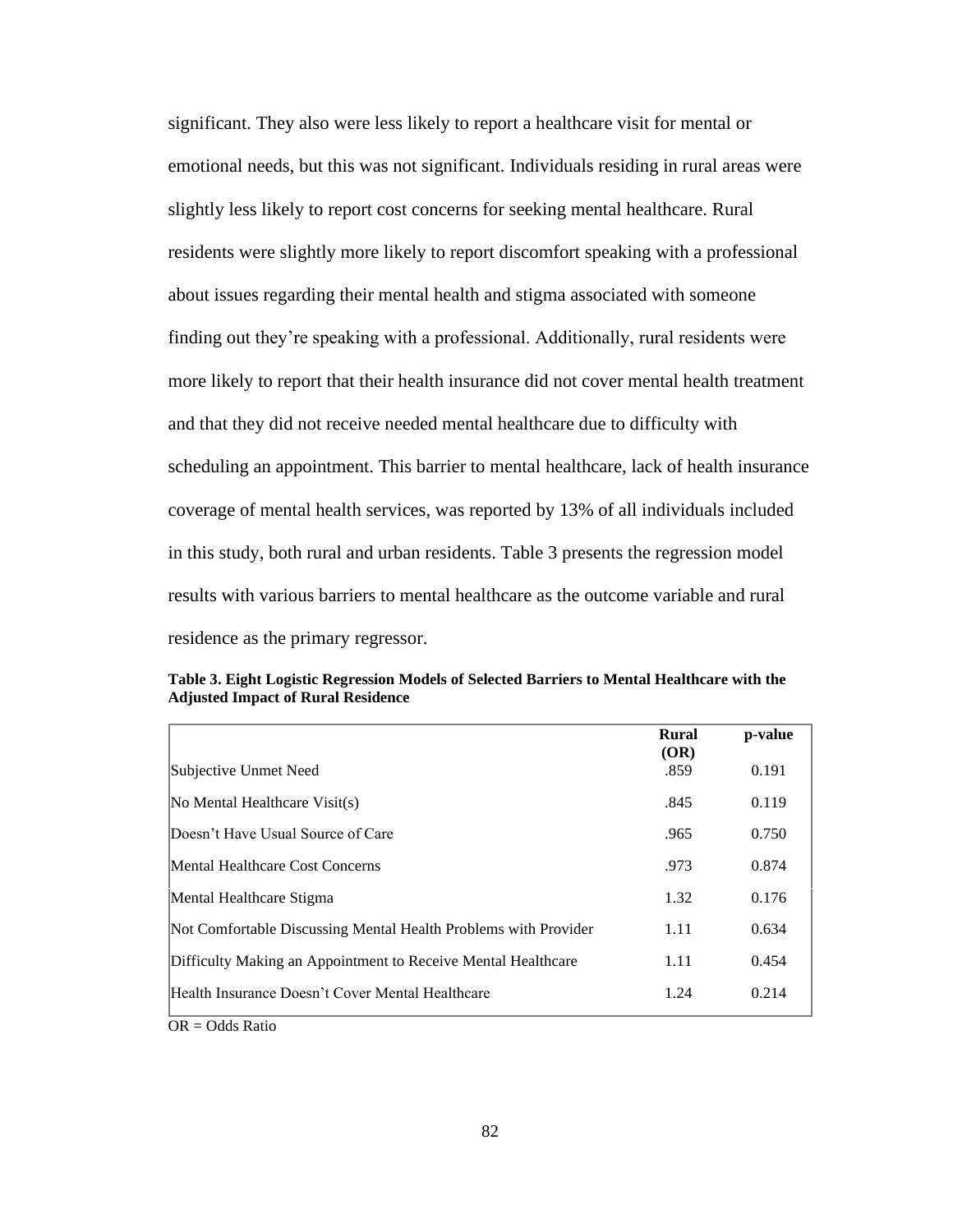significant. They also were less likely to report a healthcare visit for mental or emotional needs, but this was not significant. Individuals residing in rural areas were slightly less likely to report cost concerns for seeking mental healthcare. Rural residents were slightly more likely to report discomfort speaking with a professional about issues regarding their mental health and stigma associated with someone finding out they're speaking with a professional. Additionally, rural residents were more likely to report that their health insurance did not cover mental health treatment and that they did not receive needed mental healthcare due to difficulty with scheduling an appointment. This barrier to mental healthcare, lack of health insurance coverage of mental health services, was reported by 13% of all individuals included in this study, both rural and urban residents. Table 3 presents the regression model results with various barriers to mental healthcare as the outcome variable and rural residence as the primary regressor.

|                                                                 | <b>Rural</b><br>(OR) | p-value |
|-----------------------------------------------------------------|----------------------|---------|
| Subjective Unmet Need                                           | .859                 | 0.191   |
| No Mental Healthcare Visit(s)                                   | .845                 | 0.119   |
| Doesn't Have Usual Source of Care                               | .965                 | 0.750   |
| Mental Healthcare Cost Concerns                                 | .973                 | 0.874   |
| Mental Healthcare Stigma                                        | 1.32                 | 0.176   |
| Not Comfortable Discussing Mental Health Problems with Provider | 1.11                 | 0.634   |
| Difficulty Making an Appointment to Receive Mental Healthcare   | 1.11                 | 0.454   |
| Health Insurance Doesn't Cover Mental Healthcare                | 1.24                 | 0.214   |

**Table 3. Eight Logistic Regression Models of Selected Barriers to Mental Healthcare with the Adjusted Impact of Rural Residence**

OR = Odds Ratio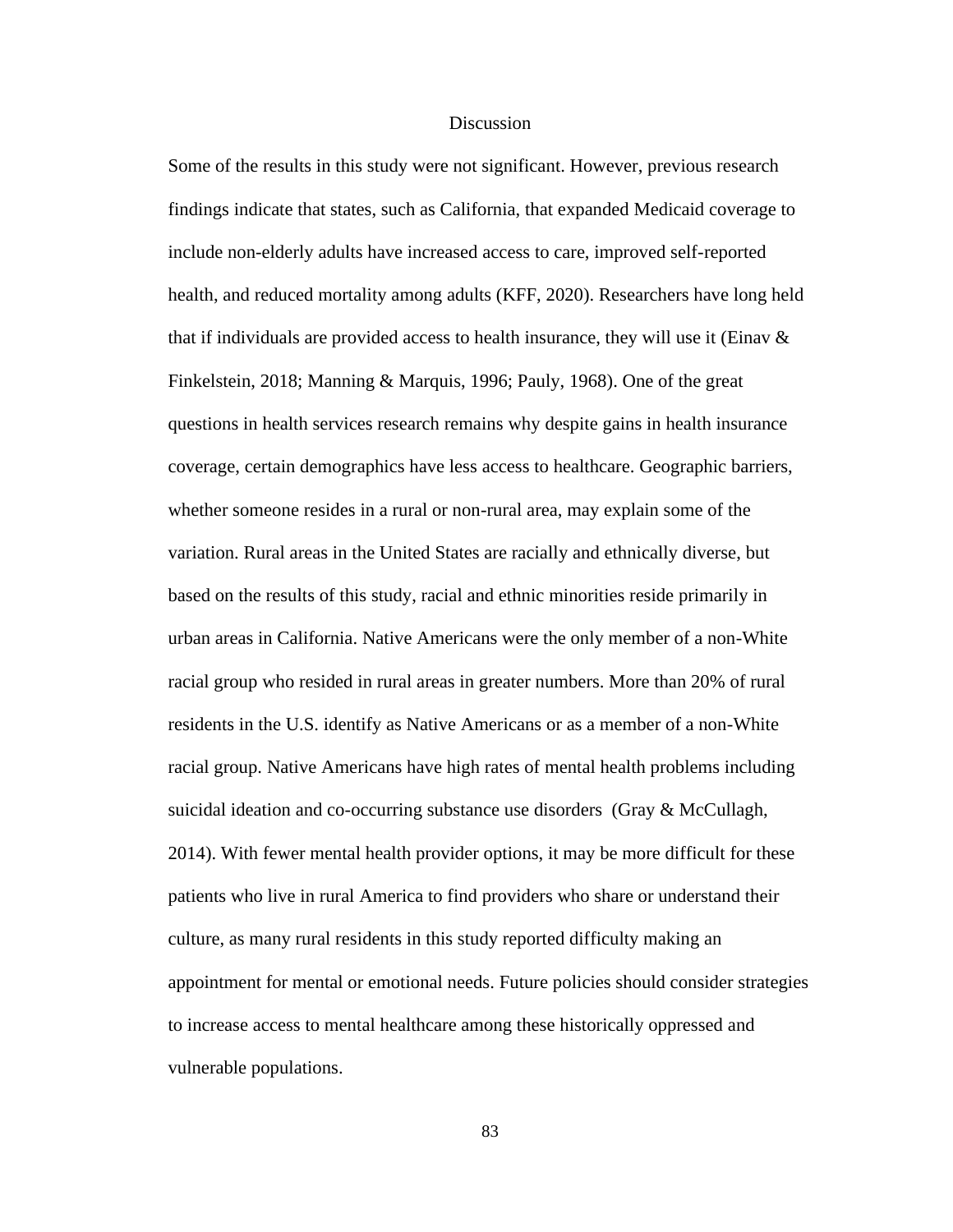#### **Discussion**

Some of the results in this study were not significant. However, previous research findings indicate that states, such as California, that expanded Medicaid coverage to include non-elderly adults have increased access to care, improved self-reported health, and reduced mortality among adults (KFF, 2020). Researchers have long held that if individuals are provided access to health insurance, they will use it (Einav  $\&$ Finkelstein, 2018; Manning & Marquis, 1996; Pauly, 1968). One of the great questions in health services research remains why despite gains in health insurance coverage, certain demographics have less access to healthcare. Geographic barriers, whether someone resides in a rural or non-rural area, may explain some of the variation. Rural areas in the United States are racially and ethnically diverse, but based on the results of this study, racial and ethnic minorities reside primarily in urban areas in California. Native Americans were the only member of a non-White racial group who resided in rural areas in greater numbers. More than 20% of rural residents in the U.S. identify as Native Americans or as a member of a non-White racial group. Native Americans have high rates of mental health problems including suicidal ideation and co-occurring substance use disorders (Gray & McCullagh, 2014). With fewer mental health provider options, it may be more difficult for these patients who live in rural America to find providers who share or understand their culture, as many rural residents in this study reported difficulty making an appointment for mental or emotional needs. Future policies should consider strategies to increase access to mental healthcare among these historically oppressed and vulnerable populations.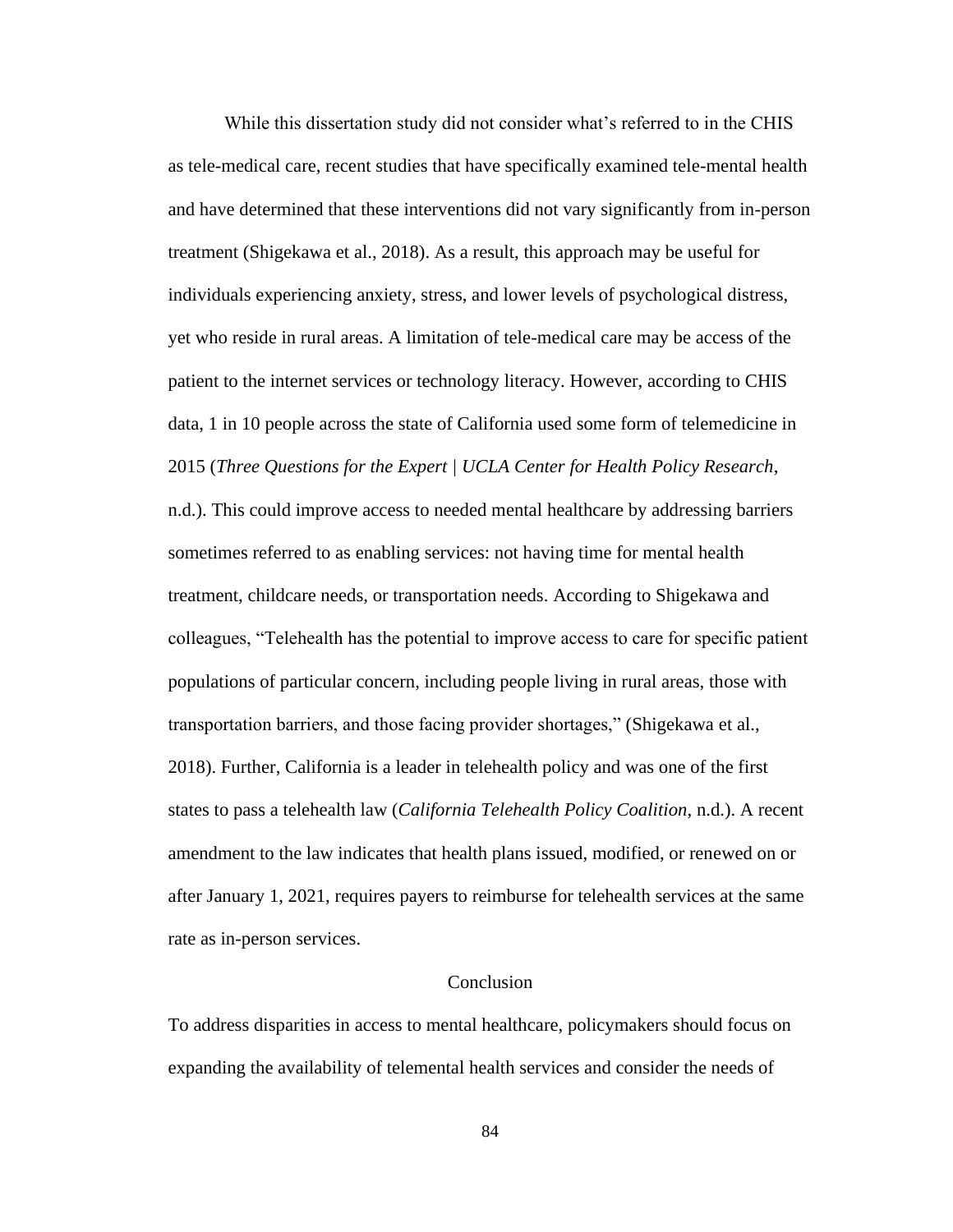While this dissertation study did not consider what's referred to in the CHIS as tele-medical care, recent studies that have specifically examined tele-mental health and have determined that these interventions did not vary significantly from in-person treatment (Shigekawa et al., 2018). As a result, this approach may be useful for individuals experiencing anxiety, stress, and lower levels of psychological distress, yet who reside in rural areas. A limitation of tele-medical care may be access of the patient to the internet services or technology literacy. However, according to CHIS data, 1 in 10 people across the state of California used some form of telemedicine in 2015 (*Three Questions for the Expert | UCLA Center for Health Policy Research*, n.d.). This could improve access to needed mental healthcare by addressing barriers

sometimes referred to as enabling services: not having time for mental health treatment, childcare needs, or transportation needs. According to Shigekawa and colleagues, "Telehealth has the potential to improve access to care for specific patient populations of particular concern, including people living in rural areas, those with transportation barriers, and those facing provider shortages," (Shigekawa et al., 2018). Further, California is a leader in telehealth policy and was one of the first states to pass a telehealth law (*California Telehealth Policy Coalition*, n.d.). A recent amendment to the law indicates that health plans issued, modified, or renewed on or after January 1, 2021, requires payers to reimburse for telehealth services at the same rate as in-person services.

#### Conclusion

To address disparities in access to mental healthcare, policymakers should focus on expanding the availability of telemental health services and consider the needs of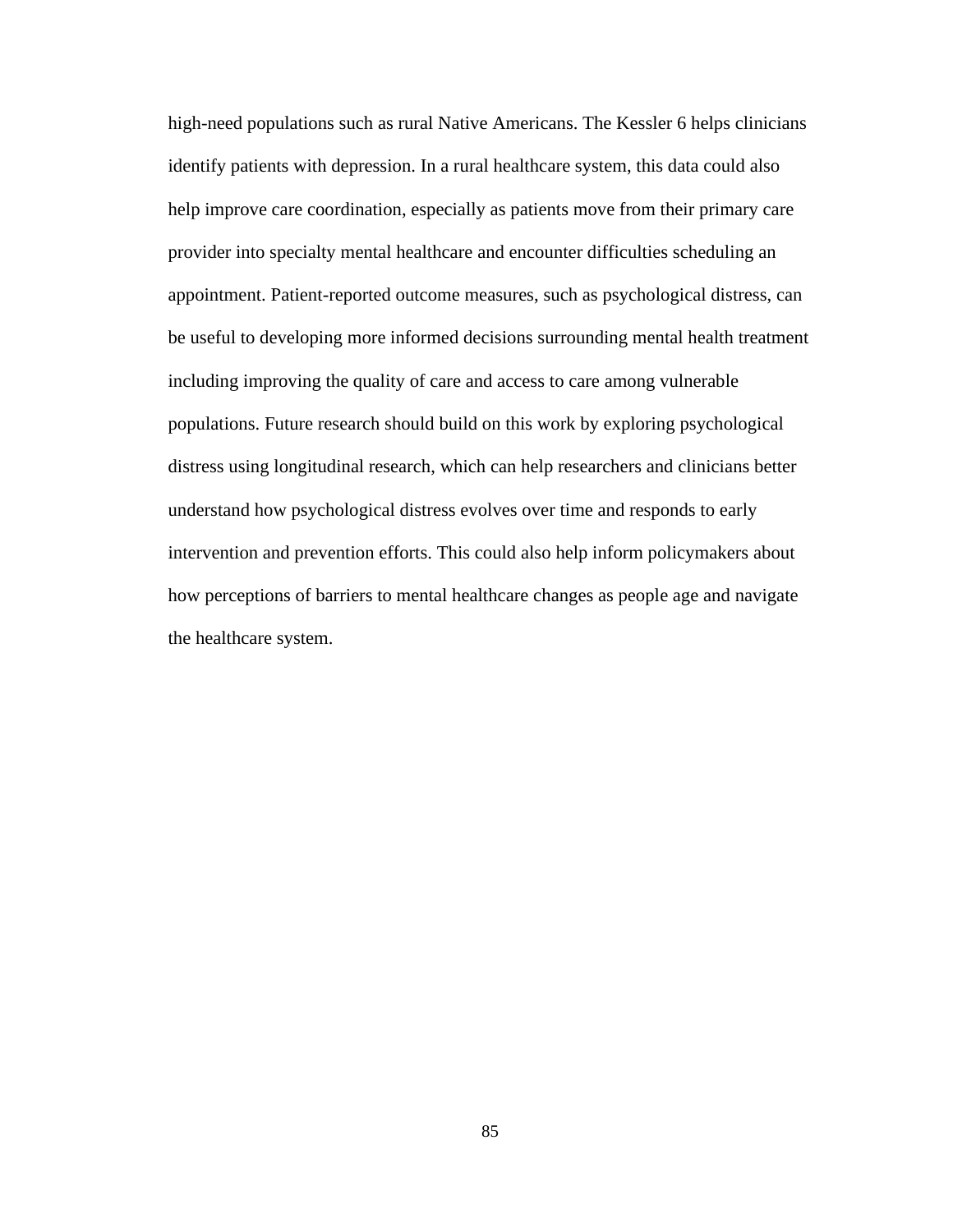high-need populations such as rural Native Americans. The Kessler 6 helps clinicians identify patients with depression. In a rural healthcare system, this data could also help improve care coordination, especially as patients move from their primary care provider into specialty mental healthcare and encounter difficulties scheduling an appointment. Patient-reported outcome measures, such as psychological distress, can be useful to developing more informed decisions surrounding mental health treatment including improving the quality of care and access to care among vulnerable populations. Future research should build on this work by exploring psychological distress using longitudinal research, which can help researchers and clinicians better understand how psychological distress evolves over time and responds to early intervention and prevention efforts. This could also help inform policymakers about how perceptions of barriers to mental healthcare changes as people age and navigate the healthcare system.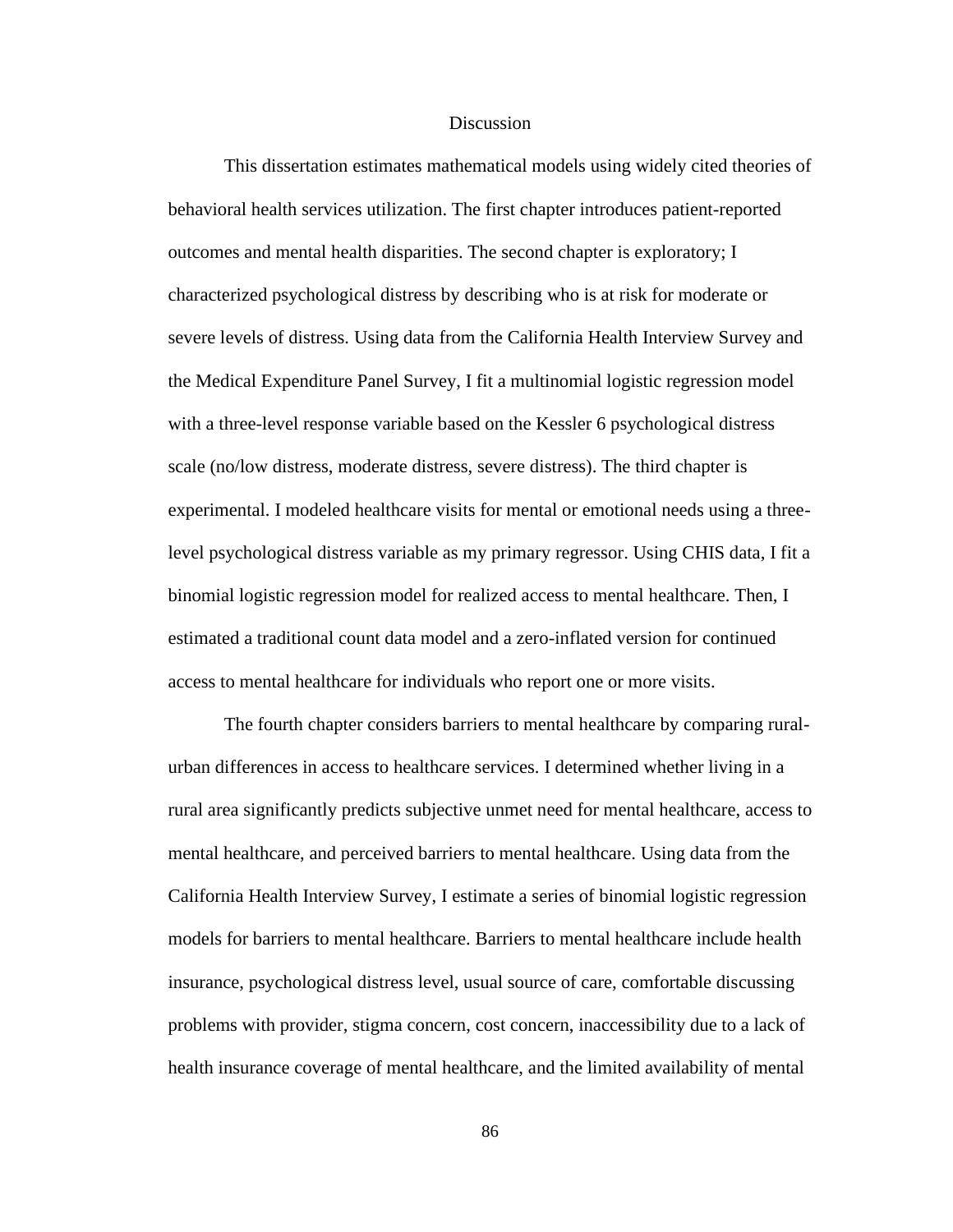### **Discussion**

This dissertation estimates mathematical models using widely cited theories of behavioral health services utilization. The first chapter introduces patient-reported outcomes and mental health disparities. The second chapter is exploratory; I characterized psychological distress by describing who is at risk for moderate or severe levels of distress. Using data from the California Health Interview Survey and the Medical Expenditure Panel Survey, I fit a multinomial logistic regression model with a three-level response variable based on the Kessler 6 psychological distress scale (no/low distress, moderate distress, severe distress). The third chapter is experimental. I modeled healthcare visits for mental or emotional needs using a threelevel psychological distress variable as my primary regressor. Using CHIS data, I fit a binomial logistic regression model for realized access to mental healthcare. Then, I estimated a traditional count data model and a zero-inflated version for continued access to mental healthcare for individuals who report one or more visits.

The fourth chapter considers barriers to mental healthcare by comparing ruralurban differences in access to healthcare services. I determined whether living in a rural area significantly predicts subjective unmet need for mental healthcare, access to mental healthcare, and perceived barriers to mental healthcare. Using data from the California Health Interview Survey, I estimate a series of binomial logistic regression models for barriers to mental healthcare. Barriers to mental healthcare include health insurance, psychological distress level, usual source of care, comfortable discussing problems with provider, stigma concern, cost concern, inaccessibility due to a lack of health insurance coverage of mental healthcare, and the limited availability of mental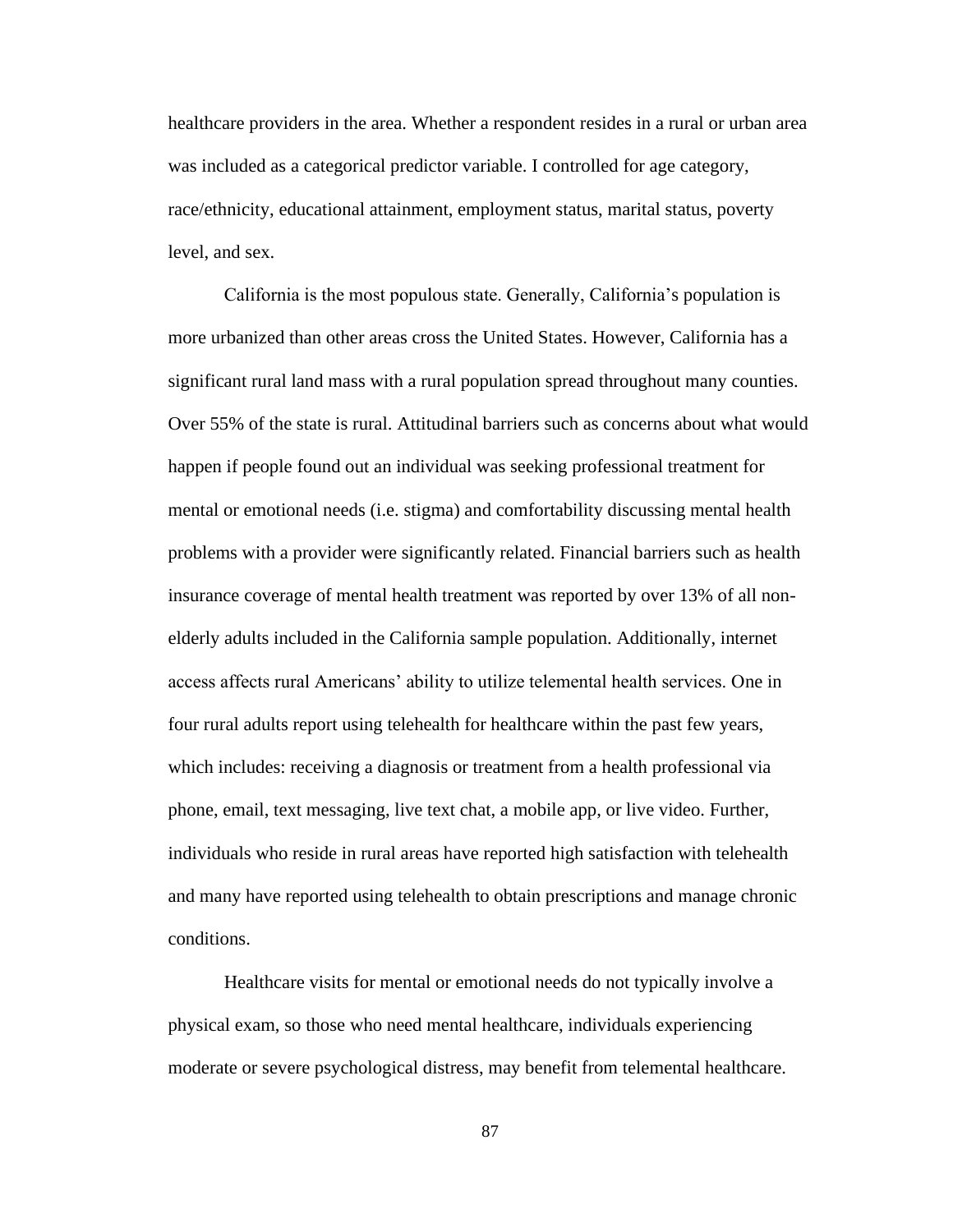healthcare providers in the area. Whether a respondent resides in a rural or urban area was included as a categorical predictor variable. I controlled for age category, race/ethnicity, educational attainment, employment status, marital status, poverty level, and sex.

California is the most populous state. Generally, California's population is more urbanized than other areas cross the United States. However, California has a significant rural land mass with a rural population spread throughout many counties. Over 55% of the state is rural. Attitudinal barriers such as concerns about what would happen if people found out an individual was seeking professional treatment for mental or emotional needs (i.e. stigma) and comfortability discussing mental health problems with a provider were significantly related. Financial barriers such as health insurance coverage of mental health treatment was reported by over 13% of all nonelderly adults included in the California sample population. Additionally, internet access affects rural Americans' ability to utilize telemental health services. One in four rural adults report using telehealth for healthcare within the past few years, which includes: receiving a diagnosis or treatment from a health professional via phone, email, text messaging, live text chat, a mobile app, or live video. Further, individuals who reside in rural areas have reported high satisfaction with telehealth and many have reported using telehealth to obtain prescriptions and manage chronic conditions.

Healthcare visits for mental or emotional needs do not typically involve a physical exam, so those who need mental healthcare, individuals experiencing moderate or severe psychological distress, may benefit from telemental healthcare.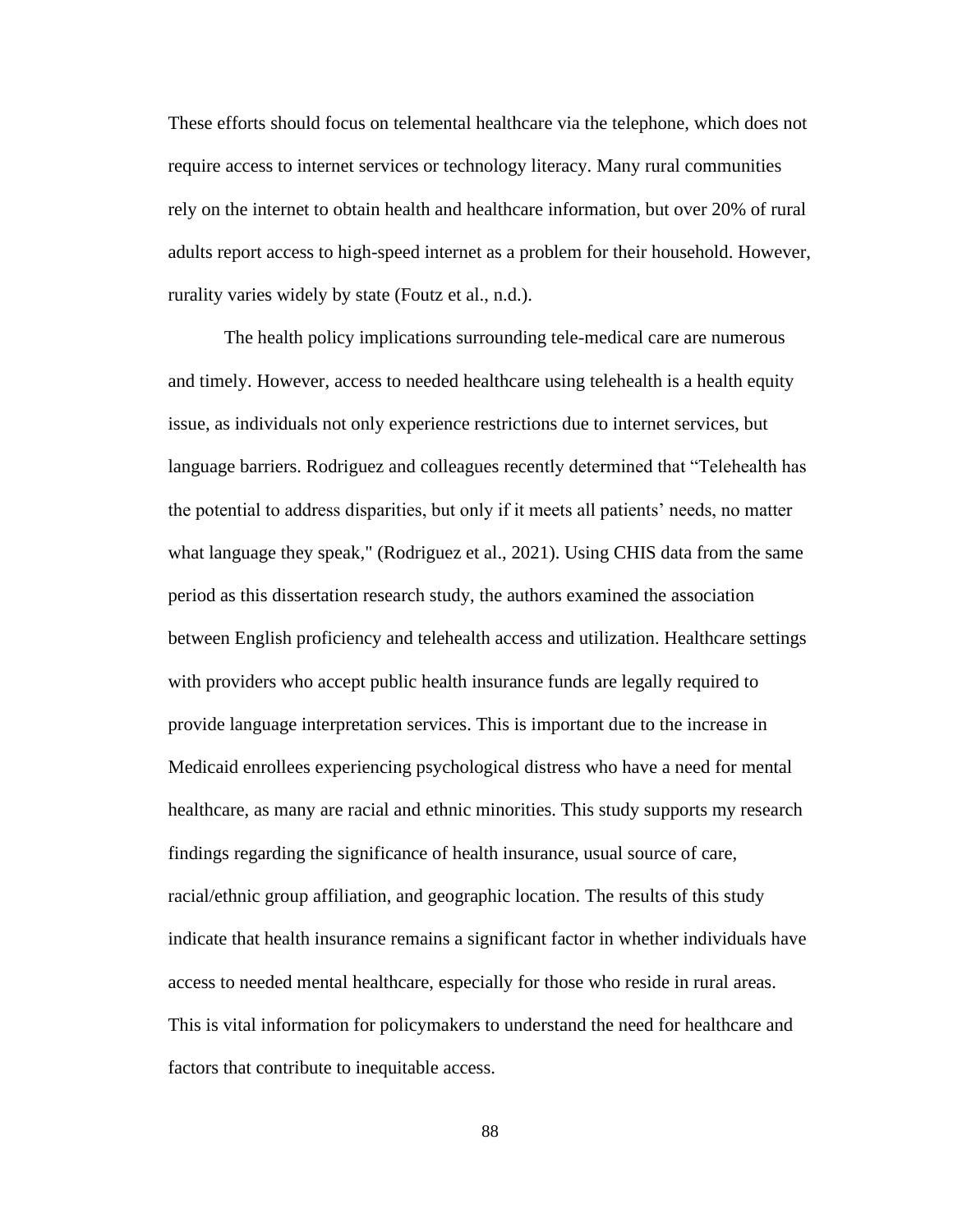These efforts should focus on telemental healthcare via the telephone, which does not require access to internet services or technology literacy. Many rural communities rely on the internet to obtain health and healthcare information, but over 20% of rural adults report access to high-speed internet as a problem for their household. However, rurality varies widely by state (Foutz et al., n.d.).

The health policy implications surrounding tele-medical care are numerous and timely. However, access to needed healthcare using telehealth is a health equity issue, as individuals not only experience restrictions due to internet services, but language barriers. Rodriguez and colleagues recently determined that "Telehealth has the potential to address disparities, but only if it meets all patients' needs, no matter what language they speak," (Rodriguez et al., 2021). Using CHIS data from the same period as this dissertation research study, the authors examined the association between English proficiency and telehealth access and utilization. Healthcare settings with providers who accept public health insurance funds are legally required to provide language interpretation services. This is important due to the increase in Medicaid enrollees experiencing psychological distress who have a need for mental healthcare, as many are racial and ethnic minorities. This study supports my research findings regarding the significance of health insurance, usual source of care, racial/ethnic group affiliation, and geographic location. The results of this study indicate that health insurance remains a significant factor in whether individuals have access to needed mental healthcare, especially for those who reside in rural areas. This is vital information for policymakers to understand the need for healthcare and factors that contribute to inequitable access.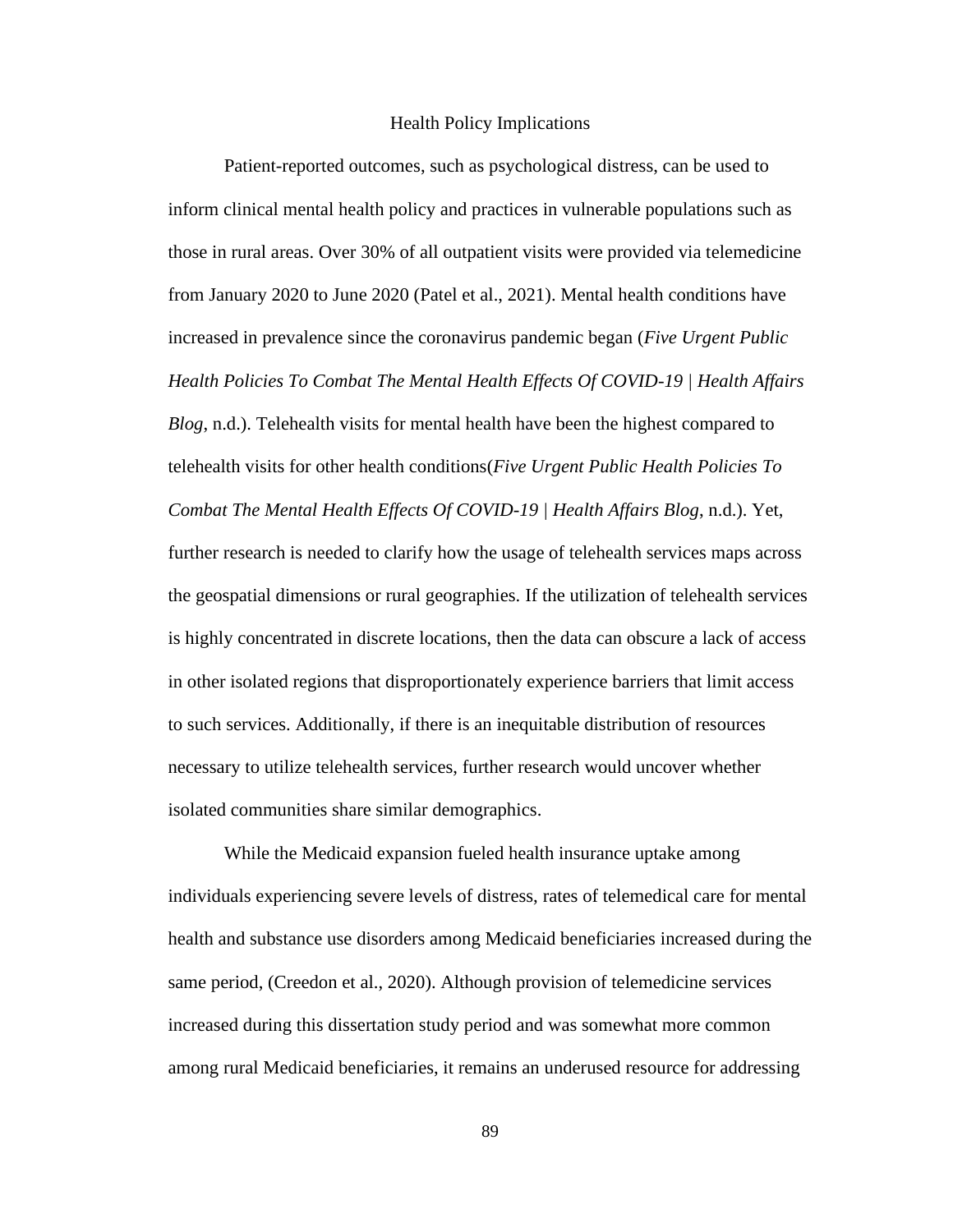#### Health Policy Implications

Patient-reported outcomes, such as psychological distress, can be used to inform clinical mental health policy and practices in vulnerable populations such as those in rural areas. Over 30% of all outpatient visits were provided via telemedicine from January 2020 to June 2020 (Patel et al., 2021). Mental health conditions have increased in prevalence since the coronavirus pandemic began (*Five Urgent Public Health Policies To Combat The Mental Health Effects Of COVID-19 | Health Affairs Blog*, n.d.). Telehealth visits for mental health have been the highest compared to telehealth visits for other health conditions(*Five Urgent Public Health Policies To Combat The Mental Health Effects Of COVID-19 | Health Affairs Blog*, n.d.). Yet, further research is needed to clarify how the usage of telehealth services maps across the geospatial dimensions or rural geographies. If the utilization of telehealth services is highly concentrated in discrete locations, then the data can obscure a lack of access in other isolated regions that disproportionately experience barriers that limit access to such services. Additionally, if there is an inequitable distribution of resources necessary to utilize telehealth services, further research would uncover whether isolated communities share similar demographics.

While the Medicaid expansion fueled health insurance uptake among individuals experiencing severe levels of distress, rates of telemedical care for mental health and substance use disorders among Medicaid beneficiaries increased during the same period, (Creedon et al., 2020). Although provision of telemedicine services increased during this dissertation study period and was somewhat more common among rural Medicaid beneficiaries, it remains an underused resource for addressing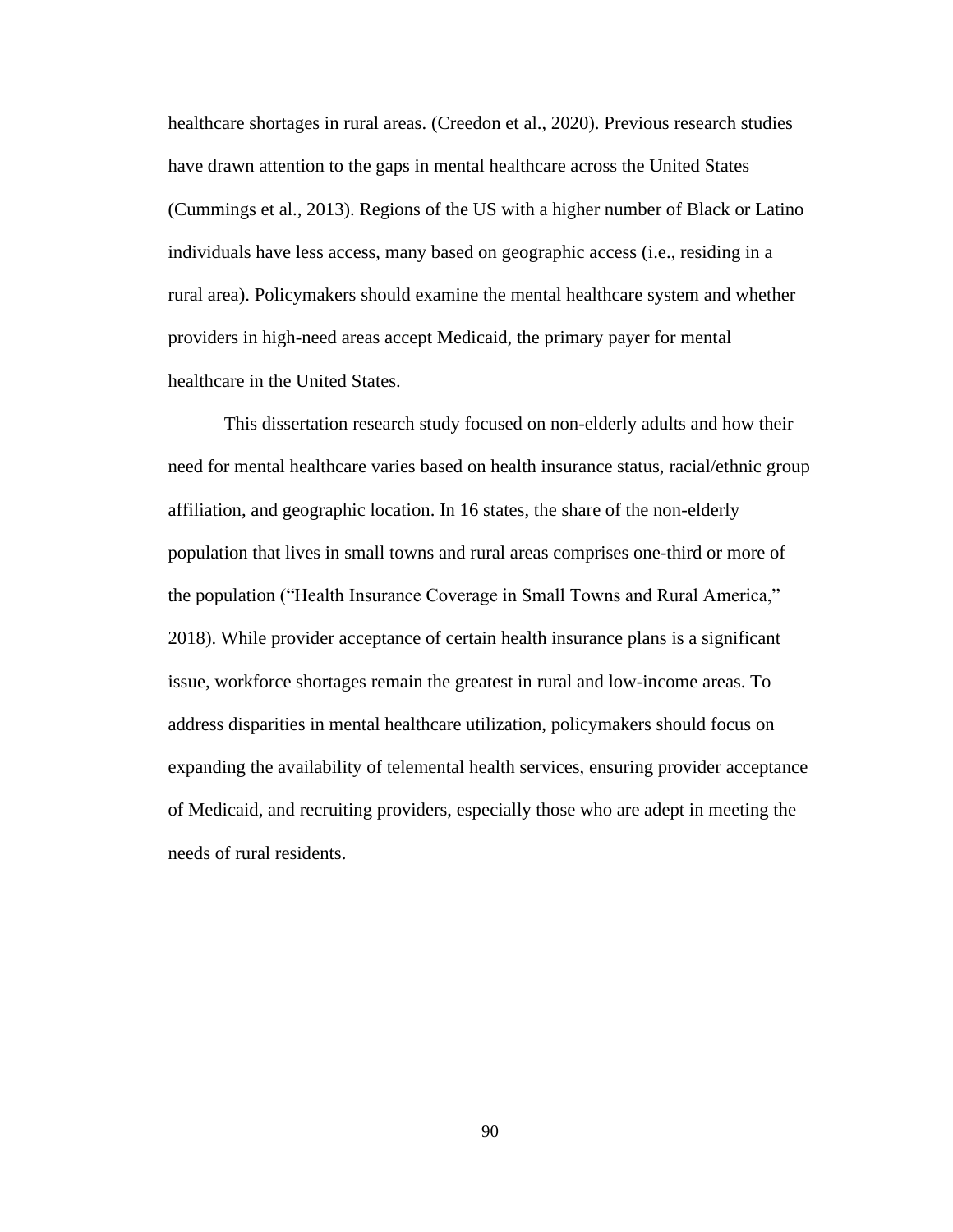healthcare shortages in rural areas. (Creedon et al., 2020). Previous research studies have drawn attention to the gaps in mental healthcare across the United States (Cummings et al., 2013). Regions of the US with a higher number of Black or Latino individuals have less access, many based on geographic access (i.e., residing in a rural area). Policymakers should examine the mental healthcare system and whether providers in high-need areas accept Medicaid, the primary payer for mental healthcare in the United States.

This dissertation research study focused on non-elderly adults and how their need for mental healthcare varies based on health insurance status, racial/ethnic group affiliation, and geographic location. In 16 states, the share of the non-elderly population that lives in small towns and rural areas comprises one-third or more of the population ("Health Insurance Coverage in Small Towns and Rural America," 2018). While provider acceptance of certain health insurance plans is a significant issue, workforce shortages remain the greatest in rural and low-income areas. To address disparities in mental healthcare utilization, policymakers should focus on expanding the availability of telemental health services, ensuring provider acceptance of Medicaid, and recruiting providers, especially those who are adept in meeting the needs of rural residents.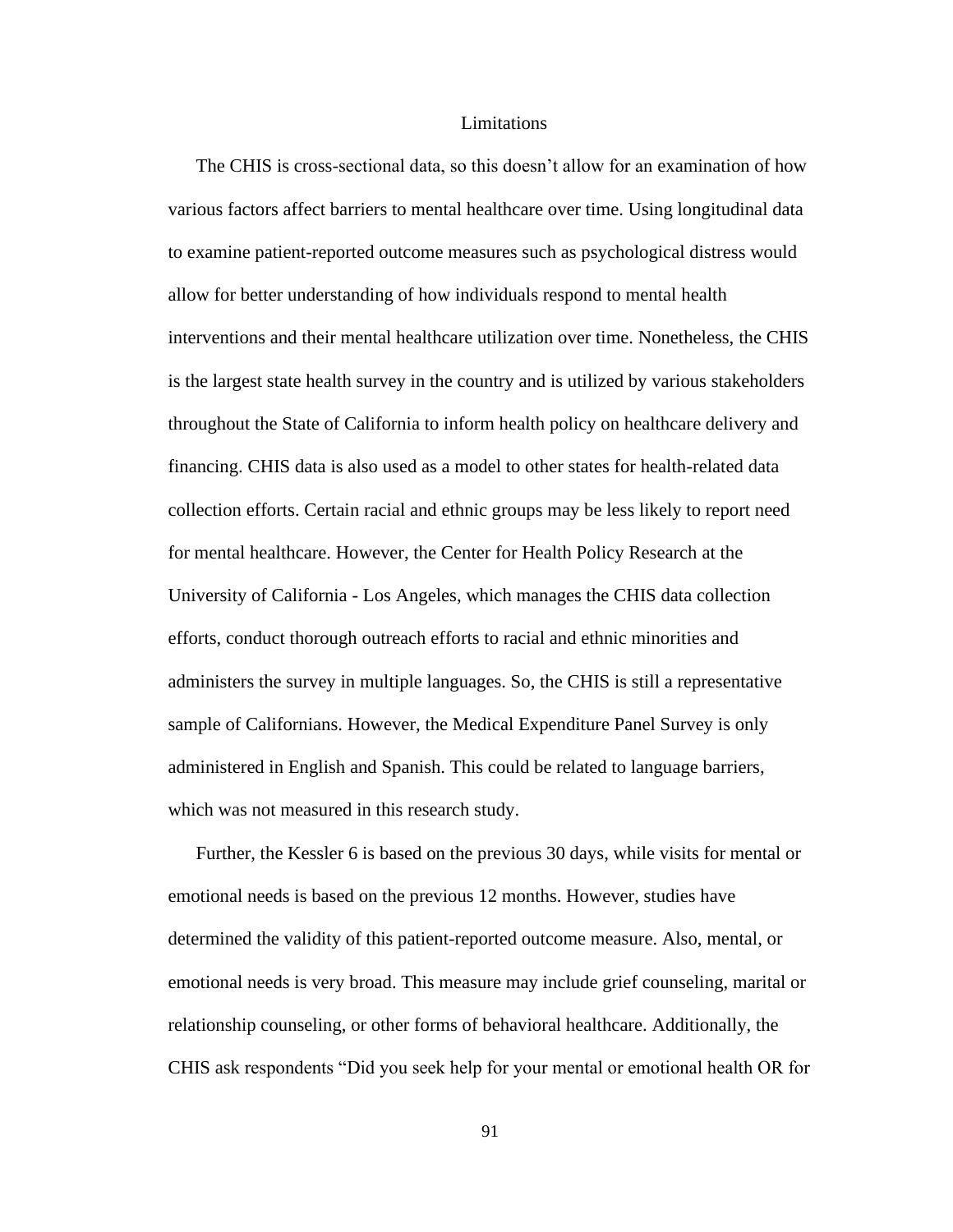### Limitations

The CHIS is cross-sectional data, so this doesn't allow for an examination of how various factors affect barriers to mental healthcare over time. Using longitudinal data to examine patient-reported outcome measures such as psychological distress would allow for better understanding of how individuals respond to mental health interventions and their mental healthcare utilization over time. Nonetheless, the CHIS is the largest state health survey in the country and is utilized by various stakeholders throughout the State of California to inform health policy on healthcare delivery and financing. CHIS data is also used as a model to other states for health-related data collection efforts. Certain racial and ethnic groups may be less likely to report need for mental healthcare. However, the Center for Health Policy Research at the University of California - Los Angeles, which manages the CHIS data collection efforts, conduct thorough outreach efforts to racial and ethnic minorities and administers the survey in multiple languages. So, the CHIS is still a representative sample of Californians. However, the Medical Expenditure Panel Survey is only administered in English and Spanish. This could be related to language barriers, which was not measured in this research study.

Further, the Kessler 6 is based on the previous 30 days, while visits for mental or emotional needs is based on the previous 12 months. However, studies have determined the validity of this patient-reported outcome measure. Also, mental, or emotional needs is very broad. This measure may include grief counseling, marital or relationship counseling, or other forms of behavioral healthcare. Additionally, the CHIS ask respondents "Did you seek help for your mental or emotional health OR for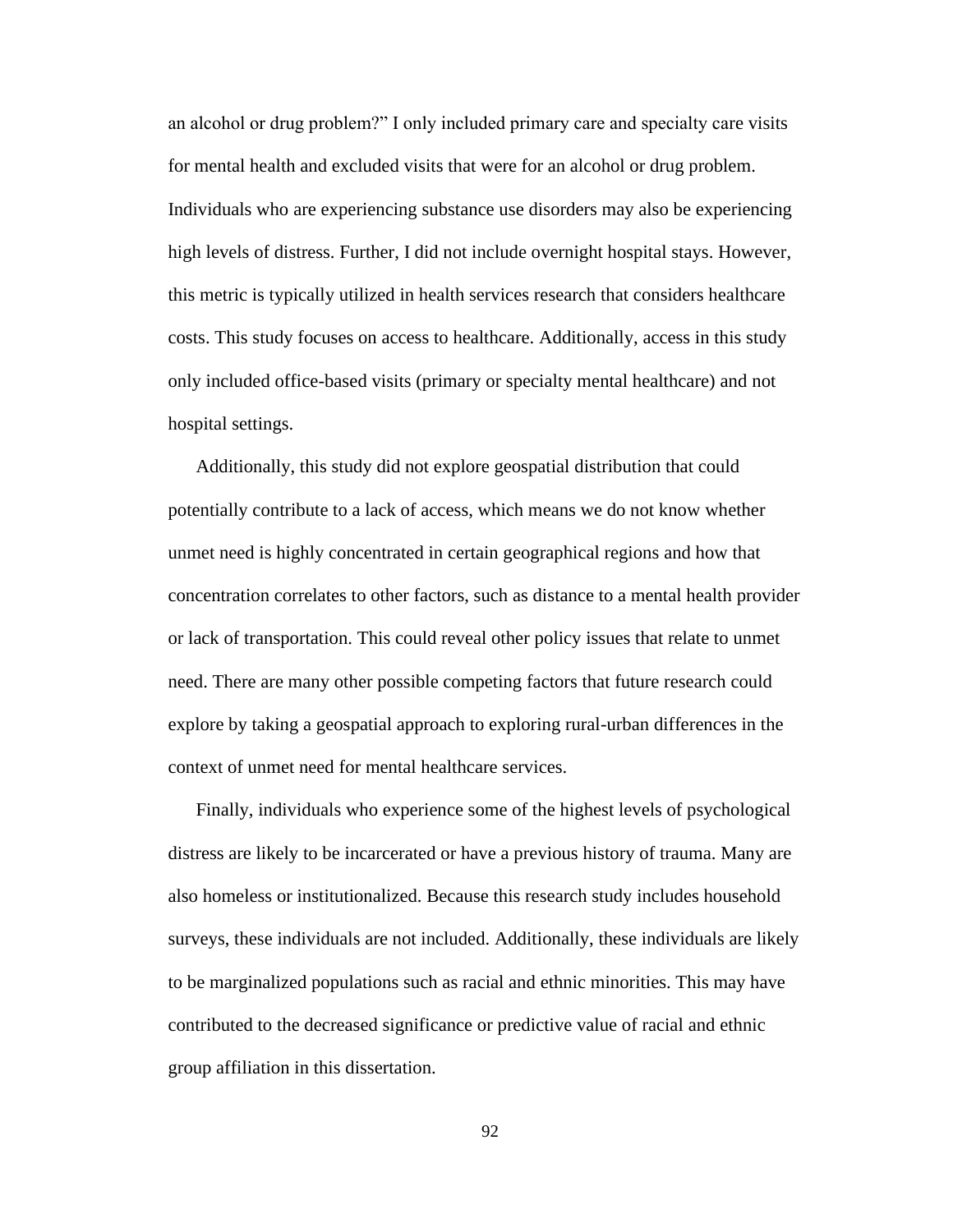an alcohol or drug problem?" I only included primary care and specialty care visits for mental health and excluded visits that were for an alcohol or drug problem. Individuals who are experiencing substance use disorders may also be experiencing high levels of distress. Further, I did not include overnight hospital stays. However, this metric is typically utilized in health services research that considers healthcare costs. This study focuses on access to healthcare. Additionally, access in this study only included office-based visits (primary or specialty mental healthcare) and not hospital settings.

Additionally, this study did not explore geospatial distribution that could potentially contribute to a lack of access, which means we do not know whether unmet need is highly concentrated in certain geographical regions and how that concentration correlates to other factors, such as distance to a mental health provider or lack of transportation. This could reveal other policy issues that relate to unmet need. There are many other possible competing factors that future research could explore by taking a geospatial approach to exploring rural-urban differences in the context of unmet need for mental healthcare services.

Finally, individuals who experience some of the highest levels of psychological distress are likely to be incarcerated or have a previous history of trauma. Many are also homeless or institutionalized. Because this research study includes household surveys, these individuals are not included. Additionally, these individuals are likely to be marginalized populations such as racial and ethnic minorities. This may have contributed to the decreased significance or predictive value of racial and ethnic group affiliation in this dissertation.

92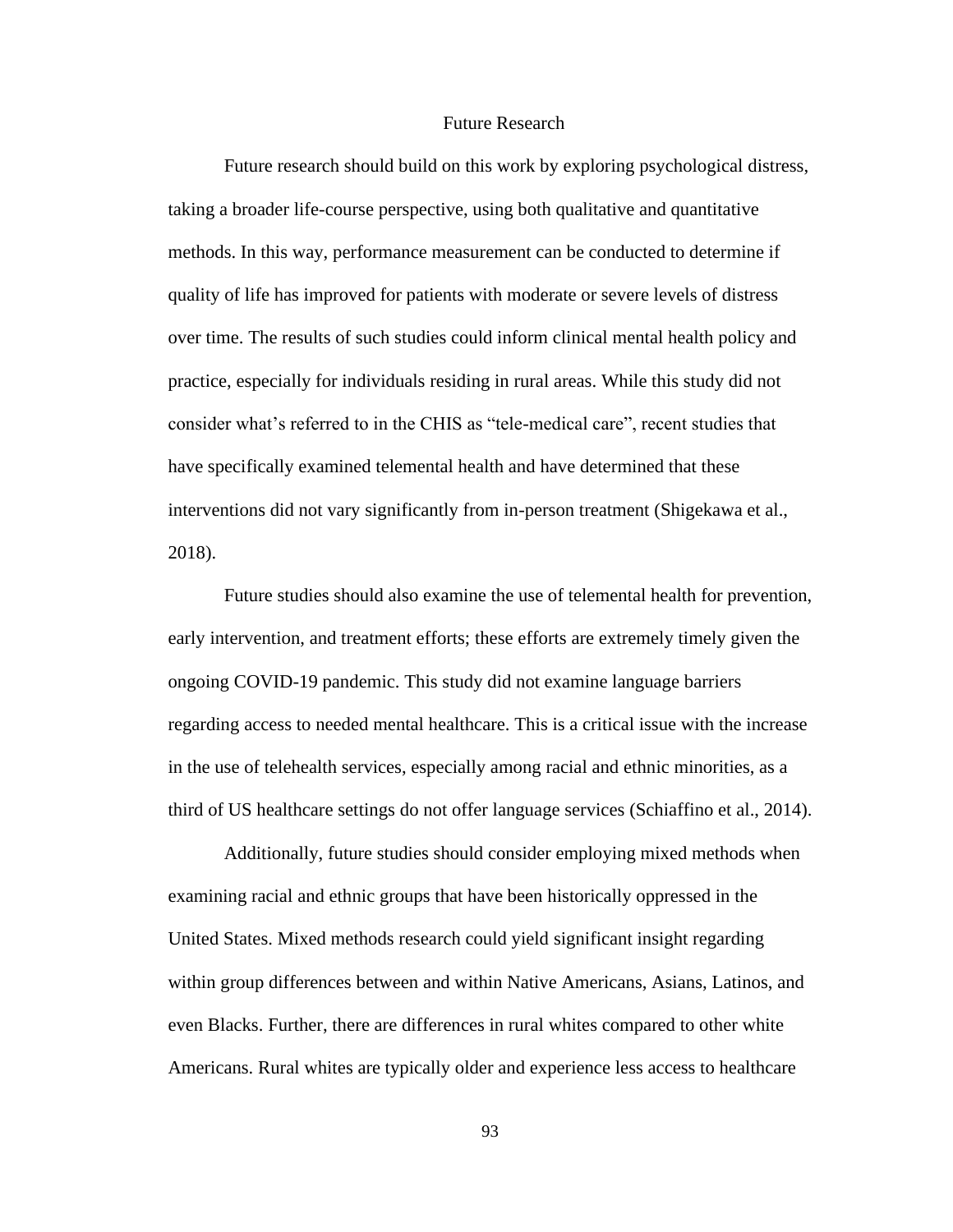## Future Research

Future research should build on this work by exploring psychological distress, taking a broader life-course perspective, using both qualitative and quantitative methods. In this way, performance measurement can be conducted to determine if quality of life has improved for patients with moderate or severe levels of distress over time. The results of such studies could inform clinical mental health policy and practice, especially for individuals residing in rural areas. While this study did not consider what's referred to in the CHIS as "tele-medical care", recent studies that have specifically examined telemental health and have determined that these interventions did not vary significantly from in-person treatment (Shigekawa et al., 2018).

Future studies should also examine the use of telemental health for prevention, early intervention, and treatment efforts; these efforts are extremely timely given the ongoing COVID-19 pandemic. This study did not examine language barriers regarding access to needed mental healthcare. This is a critical issue with the increase in the use of telehealth services, especially among racial and ethnic minorities, as a third of US healthcare settings do not offer language services (Schiaffino et al., 2014).

Additionally, future studies should consider employing mixed methods when examining racial and ethnic groups that have been historically oppressed in the United States. Mixed methods research could yield significant insight regarding within group differences between and within Native Americans, Asians, Latinos, and even Blacks. Further, there are differences in rural whites compared to other white Americans. Rural whites are typically older and experience less access to healthcare

93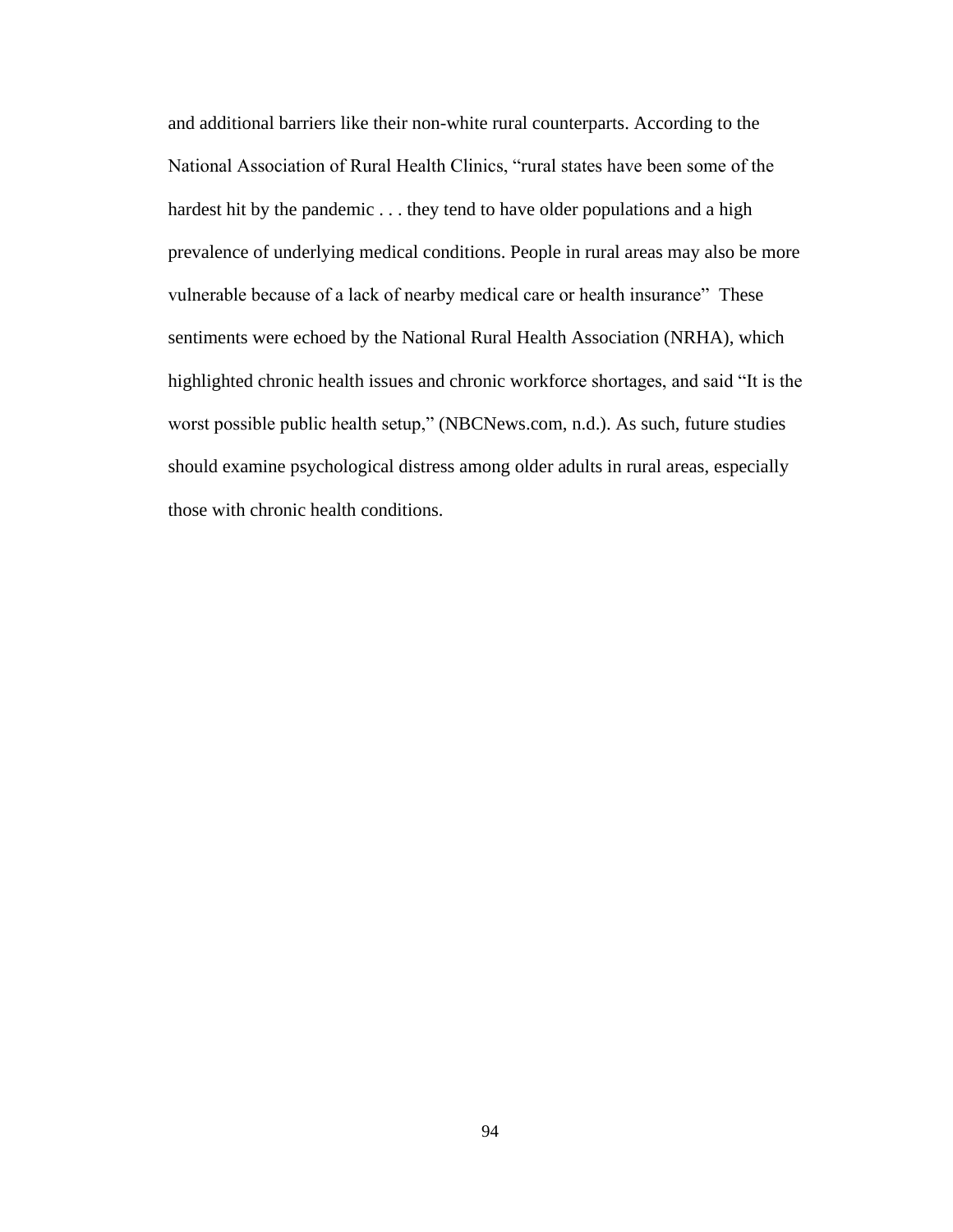and additional barriers like their non-white rural counterparts. According to the National Association of Rural Health Clinics, "rural states have been some of the hardest hit by the pandemic . . . they tend to have older populations and a high prevalence of underlying medical conditions. People in rural areas may also be more vulnerable because of a lack of nearby medical care or health insurance" These sentiments were echoed by the National Rural Health Association (NRHA), which highlighted chronic health issues and chronic workforce shortages, and said "It is the worst possible public health setup," (NBCNews.com, n.d.). As such, future studies should examine psychological distress among older adults in rural areas, especially those with chronic health conditions.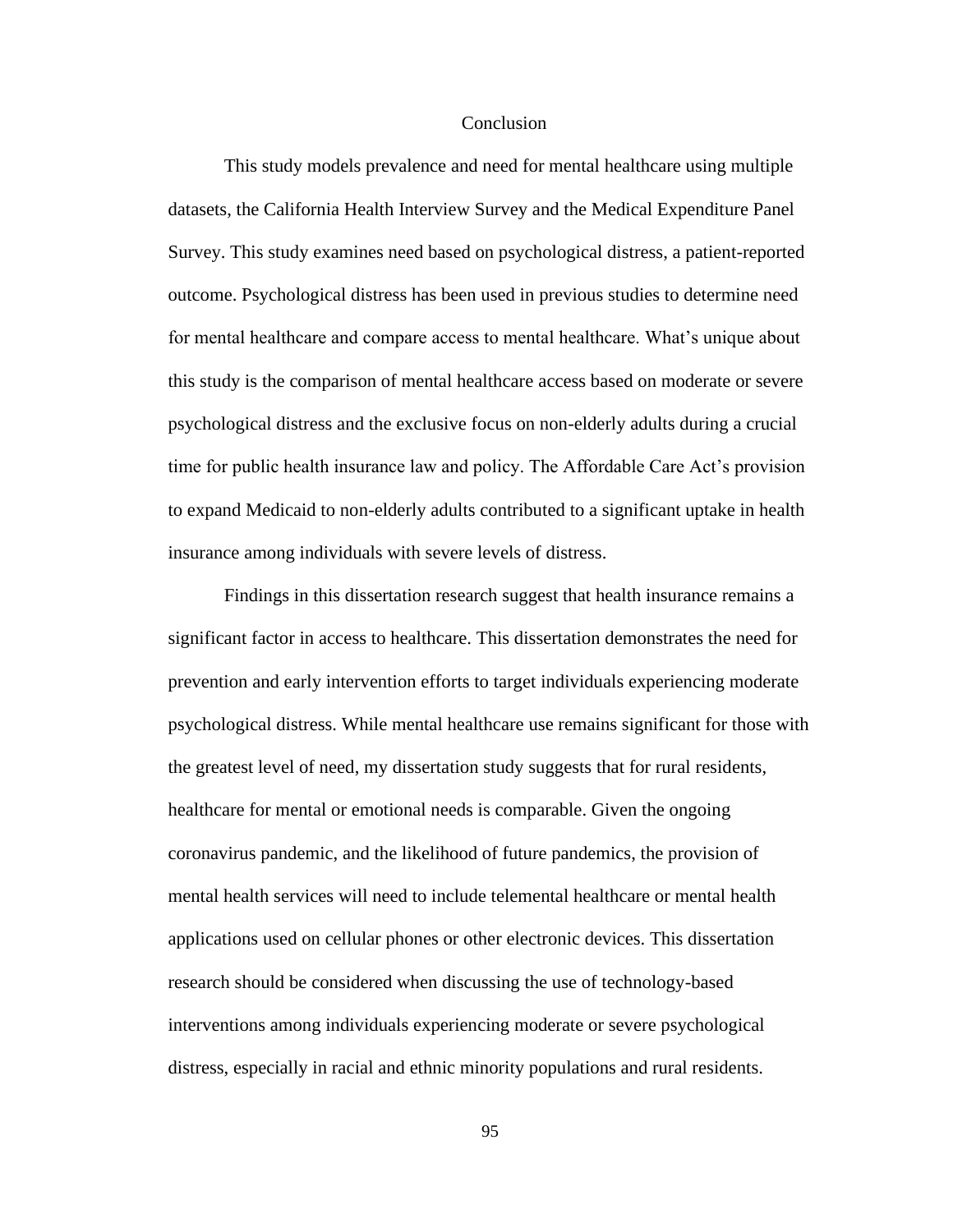## **Conclusion**

This study models prevalence and need for mental healthcare using multiple datasets, the California Health Interview Survey and the Medical Expenditure Panel Survey. This study examines need based on psychological distress, a patient-reported outcome. Psychological distress has been used in previous studies to determine need for mental healthcare and compare access to mental healthcare. What's unique about this study is the comparison of mental healthcare access based on moderate or severe psychological distress and the exclusive focus on non-elderly adults during a crucial time for public health insurance law and policy. The Affordable Care Act's provision to expand Medicaid to non-elderly adults contributed to a significant uptake in health insurance among individuals with severe levels of distress.

Findings in this dissertation research suggest that health insurance remains a significant factor in access to healthcare. This dissertation demonstrates the need for prevention and early intervention efforts to target individuals experiencing moderate psychological distress. While mental healthcare use remains significant for those with the greatest level of need, my dissertation study suggests that for rural residents, healthcare for mental or emotional needs is comparable. Given the ongoing coronavirus pandemic, and the likelihood of future pandemics, the provision of mental health services will need to include telemental healthcare or mental health applications used on cellular phones or other electronic devices. This dissertation research should be considered when discussing the use of technology-based interventions among individuals experiencing moderate or severe psychological distress, especially in racial and ethnic minority populations and rural residents.

95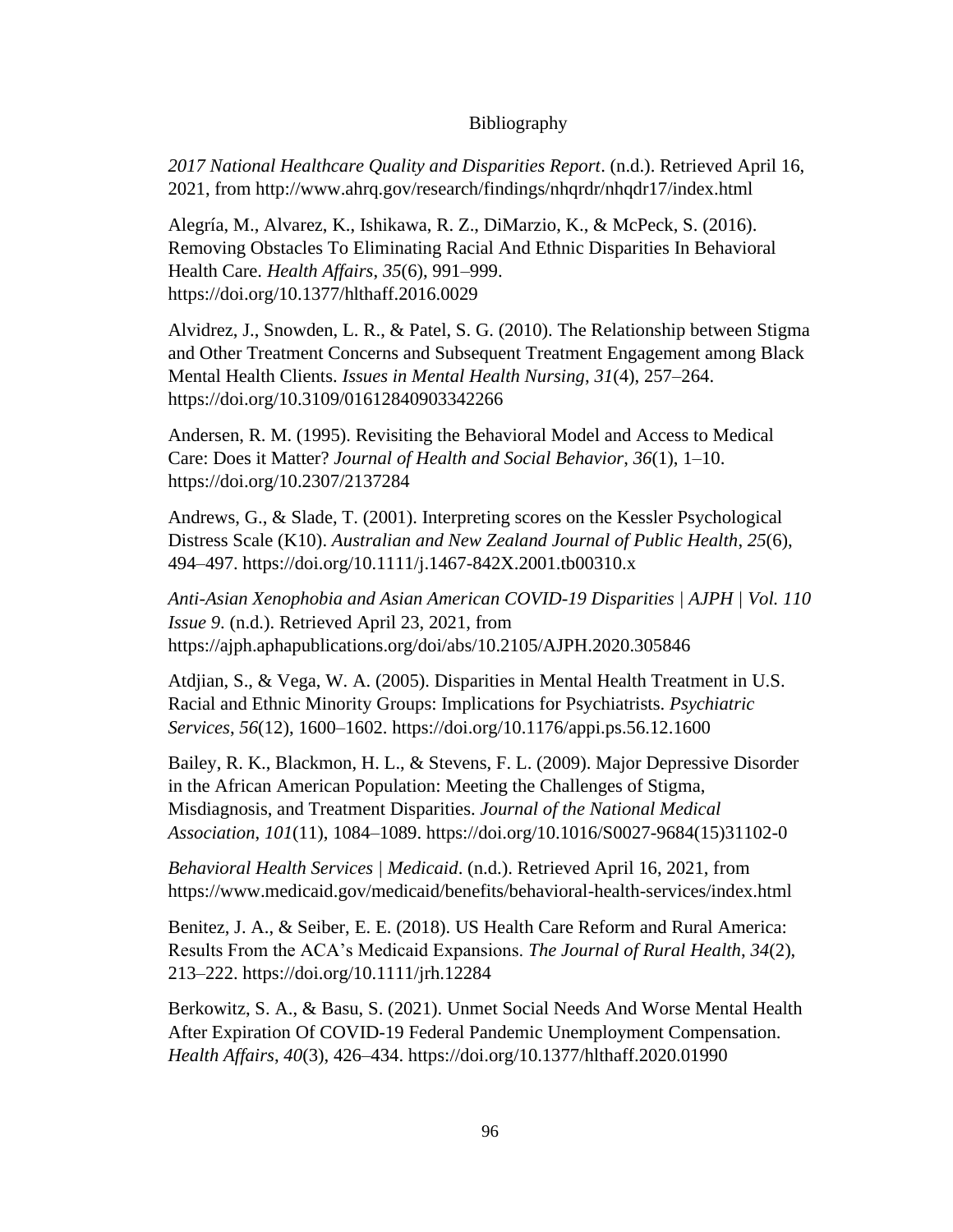## Bibliography

*2017 National Healthcare Quality and Disparities Report*. (n.d.). Retrieved April 16, 2021, from http://www.ahrq.gov/research/findings/nhqrdr/nhqdr17/index.html

Alegría, M., Alvarez, K., Ishikawa, R. Z., DiMarzio, K., & McPeck, S. (2016). Removing Obstacles To Eliminating Racial And Ethnic Disparities In Behavioral Health Care. *Health Affairs*, *35*(6), 991–999. https://doi.org/10.1377/hlthaff.2016.0029

Alvidrez, J., Snowden, L. R., & Patel, S. G. (2010). The Relationship between Stigma and Other Treatment Concerns and Subsequent Treatment Engagement among Black Mental Health Clients. *Issues in Mental Health Nursing*, *31*(4), 257–264. https://doi.org/10.3109/01612840903342266

Andersen, R. M. (1995). Revisiting the Behavioral Model and Access to Medical Care: Does it Matter? *Journal of Health and Social Behavior*, *36*(1), 1–10. https://doi.org/10.2307/2137284

Andrews, G., & Slade, T. (2001). Interpreting scores on the Kessler Psychological Distress Scale (K10). *Australian and New Zealand Journal of Public Health*, *25*(6), 494–497. https://doi.org/10.1111/j.1467-842X.2001.tb00310.x

*Anti-Asian Xenophobia and Asian American COVID-19 Disparities | AJPH | Vol. 110 Issue 9*. (n.d.). Retrieved April 23, 2021, from https://ajph.aphapublications.org/doi/abs/10.2105/AJPH.2020.305846

Atdjian, S., & Vega, W. A. (2005). Disparities in Mental Health Treatment in U.S. Racial and Ethnic Minority Groups: Implications for Psychiatrists. *Psychiatric Services*, *56*(12), 1600–1602. https://doi.org/10.1176/appi.ps.56.12.1600

Bailey, R. K., Blackmon, H. L., & Stevens, F. L. (2009). Major Depressive Disorder in the African American Population: Meeting the Challenges of Stigma, Misdiagnosis, and Treatment Disparities. *Journal of the National Medical Association*, *101*(11), 1084–1089. https://doi.org/10.1016/S0027-9684(15)31102-0

*Behavioral Health Services | Medicaid*. (n.d.). Retrieved April 16, 2021, from https://www.medicaid.gov/medicaid/benefits/behavioral-health-services/index.html

Benitez, J. A., & Seiber, E. E. (2018). US Health Care Reform and Rural America: Results From the ACA's Medicaid Expansions. *The Journal of Rural Health*, *34*(2), 213–222. https://doi.org/10.1111/jrh.12284

Berkowitz, S. A., & Basu, S. (2021). Unmet Social Needs And Worse Mental Health After Expiration Of COVID-19 Federal Pandemic Unemployment Compensation. *Health Affairs*, *40*(3), 426–434. https://doi.org/10.1377/hlthaff.2020.01990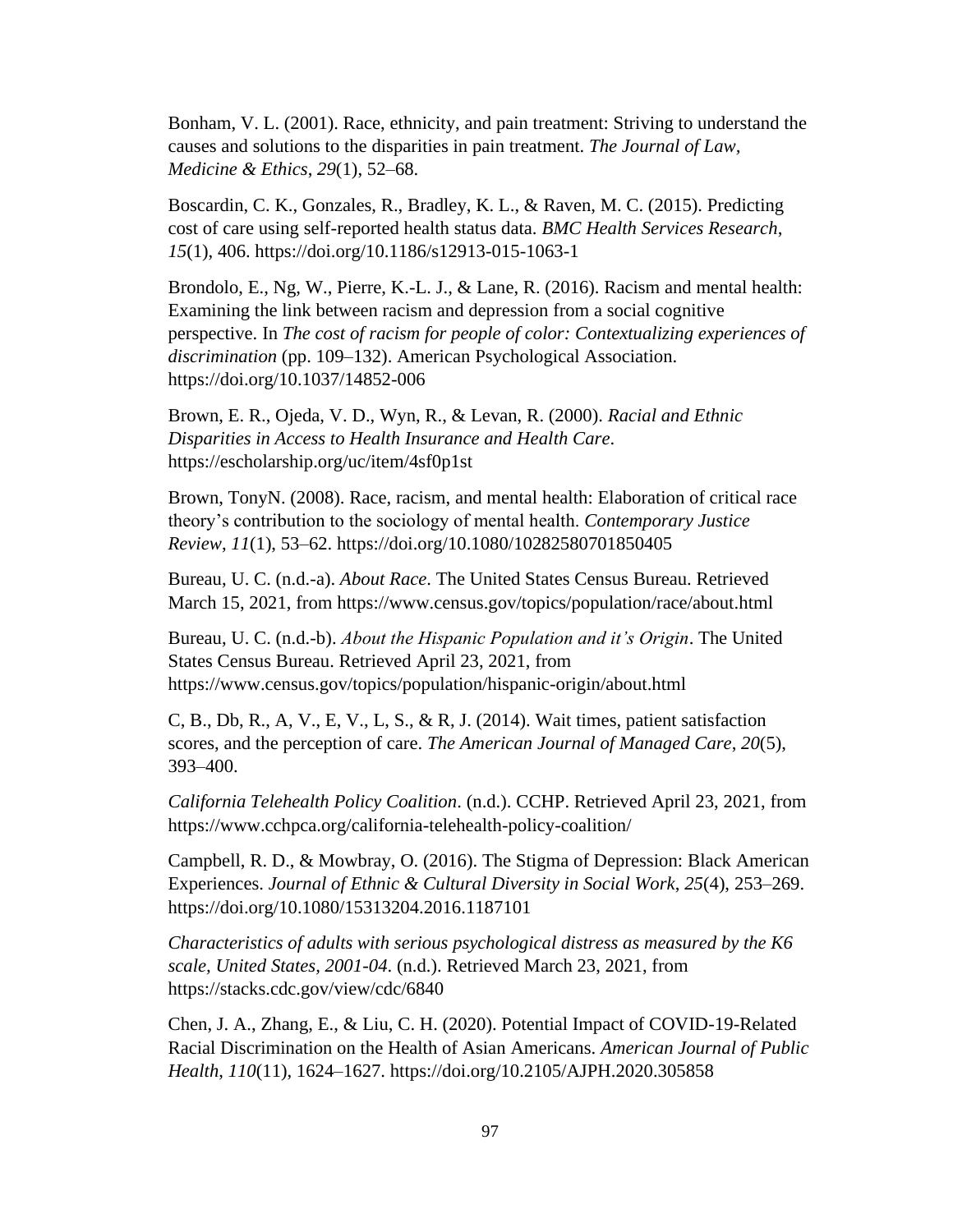Bonham, V. L. (2001). Race, ethnicity, and pain treatment: Striving to understand the causes and solutions to the disparities in pain treatment. *The Journal of Law, Medicine & Ethics*, *29*(1), 52–68.

Boscardin, C. K., Gonzales, R., Bradley, K. L., & Raven, M. C. (2015). Predicting cost of care using self-reported health status data. *BMC Health Services Research*, *15*(1), 406. https://doi.org/10.1186/s12913-015-1063-1

Brondolo, E., Ng, W., Pierre, K.-L. J., & Lane, R. (2016). Racism and mental health: Examining the link between racism and depression from a social cognitive perspective. In *The cost of racism for people of color: Contextualizing experiences of discrimination* (pp. 109–132). American Psychological Association. https://doi.org/10.1037/14852-006

Brown, E. R., Ojeda, V. D., Wyn, R., & Levan, R. (2000). *Racial and Ethnic Disparities in Access to Health Insurance and Health Care*. https://escholarship.org/uc/item/4sf0p1st

Brown, TonyN. (2008). Race, racism, and mental health: Elaboration of critical race theory's contribution to the sociology of mental health. *Contemporary Justice Review*, *11*(1), 53–62. https://doi.org/10.1080/10282580701850405

Bureau, U. C. (n.d.-a). *About Race*. The United States Census Bureau. Retrieved March 15, 2021, from https://www.census.gov/topics/population/race/about.html

Bureau, U. C. (n.d.-b). *About the Hispanic Population and it's Origin*. The United States Census Bureau. Retrieved April 23, 2021, from https://www.census.gov/topics/population/hispanic-origin/about.html

C, B., Db, R., A, V., E, V., L, S., & R, J. (2014). Wait times, patient satisfaction scores, and the perception of care. *The American Journal of Managed Care*, *20*(5), 393–400.

*California Telehealth Policy Coalition*. (n.d.). CCHP. Retrieved April 23, 2021, from https://www.cchpca.org/california-telehealth-policy-coalition/

Campbell, R. D., & Mowbray, O. (2016). The Stigma of Depression: Black American Experiences. *Journal of Ethnic & Cultural Diversity in Social Work*, *25*(4), 253–269. https://doi.org/10.1080/15313204.2016.1187101

*Characteristics of adults with serious psychological distress as measured by the K6 scale, United States, 2001-04*. (n.d.). Retrieved March 23, 2021, from https://stacks.cdc.gov/view/cdc/6840

Chen, J. A., Zhang, E., & Liu, C. H. (2020). Potential Impact of COVID-19-Related Racial Discrimination on the Health of Asian Americans. *American Journal of Public Health*, *110*(11), 1624–1627. https://doi.org/10.2105/AJPH.2020.305858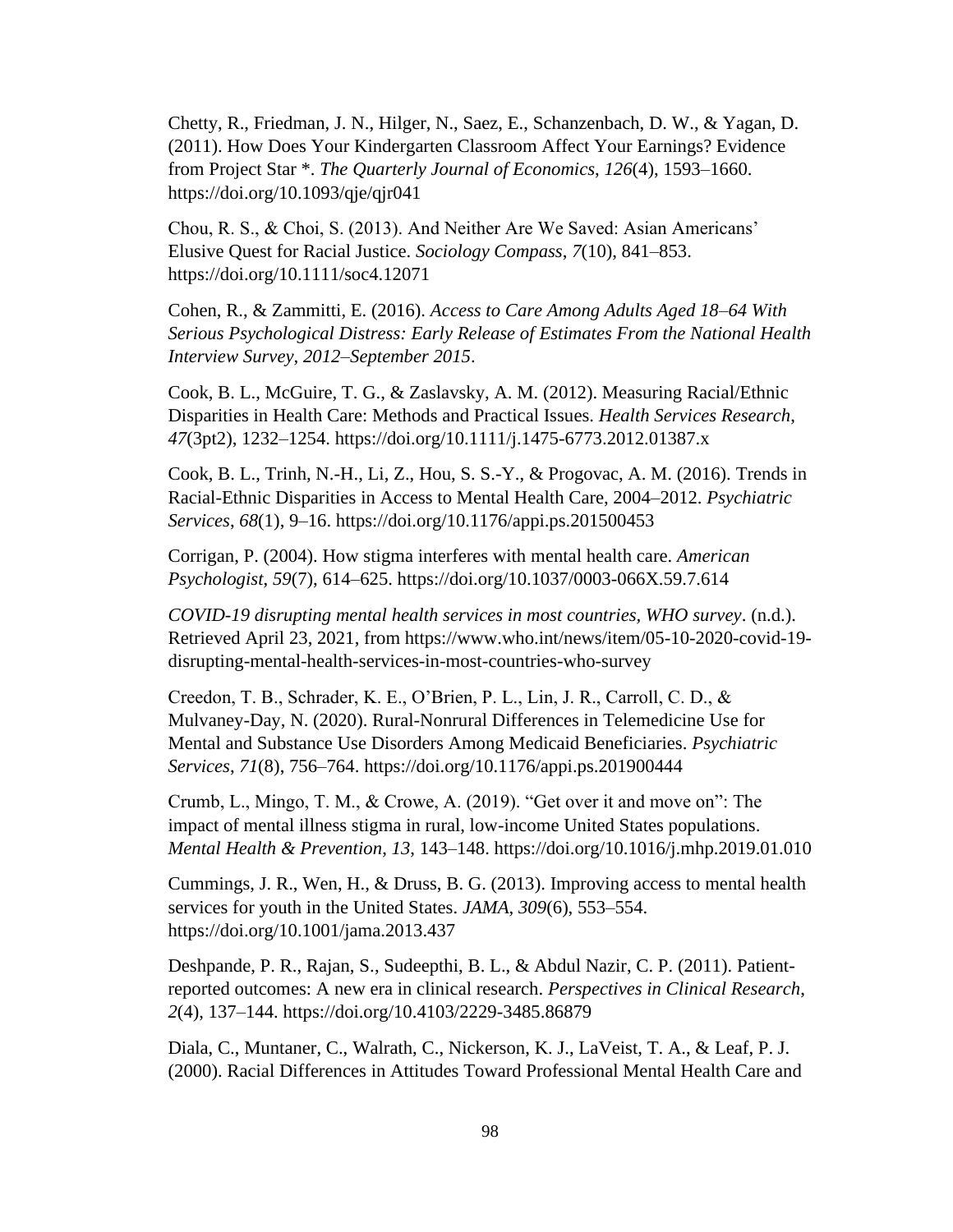Chetty, R., Friedman, J. N., Hilger, N., Saez, E., Schanzenbach, D. W., & Yagan, D. (2011). How Does Your Kindergarten Classroom Affect Your Earnings? Evidence from Project Star \*. *The Quarterly Journal of Economics*, *126*(4), 1593–1660. https://doi.org/10.1093/qje/qjr041

Chou, R. S., & Choi, S. (2013). And Neither Are We Saved: Asian Americans' Elusive Quest for Racial Justice. *Sociology Compass*, *7*(10), 841–853. https://doi.org/10.1111/soc4.12071

Cohen, R., & Zammitti, E. (2016). *Access to Care Among Adults Aged 18–64 With Serious Psychological Distress: Early Release of Estimates From the National Health Interview Survey, 2012–September 2015*.

Cook, B. L., McGuire, T. G., & Zaslavsky, A. M. (2012). Measuring Racial/Ethnic Disparities in Health Care: Methods and Practical Issues. *Health Services Research*, *47*(3pt2), 1232–1254. https://doi.org/10.1111/j.1475-6773.2012.01387.x

Cook, B. L., Trinh, N.-H., Li, Z., Hou, S. S.-Y., & Progovac, A. M. (2016). Trends in Racial-Ethnic Disparities in Access to Mental Health Care, 2004–2012. *Psychiatric Services*, *68*(1), 9–16. https://doi.org/10.1176/appi.ps.201500453

Corrigan, P. (2004). How stigma interferes with mental health care. *American Psychologist*, *59*(7), 614–625. https://doi.org/10.1037/0003-066X.59.7.614

*COVID-19 disrupting mental health services in most countries, WHO survey*. (n.d.). Retrieved April 23, 2021, from https://www.who.int/news/item/05-10-2020-covid-19 disrupting-mental-health-services-in-most-countries-who-survey

Creedon, T. B., Schrader, K. E., O'Brien, P. L., Lin, J. R., Carroll, C. D., & Mulvaney-Day, N. (2020). Rural-Nonrural Differences in Telemedicine Use for Mental and Substance Use Disorders Among Medicaid Beneficiaries. *Psychiatric Services*, *71*(8), 756–764. https://doi.org/10.1176/appi.ps.201900444

Crumb, L., Mingo, T. M., & Crowe, A. (2019). "Get over it and move on": The impact of mental illness stigma in rural, low-income United States populations. *Mental Health & Prevention*, *13*, 143–148. https://doi.org/10.1016/j.mhp.2019.01.010

Cummings, J. R., Wen, H., & Druss, B. G. (2013). Improving access to mental health services for youth in the United States. *JAMA*, *309*(6), 553–554. https://doi.org/10.1001/jama.2013.437

Deshpande, P. R., Rajan, S., Sudeepthi, B. L., & Abdul Nazir, C. P. (2011). Patientreported outcomes: A new era in clinical research. *Perspectives in Clinical Research*, *2*(4), 137–144. https://doi.org/10.4103/2229-3485.86879

Diala, C., Muntaner, C., Walrath, C., Nickerson, K. J., LaVeist, T. A., & Leaf, P. J. (2000). Racial Differences in Attitudes Toward Professional Mental Health Care and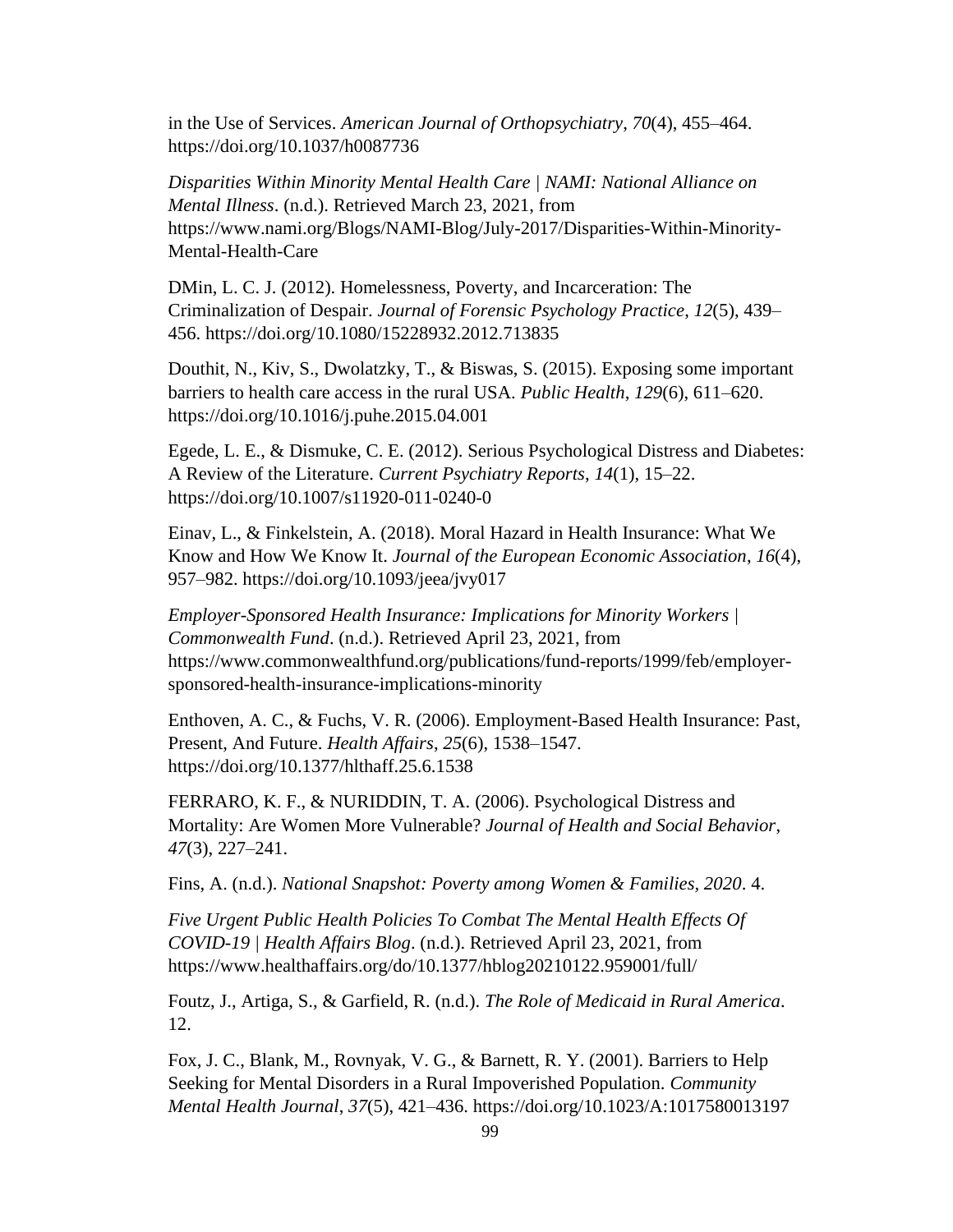in the Use of Services. *American Journal of Orthopsychiatry*, *70*(4), 455–464. https://doi.org/10.1037/h0087736

*Disparities Within Minority Mental Health Care | NAMI: National Alliance on Mental Illness*. (n.d.). Retrieved March 23, 2021, from https://www.nami.org/Blogs/NAMI-Blog/July-2017/Disparities-Within-Minority-Mental-Health-Care

DMin, L. C. J. (2012). Homelessness, Poverty, and Incarceration: The Criminalization of Despair. *Journal of Forensic Psychology Practice*, *12*(5), 439– 456. https://doi.org/10.1080/15228932.2012.713835

Douthit, N., Kiv, S., Dwolatzky, T., & Biswas, S. (2015). Exposing some important barriers to health care access in the rural USA. *Public Health*, *129*(6), 611–620. https://doi.org/10.1016/j.puhe.2015.04.001

Egede, L. E., & Dismuke, C. E. (2012). Serious Psychological Distress and Diabetes: A Review of the Literature. *Current Psychiatry Reports*, *14*(1), 15–22. https://doi.org/10.1007/s11920-011-0240-0

Einav, L., & Finkelstein, A. (2018). Moral Hazard in Health Insurance: What We Know and How We Know It. *Journal of the European Economic Association*, *16*(4), 957–982. https://doi.org/10.1093/jeea/jvy017

*Employer-Sponsored Health Insurance: Implications for Minority Workers | Commonwealth Fund*. (n.d.). Retrieved April 23, 2021, from https://www.commonwealthfund.org/publications/fund-reports/1999/feb/employersponsored-health-insurance-implications-minority

Enthoven, A. C., & Fuchs, V. R. (2006). Employment-Based Health Insurance: Past, Present, And Future. *Health Affairs*, *25*(6), 1538–1547. https://doi.org/10.1377/hlthaff.25.6.1538

FERRARO, K. F., & NURIDDIN, T. A. (2006). Psychological Distress and Mortality: Are Women More Vulnerable? *Journal of Health and Social Behavior*, *47*(3), 227–241.

Fins, A. (n.d.). *National Snapshot: Poverty among Women & Families, 2020*. 4.

*Five Urgent Public Health Policies To Combat The Mental Health Effects Of COVID-19 | Health Affairs Blog*. (n.d.). Retrieved April 23, 2021, from https://www.healthaffairs.org/do/10.1377/hblog20210122.959001/full/

Foutz, J., Artiga, S., & Garfield, R. (n.d.). *The Role of Medicaid in Rural America*. 12.

Fox, J. C., Blank, M., Rovnyak, V. G., & Barnett, R. Y. (2001). Barriers to Help Seeking for Mental Disorders in a Rural Impoverished Population. *Community Mental Health Journal*, *37*(5), 421–436. https://doi.org/10.1023/A:1017580013197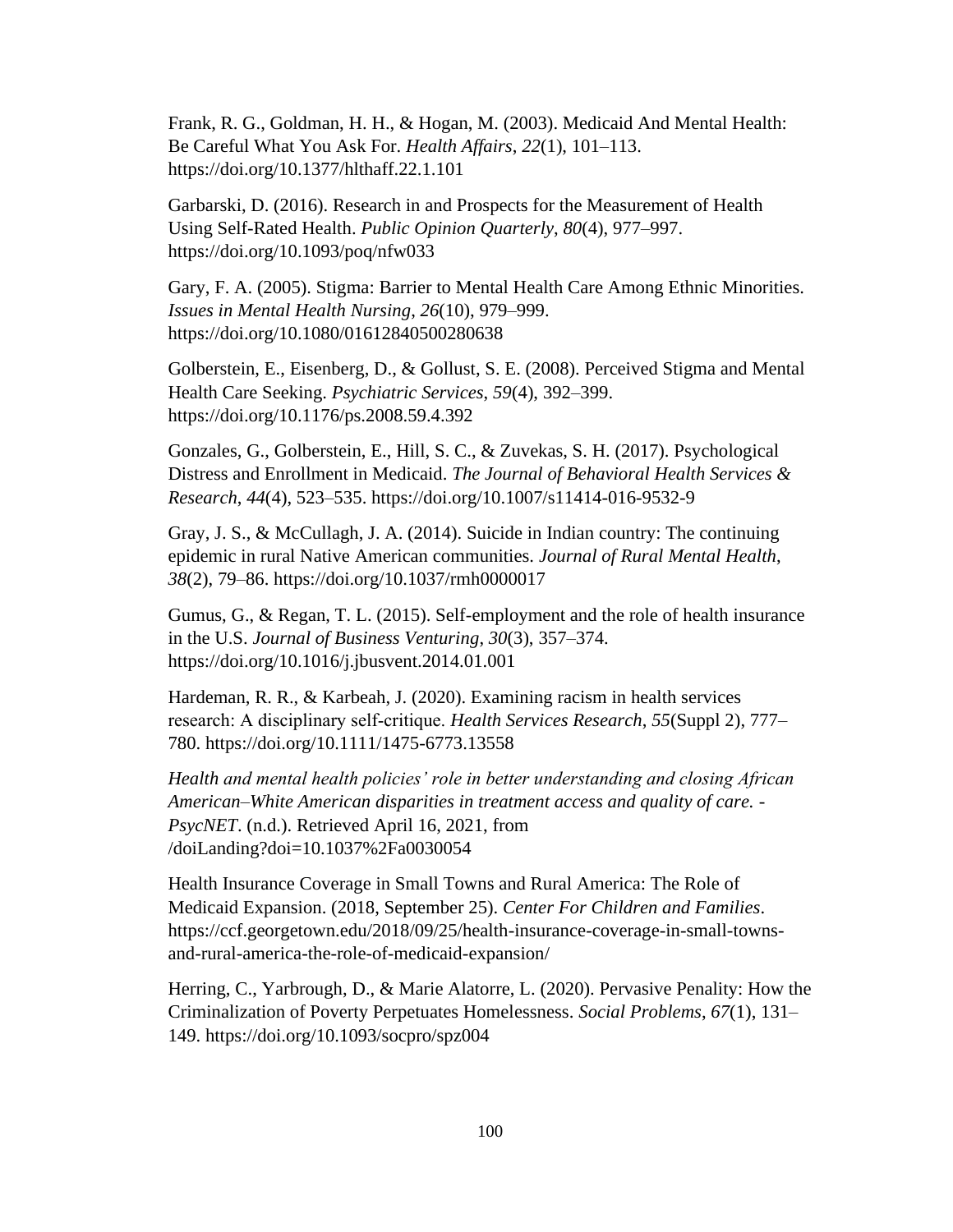Frank, R. G., Goldman, H. H., & Hogan, M. (2003). Medicaid And Mental Health: Be Careful What You Ask For. *Health Affairs*, *22*(1), 101–113. https://doi.org/10.1377/hlthaff.22.1.101

Garbarski, D. (2016). Research in and Prospects for the Measurement of Health Using Self-Rated Health. *Public Opinion Quarterly*, *80*(4), 977–997. https://doi.org/10.1093/poq/nfw033

Gary, F. A. (2005). Stigma: Barrier to Mental Health Care Among Ethnic Minorities. *Issues in Mental Health Nursing*, *26*(10), 979–999. https://doi.org/10.1080/01612840500280638

Golberstein, E., Eisenberg, D., & Gollust, S. E. (2008). Perceived Stigma and Mental Health Care Seeking. *Psychiatric Services*, *59*(4), 392–399. https://doi.org/10.1176/ps.2008.59.4.392

Gonzales, G., Golberstein, E., Hill, S. C., & Zuvekas, S. H. (2017). Psychological Distress and Enrollment in Medicaid. *The Journal of Behavioral Health Services & Research*, *44*(4), 523–535. https://doi.org/10.1007/s11414-016-9532-9

Gray, J. S., & McCullagh, J. A. (2014). Suicide in Indian country: The continuing epidemic in rural Native American communities. *Journal of Rural Mental Health*, *38*(2), 79–86. https://doi.org/10.1037/rmh0000017

Gumus, G., & Regan, T. L. (2015). Self-employment and the role of health insurance in the U.S. *Journal of Business Venturing*, *30*(3), 357–374. https://doi.org/10.1016/j.jbusvent.2014.01.001

Hardeman, R. R., & Karbeah, J. (2020). Examining racism in health services research: A disciplinary self‐critique. *Health Services Research*, *55*(Suppl 2), 777– 780. https://doi.org/10.1111/1475-6773.13558

*Health and mental health policies' role in better understanding and closing African American–White American disparities in treatment access and quality of care. - PsycNET*. (n.d.). Retrieved April 16, 2021, from /doiLanding?doi=10.1037%2Fa0030054

Health Insurance Coverage in Small Towns and Rural America: The Role of Medicaid Expansion. (2018, September 25). *Center For Children and Families*. https://ccf.georgetown.edu/2018/09/25/health-insurance-coverage-in-small-townsand-rural-america-the-role-of-medicaid-expansion/

Herring, C., Yarbrough, D., & Marie Alatorre, L. (2020). Pervasive Penality: How the Criminalization of Poverty Perpetuates Homelessness. *Social Problems*, *67*(1), 131– 149. https://doi.org/10.1093/socpro/spz004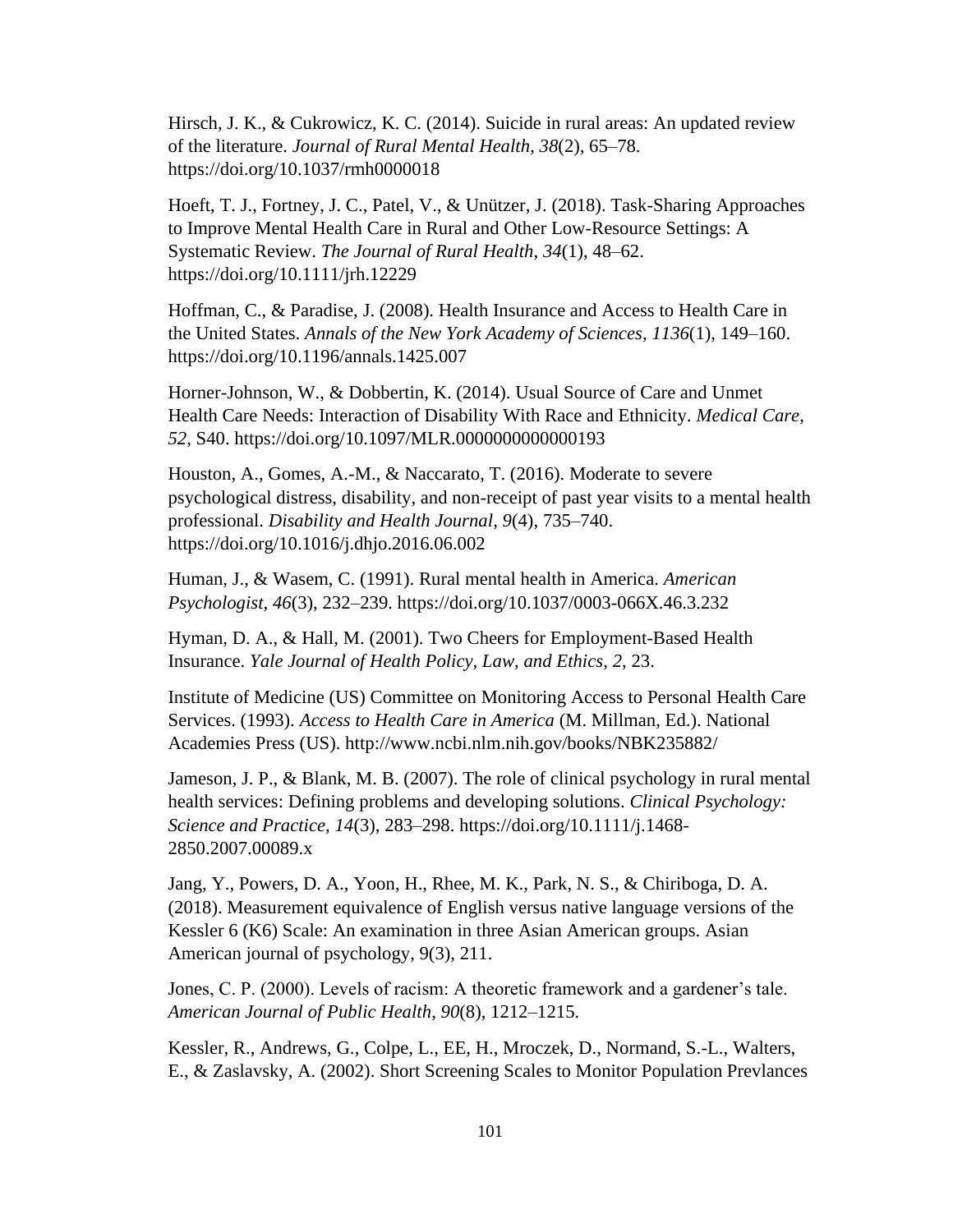Hirsch, J. K., & Cukrowicz, K. C. (2014). Suicide in rural areas: An updated review of the literature. *Journal of Rural Mental Health*, *38*(2), 65–78. https://doi.org/10.1037/rmh0000018

Hoeft, T. J., Fortney, J. C., Patel, V., & Unützer, J. (2018). Task-Sharing Approaches to Improve Mental Health Care in Rural and Other Low-Resource Settings: A Systematic Review. *The Journal of Rural Health*, *34*(1), 48–62. https://doi.org/10.1111/jrh.12229

Hoffman, C., & Paradise, J. (2008). Health Insurance and Access to Health Care in the United States. *Annals of the New York Academy of Sciences*, *1136*(1), 149–160. https://doi.org/10.1196/annals.1425.007

Horner-Johnson, W., & Dobbertin, K. (2014). Usual Source of Care and Unmet Health Care Needs: Interaction of Disability With Race and Ethnicity. *Medical Care*, *52*, S40. https://doi.org/10.1097/MLR.0000000000000193

Houston, A., Gomes, A.-M., & Naccarato, T. (2016). Moderate to severe psychological distress, disability, and non-receipt of past year visits to a mental health professional. *Disability and Health Journal*, *9*(4), 735–740. https://doi.org/10.1016/j.dhjo.2016.06.002

Human, J., & Wasem, C. (1991). Rural mental health in America. *American Psychologist*, *46*(3), 232–239. https://doi.org/10.1037/0003-066X.46.3.232

Hyman, D. A., & Hall, M. (2001). Two Cheers for Employment-Based Health Insurance. *Yale Journal of Health Policy, Law, and Ethics*, *2*, 23.

Institute of Medicine (US) Committee on Monitoring Access to Personal Health Care Services. (1993). *Access to Health Care in America* (M. Millman, Ed.). National Academies Press (US). http://www.ncbi.nlm.nih.gov/books/NBK235882/

Jameson, J. P., & Blank, M. B. (2007). The role of clinical psychology in rural mental health services: Defining problems and developing solutions. *Clinical Psychology: Science and Practice*, *14*(3), 283–298. https://doi.org/10.1111/j.1468- 2850.2007.00089.x

Jang, Y., Powers, D. A., Yoon, H., Rhee, M. K., Park, N. S., & Chiriboga, D. A. (2018). Measurement equivalence of English versus native language versions of the Kessler 6 (K6) Scale: An examination in three Asian American groups. Asian American journal of psychology, 9(3), 211.

Jones, C. P. (2000). Levels of racism: A theoretic framework and a gardener's tale. *American Journal of Public Health*, *90*(8), 1212–1215.

Kessler, R., Andrews, G., Colpe, L., EE, H., Mroczek, D., Normand, S.-L., Walters, E., & Zaslavsky, A. (2002). Short Screening Scales to Monitor Population Prevlances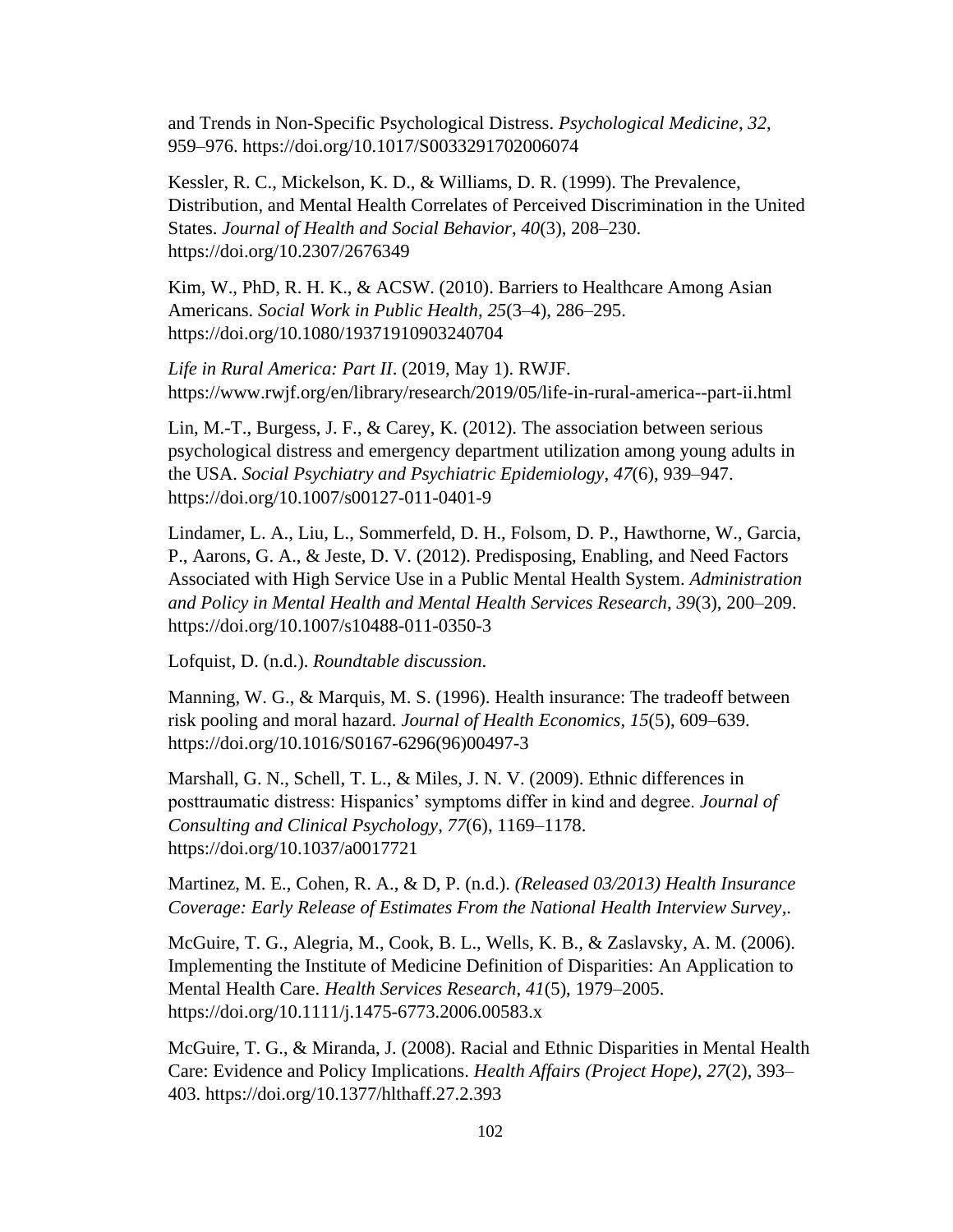and Trends in Non-Specific Psychological Distress. *Psychological Medicine*, *32*, 959–976. https://doi.org/10.1017/S0033291702006074

Kessler, R. C., Mickelson, K. D., & Williams, D. R. (1999). The Prevalence, Distribution, and Mental Health Correlates of Perceived Discrimination in the United States. *Journal of Health and Social Behavior*, *40*(3), 208–230. https://doi.org/10.2307/2676349

Kim, W., PhD, R. H. K., & ACSW. (2010). Barriers to Healthcare Among Asian Americans. *Social Work in Public Health*, *25*(3–4), 286–295. https://doi.org/10.1080/19371910903240704

*Life in Rural America: Part II*. (2019, May 1). RWJF. https://www.rwjf.org/en/library/research/2019/05/life-in-rural-america--part-ii.html

Lin, M.-T., Burgess, J. F., & Carey, K. (2012). The association between serious psychological distress and emergency department utilization among young adults in the USA. *Social Psychiatry and Psychiatric Epidemiology*, *47*(6), 939–947. https://doi.org/10.1007/s00127-011-0401-9

Lindamer, L. A., Liu, L., Sommerfeld, D. H., Folsom, D. P., Hawthorne, W., Garcia, P., Aarons, G. A., & Jeste, D. V. (2012). Predisposing, Enabling, and Need Factors Associated with High Service Use in a Public Mental Health System. *Administration and Policy in Mental Health and Mental Health Services Research*, *39*(3), 200–209. https://doi.org/10.1007/s10488-011-0350-3

Lofquist, D. (n.d.). *Roundtable discussion*.

Manning, W. G., & Marquis, M. S. (1996). Health insurance: The tradeoff between risk pooling and moral hazard. *Journal of Health Economics*, *15*(5), 609–639. https://doi.org/10.1016/S0167-6296(96)00497-3

Marshall, G. N., Schell, T. L., & Miles, J. N. V. (2009). Ethnic differences in posttraumatic distress: Hispanics' symptoms differ in kind and degree. *Journal of Consulting and Clinical Psychology*, *77*(6), 1169–1178. https://doi.org/10.1037/a0017721

Martinez, M. E., Cohen, R. A., & D, P. (n.d.). *(Released 03/2013) Health Insurance Coverage: Early Release of Estimates From the National Health Interview Survey,*.

McGuire, T. G., Alegria, M., Cook, B. L., Wells, K. B., & Zaslavsky, A. M. (2006). Implementing the Institute of Medicine Definition of Disparities: An Application to Mental Health Care. *Health Services Research*, *41*(5), 1979–2005. https://doi.org/10.1111/j.1475-6773.2006.00583.x

McGuire, T. G., & Miranda, J. (2008). Racial and Ethnic Disparities in Mental Health Care: Evidence and Policy Implications. *Health Affairs (Project Hope)*, *27*(2), 393– 403. https://doi.org/10.1377/hlthaff.27.2.393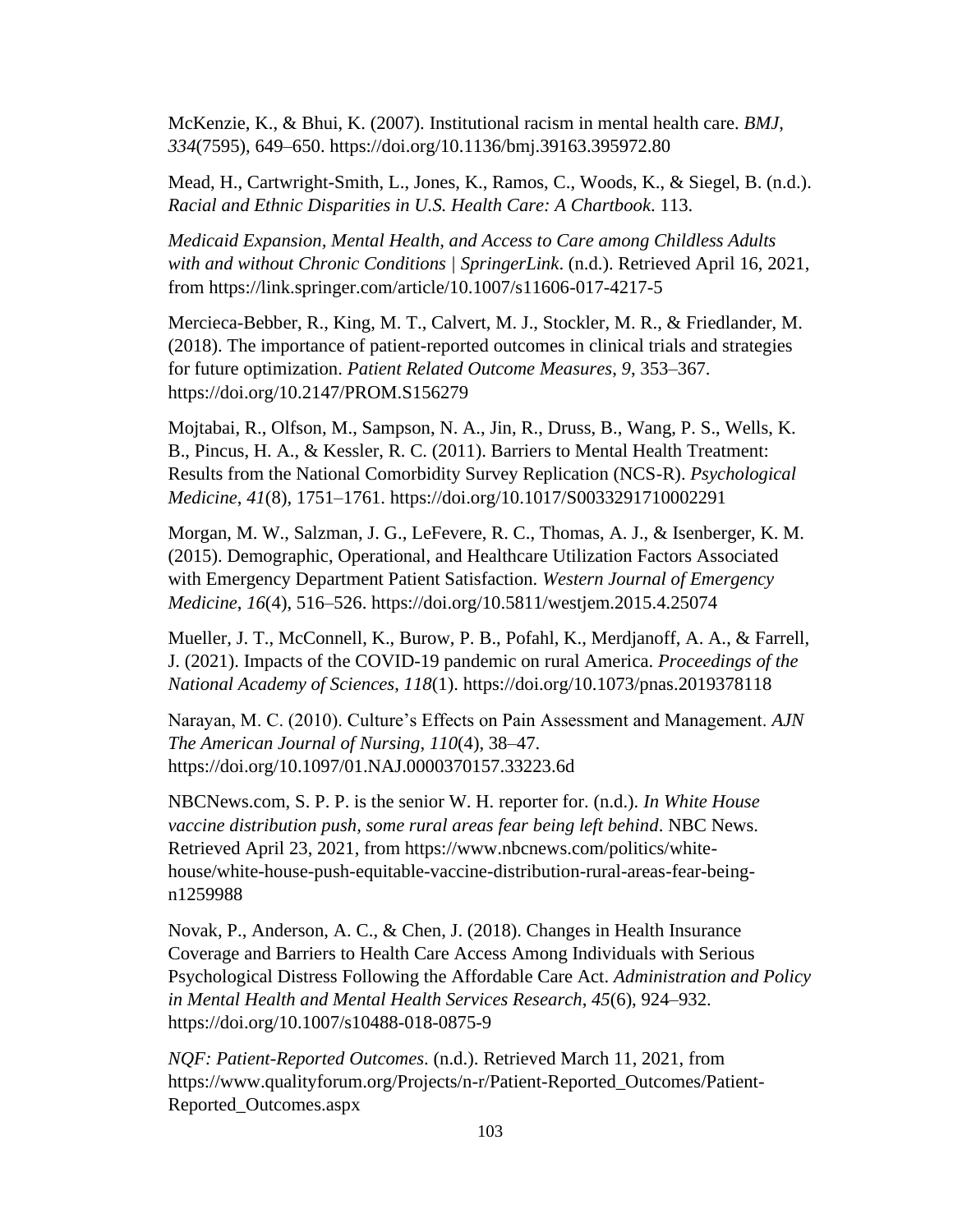McKenzie, K., & Bhui, K. (2007). Institutional racism in mental health care. *BMJ*, *334*(7595), 649–650. https://doi.org/10.1136/bmj.39163.395972.80

Mead, H., Cartwright-Smith, L., Jones, K., Ramos, C., Woods, K., & Siegel, B. (n.d.). *Racial and Ethnic Disparities in U.S. Health Care: A Chartbook*. 113.

*Medicaid Expansion, Mental Health, and Access to Care among Childless Adults with and without Chronic Conditions | SpringerLink*. (n.d.). Retrieved April 16, 2021, from https://link.springer.com/article/10.1007/s11606-017-4217-5

Mercieca-Bebber, R., King, M. T., Calvert, M. J., Stockler, M. R., & Friedlander, M. (2018). The importance of patient-reported outcomes in clinical trials and strategies for future optimization. *Patient Related Outcome Measures*, *9*, 353–367. https://doi.org/10.2147/PROM.S156279

Mojtabai, R., Olfson, M., Sampson, N. A., Jin, R., Druss, B., Wang, P. S., Wells, K. B., Pincus, H. A., & Kessler, R. C. (2011). Barriers to Mental Health Treatment: Results from the National Comorbidity Survey Replication (NCS-R). *Psychological Medicine*, *41*(8), 1751–1761. https://doi.org/10.1017/S0033291710002291

Morgan, M. W., Salzman, J. G., LeFevere, R. C., Thomas, A. J., & Isenberger, K. M. (2015). Demographic, Operational, and Healthcare Utilization Factors Associated with Emergency Department Patient Satisfaction. *Western Journal of Emergency Medicine*, *16*(4), 516–526. https://doi.org/10.5811/westjem.2015.4.25074

Mueller, J. T., McConnell, K., Burow, P. B., Pofahl, K., Merdjanoff, A. A., & Farrell, J. (2021). Impacts of the COVID-19 pandemic on rural America. *Proceedings of the National Academy of Sciences*, *118*(1). https://doi.org/10.1073/pnas.2019378118

Narayan, M. C. (2010). Culture's Effects on Pain Assessment and Management. *AJN The American Journal of Nursing*, *110*(4), 38–47. https://doi.org/10.1097/01.NAJ.0000370157.33223.6d

NBCNews.com, S. P. P. is the senior W. H. reporter for. (n.d.). *In White House vaccine distribution push, some rural areas fear being left behind*. NBC News. Retrieved April 23, 2021, from https://www.nbcnews.com/politics/whitehouse/white-house-push-equitable-vaccine-distribution-rural-areas-fear-beingn1259988

Novak, P., Anderson, A. C., & Chen, J. (2018). Changes in Health Insurance Coverage and Barriers to Health Care Access Among Individuals with Serious Psychological Distress Following the Affordable Care Act. *Administration and Policy in Mental Health and Mental Health Services Research*, *45*(6), 924–932. https://doi.org/10.1007/s10488-018-0875-9

*NQF: Patient-Reported Outcomes*. (n.d.). Retrieved March 11, 2021, from https://www.qualityforum.org/Projects/n-r/Patient-Reported\_Outcomes/Patient-Reported\_Outcomes.aspx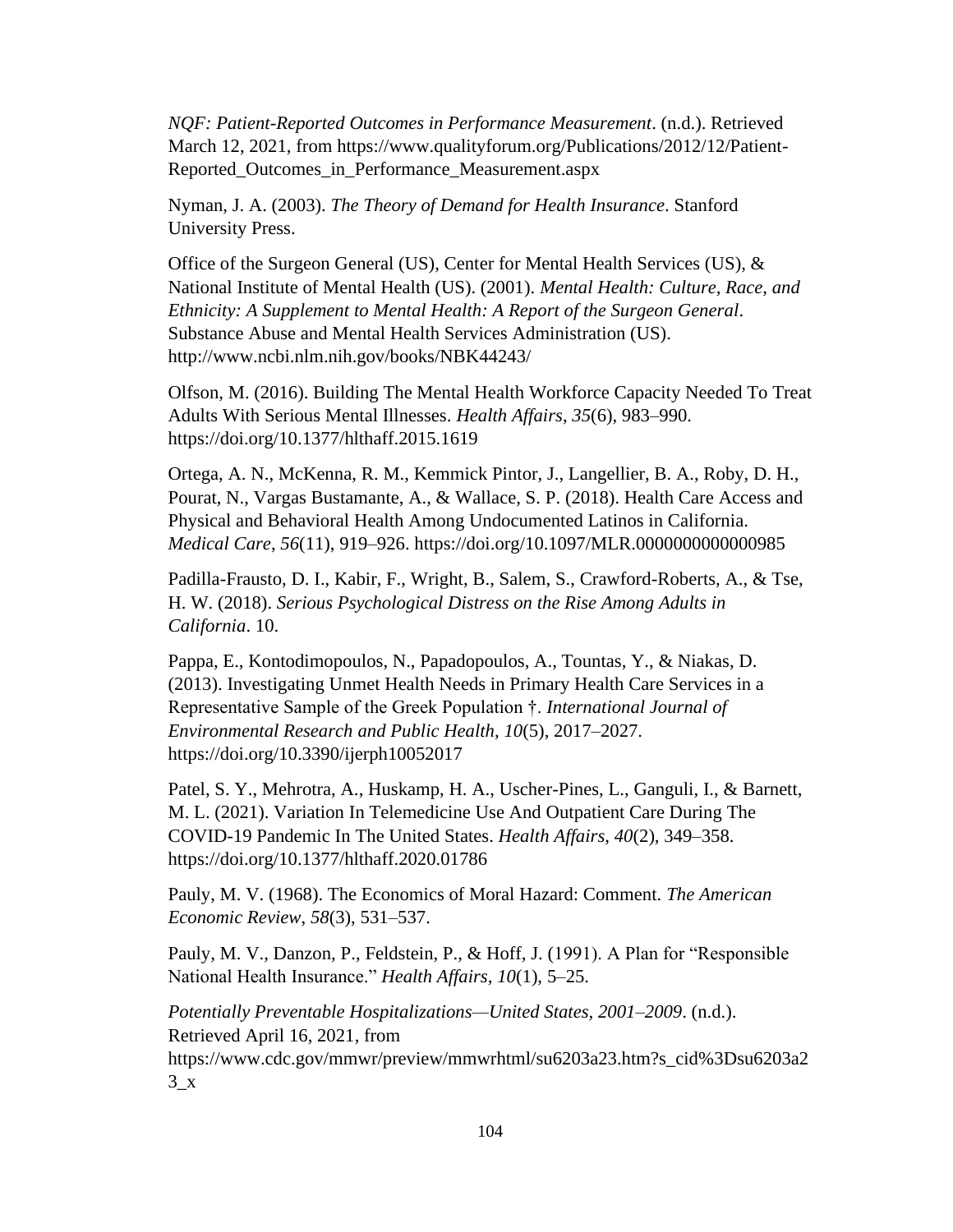*NQF: Patient-Reported Outcomes in Performance Measurement*. (n.d.). Retrieved March 12, 2021, from https://www.qualityforum.org/Publications/2012/12/Patient-Reported\_Outcomes\_in\_Performance\_Measurement.aspx

Nyman, J. A. (2003). *The Theory of Demand for Health Insurance*. Stanford University Press.

Office of the Surgeon General (US), Center for Mental Health Services (US), & National Institute of Mental Health (US). (2001). *Mental Health: Culture, Race, and Ethnicity: A Supplement to Mental Health: A Report of the Surgeon General*. Substance Abuse and Mental Health Services Administration (US). http://www.ncbi.nlm.nih.gov/books/NBK44243/

Olfson, M. (2016). Building The Mental Health Workforce Capacity Needed To Treat Adults With Serious Mental Illnesses. *Health Affairs*, *35*(6), 983–990. https://doi.org/10.1377/hlthaff.2015.1619

Ortega, A. N., McKenna, R. M., Kemmick Pintor, J., Langellier, B. A., Roby, D. H., Pourat, N., Vargas Bustamante, A., & Wallace, S. P. (2018). Health Care Access and Physical and Behavioral Health Among Undocumented Latinos in California. *Medical Care*, *56*(11), 919–926. https://doi.org/10.1097/MLR.0000000000000985

Padilla-Frausto, D. I., Kabir, F., Wright, B., Salem, S., Crawford-Roberts, A., & Tse, H. W. (2018). *Serious Psychological Distress on the Rise Among Adults in California*. 10.

Pappa, E., Kontodimopoulos, N., Papadopoulos, A., Tountas, Y., & Niakas, D. (2013). Investigating Unmet Health Needs in Primary Health Care Services in a Representative Sample of the Greek Population †. *International Journal of Environmental Research and Public Health*, *10*(5), 2017–2027. https://doi.org/10.3390/ijerph10052017

Patel, S. Y., Mehrotra, A., Huskamp, H. A., Uscher-Pines, L., Ganguli, I., & Barnett, M. L. (2021). Variation In Telemedicine Use And Outpatient Care During The COVID-19 Pandemic In The United States. *Health Affairs*, *40*(2), 349–358. https://doi.org/10.1377/hlthaff.2020.01786

Pauly, M. V. (1968). The Economics of Moral Hazard: Comment. *The American Economic Review*, *58*(3), 531–537.

Pauly, M. V., Danzon, P., Feldstein, P., & Hoff, J. (1991). A Plan for "Responsible National Health Insurance." *Health Affairs*, *10*(1), 5–25.

*Potentially Preventable Hospitalizations—United States, 2001–2009*. (n.d.). Retrieved April 16, 2021, from https://www.cdc.gov/mmwr/preview/mmwrhtml/su6203a23.htm?s\_cid%3Dsu6203a2  $3_x$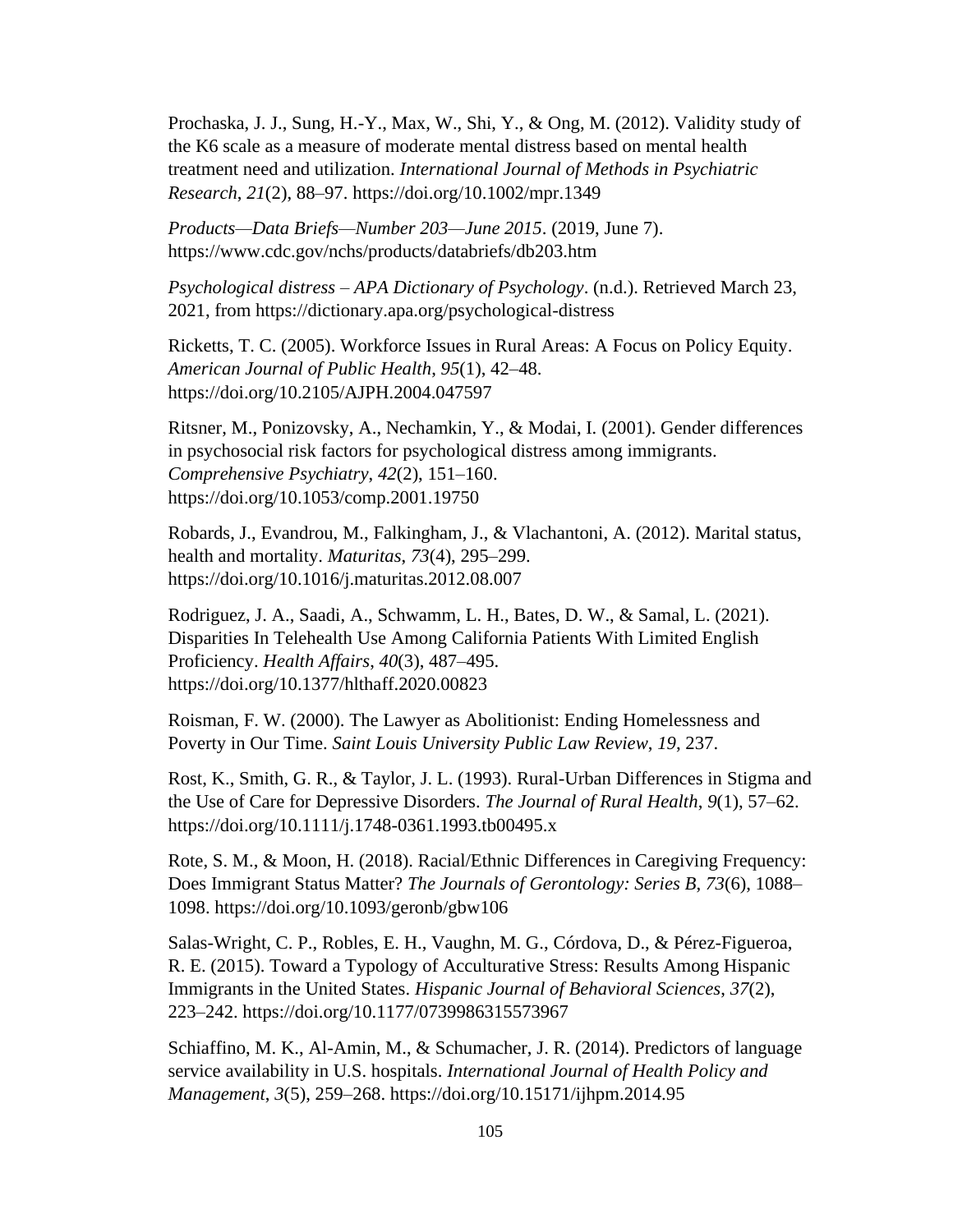Prochaska, J. J., Sung, H.-Y., Max, W., Shi, Y., & Ong, M. (2012). Validity study of the K6 scale as a measure of moderate mental distress based on mental health treatment need and utilization. *International Journal of Methods in Psychiatric Research*, *21*(2), 88–97. https://doi.org/10.1002/mpr.1349

*Products—Data Briefs—Number 203—June 2015*. (2019, June 7). https://www.cdc.gov/nchs/products/databriefs/db203.htm

*Psychological distress – APA Dictionary of Psychology*. (n.d.). Retrieved March 23, 2021, from https://dictionary.apa.org/psychological-distress

Ricketts, T. C. (2005). Workforce Issues in Rural Areas: A Focus on Policy Equity. *American Journal of Public Health*, *95*(1), 42–48. https://doi.org/10.2105/AJPH.2004.047597

Ritsner, M., Ponizovsky, A., Nechamkin, Y., & Modai, I. (2001). Gender differences in psychosocial risk factors for psychological distress among immigrants. *Comprehensive Psychiatry*, *42*(2), 151–160. https://doi.org/10.1053/comp.2001.19750

Robards, J., Evandrou, M., Falkingham, J., & Vlachantoni, A. (2012). Marital status, health and mortality. *Maturitas*, *73*(4), 295–299. https://doi.org/10.1016/j.maturitas.2012.08.007

Rodriguez, J. A., Saadi, A., Schwamm, L. H., Bates, D. W., & Samal, L. (2021). Disparities In Telehealth Use Among California Patients With Limited English Proficiency. *Health Affairs*, *40*(3), 487–495. https://doi.org/10.1377/hlthaff.2020.00823

Roisman, F. W. (2000). The Lawyer as Abolitionist: Ending Homelessness and Poverty in Our Time. *Saint Louis University Public Law Review*, *19*, 237.

Rost, K., Smith, G. R., & Taylor, J. L. (1993). Rural-Urban Differences in Stigma and the Use of Care for Depressive Disorders. *The Journal of Rural Health*, *9*(1), 57–62. https://doi.org/10.1111/j.1748-0361.1993.tb00495.x

Rote, S. M., & Moon, H. (2018). Racial/Ethnic Differences in Caregiving Frequency: Does Immigrant Status Matter? *The Journals of Gerontology: Series B*, *73*(6), 1088– 1098. https://doi.org/10.1093/geronb/gbw106

Salas-Wright, C. P., Robles, E. H., Vaughn, M. G., Córdova, D., & Pérez-Figueroa, R. E. (2015). Toward a Typology of Acculturative Stress: Results Among Hispanic Immigrants in the United States. *Hispanic Journal of Behavioral Sciences*, *37*(2), 223–242. https://doi.org/10.1177/0739986315573967

Schiaffino, M. K., Al-Amin, M., & Schumacher, J. R. (2014). Predictors of language service availability in U.S. hospitals. *International Journal of Health Policy and Management*, *3*(5), 259–268. https://doi.org/10.15171/ijhpm.2014.95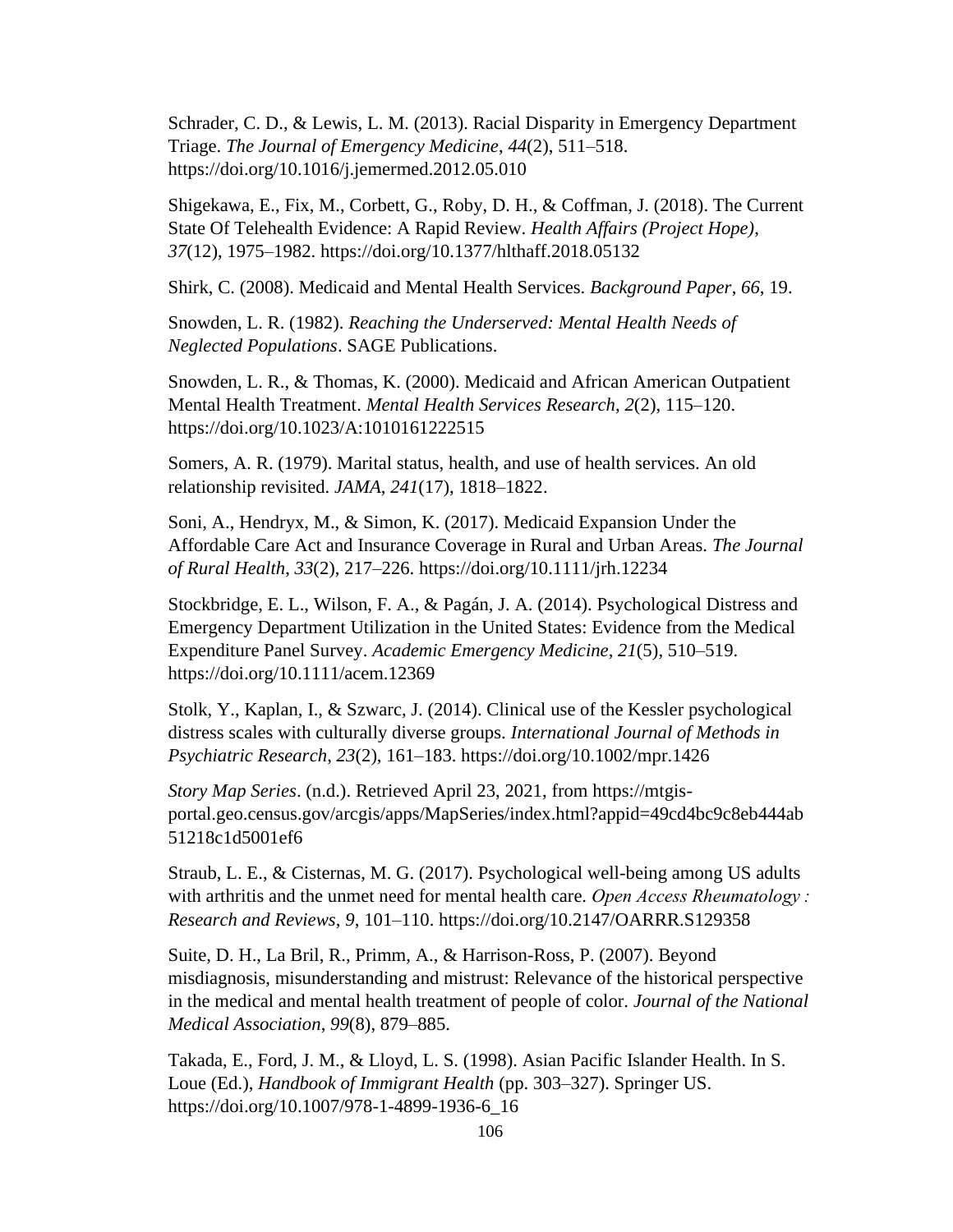Schrader, C. D., & Lewis, L. M. (2013). Racial Disparity in Emergency Department Triage. *The Journal of Emergency Medicine*, *44*(2), 511–518. https://doi.org/10.1016/j.jemermed.2012.05.010

Shigekawa, E., Fix, M., Corbett, G., Roby, D. H., & Coffman, J. (2018). The Current State Of Telehealth Evidence: A Rapid Review. *Health Affairs (Project Hope)*, *37*(12), 1975–1982. https://doi.org/10.1377/hlthaff.2018.05132

Shirk, C. (2008). Medicaid and Mental Health Services. *Background Paper*, *66*, 19.

Snowden, L. R. (1982). *Reaching the Underserved: Mental Health Needs of Neglected Populations*. SAGE Publications.

Snowden, L. R., & Thomas, K. (2000). Medicaid and African American Outpatient Mental Health Treatment. *Mental Health Services Research*, *2*(2), 115–120. https://doi.org/10.1023/A:1010161222515

Somers, A. R. (1979). Marital status, health, and use of health services. An old relationship revisited. *JAMA*, *241*(17), 1818–1822.

Soni, A., Hendryx, M., & Simon, K. (2017). Medicaid Expansion Under the Affordable Care Act and Insurance Coverage in Rural and Urban Areas. *The Journal of Rural Health*, *33*(2), 217–226. https://doi.org/10.1111/jrh.12234

Stockbridge, E. L., Wilson, F. A., & Pagán, J. A. (2014). Psychological Distress and Emergency Department Utilization in the United States: Evidence from the Medical Expenditure Panel Survey. *Academic Emergency Medicine*, *21*(5), 510–519. https://doi.org/10.1111/acem.12369

Stolk, Y., Kaplan, I., & Szwarc, J. (2014). Clinical use of the Kessler psychological distress scales with culturally diverse groups. *International Journal of Methods in Psychiatric Research*, *23*(2), 161–183. https://doi.org/10.1002/mpr.1426

*Story Map Series*. (n.d.). Retrieved April 23, 2021, from https://mtgisportal.geo.census.gov/arcgis/apps/MapSeries/index.html?appid=49cd4bc9c8eb444ab 51218c1d5001ef6

Straub, L. E., & Cisternas, M. G. (2017). Psychological well-being among US adults with arthritis and the unmet need for mental health care. *Open Access Rheumatology : Research and Reviews*, *9*, 101–110. https://doi.org/10.2147/OARRR.S129358

Suite, D. H., La Bril, R., Primm, A., & Harrison-Ross, P. (2007). Beyond misdiagnosis, misunderstanding and mistrust: Relevance of the historical perspective in the medical and mental health treatment of people of color. *Journal of the National Medical Association*, *99*(8), 879–885.

Takada, E., Ford, J. M., & Lloyd, L. S. (1998). Asian Pacific Islander Health. In S. Loue (Ed.), *Handbook of Immigrant Health* (pp. 303–327). Springer US. https://doi.org/10.1007/978-1-4899-1936-6\_16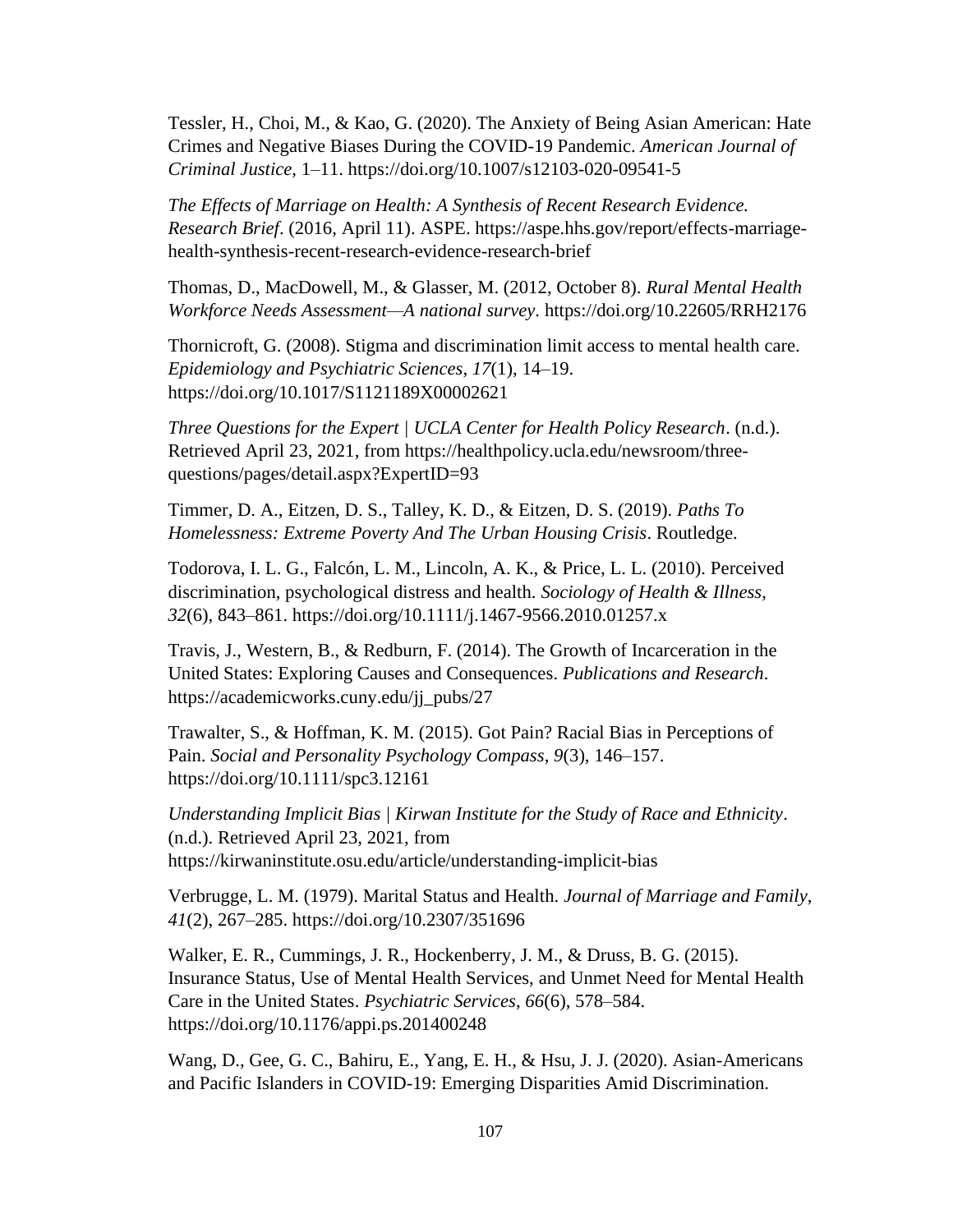Tessler, H., Choi, M., & Kao, G. (2020). The Anxiety of Being Asian American: Hate Crimes and Negative Biases During the COVID-19 Pandemic. *American Journal of Criminal Justice*, 1–11. https://doi.org/10.1007/s12103-020-09541-5

*The Effects of Marriage on Health: A Synthesis of Recent Research Evidence. Research Brief*. (2016, April 11). ASPE. https://aspe.hhs.gov/report/effects-marriagehealth-synthesis-recent-research-evidence-research-brief

Thomas, D., MacDowell, M., & Glasser, M. (2012, October 8). *Rural Mental Health Workforce Needs Assessment—A national survey*. https://doi.org/10.22605/RRH2176

Thornicroft, G. (2008). Stigma and discrimination limit access to mental health care. *Epidemiology and Psychiatric Sciences*, *17*(1), 14–19. https://doi.org/10.1017/S1121189X00002621

*Three Questions for the Expert | UCLA Center for Health Policy Research*. (n.d.). Retrieved April 23, 2021, from https://healthpolicy.ucla.edu/newsroom/threequestions/pages/detail.aspx?ExpertID=93

Timmer, D. A., Eitzen, D. S., Talley, K. D., & Eitzen, D. S. (2019). *Paths To Homelessness: Extreme Poverty And The Urban Housing Crisis*. Routledge.

Todorova, I. L. G., Falcón, L. M., Lincoln, A. K., & Price, L. L. (2010). Perceived discrimination, psychological distress and health. *Sociology of Health & Illness*, *32*(6), 843–861. https://doi.org/10.1111/j.1467-9566.2010.01257.x

Travis, J., Western, B., & Redburn, F. (2014). The Growth of Incarceration in the United States: Exploring Causes and Consequences. *Publications and Research*. https://academicworks.cuny.edu/jj\_pubs/27

Trawalter, S., & Hoffman, K. M. (2015). Got Pain? Racial Bias in Perceptions of Pain. *Social and Personality Psychology Compass*, *9*(3), 146–157. https://doi.org/10.1111/spc3.12161

*Understanding Implicit Bias | Kirwan Institute for the Study of Race and Ethnicity*. (n.d.). Retrieved April 23, 2021, from https://kirwaninstitute.osu.edu/article/understanding-implicit-bias

Verbrugge, L. M. (1979). Marital Status and Health. *Journal of Marriage and Family*, *41*(2), 267–285. https://doi.org/10.2307/351696

Walker, E. R., Cummings, J. R., Hockenberry, J. M., & Druss, B. G. (2015). Insurance Status, Use of Mental Health Services, and Unmet Need for Mental Health Care in the United States. *Psychiatric Services*, *66*(6), 578–584. https://doi.org/10.1176/appi.ps.201400248

Wang, D., Gee, G. C., Bahiru, E., Yang, E. H., & Hsu, J. J. (2020). Asian-Americans and Pacific Islanders in COVID-19: Emerging Disparities Amid Discrimination.